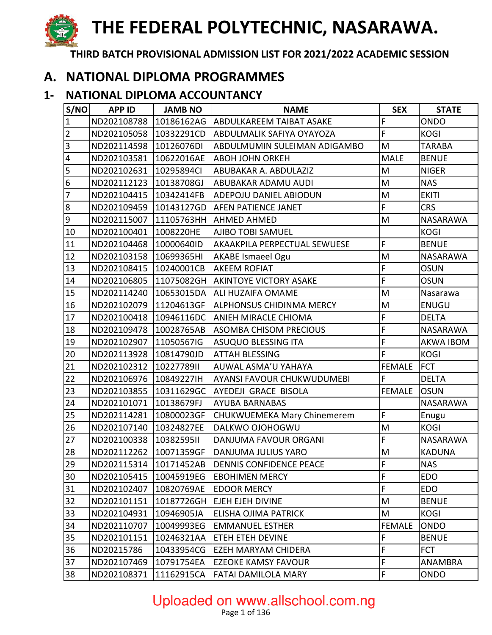**THE FEDERAL POLYTECHNIC, NASARAWA.**

**THIRD BATCH PROVISIONAL ADMISSION LIST FOR 2021/2022 ACADEMIC SESSION**

# **A. NATIONAL DIPLOMA PROGRAMMES**

#### **1- NATIONAL DIPLOMA ACCOUNTANCY**

| S/NO           | <b>APP ID</b> | <b>JAMB NO</b> | <b>NAME</b>                                    | <b>SEX</b>                                                                                                 | <b>STATE</b>     |
|----------------|---------------|----------------|------------------------------------------------|------------------------------------------------------------------------------------------------------------|------------------|
| 1              | ND202108788   | 10186162AG     | <b>ABDULKAREEM TAIBAT ASAKE</b>                | F                                                                                                          | <b>ONDO</b>      |
| $\overline{2}$ | ND202105058   | 10332291CD     | ABDULMALIK SAFIYA OYAYOZA                      | F                                                                                                          | <b>KOGI</b>      |
| 3              | ND202114598   | 10126076DI     | ABDULMUMIN SULEIMAN ADIGAMBO                   | M                                                                                                          | <b>TARABA</b>    |
| 4              | ND202103581   | 10622016AE     | <b>ABOH JOHN ORKEH</b>                         | <b>MALE</b>                                                                                                | <b>BENUE</b>     |
| 5              | ND202102631   | 10295894Cl     | ABUBAKAR A. ABDULAZIZ                          | M                                                                                                          | <b>NIGER</b>     |
| $\overline{6}$ | ND202112123   | 10138708GJ     | ABUBAKAR ADAMU AUDI                            | M                                                                                                          | <b>NAS</b>       |
| $\overline{7}$ | ND202104415   | 10342414FB     | ADEPOJU DANIEL ABIODUN                         | M                                                                                                          | <b>EKITI</b>     |
| $\bf 8$        | ND202109459   | 10143127GD     | AFEN PATIENCE JANET                            | F                                                                                                          | <b>CRS</b>       |
| 9              | ND202115007   | 11105763HH     | <b>AHMED AHMED</b>                             | M                                                                                                          | NASARAWA         |
| 10             | ND202100401   | 1008220HE      | AJIBO TOBI SAMUEL                              |                                                                                                            | <b>KOGI</b>      |
| 11             | ND202104468   | 10000640ID     | AKAAKPILA PERPECTUAL SEWUESE                   | F                                                                                                          | <b>BENUE</b>     |
| 12             | ND202103158   | 10699365HI     | <b>AKABE Ismaeel Ogu</b>                       | M                                                                                                          | NASARAWA         |
| 13             | ND202108415   | 10240001CB     | <b>AKEEM ROFIAT</b>                            | F                                                                                                          | <b>OSUN</b>      |
| 14             | ND202106805   | 11075082GH     | AKINTOYE VICTORY ASAKE                         | F                                                                                                          | <b>OSUN</b>      |
| 15             | ND202114240   | 10653015DA     | ALI HUZAIFA OMAME                              | M                                                                                                          | Nasarawa         |
| 16             | ND202102079   | 11204613GF     | ALPHONSUS CHIDINMA MERCY                       | M                                                                                                          | ENUGU            |
| 17             | ND202100418   | 10946116DC     | ANIEH MIRACLE CHIOMA                           | F                                                                                                          | <b>DELTA</b>     |
| 18             | ND202109478   | 10028765AB     | <b>ASOMBA CHISOM PRECIOUS</b>                  | F                                                                                                          | NASARAWA         |
| 19             | ND202102907   | 11050567IG     | <b>ASUQUO BLESSING ITA</b>                     | F                                                                                                          | <b>AKWA IBOM</b> |
| 20             | ND202113928   | 10814790JD     | <b>ATTAH BLESSING</b>                          | F                                                                                                          | <b>KOGI</b>      |
| 21             | ND202102312   | 1022778911     | AUWAL ASMA'U YAHAYA                            | <b>FEMALE</b>                                                                                              | <b>FCT</b>       |
| 22             | ND202106976   | 10849227IH     | AYANSI FAVOUR CHUKWUDUMEBI                     | F                                                                                                          | <b>DELTA</b>     |
| 23             | ND202103855   | 10311629GC     | AYEDEJI GRACE BISOLA                           | <b>FEMALE</b>                                                                                              | <b>OSUN</b>      |
| 24             | ND202101071   | 10138679FJ     | <b>AYUBA BARNABAS</b>                          |                                                                                                            | NASARAWA         |
| 25             | ND202114281   | 10800023GF     | CHUKWUEMEKA Mary Chinemerem                    | F                                                                                                          | Enugu            |
| 26             | ND202107140   | 10324827EE     | DALKWO OJOHOGWU                                | M                                                                                                          | <b>KOGI</b>      |
| 27             | ND202100338   | 10382595II     | DANJUMA FAVOUR ORGANI                          | F                                                                                                          | NASARAWA         |
| 28             | ND202112262   | 10071359GF     | DANJUMA JULIUS YARO                            | $\mathsf{M}% _{T}=\mathsf{M}_{T}\!\left( a,b\right) ,\ \mathsf{M}_{T}=\mathsf{M}_{T}\!\left( a,b\right) ,$ | <b>KADUNA</b>    |
| 29             |               |                | ND202115314 10171452AB DENNIS CONFIDENCE PEACE | $\overline{F}$                                                                                             | <b>NAS</b>       |
| 30             | ND202105415   | 10045919EG     | <b>EBOHIMEN MERCY</b>                          | F                                                                                                          | <b>EDO</b>       |
| 31             | ND202102407   | 10820769AE     | <b>EDOOR MERCY</b>                             | F                                                                                                          | <b>EDO</b>       |
| 32             | ND202101151   | 10187726GH     | EJEH EJEH DIVINE                               | M                                                                                                          | <b>BENUE</b>     |
| 33             | ND202104931   | 10946905JA     | ELISHA OJIMA PATRICK                           | ${\sf M}$                                                                                                  | <b>KOGI</b>      |
| 34             | ND202110707   | 10049993EG     | <b>EMMANUEL ESTHER</b>                         | <b>FEMALE</b>                                                                                              | <b>ONDO</b>      |
| 35             | ND202101151   | 10246321AA     | ETEH ETEH DEVINE                               | F                                                                                                          | <b>BENUE</b>     |
| 36             | ND20215786    | 10433954CG     | EZEH MARYAM CHIDERA                            | F                                                                                                          | <b>FCT</b>       |
| 37             | ND202107469   | 10791754EA     | <b>EZEOKE KAMSY FAVOUR</b>                     | F                                                                                                          | ANAMBRA          |
| 38             | ND202108371   | 11162915CA     | FATAI DAMILOLA MARY                            | F                                                                                                          | ONDO             |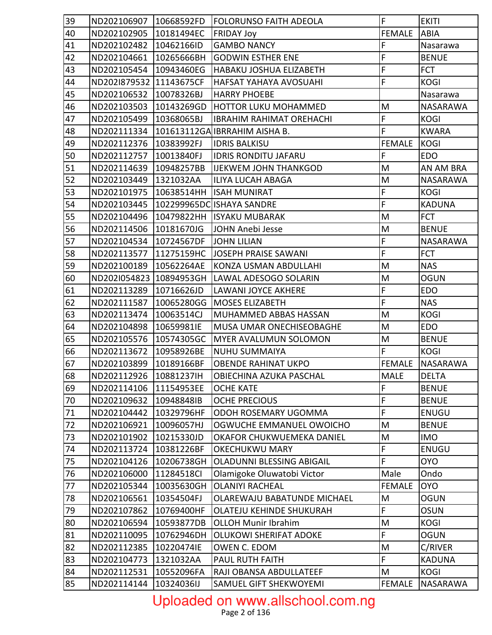| 39 | ND202106907   10668592FD  |            | <b>FOLORUNSO FAITH ADEOLA</b>   | F              | <b>EKITI</b>    |
|----|---------------------------|------------|---------------------------------|----------------|-----------------|
| 40 | ND202102905               | 10181494EC | <b>FRIDAY Joy</b>               | <b>FEMALE</b>  | <b>ABIA</b>     |
| 41 | ND202102482               | 10462166ID | <b>GAMBO NANCY</b>              | F              | Nasarawa        |
| 42 | ND202104661               | 10265666BH | <b>GODWIN ESTHER ENE</b>        | F              | <b>BENUE</b>    |
| 43 | ND202105454 10943460EG    |            | HABAKU JOSHUA ELIZABETH         | F              | <b>FCT</b>      |
| 44 | ND202I879532 11143675CF   |            | HAFSAT YAHAYA AVOSUAHI          | F              | <b>KOGI</b>     |
| 45 | ND202106532               | 10078326BJ | <b>HARRY PHOEBE</b>             |                | Nasarawa        |
| 46 | ND202103503               | 10143269GD | <b>HOTTOR LUKU MOHAMMED</b>     | M              | NASARAWA        |
| 47 | ND202105499               | 10368065BJ | <b>IBRAHIM RAHIMAT OREHACHI</b> | F              | <b>KOGI</b>     |
| 48 | ND202111334               |            | 101613112GA IBRRAHIM AISHA B.   | F              | <b>KWARA</b>    |
| 49 | ND202112376               | 10383992FJ | <b>IDRIS BALKISU</b>            | <b>FEMALE</b>  | <b>KOGI</b>     |
| 50 | ND202112757               | 10013840FJ | <b>IDRIS RONDITU JAFARU</b>     | $\mathsf{F}$   | <b>EDO</b>      |
| 51 | ND202114639               | 10948257BB | <b>IJEKWEM JOHN THANKGOD</b>    | M              | AN AM BRA       |
| 52 | ND202103449               | 1321032AA  | <b>ILIYA LUCAH ABAGA</b>        | M              | NASARAWA        |
| 53 | ND202101975               | 10638514HH | <b>ISAH MUNIRAT</b>             | F              | <b>KOGI</b>     |
| 54 | ND202103445               |            | 102299965DC ISHAYA SANDRE       | F              | <b>KADUNA</b>   |
| 55 | ND202104496               | 10479822HH | <b>ISYAKU MUBARAK</b>           | M              | <b>FCT</b>      |
| 56 | ND202114506               | 10181670JG | <b>JOHN Anebi Jesse</b>         | M              | <b>BENUE</b>    |
| 57 | ND202104534               | 10724567DF | <b>JOHN LILIAN</b>              | $\overline{F}$ | NASARAWA        |
| 58 | ND202113577               | 11275159HC | JOSEPH PRAISE SAWANI            | $\mathsf F$    | <b>FCT</b>      |
| 59 | ND202100189               | 10562264AE | KONZA USMAN ABDULLAHI           | M              | <b>NAS</b>      |
| 60 | ND202I054823   10894953GH |            | LAWAL ADESOGO SOLARIN           | M              | <b>OGUN</b>     |
| 61 | ND202113289               | 10716626JD | LAWANI JOYCE AKHERE             | $\mathsf F$    | <b>EDO</b>      |
| 62 | ND202111587               | 10065280GG | <b>MOSES ELIZABETH</b>          | $\mathsf{F}$   | <b>NAS</b>      |
| 63 | ND202113474               | 10063514CJ | MUHAMMED ABBAS HASSAN           | M              | <b>KOGI</b>     |
| 64 | ND202104898               | 10659981IE | MUSA UMAR ONECHISEOBAGHE        | M              | <b>EDO</b>      |
| 65 | ND202105576               | 10574305GC | MYER AVALUMUN SOLOMON           | ${\sf M}$      | <b>BENUE</b>    |
| 66 | ND202113672               | 10958926BE | <b>NUHU SUMMAIYA</b>            | F              | <b>KOGI</b>     |
| 67 | ND202103899               | 10189166BF | <b>OBENDE RAHINAT UKPO</b>      | <b>FEMALE</b>  | NASARAWA        |
| 68 | ND202112926 10881237IH    |            | <b>OBIECHINA AZUKA PASCHAL</b>  | <b>MALE</b>    | <b>DELTA</b>    |
| 69 | ND202114106               | 11154953EE | <b>OCHE KATE</b>                | F              | <b>BENUE</b>    |
| 70 | ND202109632               | 10948848IB | <b>OCHE PRECIOUS</b>            | $\mathsf F$    | <b>BENUE</b>    |
| 71 | ND202104442 10329796HF    |            | ODOH ROSEMARY UGOMMA            | $\mathsf F$    | <b>ENUGU</b>    |
| 72 | ND202106921               | 10096057HJ | OGWUCHE EMMANUEL OWOICHO        | M              | <b>BENUE</b>    |
| 73 | ND202101902               | 10215330JD | OKAFOR CHUKWUEMEKA DANIEL       | M              | <b>IMO</b>      |
| 74 | ND202113724   10381226BF  |            | <b>OKECHUKWU MARY</b>           | $\mathsf F$    | ENUGU           |
| 75 | ND202104126               | 10206738GH | OLADUNNI BLESSING ABIGAIL       | F              | <b>OYO</b>      |
| 76 | ND202106000               | 11284518Cl | Olamigoke Oluwatobi Victor      | Male           | Ondo            |
| 77 | ND202105344               | 10035630GH | <b>OLANIYI RACHEAL</b>          | <b>FEMALE</b>  | <b>OYO</b>      |
| 78 | ND202106561               | 10354504FJ | OLAREWAJU BABATUNDE MICHAEL     | M              | <b>OGUN</b>     |
| 79 | ND202107862               | 10769400HF | OLATEJU KEHINDE SHUKURAH        | F              | <b>OSUN</b>     |
| 80 | ND202106594               | 10593877DB | <b>OLLOH Munir Ibrahim</b>      | M              | <b>KOGI</b>     |
| 81 | ND202110095               | 10762946DH | <b>OLUKOWI SHERIFAT ADOKE</b>   | F              | <b>OGUN</b>     |
| 82 | ND202112385               | 10220474IE | OWEN C. EDOM                    | M              | C/RIVER         |
| 83 | ND202104773               | 1321032AA  | PAUL RUTH FAITH                 | $\mathsf{F}$   | <b>KADUNA</b>   |
| 84 | ND202112531               | 10552096FA | RAJI OBANSA ABDULLATEEF         | M              | <b>KOGI</b>     |
| 85 | ND202114144               | 10324036IJ | SAMUEL GIFT SHEKWOYEMI          | <b>FEMALE</b>  | <b>NASARAWA</b> |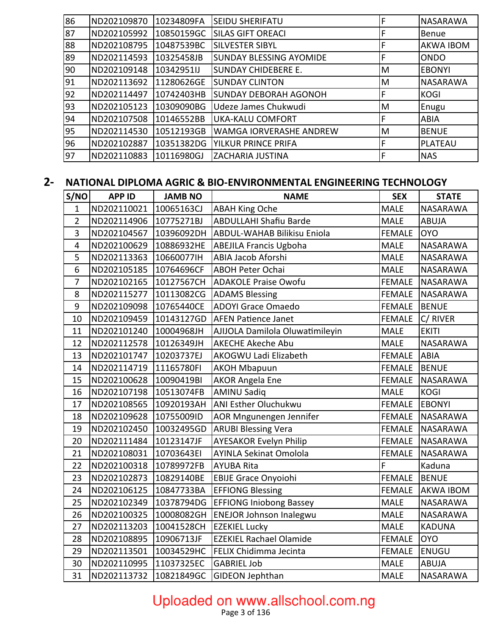| 86 | ND202109870 | 10234809FA | <b>SEIDU SHERIFATU</b>         | F | <b>NASARAWA</b>  |
|----|-------------|------------|--------------------------------|---|------------------|
| 87 | ND202105992 | 10850159GC | <b>SILAS GIFT OREACI</b>       |   | <b>Benue</b>     |
| 88 | ND202108795 | 10487539BC | SILVESTER SIBYL                | F | <b>AKWA IBOM</b> |
| 89 | ND202114593 | 10325458JB | <b>SUNDAY BLESSING AYOMIDE</b> | F | <b>ONDO</b>      |
| 90 | ND202109148 | 10342951IJ | <b>SUNDAY CHIDEBERE E.</b>     | M | <b>EBONYI</b>    |
| 91 | ND202113692 | 11280626GE | <b>SUNDAY CLINTON</b>          | M | <b>NASARAWA</b>  |
| 92 | ND202114497 | 10742403HB | <b>SUNDAY DEBORAH AGONOH</b>   | F | <b>KOGI</b>      |
| 93 | ND202105123 | 10309090BG | Udeze James Chukwudi           | M | Enugu            |
| 94 | ND202107508 | 10146552BB | <b>UKA-KALU COMFORT</b>        | F | <b>ABIA</b>      |
| 95 | ND202114530 | 10512193GB | <b>WAMGA IORVERASHE ANDREW</b> | M | <b>BENUE</b>     |
| 96 | ND202102887 | 10351382DG | YILKUR PRINCE PRIFA            | F | PLATEAU          |
| 97 | ND202110883 | 10116980GJ | <b>ZACHARIA JUSTINA</b>        | F | <b>NAS</b>       |

#### 2- NATIONAL DIPLOMA AGRIC & BIO-ENVIRONMENTAL ENGINEERING TECHNOLOGY

| S/NO           | <b>APP ID</b> | <b>JAMB NO</b> | <b>NAME</b>                     | <b>SEX</b>    | <b>STATE</b>     |
|----------------|---------------|----------------|---------------------------------|---------------|------------------|
| $\mathbf{1}$   | ND202110021   | 10065163CJ     | <b>ABAH King Oche</b>           | <b>MALE</b>   | <b>NASARAWA</b>  |
| $\overline{2}$ | ND202114906   | 10775271BJ     | <b>ABDULLAHI Shafiu Barde</b>   | <b>MALE</b>   | <b>ABUJA</b>     |
| 3              | ND202104567   | 10396092DH     | ABDUL-WAHAB Bilikisu Eniola     | <b>FEMALE</b> | <b>OYO</b>       |
| 4              | ND202100629   | 10886932HE     | <b>ABEJILA Francis Ugboha</b>   | <b>MALE</b>   | NASARAWA         |
| 5              | ND202113363   | 10660077IH     | ABIA Jacob Aforshi              | <b>MALE</b>   | <b>NASARAWA</b>  |
| 6              | ND202105185   | 10764696CF     | <b>ABOH Peter Ochai</b>         | <b>MALE</b>   | NASARAWA         |
| $\overline{7}$ | ND202102165   | 10127567CH     | <b>ADAKOLE Praise Owofu</b>     | <b>FEMALE</b> | <b>NASARAWA</b>  |
| 8              | ND202115277   | 10113082CG     | <b>ADAMS Blessing</b>           | <b>FEMALE</b> | <b>NASARAWA</b>  |
| 9              | ND202109098   | 10765440CE     | <b>ADOYI Grace Omaedo</b>       | <b>FEMALE</b> | <b>BENUE</b>     |
| 10             | ND202109459   | 10143127GD     | <b>AFEN Patience Janet</b>      | <b>FEMALE</b> | C/RIVER          |
| 11             | ND202101240   | 10004968JH     | AJIJOLA Damilola Oluwatimileyin | <b>MALE</b>   | <b>EKITI</b>     |
| 12             | ND202112578   | 10126349JH     | <b>AKECHE Akeche Abu</b>        | <b>MALE</b>   | <b>NASARAWA</b>  |
| 13             | ND202101747   | 10203737EJ     | AKOGWU Ladi Elizabeth           | <b>FEMALE</b> | ABIA             |
| 14             | ND202114719   | 11165780FI     | <b>AKOH Mbapuun</b>             | <b>FEMALE</b> | <b>BENUE</b>     |
| 15             | ND202100628   | 10090419BI     | <b>AKOR Angela Ene</b>          | <b>FEMALE</b> | <b>NASARAWA</b>  |
| 16             | ND202107198   | 10513074FB     | <b>AMINU Sadiq</b>              | <b>MALE</b>   | <b>KOGI</b>      |
| 17             | ND202108565   | 10920193AH     | <b>ANI Esther Oluchukwu</b>     | <b>FEMALE</b> | <b>EBONYI</b>    |
| 18             | ND202109628   | 10755009ID     | AOR Mngunengen Jennifer         | <b>FEMALE</b> | <b>NASARAWA</b>  |
| 19             | ND202102450   | 10032495GD     | <b>ARUBI Blessing Vera</b>      | <b>FEMALE</b> | <b>NASARAWA</b>  |
| 20             | ND202111484   | 10123147JF     | <b>AYESAKOR Evelyn Philip</b>   | <b>FEMALE</b> | <b>NASARAWA</b>  |
| 21             | ND202108031   | 10703643EI     | <b>AYINLA Sekinat Omolola</b>   | <b>FEMALE</b> | NASARAWA         |
| 22             | ND202100318   | 10789972FB     | <b>AYUBA Rita</b>               | F             | Kaduna           |
| 23             | ND202102873   | 10829140BE     | <b>EBIJE Grace Onyoiohi</b>     | <b>FEMALE</b> | <b>BENUE</b>     |
| 24             | ND202106125   | 10847733BA     | <b>EFFIONG Blessing</b>         | <b>FEMALE</b> | <b>AKWA IBOM</b> |
| 25             | ND202102349   | 10378794DG     | <b>EFFIONG Iniobong Bassey</b>  | <b>MALE</b>   | NASARAWA         |
| 26             | ND202100325   | 10008082GH     | <b>ENEJOR Johnson Inalegwu</b>  | <b>MALE</b>   | NASARAWA         |
| 27             | ND202113203   | 10041528CH     | <b>EZEKIEL Lucky</b>            | <b>MALE</b>   | <b>KADUNA</b>    |
| 28             | ND202108895   | 10906713JF     | <b>EZEKIEL Rachael Olamide</b>  | <b>FEMALE</b> | <b>OYO</b>       |
| 29             | ND202113501   | 10034529HC     | FELIX Chidimma Jecinta          | <b>FEMALE</b> | ENUGU            |
| 30             | ND202110995   | 11037325EC     | <b>GABRIEL Job</b>              | <b>MALE</b>   | <b>ABUJA</b>     |
| 31             | ND202113732   | 10821849GC     | <b>GIDEON Jephthan</b>          | <b>MALE</b>   | NASARAWA         |

# Uploaded on www.allschool.com.ng<br>
Page 3 of 136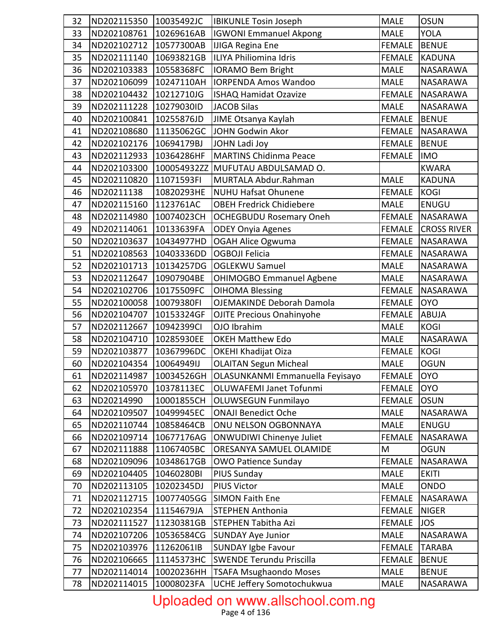| 32 | ND202115350 | 10035492JC  | <b>IBIKUNLE Tosin Joseph</b>     | <b>MALE</b>   | <b>OSUN</b>        |
|----|-------------|-------------|----------------------------------|---------------|--------------------|
| 33 | ND202108761 | 10269616AB  | <b>IGWONI Emmanuel Akpong</b>    | <b>MALE</b>   | <b>YOLA</b>        |
| 34 | ND202102712 | 10577300AB  | <b>IJIGA Regina Ene</b>          | <b>FEMALE</b> | <b>BENUE</b>       |
| 35 | ND202111140 | 10693821GB  | <b>ILIYA Philiomina Idris</b>    | <b>FEMALE</b> | <b>KADUNA</b>      |
| 36 | ND202103383 | 10558368FC  | <b>IORAMO Bem Bright</b>         | <b>MALE</b>   | NASARAWA           |
| 37 | ND202106099 | 10247110AH  | <b>IORPENDA Amos Wandoo</b>      | <b>MALE</b>   | NASARAWA           |
| 38 | ND202104432 | 10212710JG  | <b>ISHAQ Hamidat Ozavize</b>     | <b>FEMALE</b> | NASARAWA           |
| 39 | ND202111228 | 10279030ID  | <b>JACOB Silas</b>               | <b>MALE</b>   | NASARAWA           |
| 40 | ND202100841 | 10255876JD  | JIME Otsanya Kaylah              | <b>FEMALE</b> | <b>BENUE</b>       |
| 41 | ND202108680 | 11135062GC  | JOHN Godwin Akor                 | <b>FEMALE</b> | <b>NASARAWA</b>    |
| 42 | ND202102176 | 10694179BJ  | JOHN Ladi Joy                    | <b>FEMALE</b> | <b>BENUE</b>       |
| 43 | ND202112933 | 10364286HF  | <b>MARTINS Chidinma Peace</b>    | <b>FEMALE</b> | <b>IMO</b>         |
| 44 | ND202103300 | 100054932ZZ | MUFUTAU ABDULSAMAD O.            |               | <b>KWARA</b>       |
| 45 | ND202110820 | 11071593FI  | MURTALA Abdur.Rahman             | <b>MALE</b>   | <b>KADUNA</b>      |
| 46 | ND20211138  | 10820293HE  | <b>NUHU Hafsat Ohunene</b>       | <b>FEMALE</b> | <b>KOGI</b>        |
| 47 | ND202115160 | 1123761AC   | <b>OBEH Fredrick Chidiebere</b>  | <b>MALE</b>   | ENUGU              |
| 48 | ND202114980 | 10074023CH  | <b>OCHEGBUDU Rosemary Oneh</b>   | <b>FEMALE</b> | <b>NASARAWA</b>    |
| 49 | ND202114061 | 10133639FA  | <b>ODEY Onyia Agenes</b>         | <b>FEMALE</b> | <b>CROSS RIVER</b> |
| 50 | ND202103637 | 10434977HD  | <b>OGAH Alice Ogwuma</b>         | <b>FEMALE</b> | <b>NASARAWA</b>    |
| 51 | ND202108563 | 10403336DD  | <b>OGBOJI Felicia</b>            | <b>FEMALE</b> | NASARAWA           |
| 52 | ND202101713 | 10134257DG  | <b>OGLEKWU Samuel</b>            | <b>MALE</b>   | NASARAWA           |
| 53 | ND202112647 | 10907904BE  | <b>OHIMOGBO Emmanuel Agbene</b>  | <b>MALE</b>   | NASARAWA           |
| 54 | ND202102706 | 10175509FC  | <b>OIHOMA Blessing</b>           | <b>FEMALE</b> | <b>NASARAWA</b>    |
| 55 | ND202100058 | 10079380FI  | <b>OJEMAKINDE Deborah Damola</b> | <b>FEMALE</b> | <b>OYO</b>         |
| 56 | ND202104707 | 10153324GF  | <b>OJITE Precious Onahinyohe</b> | <b>FEMALE</b> | <b>ABUJA</b>       |
| 57 | ND202112667 | 10942399CI  | OJO Ibrahim                      | <b>MALE</b>   | <b>KOGI</b>        |
| 58 | ND202104710 | 10285930EE  | <b>OKEH Matthew Edo</b>          | <b>MALE</b>   | NASARAWA           |
| 59 | ND202103877 | 10367996DC  | OKEHI Khadijat Oiza              | <b>FEMALE</b> | <b>KOGI</b>        |
| 60 | ND202104354 | 10064949IJ  | <b>OLAITAN Segun Micheal</b>     | <b>MALE</b>   | <b>OGUN</b>        |
| 61 | ND202114987 | 10034526GH  | OLASUNKANMI Emmanuella Feyisayo  | <b>FEMALE</b> | <b>OYO</b>         |
| 62 | ND202105970 | 10378113EC  | <b>OLUWAFEMI Janet Tofunmi</b>   | <b>FEMALE</b> | <b>OYO</b>         |
| 63 | ND20214990  | 10001855CH  | <b>OLUWSEGUN Funmilayo</b>       | <b>FEMALE</b> | <b>OSUN</b>        |
| 64 | ND202109507 | 10499945EC  | <b>ONAJI Benedict Oche</b>       | <b>MALE</b>   | NASARAWA           |
| 65 | ND202110744 | 10858464CB  | ONU NELSON OGBONNAYA             | <b>MALE</b>   | <b>ENUGU</b>       |
| 66 | ND202109714 | 10677176AG  | <b>ONWUDIWI Chinenye Juliet</b>  | <b>FEMALE</b> | NASARAWA           |
| 67 | ND202111888 | 11067405BC  | ORESANYA SAMUEL OLAMIDE          | M             | <b>OGUN</b>        |
| 68 | ND202109096 | 10348617GB  | <b>OWO Patience Sunday</b>       | <b>FEMALE</b> | <b>NASARAWA</b>    |
| 69 | ND202104405 | 10460280BI  | PIUS Sunday                      | <b>MALE</b>   | <b>EKITI</b>       |
| 70 | ND202113105 | 10202345DJ  | PIUS Victor                      | <b>MALE</b>   | ONDO               |
| 71 | ND202112715 | 10077405GG  | <b>SIMON Faith Ene</b>           | <b>FEMALE</b> | NASARAWA           |
| 72 | ND202102354 | 11154679JA  | <b>STEPHEN Anthonia</b>          | <b>FEMALE</b> | <b>NIGER</b>       |
| 73 | ND202111527 | 11230381GB  | STEPHEN Tabitha Azi              | <b>FEMALE</b> | <b>JOS</b>         |
| 74 | ND202107206 | 10536584CG  | <b>SUNDAY Aye Junior</b>         | <b>MALE</b>   | NASARAWA           |
| 75 | ND202103976 | 11262061IB  | <b>SUNDAY Igbe Favour</b>        | <b>FEMALE</b> | <b>TARABA</b>      |
| 76 | ND202106665 | 11145373HC  | <b>SWENDE Terundu Priscilla</b>  | <b>FEMALE</b> | <b>BENUE</b>       |
| 77 | ND202114014 | 10020236HH  | <b>TSAFA Msughaondo Moses</b>    | <b>MALE</b>   | <b>BENUE</b>       |
| 78 | ND202114015 | 10008023FA  | UCHE Jeffery Somotochukwua       | <b>MALE</b>   | NASARAWA           |

# Uploaded on www.allschool.com.ng<br>Page 4 of 136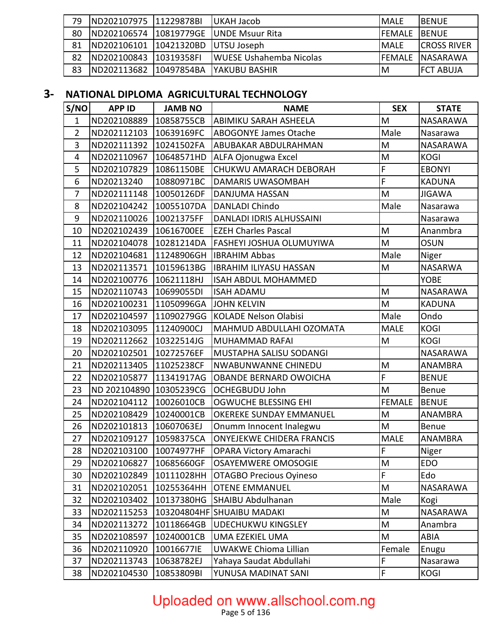| 79 | IND202107975 111229878BI           |            | <b>IUKAH Jacob</b>                         | <b>MALE</b>  | <b>IBENUE</b>       |
|----|------------------------------------|------------|--------------------------------------------|--------------|---------------------|
| 80 |                                    |            | ND202106574   10819779GE   UNDE Msuur Rita | IFEMALE      | <b>IBENUE</b>       |
| 81 | ND202106101 10421320BD UTSU Joseph |            |                                            | <b>IMALE</b> | <b>ICROSS RIVER</b> |
| 82 | ND202100843                        | 10319358FI | <b>WUESE Ushahemba Nicolas</b>             | lfEMALE      | INASARAWA           |
| 83 | IND202113682                       |            | 10497854BA YAKUBU BASHIR                   | ΙM           | <b>IFCT ABUJA</b>   |

#### **3- NATIONAL DIPLOMA AGRICULTURAL TECHNOLOGY**

| S/NO           | <b>APP ID</b>          | <b>JAMB NO</b> | <b>NAME</b>                      | <b>SEX</b>                                                                                                 | <b>STATE</b>    |
|----------------|------------------------|----------------|----------------------------------|------------------------------------------------------------------------------------------------------------|-----------------|
| $\mathbf{1}$   | ND202108889            | 10858755CB     | <b>ABIMIKU SARAH ASHEELA</b>     | M                                                                                                          | NASARAWA        |
| $\overline{2}$ | ND202112103            | 10639169FC     | <b>ABOGONYE James Otache</b>     | Male                                                                                                       | Nasarawa        |
| 3              | ND202111392            | 10241502FA     | ABUBAKAR ABDULRAHMAN             | M                                                                                                          | NASARAWA        |
| 4              | ND202110967            | 10648571HD     | ALFA Ojonugwa Excel              | M                                                                                                          | <b>KOGI</b>     |
| 5              | ND202107829            | 10861150BE     | CHUKWU AMARACH DEBORAH           | F                                                                                                          | <b>EBONYI</b>   |
| 6              | ND20213240             | 10880971BC     | DAMARIS UWASOMBAH                | F                                                                                                          | <b>KADUNA</b>   |
| $\overline{7}$ | ND202111148            | 10050126DF     | DANJUMA HASSAN                   | M                                                                                                          | <b>JIGAWA</b>   |
| 8              | ND202104242            | 10055107DA     | <b>DANLADI Chindo</b>            | Male                                                                                                       | Nasarawa        |
| 9              | ND202110026            | 10021375FF     | DANLADI IDRIS ALHUSSAINI         |                                                                                                            | Nasarawa        |
| 10             | ND202102439            | 10616700EE     | <b>EZEH Charles Pascal</b>       | M                                                                                                          | Ananmbra        |
| 11             | ND202104078            | 10281214DA     | FASHEYI JOSHUA OLUMUYIWA         | M                                                                                                          | <b>OSUN</b>     |
| 12             | ND202104681            | 11248906GH     | <b>IBRAHIM Abbas</b>             | Male                                                                                                       | Niger           |
| 13             | ND202113571            | 10159613BG     | <b>IBRAHIM ILIYASU HASSAN</b>    | M                                                                                                          | <b>NASARWA</b>  |
| 14             | ND202100776            | 10621118HJ     | <b>ISAH ABDUL MOHAMMED</b>       |                                                                                                            | <b>YOBE</b>     |
| 15             | ND202110743            | 10699055DI     | <b>ISAH ADAMU</b>                | M                                                                                                          | NASARAWA        |
| 16             | ND202100231            | 11050996GA     | <b>JOHN KELVIN</b>               | M                                                                                                          | <b>KADUNA</b>   |
| 17             | ND202104597            | 11090279GG     | <b>KOLADE Nelson Olabisi</b>     | Male                                                                                                       | Ondo            |
| 18             | ND202103095            | 11240900CJ     | MAHMUD ABDULLAHI OZOMATA         | <b>MALE</b>                                                                                                | <b>KOGI</b>     |
| 19             | ND202112662            | 10322514JG     | <b>MUHAMMAD RAFAI</b>            | M                                                                                                          | <b>KOGI</b>     |
| 20             | ND202102501            | 10272576EF     | MUSTAPHA SALISU SODANGI          |                                                                                                            | <b>NASARAWA</b> |
| 21             | ND202113405            | 11025238CF     | NWABUNWANNE CHINEDU              | M                                                                                                          | <b>ANAMBRA</b>  |
| 22             | ND202105877            | 11341917AG     | <b>OBANDE BERNARD OWOICHA</b>    | F                                                                                                          | <b>BENUE</b>    |
| 23             | ND 202104890           | 10305239CG     | <b>OCHEGBUDU John</b>            | M                                                                                                          | Benue           |
| 24             | ND202104112            | 10026010CB     | OGWUCHE BLESSING EHI             | <b>FEMALE</b>                                                                                              | <b>BENUE</b>    |
| 25             | ND202108429            | 10240001CB     | <b>OKEREKE SUNDAY EMMANUEL</b>   | M                                                                                                          | <b>ANAMBRA</b>  |
| 26             | ND202101813            | 10607063EJ     | Onumm Innocent Inalegwu          | M                                                                                                          | Benue           |
| 27             | ND202109127            | 10598375CA     | <b>ONYEJEKWE CHIDERA FRANCIS</b> | <b>MALE</b>                                                                                                | ANAMBRA         |
| 28             | ND202103100            | 10074977HF     | <b>OPARA Victory Amarachi</b>    | F                                                                                                          | Niger           |
| 29             | ND202106827 10685660GF |                | <b>OSAYEMWERE OMOSOGIE</b>       | $\mathsf{M}% _{T}=\mathsf{M}_{T}\!\left( a,b\right) ,\ \mathsf{M}_{T}=\mathsf{M}_{T}\!\left( a,b\right) ,$ | <b>EDO</b>      |
| 30             | ND202102849            | 10111028HH     | <b>OTAGBO Precious Oyineso</b>   | F                                                                                                          | Edo             |
| 31             | ND202102051            | 10255364HH     | <b>OTENE EMMANUEL</b>            | M                                                                                                          | NASARAWA        |
| 32             | ND202103402            | 10137380HG     | <b>SHAIBU Abdulhanan</b>         | Male                                                                                                       | Kogi            |
| 33             | ND202115253            |                | 103204804HF SHUAIBU MADAKI       | M                                                                                                          | NASARAWA        |
| 34             | ND202113272            | 10118664GB     | <b>UDECHUKWU KINGSLEY</b>        | M                                                                                                          | Anambra         |
| 35             | ND202108597            | 10240001CB     | UMA EZEKIEL UMA                  | M                                                                                                          | ABIA            |
| 36             | ND202110920            | 10016677IE     | <b>UWAKWE Chioma Lillian</b>     | Female                                                                                                     | Enugu           |
| 37             | ND202113743            | 10638782EJ     | Yahaya Saudat Abdullahi          | F                                                                                                          | Nasarawa        |
| 38             | ND202104530            | 10853809BI     | YUNUSA MADINAT SANI              | F                                                                                                          | <b>KOGI</b>     |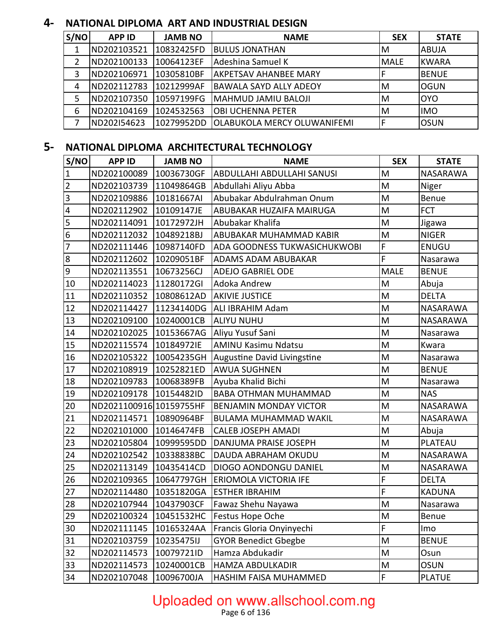#### **4- NATIONAL DIPLOMA ART AND INDUSTRIAL DESIGN**

| S/NO | <b>APP ID</b> | <b>JAMB NO</b> | <b>NAME</b>                        | <b>SEX</b>  | <b>STATE</b> |
|------|---------------|----------------|------------------------------------|-------------|--------------|
|      | ND202103521   | 10832425FD     | <b>BULUS JONATHAN</b>              | M           | <b>ABUJA</b> |
|      | ND202100133   | 10064123EF     | Adeshina Samuel K                  | <b>MALE</b> | <b>KWARA</b> |
| 3    | ND202106971   | 10305810BF     | <b>AKPETSAV AHANBEE MARY</b>       |             | <b>BENUE</b> |
| 4    | ND202112783   | 10212999AF     | <b>BAWALA SAYD ALLY ADEOY</b>      | M           | <b>OGUN</b>  |
|      | ND202107350   | 10597199FG     | MAHMUD JAMIU BALOJI                | M           | <b>OYO</b>   |
| 6    | ND202104169   | 1024532563     | <b>OBI UCHENNA PETER</b>           | M           | <b>IMO</b>   |
|      | ND202154623   | 10279952DD     | <b>OLABUKOLA MERCY OLUWANIFEMI</b> |             | <b>OSUN</b>  |

#### **5- NATIONAL DIPLOMA ARCHITECTURAL TECHNOLOGY**

| S/NO           | <b>APP ID</b>           | <b>JAMB NO</b> | <b>NAME</b>                                 | <b>SEX</b>                                                                            | <b>STATE</b>    |
|----------------|-------------------------|----------------|---------------------------------------------|---------------------------------------------------------------------------------------|-----------------|
| $\mathbf{1}$   | ND202100089             | 10036730GF     | ABDULLAHI ABDULLAHI SANUSI                  | M                                                                                     | NASARAWA        |
| $\overline{2}$ | ND202103739             | 11049864GB     | Abdullahi Aliyu Abba                        | M                                                                                     | Niger           |
| $\overline{3}$ | ND202109886             | 10181667AI     | Abubakar Abdulrahman Onum                   | M                                                                                     | Benue           |
| $\overline{a}$ | ND202112902             | 10109147JE     | ABUBAKAR HUZAIFA MAIRUGA                    | M                                                                                     | <b>FCT</b>      |
| $\overline{5}$ | ND202114091             | 10172972JH     | Abubakar Khalifa                            | M                                                                                     | Jigawa          |
| $\overline{6}$ | ND202112032             | 10489218BJ     | ABUBAKAR MUHAMMAD KABIR                     | M                                                                                     | <b>NIGER</b>    |
| $\overline{7}$ | ND202111446             | 10987140FD     | <b>ADA GOODNESS TUKWASICHUKWOBI</b>         | F                                                                                     | <b>ENUGU</b>    |
| $\overline{8}$ | ND202112602             | 10209051BF     | <b>ADAMS ADAM ABUBAKAR</b>                  | F                                                                                     | Nasarawa        |
| $\overline{9}$ | ND202113551             | 10673256CJ     | <b>ADEJO GABRIEL ODE</b>                    | <b>MALE</b>                                                                           | <b>BENUE</b>    |
| 10             | ND202114023             | 11280172GI     | Adoka Andrew                                | M                                                                                     | Abuja           |
| 11             | ND202110352             | 10808612AD     | <b>AKIVIE JUSTICE</b>                       | M                                                                                     | <b>DELTA</b>    |
| 12             | ND202114427             | 11234140DG     | <b>ALI IBRAHIM Adam</b>                     | M                                                                                     | <b>NASARAWA</b> |
| 13             | ND202109100             | 10240001CB     | <b>ALIYU NUHU</b>                           | M                                                                                     | NASARAWA        |
| 14             | ND202102025             | 10153667AG     | Aliyu Yusuf Sani                            | M                                                                                     | Nasarawa        |
| 15             | ND202115574             | 10184972IE     | <b>AMINU Kasimu Ndatsu</b>                  | M                                                                                     | Kwara           |
| 16             | ND202105322             | 10054235GH     | Augustine David Livingstine                 | M                                                                                     | Nasarawa        |
| 17             | ND202108919             | 10252821ED     | <b>AWUA SUGHNEN</b>                         | M                                                                                     | <b>BENUE</b>    |
| 18             | ND202109783             | 10068389FB     | Ayuba Khalid Bichi                          | M                                                                                     | Nasarawa        |
| 19             | ND202109178             | 10154482ID     | <b>BABA OTHMAN MUHAMMAD</b>                 | M                                                                                     | <b>NAS</b>      |
| 20             | ND2021100916 10159755HF |                | <b>BENJAMIN MONDAY VICTOR</b>               | M                                                                                     | NASARAWA        |
| 21             | ND202114571             | 10890964BF     | <b>BULAMA MUHAMMAD WAKIL</b>                | M                                                                                     | NASARAWA        |
| 22             | ND202101000             | 10146474FB     | <b>CALEB JOSEPH AMADI</b>                   | M                                                                                     | Abuja           |
| 23             | ND202105804             | 10999595DD     | DANJUMA PRAISE JOSEPH                       | M                                                                                     | PLATEAU         |
| 24             | ND202102542             | 10338838BC     | DAUDA ABRAHAM OKUDU                         | M                                                                                     | NASARAWA        |
| 25             | ND202113149             | 10435414CD     | DIOGO AONDONGU DANIEL                       | M                                                                                     | NASARAWA        |
| 26             | ND202109365             | 10647797GH     | <b>ERIOMOLA VICTORIA IFE</b>                | F                                                                                     | <b>DELTA</b>    |
| 27             | ND202114480             | 10351820GA     | <b>ESTHER IBRAHIM</b>                       | F                                                                                     | <b>KADUNA</b>   |
| 28             | ND202107944             | 10437903CF     | Fawaz Shehu Nayawa                          | M                                                                                     | Nasarawa        |
| 29             |                         |                | ND202100324   10451532HC   Festus Hope Oche | $\mathsf{M}% _{T}=\mathsf{M}_{T}\!\left( a,b\right) ,\ \mathsf{M}_{T}=\mathsf{M}_{T}$ | Benue           |
| 30             | ND202111145             | 10165324AA     | Francis Gloria Onyinyechi                   | F                                                                                     | Imo             |
| 31             | ND202103759             | 10235475IJ     | <b>GYOR Benedict Gbegbe</b>                 | M                                                                                     | <b>BENUE</b>    |
| 32             | ND202114573             | 10079721ID     | Hamza Abdukadir                             | M                                                                                     | Osun            |
| 33             | ND202114573             | 10240001CB     | <b>HAMZA ABDULKADIR</b>                     | ${\sf M}$                                                                             | <b>OSUN</b>     |
| 34             | ND202107048             | 10096700JA     | HASHIM FAISA MUHAMMED                       | $\mathsf F$                                                                           | <b>PLATUE</b>   |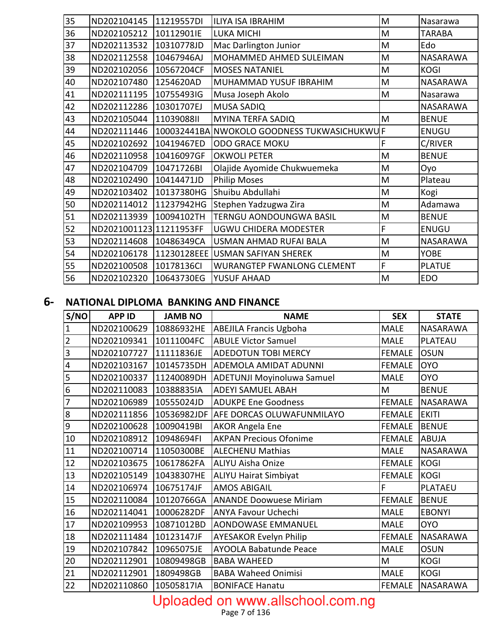| 35 | ND202104145             | 11219557DI  | <b>ILIYA ISA IBRAHIM</b>                     | M | Nasarawa        |
|----|-------------------------|-------------|----------------------------------------------|---|-----------------|
| 36 | ND202105212             | 10112901IE  | <b>LUKA MICHI</b>                            | M | <b>TARABA</b>   |
| 37 | ND202113532             | 10310778JD  | Mac Darlington Junior                        | M | Edo             |
| 38 | ND202112558             | 10467946AJ  | MOHAMMED AHMED SULEIMAN                      | M | <b>NASARAWA</b> |
| 39 | ND202102056             | 10567204CF  | <b>MOSES NATANIEL</b>                        | M | <b>KOGI</b>     |
| 40 | ND202107480             | 1254620AD   | MUHAMMAD YUSUF IBRAHIM                       | M | <b>NASARAWA</b> |
| 41 | ND202111195             | 10755493IG  | Musa Joseph Akolo                            | M | Nasarawa        |
| 42 | ND202112286             | 10301707EJ  | <b>MUSA SADIQ</b>                            |   | NASARAWA        |
| 43 | ND202105044             | 11039088II  | <b>MYINA TERFA SADIQ</b>                     | M | <b>BENUE</b>    |
| 44 | ND202111446             |             | 100032441BA NWOKOLO GOODNESS TUKWASICHUKWU F |   | <b>ENUGU</b>    |
| 45 | ND202102692             | 10419467ED  | <b>ODO GRACE MOKU</b>                        | F | C/RIVER         |
| 46 | ND202110958             | 10416097GF  | <b>OKWOLI PETER</b>                          | M | <b>BENUE</b>    |
| 47 | ND202104709             | 10471726BI  | Olajide Ayomide Chukwuemeka                  | M | Оуо             |
| 48 | ND202102490             | 10414471JD  | <b>Philip Moses</b>                          | M | Plateau         |
| 49 | ND202103402             | 10137380HG  | Shuibu Abdullahi                             | M | Kogi            |
| 50 | ND202114012             | 11237942HG  | Stephen Yadzugwa Zira                        | M | Adamawa         |
| 51 | ND202113939             | 10094102TH  | <b>TERNGU AONDOUNGWA BASIL</b>               | M | <b>BENUE</b>    |
| 52 | ND2021001123 11211953FF |             | UGWU CHIDERA MODESTER                        | F | <b>ENUGU</b>    |
| 53 | ND202114608             | 10486349CA  | USMAN AHMAD RUFAI BALA                       | M | NASARAWA        |
| 54 | ND202106178             | 11230128EEE | <b>USMAN SAFIYAN SHEREK</b>                  | M | <b>YOBE</b>     |
| 55 | ND202100508             | 10178136Cl  | WURANGTEP FWANLONG CLEMENT                   | F | <b>PLATUE</b>   |
| 56 | ND202102320             | 10643730EG  | <b>YUSUF AHAAD</b>                           | M | <b>EDO</b>      |

#### **6- NATIONAL DIPLOMA BANKING AND FINANCE**

| S/NO            | <b>APP ID</b> | <b>JAMB NO</b> | <b>NAME</b>                       | <b>SEX</b>    | <b>STATE</b>    |
|-----------------|---------------|----------------|-----------------------------------|---------------|-----------------|
| $\overline{1}$  | ND202100629   | 10886932HE     | <b>ABEJILA Francis Ugboha</b>     | <b>MALE</b>   | NASARAWA        |
| $\overline{2}$  | ND202109341   | 10111004FC     | <b>ABULE Victor Samuel</b>        | <b>MALE</b>   | PLATEAU         |
| 3               | ND202107727   | 11111836JE     | <b>ADEDOTUN TOBI MERCY</b>        | <b>FEMALE</b> | <b>OSUN</b>     |
| $\overline{4}$  | ND202103167   | 10145735DH     | <b>ADEMOLA AMIDAT ADUNNI</b>      | <b>FEMALE</b> | <b>OYO</b>      |
| $\overline{5}$  | ND202100337   | 11240089DH     | <b>ADETUNJI Moyinoluwa Samuel</b> | <b>MALE</b>   | <b>OYO</b>      |
| $6\overline{6}$ | ND202110083   | 10388835IA     | <b>ADEYI SAMUEL ABAH</b>          | M             | <b>BENUE</b>    |
| 7               | ND202106989   | 10555024JD     | <b>ADUKPE Ene Goodness</b>        | <b>FEMALE</b> | NASARAWA        |
| 8               | ND202111856   | 10536982JDF    | <b>AFE DORCAS OLUWAFUNMILAYO</b>  | <b>FEMALE</b> | <b>EKITI</b>    |
| $\overline{9}$  | ND202100628   | 10090419BI     | <b>AKOR Angela Ene</b>            | <b>FEMALE</b> | <b>BENUE</b>    |
| 10              | ND202108912   | 10948694FI     | <b>AKPAN Precious Ofonime</b>     | <b>FEMALE</b> | <b>ABUJA</b>    |
| 11              | ND202100714   | 11050300BE     | <b>ALECHENU Mathias</b>           | <b>MALE</b>   | <b>NASARAWA</b> |
| 12              | ND202103675   | 10617862FA     | ALIYU Aisha Onize                 | <b>FEMALE</b> | <b>KOGI</b>     |
| 13              | ND202105149   | 10438307HE     | <b>ALIYU Hairat Simbiyat</b>      | <b>FEMALE</b> | <b>KOGI</b>     |
| 14              | ND202106974   | 10675174JF     | <b>AMOS ABIGAIL</b>               | F             | <b>PLATAEU</b>  |
| 15              | ND202110084   | 10120766GA     | <b>ANANDE Doowuese Miriam</b>     | <b>FEMALE</b> | <b>BENUE</b>    |
| 16              | ND202114041   | 10006282DF     | <b>ANYA Favour Uchechi</b>        | <b>MALE</b>   | <b>EBONYI</b>   |
| 17              | ND202109953   | 10871012BD     | <b>AONDOWASE EMMANUEL</b>         | <b>MALE</b>   | <b>OYO</b>      |
| 18              | ND202111484   | 10123147JF     | <b>AYESAKOR Evelyn Philip</b>     | <b>FEMALE</b> | NASARAWA        |
| 19              | ND202107842   | 10965075JE     | <b>AYOOLA Babatunde Peace</b>     | <b>MALE</b>   | <b>OSUN</b>     |
| 20              | ND202112901   | 10809498GB     | <b>BABA WAHEED</b>                | M             | <b>KOGI</b>     |
| 21              | ND202112901   | 1809498GB      | <b>BABA Waheed Onimisi</b>        | <b>MALE</b>   | <b>KOGI</b>     |
| 22              | ND202110860   | 10505817IA     | <b>BONIFACE Hanatu</b>            | <b>FEMALE</b> | NASARAWA        |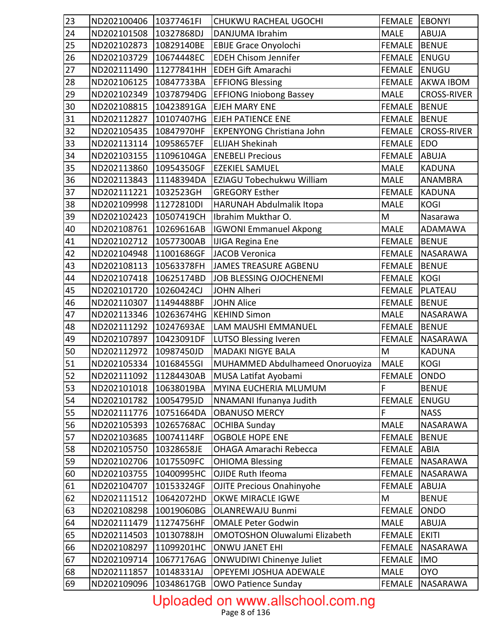| 23 | ND202100406            | 10377461FI | CHUKWU RACHEAL UGOCHI                | <b>FEMALE</b> | <b>EBONYI</b>      |
|----|------------------------|------------|--------------------------------------|---------------|--------------------|
| 24 | ND202101508            | 10327868DJ | DANJUMA Ibrahim                      | <b>MALE</b>   | ABUJA              |
| 25 | ND202102873            | 10829140BE | <b>EBIJE Grace Onyolochi</b>         | <b>FEMALE</b> | <b>BENUE</b>       |
| 26 | ND202103729            | 10674448EC | <b>EDEH Chisom Jennifer</b>          | <b>FEMALE</b> | ENUGU              |
| 27 | ND202111490            | 11277841HH | <b>EDEH Gift Amarachi</b>            | <b>FEMALE</b> | <b>ENUGU</b>       |
| 28 | ND202106125            | 10847733BA | <b>EFFIONG Blessing</b>              | <b>FEMALE</b> | <b>AKWA IBOM</b>   |
| 29 | ND202102349            | 10378794DG | <b>EFFIONG Iniobong Bassey</b>       | <b>MALE</b>   | <b>CROSS-RIVER</b> |
| 30 | ND202108815            | 10423891GA | <b>EJEH MARY ENE</b>                 | <b>FEMALE</b> | <b>BENUE</b>       |
| 31 | ND202112827            | 10107407HG | <b>EJEH PATIENCE ENE</b>             | <b>FEMALE</b> | <b>BENUE</b>       |
| 32 | ND202105435            | 10847970HF | <b>EKPENYONG Christiana John</b>     | <b>FEMALE</b> | <b>CROSS-RIVER</b> |
| 33 | ND202113114            | 10958657EF | <b>ELIJAH Shekinah</b>               | <b>FEMALE</b> | <b>EDO</b>         |
| 34 | ND202103155            | 11096104GA | <b>ENEBELI Precious</b>              | <b>FEMALE</b> | <b>ABUJA</b>       |
| 35 | ND202113860            | 10954350GF | <b>EZEKIEL SAMUEL</b>                | <b>MALE</b>   | <b>KADUNA</b>      |
| 36 | ND202113843            | 11148394DA | EZIAGU Tobechukwu William            | <b>MALE</b>   | ANAMBRA            |
| 37 | ND202111221            | 1032523GH  | <b>GREGORY Esther</b>                | <b>FEMALE</b> | <b>KADUNA</b>      |
| 38 | ND202109998            | 11272810DI | HARUNAH Abdulmalik Itopa             | <b>MALE</b>   | <b>KOGI</b>        |
| 39 | ND202102423            | 10507419CH | Ibrahim Mukthar O.                   | M             | Nasarawa           |
| 40 | ND202108761            | 10269616AB | <b>IGWONI Emmanuel Akpong</b>        | <b>MALE</b>   | ADAMAWA            |
| 41 | ND202102712            | 10577300AB | <b>IJIGA Regina Ene</b>              | <b>FEMALE</b> | <b>BENUE</b>       |
| 42 | ND202104948            | 11001686GF | <b>JACOB Veronica</b>                | <b>FEMALE</b> | NASARAWA           |
| 43 | ND202108113            | 10563378FH | JAMES TREASURE AGBENU                | <b>FEMALE</b> | <b>BENUE</b>       |
| 44 | ND202107418            | 10625174BD | JOB BLESSING OJOCHENEMI              | <b>FEMALE</b> | <b>KOGI</b>        |
| 45 | ND202101720            | 10260424CJ | <b>JOHN Alheri</b>                   | <b>FEMALE</b> | PLATEAU            |
| 46 | ND202110307            | 11494488BF | <b>JOHN Alice</b>                    | <b>FEMALE</b> | <b>BENUE</b>       |
| 47 | ND202113346            | 10263674HG | <b>KEHIND Simon</b>                  | <b>MALE</b>   | NASARAWA           |
| 48 | ND202111292            | 10247693AE | LAM MAUSHI EMMANUEL                  | <b>FEMALE</b> | <b>BENUE</b>       |
| 49 | ND202107897            | 10423091DF | <b>LUTSO Blessing Iveren</b>         | <b>FEMALE</b> | <b>NASARAWA</b>    |
| 50 | ND202112972            | 10987450JD | <b>MADAKI NIGYE BALA</b>             | M             | <b>KADUNA</b>      |
| 51 | ND202105334            | 10168455GI | MUHAMMED Abdulhameed Onoruoyiza      | <b>MALE</b>   | <b>KOGI</b>        |
| 52 | ND202111092 11284430AB |            | MUSA Latifat Ayobami                 | FEMALE ONDO   |                    |
| 53 | ND202101018            | 10638019BA | MYINA EUCHERIA MLUMUM                | F             | <b>BENUE</b>       |
| 54 | ND202101782            | 10054795JD | NNAMANI Ifunanya Judith              | <b>FEMALE</b> | ENUGU              |
| 55 | ND202111776            | 10751664DA | <b>OBANUSO MERCY</b>                 | F             | <b>NASS</b>        |
| 56 | ND202105393            | 10265768AC | <b>OCHIBA Sunday</b>                 | <b>MALE</b>   | <b>NASARAWA</b>    |
| 57 | ND202103685            | 10074114RF | <b>OGBOLE HOPE ENE</b>               | <b>FEMALE</b> | <b>BENUE</b>       |
| 58 | ND202105750            | 10328658JE | <b>OHAGA Amarachi Rebecca</b>        | <b>FEMALE</b> | <b>ABIA</b>        |
| 59 | ND202102706            | 10175509FC | <b>OHIOMA Blessing</b>               | <b>FEMALE</b> | NASARAWA           |
| 60 | ND202103755            | 10400995HC | OJIDE Ruth Ifeoma                    | <b>FEMALE</b> | <b>NASARAWA</b>    |
| 61 | ND202104707            | 10153324GF | <b>OJITE Precious Onahinyohe</b>     | <b>FEMALE</b> | <b>ABUJA</b>       |
| 62 | ND202111512            | 10642072HD | OKWE MIRACLE IGWE                    | M             | <b>BENUE</b>       |
| 63 | ND202108298            | 10019060BG | <b>OLANREWAJU Bunmi</b>              | <b>FEMALE</b> | ONDO               |
| 64 | ND202111479            | 11274756HF | <b>OMALE Peter Godwin</b>            | <b>MALE</b>   | <b>ABUJA</b>       |
| 65 | ND202114503            | 10130788JH | <b>OMOTOSHON Oluwalumi Elizabeth</b> | <b>FEMALE</b> | <b>EKITI</b>       |
| 66 | ND202108297            | 11099201HC | <b>ONWU JANET EHI</b>                | <b>FEMALE</b> | NASARAWA           |
| 67 | ND202109714            | 10677176AG | ONWUDIWI Chinenye Juliet             | <b>FEMALE</b> | <b>IMO</b>         |
| 68 | ND202111857            | 10148331AJ | OPEYEMI JOSHUA ADEWALE               | <b>MALE</b>   | <b>OYO</b>         |
| 69 | ND202109096            | 10348617GB | <b>OWO Patience Sunday</b>           | <b>FEMALE</b> | <b>NASARAWA</b>    |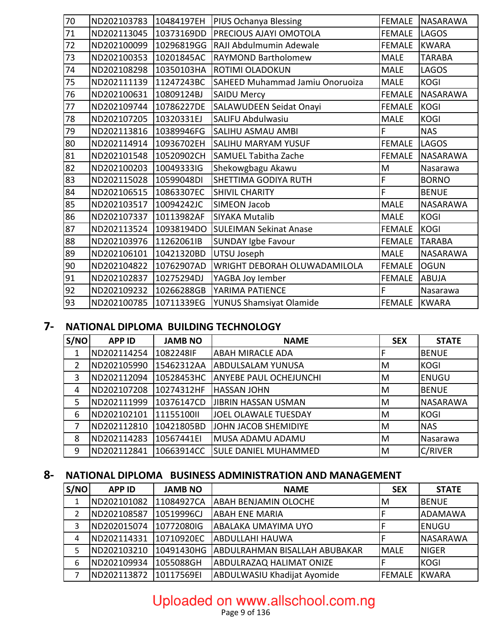| 70              | ND202103783 | 10484197EH | <b>PIUS Ochanya Blessing</b>    | <b>FEMALE</b> | NASARAWA        |
|-----------------|-------------|------------|---------------------------------|---------------|-----------------|
| 71              | ND202113045 | 10373169DD | PRECIOUS AJAYI OMOTOLA          | <b>FEMALE</b> | <b>LAGOS</b>    |
| 72              | ND202100099 | 10296819GG | <b>RAJI Abdulmumin Adewale</b>  | <b>FEMALE</b> | <b>KWARA</b>    |
| $\overline{73}$ | ND202100353 | 10201845AC | <b>RAYMOND Bartholomew</b>      | <b>MALE</b>   | <b>TARABA</b>   |
| 74              | ND202108298 | 10350103HA | ROTIMI OLADOKUN                 | <b>MALE</b>   | LAGOS           |
| 75              | ND202111139 | 11247243BC | SAHEED Muhammad Jamiu Onoruoiza | <b>MALE</b>   | <b>KOGI</b>     |
| 76              | ND202100631 | 10809124BJ | <b>SAIDU Mercy</b>              | <b>FEMALE</b> | <b>NASARAWA</b> |
| 77              | ND202109744 | 10786227DE | SALAWUDEEN Seidat Onayi         | <b>FEMALE</b> | <b>KOGI</b>     |
| 78              | ND202107205 | 10320331EJ | SALIFU Abdulwasiu               | <b>MALE</b>   | <b>KOGI</b>     |
| 79              | ND202113816 | 10389946FG | SALIHU ASMAU AMBI               | F             | <b>NAS</b>      |
| 80              | ND202114914 | 10936702EH | SALIHU MARYAM YUSUF             | <b>FEMALE</b> | <b>LAGOS</b>    |
| 81              | ND202101548 | 10520902CH | <b>SAMUEL Tabitha Zache</b>     | <b>FEMALE</b> | NASARAWA        |
| 82              | ND202100203 | 10049333IG | Shekowgbagu Akawu               | M             | Nasarawa        |
| 83              | ND202115028 | 10599048DI | SHETTIMA GODIYA RUTH            | F             | <b>BORNO</b>    |
| 84              | ND202106515 | 10863307EC | <b>SHIVIL CHARITY</b>           | F             | <b>BENUE</b>    |
|                 |             |            |                                 |               |                 |
| 85              | ND202103517 | 10094242JC | <b>SIMEON Jacob</b>             | <b>MALE</b>   | NASARAWA        |
| 86              | ND202107337 | 10113982AF | SIYAKA Mutalib                  | <b>MALE</b>   | <b>KOGI</b>     |
| 87              | ND202113524 | 10938194DO | <b>SULEIMAN Sekinat Anase</b>   | <b>FEMALE</b> | <b>KOGI</b>     |
| 88              | ND202103976 | 11262061IB | SUNDAY Igbe Favour              | <b>FEMALE</b> | <b>TARABA</b>   |
| 89              | ND202106101 | 10421320BD | UTSU Joseph                     | <b>MALE</b>   | NASARAWA        |
| 90              | ND202104822 | 10762907AD | WRIGHT DEBORAH OLUWADAMILOLA    | <b>FEMALE</b> | <b>OGUN</b>     |
| 91              | ND202102837 | 10275294DJ | YAGBA Joy lember                | <b>FEMALE</b> | <b>ABUJA</b>    |
| 92              | ND202109232 | 10266288GB | YARIMA PATIENCE                 | F             | Nasarawa        |

#### 7- NATIONAL DIPLOMA BUILDING TECHNOLOGY

| S/NO           | <b>APP ID</b> | <b>JAMB NO</b> | <b>NAME</b>                   | <b>SEX</b> | <b>STATE</b>    |
|----------------|---------------|----------------|-------------------------------|------------|-----------------|
| 1              | ND202114254   | 1082248IF      | <b>ABAH MIRACLE ADA</b>       |            | <b>BENUE</b>    |
| $\overline{2}$ | ND202105990   | 15462312AA     | <b>ABDULSALAM YUNUSA</b>      | M          | <b>KOGI</b>     |
| 3              | ND202112094   | 10528453HC     | <b>ANYEBE PAUL OCHEJUNCHI</b> | M          | <b>ENUGU</b>    |
| 4              | ND202107208   | 10274312HF     | <b>HASSAN JOHN</b>            | M          | <b>BENUE</b>    |
| 5              | ND202111999   | 10376147CD     | <b>JIBRIN HASSAN USMAN</b>    | M          | <b>NASARAWA</b> |
| 6              | ND202102101   | 1115510011     | JOEL OLAWALE TUESDAY          | M          | <b>KOGI</b>     |
| 7              | ND202112810   | 10421805BD     | JOHN JACOB SHEMIDIYE          | M          | <b>NAS</b>      |
| 8              | ND202114283   | 10567441EI     | MUSA ADAMU ADAMU              | M          | Nasarawa        |
| 9              | ND202112841   | 10663914CC     | <b>SULE DANIEL MUHAMMED</b>   | M          | <b>C/RIVER</b>  |

#### 8- NATIONAL DIPLOMA BUSINESS ADMINISTRATION AND MANAGEMENT

| S/NO | <b>APP ID</b> | <b>JAMB NO</b> | <b>NAME</b>                          | <b>SEX</b>    | <b>STATE</b>    |
|------|---------------|----------------|--------------------------------------|---------------|-----------------|
|      | ND202101082   | 11084927CA     | <b>ABAH BENJAMIN OLOCHE</b>          | M             | <b>BENUE</b>    |
|      | ND202108587   | 10519996CJ     | <b>ABAH ENE MARIA</b>                |               | ADAMAWA         |
| 3    | ND202015074   | 10772080IG     | <b>ABALAKA UMAYIMA UYO</b>           |               | <b>ENUGU</b>    |
| 4    | ND202114331   | 10710920EC     | ABDULLAHI HAUWA                      |               | <b>NASARAWA</b> |
| 5    | ND202103210   | 10491430HG     | <b>ABDULRAHMAN BISALLAH ABUBAKAR</b> | <b>MALE</b>   | <b>NIGER</b>    |
| 6    | ND202109934   | 1055088GH      | <b>ABDULRAZAQ HALIMAT ONIZE</b>      |               | <b>KOGI</b>     |
|      | ND202113872   | 10117569EI     | <b>ABDULWASIU Khadijat Ayomide</b>   | <b>FEMALE</b> | <b>KWARA</b>    |

# Uploaded on www.allschool.com.ng<br>
Page 9 of 136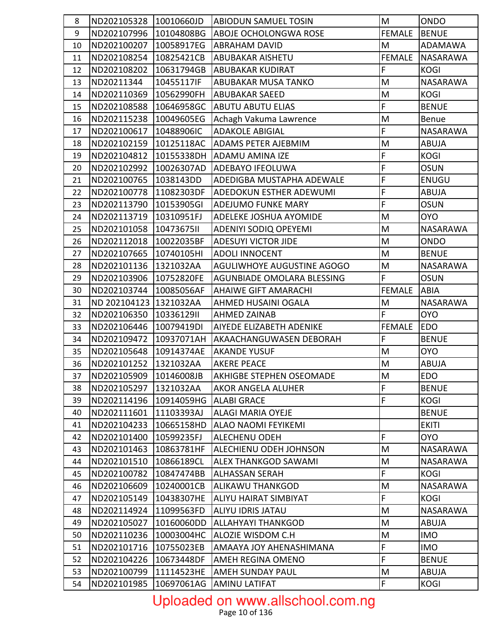| 8  | ND202105328  10010660JD |             | <b>ABIODUN SAMUEL TOSIN</b>     | M                                                                                                          | <b>ONDO</b>  |
|----|-------------------------|-------------|---------------------------------|------------------------------------------------------------------------------------------------------------|--------------|
| 9  | ND202107996             | 10104808BG  | <b>ABOJE OCHOLONGWA ROSE</b>    | <b>FEMALE</b>                                                                                              | <b>BENUE</b> |
| 10 | ND202100207             | 10058917EG  | <b>ABRAHAM DAVID</b>            | M                                                                                                          | ADAMAWA      |
| 11 | ND202108254             | 10825421CB  | ABUBAKAR AISHETU                | <b>FEMALE</b>                                                                                              | NASARAWA     |
| 12 | ND202108202             | 10631794GB  | ABUBAKAR KUDIRAT                | F                                                                                                          | <b>KOGI</b>  |
| 13 | ND20211344              | 10455117IF  | ABUBAKAR MUSA TANKO             | M                                                                                                          | NASARAWA     |
| 14 | ND202110369             | 10562990FH  | <b>ABUBAKAR SAEED</b>           | M                                                                                                          | <b>KOGI</b>  |
| 15 | ND202108588             | 10646958GC  | <b>ABUTU ABUTU ELIAS</b>        | $\mathsf{F}$                                                                                               | <b>BENUE</b> |
| 16 | ND202115238             | 10049605EG  | Achagh Vakuma Lawrence          | ${\sf M}$                                                                                                  | Benue        |
| 17 | ND202100617             | 10488906IC  | <b>ADAKOLE ABIGIAL</b>          | $\overline{F}$                                                                                             | NASARAWA     |
| 18 | ND202102159             | 10125118AC  | <b>ADAMS PETER AJEBMIM</b>      | M                                                                                                          | ABUJA        |
| 19 | ND202104812             | 10155338DH  | <b>ADAMU AMINA IZE</b>          | F                                                                                                          | <b>KOGI</b>  |
| 20 | ND202102992             | 10026307AD  | <b>ADEBAYO IFEOLUWA</b>         | $\mathsf F$                                                                                                | <b>OSUN</b>  |
| 21 | ND202100765             | 1038143DD   | ADEDIGBA MUSTAPHA ADEWALE       | $\mathsf F$                                                                                                | ENUGU        |
| 22 | ND202100778             | 11082303DF  | <b>ADEDOKUN ESTHER ADEWUMI</b>  | F                                                                                                          | ABUJA        |
| 23 | ND202113790             | 10153905GI  | <b>ADEJUMO FUNKE MARY</b>       | F                                                                                                          | <b>OSUN</b>  |
| 24 | ND202113719             | 10310951FJ  | ADELEKE JOSHUA AYOMIDE          | M                                                                                                          | <b>OYO</b>   |
| 25 | ND202101058             | 10473675II  | ADENIYI SODIQ OPEYEMI           | M                                                                                                          | NASARAWA     |
| 26 | ND202112018             | 10022035BF  | <b>ADESUYI VICTOR JIDE</b>      | M                                                                                                          | <b>ONDO</b>  |
| 27 | ND202107665             | 10740105HI  | <b>ADOLI INNOCENT</b>           | ${\sf M}$                                                                                                  | <b>BENUE</b> |
| 28 | ND202101136             | 1321032AA   | AGULIWHOYE AUGUSTINE AGOGO      | M                                                                                                          | NASARAWA     |
| 29 | ND202103906             | 10752820FE  | AGUNBIADE OMOLARA BLESSING      | $\mathsf F$                                                                                                | <b>OSUN</b>  |
| 30 | ND202103744             | 10085056AF  | <b>AHAIWE GIFT AMARACHI</b>     | <b>FEMALE</b>                                                                                              | <b>ABIA</b>  |
| 31 | ND 202104123 1321032AA  |             | AHMED HUSAINI OGALA             | M                                                                                                          | NASARAWA     |
| 32 | ND202106350             | 1033612911  | <b>AHMED ZAINAB</b>             | $\mathsf{F}$                                                                                               | <b>OYO</b>   |
| 33 | ND202106446             | 10079419DI  | AIYEDE ELIZABETH ADENIKE        | <b>FEMALE</b>                                                                                              | <b>EDO</b>   |
| 34 | ND202109472             | 10937071AH  | <b>AKAACHANGUWASEN DEBORAH</b>  | $\mathsf F$                                                                                                | <b>BENUE</b> |
| 35 | ND202105648             | 10914374AE  | <b>AKANDE YUSUF</b>             | M                                                                                                          | <b>OYO</b>   |
| 36 | ND202101252             | 1321032AA   | <b>AKERE PEACE</b>              | M                                                                                                          | <b>ABUJA</b> |
| 37 | ND202105909 10146008JB  |             | <b>AKHIGBE STEPHEN OSEOMADE</b> | $\mathsf{M}% _{T}=\mathsf{M}_{T}\!\left( a,b\right) ,\ \mathsf{M}_{T}=\mathsf{M}_{T}\!\left( a,b\right) ,$ | <b>EDO</b>   |
| 38 | ND202105297             | 1321032AA   | AKOR ANGELA ALUHER              | F                                                                                                          | <b>BENUE</b> |
| 39 | ND202114196             | 10914059HG  | <b>ALABI GRACE</b>              | ΙĒ.                                                                                                        | <b>KOGI</b>  |
| 40 | ND202111601             | [11103393AJ | <b>ALAGI MARIA OYEJE</b>        |                                                                                                            | <b>BENUE</b> |
| 41 | ND202104233             | 10665158HD  | <b>ALAO NAOMI FEYIKEMI</b>      |                                                                                                            | <b>EKITI</b> |
| 42 | ND202101400             | 10599235FJ  | <b>ALECHENU ODEH</b>            | $\mathsf F$                                                                                                | <b>OYO</b>   |
| 43 | ND202101463             | 10863781HF  | <b>ALECHIENU ODEH JOHNSON</b>   | M                                                                                                          | NASARAWA     |
| 44 | ND202101510             | 10866189CL  | <b>ALEX THANKGOD SAWAMI</b>     | M                                                                                                          | NASARAWA     |
| 45 | ND202100782             | 10847474BB  | <b>ALHASSAN SERAH</b>           | F                                                                                                          | <b>KOGI</b>  |
| 46 | ND202106609             | 10240001CB  | <b>ALIKAWU THANKGOD</b>         | M                                                                                                          | NASARAWA     |
| 47 | ND202105149             | 10438307HE  | ALIYU HAIRAT SIMBIYAT           | $\mathsf F$                                                                                                | <b>KOGI</b>  |
| 48 | ND202114924             | 11099563FD  | <b>ALIYU IDRIS JATAU</b>        | M                                                                                                          | NASARAWA     |
| 49 | ND202105027             | 10160060DD  | <b>ALLAHYAYI THANKGOD</b>       | M                                                                                                          | <b>ABUJA</b> |
| 50 | ND202110236             | 10003004HC  | <b>ALOZIE WISDOM C.H</b>        | M                                                                                                          | <b>IMO</b>   |
| 51 | ND202101716             | 10755023EB  | AMAAYA JOY AHENASHIMANA         | $\overline{F}$                                                                                             | <b>IMO</b>   |
| 52 | ND202104226             | 10673448DF  | <b>AMEH REGINA OMENO</b>        | F                                                                                                          | <b>BENUE</b> |
| 53 | ND202100799             | 11114523HE  | <b>AMEH SUNDAY PAUL</b>         | M                                                                                                          | <b>ABUJA</b> |
| 54 | ND202101985             | 10697061AG  | <b>AMINU LATIFAT</b>            | $\mathsf F$                                                                                                | KOGI         |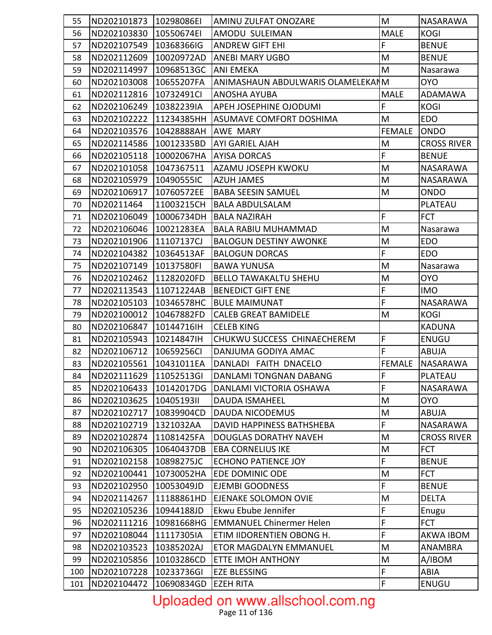| 55  | ND202101873            | 10298086EI | AMINU ZULFAT ONOZARE              | M                              | <b>NASARAWA</b>    |
|-----|------------------------|------------|-----------------------------------|--------------------------------|--------------------|
| 56  | ND202103830            | 10550674EI | AMODU SULEIMAN                    | <b>MALE</b>                    | <b>KOGI</b>        |
| 57  | ND202107549            | 10368366IG | <b>ANDREW GIFT EHI</b>            | $\mathsf F$                    | <b>BENUE</b>       |
| 58  | ND202112609            | 10020972AD | <b>ANEBI MARY UGBO</b>            | M                              | <b>BENUE</b>       |
| 59  | ND202114997            | 10968513GC | <b>ANI EMEKA</b>                  | M                              | Nasarawa           |
| 60  | ND202103008            | 10655207FA | ANIMASHAUN ABDULWARIS OLAMELEKANM |                                | <b>OYO</b>         |
| 61  | ND202112816            | 10732491Cl | <b>ANOSHA AYUBA</b>               | <b>MALE</b>                    | <b>ADAMAWA</b>     |
| 62  | ND202106249            | 10382239IA | APEH JOSEPHINE OJODUMI            | $\overline{F}$                 | <b>KOGI</b>        |
| 63  | ND202102222            | 11234385HH | <b>ASUMAVE COMFORT DOSHIMA</b>    | M                              | <b>EDO</b>         |
| 64  | ND202103576            | 10428888AH | AWE MARY                          | <b>FEMALE</b>                  | <b>ONDO</b>        |
| 65  | ND202114586            | 10012335BD | <b>AYI GARIEL AJAH</b>            | M                              | <b>CROSS RIVER</b> |
| 66  | ND202105118            | 10002067HA | <b>AYISA DORCAS</b>               | $\mathsf F$                    | <b>BENUE</b>       |
| 67  | ND202101058            | 1047367511 | AZAMU JOSEPH KWOKU                | M                              | NASARAWA           |
| 68  | ND202105979            | 10490555IC | <b>AZUH JAMES</b>                 | M                              | NASARAWA           |
| 69  | ND202106917            | 10760572EE | <b>BABA SEESIN SAMUEL</b>         | M                              | <b>ONDO</b>        |
| 70  | ND20211464             | 11003215CH | <b>BALA ABDULSALAM</b>            |                                | <b>PLATEAU</b>     |
| 71  | ND202106049            | 10006734DH | <b>BALA NAZIRAH</b>               | $\mathsf F$                    | <b>FCT</b>         |
| 72  | ND202106046            | 10021283EA | <b>BALA RABIU MUHAMMAD</b>        | M                              | Nasarawa           |
| 73  | ND202101906            | 11107137CJ | <b>BALOGUN DESTINY AWONKE</b>     | M                              | <b>EDO</b>         |
| 74  | ND202104382            | 10364513AF | <b>BALOGUN DORCAS</b>             | $\mathsf F$                    | <b>EDO</b>         |
| 75  | ND202107149            | 10137580FI | <b>BAWA YUNUSA</b>                | M                              | Nasarawa           |
| 76  | ND202102462            | 11282020FD | <b>BELLO TAWAKALTU SHEHU</b>      | M                              | <b>OYO</b>         |
| 77  | ND202113543            | 11071224AB | <b>BENEDICT GIFT ENE</b>          | $\mathsf F$                    | <b>IMO</b>         |
| 78  | ND202105103            | 10346578HC | <b>BULE MAIMUNAT</b>              | $\mathsf F$                    | NASARAWA           |
| 79  | ND202100012            | 10467882FD | <b>CALEB GREAT BAMIDELE</b>       | M                              | <b>KOGI</b>        |
| 80  | ND202106847            | 10144716IH | <b>CELEB KING</b>                 |                                | <b>KADUNA</b>      |
| 81  | ND202105943            | 10214847lH | CHUKWU SUCCESS CHINAECHEREM       | $\mathsf F$                    | <b>ENUGU</b>       |
| 82  | ND202106712            | 10659256CI | DANJUMA GODIYA AMAC               | F                              | <b>ABUJA</b>       |
| 83  | ND202105561            | 10431011EA | DANLADI FAITH DNACELO             | <b>FEMALE</b>                  | NASARAWA           |
| 84  | ND202111629 11052513GI |            | DANLAMI TONGNAN DABANG            | $\overline{\mathsf{F}}$        | PLATEAU            |
| 85  | ND202106433            | 10142017DG | DANLAMI VICTORIA OSHAWA           | $\mathsf{F}$                   | <b>NASARAWA</b>    |
| 86  | ND202103625            | 1040519311 | <b>DAUDA ISMAHEEL</b>             | M                              | <b>OYO</b>         |
| 87  | ND202102717            | 10839904CD | <b>DAUDA NICODEMUS</b>            | ${\sf M}$                      | <b>ABUJA</b>       |
| 88  | ND202102719            | 1321032AA  | DAVID HAPPINESS BATHSHEBA         | $\mathsf F$                    | NASARAWA           |
| 89  | ND202102874            | 11081425FA | <b>DOUGLAS DORATHY NAVEH</b>      | M                              | <b>CROSS RIVER</b> |
| 90  | ND202106305            | 10640437DB | <b>EBA CORNELIUS IKE</b>          | M                              | <b>FCT</b>         |
| 91  | ND202102158            | 10898275JC | <b>ECHONO PATIENCE JOY</b>        | F                              | <b>BENUE</b>       |
| 92  | ND202100441            | 10730052HA | <b>EDE DOMINIC ODE</b>            | M                              | <b>FCT</b>         |
| 93  | ND202102950            | 10053049JD | <b>EJEMBI GOODNESS</b>            | $\mathsf F$                    | <b>BENUE</b>       |
| 94  | ND202114267            | 11188861HD | EJENAKE SOLOMON OVIE              | ${\sf M}$                      | <b>DELTA</b>       |
| 95  | ND202105236            | 10944188JD | Ekwu Ebube Jennifer               | $\mathsf{F}$<br>$\overline{F}$ | Enugu              |
| 96  | ND202111216            | 10981668HG | <b>EMMANUEL Chinermer Helen</b>   | $\mathsf F$                    | <b>FCT</b>         |
| 97  | ND202108044            | 11117305IA | ETIM IIDORENTIEN OBONG H.         |                                | <b>AKWA IBOM</b>   |
| 98  | ND202103523            | 10385202AJ | ETOR MAGDALYN EMMANUEL            | M                              | ANAMBRA            |
| 99  | ND202105856            | 10103286CD | ETTE IMOH ANTHONY                 | M                              | A/IBOM             |
| 100 | ND202107228            | 10233736GI | <b>EZE BLESSING</b>               | $\mathsf F$                    | ABIA               |
| 101 | ND202104472            | 10690834GD | <b>EZEH RITA</b>                  | $\mathsf F$                    | <b>ENUGU</b>       |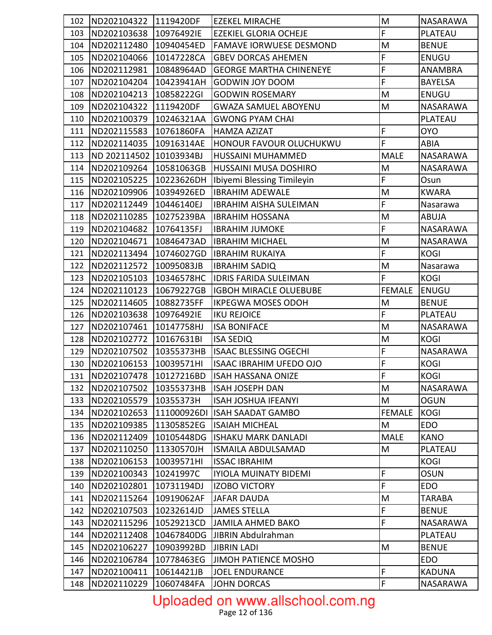| 102 | ND202104322             | 1119420DF   | <b>EZEKEL MIRACHE</b>          | M                       | NASARAWA        |
|-----|-------------------------|-------------|--------------------------------|-------------------------|-----------------|
| 103 | ND202103638             | 10976492IE  | <b>EZEKIEL GLORIA OCHEJE</b>   | F                       | PLATEAU         |
| 104 | ND202112480             | 10940454ED  | <b>FAMAVE IORWUESE DESMOND</b> | M                       | <b>BENUE</b>    |
| 105 | ND202104066             | 10147228CA  | <b>GBEV DORCAS AHEMEN</b>      | F                       | ENUGU           |
| 106 | ND202112981             | 10848964AD  | <b>GEORGE MARTHA CHINENEYE</b> | F                       | ANAMBRA         |
| 107 | ND202104204             | 10423941AH  | <b>GODWIN JOY DOOM</b>         | $\overline{F}$          | <b>BAYELSA</b>  |
| 108 | ND202104213             | 10858222GI  | <b>GODWIN ROSEMARY</b>         | M                       | <b>ENUGU</b>    |
| 109 | ND202104322             | 1119420DF   | <b>GWAZA SAMUEL ABOYENU</b>    | M                       | NASARAWA        |
| 110 | ND202100379             | 10246321AA  | <b>GWONG PYAM CHAI</b>         |                         | <b>PLATEAU</b>  |
| 111 | ND202115583             | 10761860FA  | HAMZA AZIZAT                   | $\mathsf F$             | <b>OYO</b>      |
| 112 | ND202114035             | 10916314AE  | HONOUR FAVOUR OLUCHUKWU        | F                       | <b>ABIA</b>     |
| 113 | ND 202114502 10103934BJ |             | HUSSAINI MUHAMMED              | <b>MALE</b>             | NASARAWA        |
| 114 | ND202109264             | 10581063GB  | HUSSAINI MUSA DOSHIRO          | M                       | NASARAWA        |
| 115 | ND202105225             | 10223626DH  | Ibiyemi Blessing Timileyin     | $\overline{F}$          | Osun            |
| 116 | ND202109906             | 10394926ED  | <b>IBRAHIM ADEWALE</b>         | M                       | <b>KWARA</b>    |
| 117 | ND202112449             | 10446140EJ  | <b>IBRAHIM AISHA SULEIMAN</b>  | $\overline{F}$          | Nasarawa        |
| 118 | ND202110285             | 10275239BA  | <b>IBRAHIM HOSSANA</b>         | M                       | ABUJA           |
| 119 | ND202104682             | 10764135FJ  | <b>IBRAHIM JUMOKE</b>          | $\overline{F}$          | NASARAWA        |
| 120 | ND202104671             | 10846473AD  | <b>IBRAHIM MICHAEL</b>         | M                       | NASARAWA        |
| 121 | ND202113494             | 10746027GD  | <b>IBRAHIM RUKAIYA</b>         | $\mathsf F$             | <b>KOGI</b>     |
| 122 | ND202112572             | 10095083JB  | <b>IBRAHIM SADIQ</b>           | M                       | Nasarawa        |
| 123 | ND202105103             | 10346578HC  | <b>IDRIS FARIDA SULEIMAN</b>   | $\mathsf{F}$            | <b>KOGI</b>     |
| 124 | ND202110123             | 10679227GB  | <b>IGBOH MIRACLE OLUEBUBE</b>  | <b>FEMALE</b>           | <b>ENUGU</b>    |
| 125 | ND202114605             | 10882735FF  | <b>IKPEGWA MOSES ODOH</b>      | M                       | <b>BENUE</b>    |
| 126 | ND202103638             | 10976492IE  | <b>IKU REJOICE</b>             | $\overline{F}$          | <b>PLATEAU</b>  |
| 127 | ND202107461             | 10147758HJ  | <b>ISA BONIFACE</b>            | M                       | NASARAWA        |
| 128 | ND202102772             | 10167631BI  | <b>ISA SEDIQ</b>               | M                       | <b>KOGI</b>     |
| 129 | ND202107502             | 10355373HB  | <b>ISAAC BLESSING OGECHI</b>   | $\overline{F}$          | NASARAWA        |
| 130 | ND202106153             | 10039571HI  | <b>ISAAC IBRAHIM UFEDO OJO</b> | $\overline{\mathsf{F}}$ | <b>KOGI</b>     |
| 131 | ND202107478 10127216BD  |             | <b>ISAH HASSANA ONIZE</b>      | F                       | <b>KOGI</b>     |
| 132 | ND202107502             | 10355373HB  | <b>ISAH JOSEPH DAN</b>         | M                       | <b>NASARAWA</b> |
| 133 | ND202105579             | 10355373H   | <b>ISAH JOSHUA IFEANYI</b>     | M                       | <b>OGUN</b>     |
| 134 | ND202102653             | 111000926DI | <b>ISAH SAADAT GAMBO</b>       | <b>FEMALE</b>           | <b>KOGI</b>     |
| 135 | ND202109385             | 11305852EG  | <b>ISAIAH MICHEAL</b>          | M                       | EDO             |
| 136 | ND202112409             | 10105448DG  | <b>ISHAKU MARK DANLADI</b>     | <b>MALE</b>             | <b>KANO</b>     |
| 137 | ND202110250             | 11330570JH  | ISMAILA ABDULSAMAD             | M                       | <b>PLATEAU</b>  |
| 138 | ND202106153             | 10039571HI  | <b>ISSAC IBRAHIM</b>           |                         | <b>KOGI</b>     |
| 139 | ND202100343             | 10241997C   | <b>IYIOLA MUINATY BIDEMI</b>   | $\mathsf F$             | <b>OSUN</b>     |
| 140 | ND202102801             | 10731194DJ  | <b>IZOBO VICTORY</b>           | $\mathsf F$             | <b>EDO</b>      |
| 141 | ND202115264             | 10919062AF  | <b>JAFAR DAUDA</b>             | ${\sf M}$               | TARABA          |
| 142 | ND202107503             | 10232614JD  | <b>JAMES STELLA</b>            | F                       | <b>BENUE</b>    |
| 143 | ND202115296             | 10529213CD  | <b>JAMILA AHMED BAKO</b>       | $\mathsf F$             | NASARAWA        |
| 144 | ND202112408             | 10467840DG  | <b>JIBRIN Abdulrahman</b>      |                         | <b>PLATEAU</b>  |
| 145 | ND202106227             | 10903992BD  | <b>JIBRIN LADI</b>             | M                       | <b>BENUE</b>    |
| 146 | ND202106784             | 10778463EG  | <b>JIMOH PATIENCE MOSHO</b>    |                         | <b>EDO</b>      |
| 147 | ND202100411             | 10614421JB  | <b>JOEL ENDURANCE</b>          | $\mathsf F$             | <b>KADUNA</b>   |
| 148 | ND202110229             | 10607484FA  | <b>JOHN DORCAS</b>             | $\mathsf F$             | NASARAWA        |

# Uploaded on www.allschool.com.ng<br>
Page 12 of 136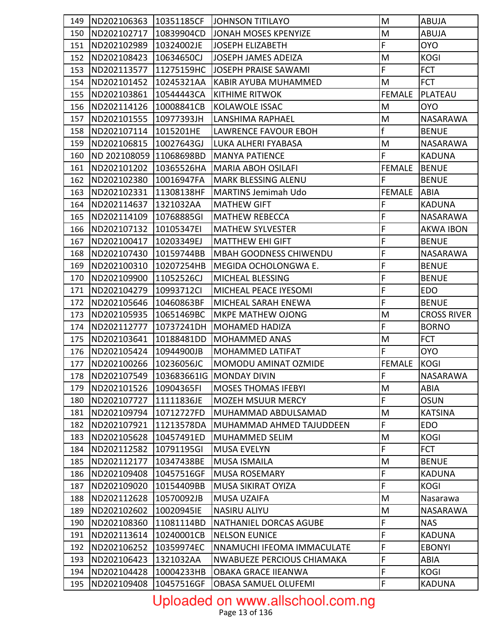| 149 | ND202106363             | 10351185CF | <b>JOHNSON TITILAYO</b>                  | M              | ABUJA              |
|-----|-------------------------|------------|------------------------------------------|----------------|--------------------|
| 150 | ND202102717             | 10839904CD | <b>JONAH MOSES KPENYIZE</b>              | M              | <b>ABUJA</b>       |
| 151 | ND202102989             | 10324002JE | <b>JOSEPH ELIZABETH</b>                  | $\mathsf F$    | <b>OYO</b>         |
| 152 | ND202108423             | 10634650CJ | <b>JOSEPH JAMES ADEIZA</b>               | M              | <b>KOGI</b>        |
| 153 | ND202113577             | 11275159HC | <b>JOSEPH PRAISE SAWAMI</b>              | $\mathsf F$    | <b>FCT</b>         |
| 154 | ND202101452             | 10245321AA | KABIR AYUBA MUHAMMED                     | M              | <b>FCT</b>         |
| 155 | ND202103861             | 10544443CA | <b>KITHIME RITWOK</b>                    | <b>FEMALE</b>  | PLATEAU            |
| 156 | ND202114126             | 10008841CB | <b>KOLAWOLE ISSAC</b>                    | M              | <b>OYO</b>         |
| 157 | ND202101555             | 10977393JH | LANSHIMA RAPHAEL                         | M              | NASARAWA           |
| 158 | ND202107114             | 1015201HE  | <b>LAWRENCE FAVOUR EBOH</b>              | $\mathbf f$    | <b>BENUE</b>       |
| 159 | ND202106815             | 10027643GJ | LUKA ALHERI FYABASA                      | M              | NASARAWA           |
| 160 | ND 202108059 11068698BD |            | <b>MANYA PATIENCE</b>                    | $\mathsf{F}$   | <b>KADUNA</b>      |
| 161 | ND202101202             | 10365526HA | <b>MARIA ABOH OSILAFI</b>                | <b>FEMALE</b>  | <b>BENUE</b>       |
| 162 | ND202102380             | 10016947FA | MARK BLESSING ALENU                      | $\mathsf{F}$   | <b>BENUE</b>       |
| 163 | ND202102331             | 11308138HF | <b>MARTINS Jemimah Udo</b>               | <b>FEMALE</b>  | <b>ABIA</b>        |
| 164 | ND202114637             | 1321032AA  | <b>MATHEW GIFT</b>                       | F              | <b>KADUNA</b>      |
| 165 | ND202114109             | 10768885GI | <b>MATHEW REBECCA</b>                    | $\mathsf F$    | NASARAWA           |
| 166 | ND202107132             | 10105347EI | <b>MATHEW SYLVESTER</b>                  | $\overline{F}$ | <b>AKWA IBON</b>   |
| 167 | ND202100417             | 10203349EJ | <b>MATTHEW EHI GIFT</b>                  | $\overline{F}$ | <b>BENUE</b>       |
| 168 | ND202107430             | 10159744BB | <b>MBAH GOODNESS CHIWENDU</b>            | F              | NASARAWA           |
| 169 | ND202100310             | 10207254HB | MEGIDA OCHOLONGWA E.                     | F              | <b>BENUE</b>       |
| 170 | ND202109900             | 11052526CJ | MICHEAL BLESSING                         | F              | <b>BENUE</b>       |
| 171 | ND202104279             | 10993712Cl | MICHEAL PEACE IYESOMI                    | F              | <b>EDO</b>         |
| 172 | ND202105646             | 10460863BF | MICHEAL SARAH ENEWA                      | $\mathsf F$    | <b>BENUE</b>       |
| 173 | ND202105935             | 10651469BC | MKPE MATHEW OJONG                        | M              | <b>CROSS RIVER</b> |
| 174 | ND202112777             | 10737241DH | MOHAMED HADIZA                           | $\mathsf F$    | <b>BORNO</b>       |
| 175 | ND202103641             | 10188481DD | <b>MOHAMMED ANAS</b>                     | ${\sf M}$      | <b>FCT</b>         |
| 176 | ND202105424             | 10944900JB | MOHAMMED LATIFAT                         | F              | <b>OYO</b>         |
| 177 | ND202100266             | 10236056JC | MOMODU AMINAT OZMIDE                     | <b>FEMALE</b>  | <b>KOGI</b>        |
|     |                         |            | 178 ND202107549 103683661IG MONDAY DIVIN | $\overline{F}$ | NASARAWA           |
| 179 | ND202101526             | 10904365FI | <b>MOSES THOMAS IFEBYI</b>               | M              | <b>ABIA</b>        |
| 180 | ND202107727             | 11111836JE | MOZEH MSUUR MERCY                        | $\mathsf F$    | <b>OSUN</b>        |
| 181 | ND202109794             | 10712727FD | MUHAMMAD ABDULSAMAD                      | M              | <b>KATSINA</b>     |
| 182 | ND202107921             | 11213578DA | MUHAMMAD AHMED TAJUDDEEN                 | $\mathsf F$    | <b>EDO</b>         |
| 183 | ND202105628             | 10457491ED | MUHAMMED SELIM                           | M              | <b>KOGI</b>        |
| 184 | ND202112582             | 10791195GI | <b>MUSA EVELYN</b>                       | $\mathsf F$    | <b>FCT</b>         |
| 185 | ND202112177             | 10347438BE | <b>MUSA ISMAILA</b>                      | M              | <b>BENUE</b>       |
| 186 | ND202109408             | 10457516GF | <b>MUSA ROSEMARY</b>                     | $\mathsf F$    | <b>KADUNA</b>      |
| 187 | ND202109020             | 10154409BB | MUSA SIKIRAT OYIZA                       | $\mathsf F$    | <b>KOGI</b>        |
| 188 | ND202112628             | 10570092JB | <b>MUSA UZAIFA</b>                       | ${\sf M}$      | Nasarawa           |
| 189 | ND202102602             | 10020945IE | <b>NASIRU ALIYU</b>                      | M              | NASARAWA           |
| 190 | ND202108360             | 11081114BD | NATHANIEL DORCAS AGUBE                   | $\mathsf F$    | <b>NAS</b>         |
| 191 | ND202113614             | 10240001CB | <b>NELSON EUNICE</b>                     | $\overline{F}$ | <b>KADUNA</b>      |
| 192 | ND202106252             | 10359974EC | NNAMUCHI IFEOMA IMMACULATE               | $\mathsf F$    | <b>EBONYI</b>      |
| 193 | ND202106423             | 1321032AA  | NWABUEZE PERCIOUS CHIAMAKA               | $\mathsf F$    | ABIA               |
| 194 | ND202104428             | 10004233HB | <b>OBAKA GRACE IIEANWA</b>               | $\mathsf F$    | <b>KOGI</b>        |
| 195 | ND202109408             | 10457516GF | <b>OBASA SAMUEL OLUFEMI</b>              | $\mathsf F$    | <b>KADUNA</b>      |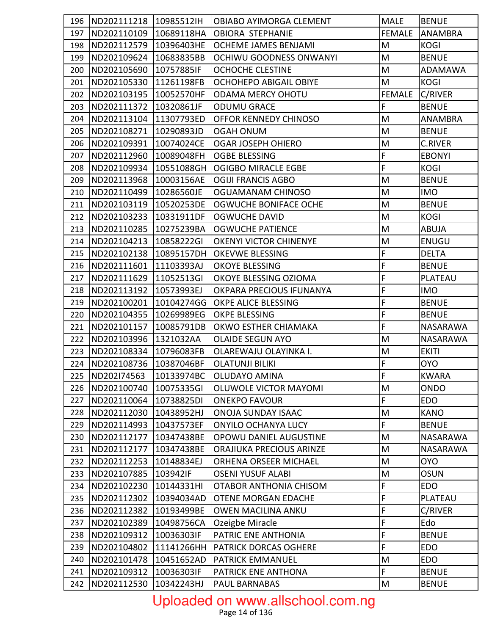| 196 | ND202111218     | 10985512IH | OBIABO AYIMORGA CLEMENT       | <b>MALE</b>    | <b>BENUE</b>    |
|-----|-----------------|------------|-------------------------------|----------------|-----------------|
| 197 | ND202110109     | 10689118HA | <b>OBIORA STEPHANIE</b>       | <b>FEMALE</b>  | <b>ANAMBRA</b>  |
| 198 | ND202112579     | 10396403HE | OCHEME JAMES BENJAMI          | M              | <b>KOGI</b>     |
| 199 | ND202109624     | 10683835BB | OCHIWU GOODNESS ONWANYI       | M              | <b>BENUE</b>    |
| 200 | ND202105690     | 10757885IF | <b>OCHOCHE CLESTINE</b>       | M              | ADAMAWA         |
| 201 | ND202105330     | 11261198FB | OCHOHEPO ABIGAIL OBIYE        | M              | <b>KOGI</b>     |
| 202 | ND202103195     | 10052570HF | <b>ODAMA MERCY OHOTU</b>      | <b>FEMALE</b>  | C/RIVER         |
| 203 | ND202111372     | 10320861JF | <b>ODUMU GRACE</b>            | $\mathsf{F}$   | <b>BENUE</b>    |
| 204 | ND202113104     | 11307793ED | OFFOR KENNEDY CHINOSO         | M              | <b>ANAMBRA</b>  |
| 205 | ND202108271     | 10290893JD | <b>OGAH ONUM</b>              | M              | <b>BENUE</b>    |
| 206 | ND202109391     | 10074024CE | <b>OGAR JOSEPH OHIERO</b>     | M              | <b>C.RIVER</b>  |
| 207 | ND202112960     | 10089048FH | <b>OGBE BLESSING</b>          | $\mathsf{F}$   | <b>EBONYI</b>   |
| 208 | ND202109934     | 10551088GH | <b>OGIGBO MIRACLE EGBE</b>    | $\mathsf F$    | <b>KOGI</b>     |
| 209 | ND202113968     | 10003156AE | <b>OGIJI FRANCIS AGBO</b>     | M              | <b>BENUE</b>    |
| 210 | ND202110499     | 10286560JE | OGUAMANAM CHINOSO             | M              | <b>IMO</b>      |
| 211 | ND202103119     | 10520253DE | OGWUCHE BONIFACE OCHE         | M              | <b>BENUE</b>    |
| 212 | ND202103233     | 10331911DF | <b>OGWUCHE DAVID</b>          | M              | <b>KOGI</b>     |
| 213 | ND202110285     | 10275239BA | <b>OGWUCHE PATIENCE</b>       | M              | <b>ABUJA</b>    |
| 214 | ND202104213     | 10858222GI | <b>OKENYI VICTOR CHINENYE</b> | M              | <b>ENUGU</b>    |
| 215 | ND202102138     | 10895157DH | <b>OKEVWE BLESSING</b>        | $\mathsf F$    | <b>DELTA</b>    |
| 216 | ND202111601     | 11103393AJ | <b>OKOYE BLESSING</b>         | $\overline{F}$ | <b>BENUE</b>    |
| 217 | ND202111629     | 11052513GI | OKOYE BLESSING OZIOMA         | F              | PLATEAU         |
| 218 | ND202113192     | 10573993EJ | OKPARA PRECIOUS IFUNANYA      | F              | <b>IMO</b>      |
| 219 | ND202100201     | 10104274GG | OKPE ALICE BLESSING           | $\mathsf F$    | <b>BENUE</b>    |
| 220 | ND202104355     | 10269989EG | OKPE BLESSING                 | F              | <b>BENUE</b>    |
| 221 | ND202101157     | 10085791DB | OKWO ESTHER CHIAMAKA          | $\mathsf F$    | NASARAWA        |
| 222 | ND202103996     | 1321032AA  | <b>OLAIDE SEGUN AYO</b>       | M              | NASARAWA        |
| 223 | ND202108334     | 10796083FB | OLAREWAJU OLAYINKA I.         | M              | <b>EKITI</b>    |
| 224 | ND202108736     | 10387046BF | <b>OLATUNJI BILIKI</b>        | $\mathsf F$    | <b>OYO</b>      |
|     | 225 ND202174563 | 10133974BC | OLUDAYO AMINA                 | $\overline{F}$ | <b>KWARA</b>    |
| 226 | ND202100740     | 10075335GI | <b>OLUWOLE VICTOR MAYOMI</b>  | M              | ONDO            |
| 227 | ND202110064     | 10738825DI | <b>ONEKPO FAVOUR</b>          | $\mathsf F$    | <b>EDO</b>      |
| 228 | ND202112030     | 10438952HJ | <b>ONOJA SUNDAY ISAAC</b>     | ${\sf M}$      | KANO            |
| 229 | ND202114993     | 10437573EF | <b>ONYILO OCHANYA LUCY</b>    | $\mathsf{F}$   | <b>BENUE</b>    |
| 230 | ND202112177     | 10347438BE | OPOWU DANIEL AUGUSTINE        | ${\sf M}$      | NASARAWA        |
| 231 | ND202112177     | 10347438BE | ORAJIUKA PRECIOUS ARINZE      | M              | <b>NASARAWA</b> |
| 232 | ND202112253     | 10148834EJ | ORHENA ORSEER MICHAEL         | M              | OYO.            |
| 233 | ND202107885     | 103942IF   | <b>OSENI YUSUF ALABI</b>      | M              | <b>OSUN</b>     |
| 234 | ND202102230     | 10144331HI | OTABOR ANTHONIA CHISOM        | $\mathsf F$    | <b>EDO</b>      |
| 235 | ND202112302     | 10394034AD | <b>OTENE MORGAN EDACHE</b>    | $\mathsf F$    | PLATEAU         |
| 236 | ND202112382     | 10193499BE | <b>OWEN MACILINA ANKU</b>     | $\mathsf F$    | C/RIVER         |
| 237 | ND202102389     | 10498756CA | Ozeigbe Miracle               | $\mathsf F$    | Edo             |
| 238 | ND202109312     | 10036303IF | PATRIC ENE ANTHONIA           | $\mathsf F$    | <b>BENUE</b>    |
| 239 | ND202104802     | 11141266HH | PATRICK DORCAS OGHERE         | $\mathsf F$    | <b>EDO</b>      |
| 240 | ND202101478     | 10451652AD | PATRICK EMMANUEL              | M              | <b>EDO</b>      |
| 241 | ND202109312     | 10036303IF | PATRICK ENE ANTHONA           | $\overline{F}$ | <b>BENUE</b>    |
| 242 | ND202112530     | 10342243HJ | PAUL BARNABAS                 | M              | <b>BENUE</b>    |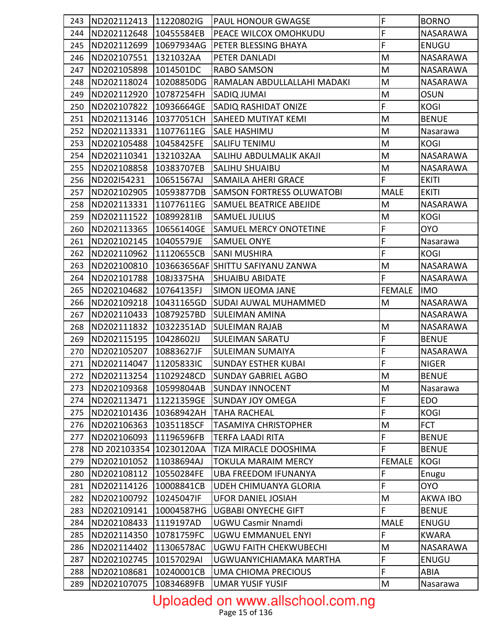| 243 | ND202112413             | 11220802IG  | PAUL HONOUR GWAGSE               | F                                                                                     | <b>BORNO</b>    |
|-----|-------------------------|-------------|----------------------------------|---------------------------------------------------------------------------------------|-----------------|
| 244 | ND202112648             | 10455584EB  | PEACE WILCOX OMOHKUDU            | $\overline{F}$                                                                        | NASARAWA        |
| 245 | ND202112699             | 10697934AG  | PETER BLESSING BHAYA             | $\overline{F}$                                                                        | <b>ENUGU</b>    |
| 246 | ND202107551             | 1321032AA   | PETER DANLADI                    | M                                                                                     | NASARAWA        |
| 247 | ND202105898             | 1014501DC   | <b>RABO SAMSON</b>               | M                                                                                     | NASARAWA        |
| 248 | ND202118024             | 10208850DG  | RAMALAN ABDULLALLAHI MADAKI      | M                                                                                     | NASARAWA        |
| 249 | ND202112920             | 10787254FH  | SADIQ JUMAI                      | M                                                                                     | <b>OSUN</b>     |
| 250 | ND202107822             | 10936664GE  | SADIQ RASHIDAT ONIZE             | $\mathsf{F}$                                                                          | <b>KOGI</b>     |
| 251 | ND202113146             | 10377051CH  | SAHEED MUTIYAT KEMI              | M                                                                                     | <b>BENUE</b>    |
| 252 | ND202113331             | 11077611EG  | SALE HASHIMU                     | M                                                                                     | Nasarawa        |
| 253 | ND202105488             | 10458425FE  | SALIFU TENIMU                    | M                                                                                     | <b>KOGI</b>     |
| 254 | ND202110341             | 1321032AA   | SALIHU ABDULMALIK AKAJI          | M                                                                                     | NASARAWA        |
| 255 | ND202108858             | 10383707EB  | SALIHU SHUAIBU                   | M                                                                                     | NASARAWA        |
| 256 | ND202I54231             | 10651567AJ  | SAMAILA AHERI GRACE              | $\overline{F}$                                                                        | <b>EKITI</b>    |
| 257 | ND202102905             | 10593877DB  | <b>SAMSON FORTRESS OLUWATOBI</b> | <b>MALE</b>                                                                           | <b>EKITI</b>    |
| 258 | ND202113331             | 11077611EG  | SAMUEL BEATRICE ABEJIDE          | M                                                                                     | NASARAWA        |
| 259 | ND202111522             | 10899281IB  | <b>SAMUEL JULIUS</b>             | M                                                                                     | <b>KOGI</b>     |
| 260 | ND202113365             | 10656140GE  | <b>SAMUEL MERCY ONOTETINE</b>    | $\overline{F}$                                                                        | <b>OYO</b>      |
| 261 | ND202102145             | 10405579JE  | <b>SAMUEL ONYE</b>               | $\overline{F}$                                                                        | Nasarawa        |
| 262 | ND202110962             | 11120655CB  | <b>SANI MUSHIRA</b>              | $\mathsf F$                                                                           | <b>KOGI</b>     |
| 263 | ND202100810             | 103663656AF | SHITTU SAFIYANU ZANWA            | M                                                                                     | NASARAWA        |
| 264 | ND202101788             | 108J3375HA  | <b>SHUAIBU ABIDATE</b>           | F                                                                                     | NASARAWA        |
| 265 | ND202104682             | 10764135FJ  | <b>SIMON IJEOMA JANE</b>         | <b>FEMALE</b>                                                                         | <b>IMO</b>      |
| 266 | ND202109218             | 10431165GD  | <b>SUDAI AUWAL MUHAMMED</b>      | M                                                                                     | NASARAWA        |
| 267 | ND202110433             | 10879257BD  | <b>SULEIMAN AMINA</b>            |                                                                                       | NASARAWA        |
| 268 | ND202111832             | 10322351AD  | <b>SULEIMAN RAJAB</b>            | M                                                                                     | NASARAWA        |
| 269 | ND202115195             | 10428602IJ  | <b>SULEIMAN SARATU</b>           | $\mathsf F$                                                                           | <b>BENUE</b>    |
| 270 | ND202105207             | 10883627JF  | <b>SULEIMAN SUMAIYA</b>          | $\mathsf F$                                                                           | NASARAWA        |
| 271 | ND202114047             | 11205833IC  | <b>SUNDAY ESTHER KUBAI</b>       | F                                                                                     | <b>NIGER</b>    |
| 272 | ND202113254 11029248CD  |             | <b>SUNDAY GABRIEL AGBO</b>       | $\mathsf{M}% _{T}=\mathsf{M}_{T}\!\left( a,b\right) ,\ \mathsf{M}_{T}=\mathsf{M}_{T}$ | <b>BENUE</b>    |
| 273 | ND202109368             | 10599804AB  | <b>SUNDAY INNOCENT</b>           | M                                                                                     | Nasarawa        |
| 274 | ND202113471             | 11221359GE  | <b>SUNDAY JOY OMEGA</b>          | $\mathsf F$                                                                           | <b>EDO</b>      |
| 275 | ND202101436             | 10368942AH  | <b>TAHA RACHEAL</b>              | $\mathsf F$                                                                           | <b>KOGI</b>     |
| 276 | ND202106363             | 10351185CF  | <b>TASAMIYA CHRISTOPHER</b>      | M                                                                                     | <b>FCT</b>      |
| 277 | ND202106093             | 11196596FB  | <b>TERFA LAADI RITA</b>          | $\mathsf F$                                                                           | <b>BENUE</b>    |
| 278 | ND 202103354 10230120AA |             | TIZA MIRACLE DOOSHIMA            | $\overline{F}$                                                                        | <b>BENUE</b>    |
| 279 | ND202101052             | 11038694AJ  | <b>TOKULA MARAIM MERCY</b>       | <b>FEMALE</b>                                                                         | <b>KOGI</b>     |
| 280 | ND202108112             | 10550284FE  | UBA FREEDOM IFUNANYA             | $\mathsf F$                                                                           | Enugu           |
| 281 | ND202114126             | 10008841CB  | <b>UDEH CHIMUANYA GLORIA</b>     | $\mathsf{F}$                                                                          | <b>OYO</b>      |
| 282 | ND202100792             | 10245047IF  | <b>UFOR DANIEL JOSIAH</b>        | M                                                                                     | <b>AKWA IBO</b> |
| 283 | ND202109141             | 10004587HG  | <b>UGBABI ONYECHE GIFT</b>       | F                                                                                     | <b>BENUE</b>    |
| 284 | ND202108433             | 1119197AD   | UGWU Casmir Nnamdi               | <b>MALE</b>                                                                           | <b>ENUGU</b>    |
| 285 | ND202114350             | 10781759FC  | UGWU EMMANUEL ENYI               | $\mathsf{F}$                                                                          | <b>KWARA</b>    |
| 286 | ND202114402             | 11306578AC  | UGWU FAITH CHEKWUBECHI           | M                                                                                     | NASARAWA        |
| 287 | ND202102745             | 10157029AI  | UGWUANYICHIAMAKA MARTHA          | $\mathsf F$                                                                           | <b>ENUGU</b>    |
| 288 | ND202108681             | 10240001CB  | UMA CHIOMA PRECIOUS              | $\mathsf F$                                                                           | ABIA            |
| 289 | ND202107075             | 10834689FB  | <b>UMAR YUSIF YUSIF</b>          | M                                                                                     | Nasarawa        |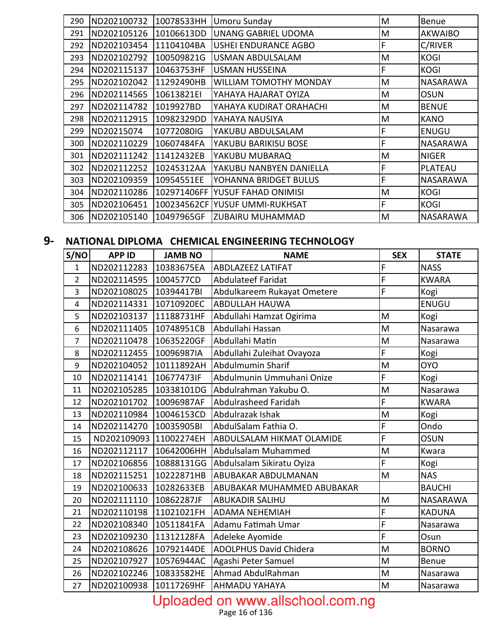| 290 | ND202100732 | 10078533HH  | Umoru Sunday                  | M | Benue           |
|-----|-------------|-------------|-------------------------------|---|-----------------|
| 291 | ND202105126 | 10106613DD  | <b>UNANG GABRIEL UDOMA</b>    | M | <b>AKWAIBO</b>  |
| 292 | ND202103454 | 11104104BA  | <b>USHEI ENDURANCE AGBO</b>   | F | C/RIVER         |
| 293 | ND202102792 | 100509821G  | USMAN ABDULSALAM              | M | <b>KOGI</b>     |
| 294 | ND202115137 | 10463753HF  | <b>USMAN HUSSEINA</b>         | F | <b>KOGI</b>     |
| 295 | ND202102042 | 11292490HB  | <b>WILLIAM TOMOTHY MONDAY</b> | M | <b>NASARAWA</b> |
| 296 | ND202114565 | 10613821EI  | YAHAYA HAJARAT OYIZA          | M | <b>OSUN</b>     |
| 297 | ND202114782 | 1019927BD   | YAHAYA KUDIRAT ORAHACHI       | M | <b>BENUE</b>    |
| 298 | ND202112915 | 10982329DD  | YAHAYA NAUSIYA                | M | <b>KANO</b>     |
| 299 | ND20215074  | 10772080IG  | YAKUBU ABDULSALAM             | F | <b>ENUGU</b>    |
| 300 | ND202110229 | 10607484FA  | YAKUBU BARIKISU BOSE          | F | <b>NASARAWA</b> |
| 301 | ND202111242 | 11412432EB  | YAKUBU MUBARAQ                | M | <b>NIGER</b>    |
| 302 | ND202112252 | 10245312AA  | YAKUBU NANBYEN DANIELLA       | F | PLATEAU         |
| 303 | ND202109359 | 10954551EE  | YOHANNA BRIDGET BULUS         | F | <b>NASARAWA</b> |
| 304 | ND202110286 | 102971406FF | <b>YUSUF FAHAD ONIMISI</b>    | M | <b>KOGI</b>     |
| 305 | ND202106451 | 100234562CF | <b>YUSUF UMMI-RUKHSAT</b>     | F | <b>KOGI</b>     |
| 306 | ND202105140 | 10497965GF  | <b>ZUBAIRU MUHAMMAD</b>       | M | <b>NASARAWA</b> |

#### **9- NATIONAL DIPLOMA CHEMICAL ENGINEERING TECHNOLOGY**

| S/NO           | <b>APP ID</b>          | <b>JAMB NO</b> | <b>NAME</b>                   | <b>SEX</b>     | <b>STATE</b>    |
|----------------|------------------------|----------------|-------------------------------|----------------|-----------------|
| $\mathbf{1}$   | ND202112283            | 10383675EA     | <b>ABDLAZEEZ LATIFAT</b>      | F              | <b>NASS</b>     |
| $\overline{2}$ | ND202114595            | 1004577CD      | <b>Abdulateef Faridat</b>     | $\overline{F}$ | <b>KWARA</b>    |
| 3              | ND202108025            | 10394417BI     | Abdulkareem Rukayat Ometere   | F              | Kogi            |
| $\overline{4}$ | ND202114331            | 10710920EC     | <b>ABDULLAH HAUWA</b>         |                | <b>ENUGU</b>    |
| 5              | ND202103137            | 11188731HF     | Abdullahi Hamzat Ogirima      | M              | Kogi            |
| 6              | ND202111405            | 10748951CB     | Abdullahi Hassan              | M              | Nasarawa        |
| $\overline{7}$ | ND202110478            | 10635220GF     | Abdullahi Matin               | M              | Nasarawa        |
| 8              | ND202112455            | 10096987IA     | Abdullahi Zuleihat Ovayoza    | F              | Kogi            |
| 9              | ND202104052            | 10111892AH     | Abdulmumin Sharif             | M              | <b>OYO</b>      |
| 10             | ND202114141            | 10677473IF     | Abdulmunin Ummuhani Onize     | F              | Kogi            |
| 11             | ND202105285            | 10338101DG     | Abdulrahman Yakubu O.         | M              | Nasarawa        |
| 12             | ND202101702            | 10096987AF     | Abdulrasheed Faridah          | F              | <b>KWARA</b>    |
| 13             | ND202110984            | 10046153CD     | Abdulrazak Ishak              | M              | Kogi            |
| 14             | ND202114270            | 10035905BI     | AbdulSalam Fathia O.          | F              | Ondo            |
| 15             | ND202109093 11002274EH |                | ABDULSALAM HIKMAT OLAMIDE     | F              | <b>OSUN</b>     |
| 16             | ND202112117            | 10642006HH     | Abdulsalam Muhammed           | M              | Kwara           |
| 17             | ND202106856            | 10888131GG     | Abdulsalam Sikiratu Oyiza     | F              | Kogi            |
| 18             | ND202115251            | 10222871HB     | ABUBAKAR ABDULMANAN           | M              | <b>NAS</b>      |
| 19             | ND202100633            | 10282633EB     | ABUBAKAR MUHAMMED ABUBAKAR    |                | <b>BAUCHI</b>   |
| 20             | ND202111110            | 10862287JF     | <b>ABUKADIR SALIHU</b>        | M              | <b>NASARAWA</b> |
| 21             | ND202110198            | 11021021FH     | <b>ADAMA NEHEMIAH</b>         | F              | <b>KADUNA</b>   |
| 22             | ND202108340            | 10511841FA     | Adamu Fatimah Umar            | F              | Nasarawa        |
| 23             | ND202109230            | 11312128FA     | Adeleke Ayomide               | F              | Osun            |
| 24             | ND202108626            | 10792144DE     | <b>ADOLPHUS David Chidera</b> | M              | <b>BORNO</b>    |
| 25             | ND202107927            | 10576944AC     | Agashi Peter Samuel           | M              | Benue           |
| 26             | ND202102246            | 10833582HE     | Ahmad AbdulRahman             | M              | Nasarawa        |
| 27             | ND202100938            | 10117269HF     | <b>AHMADU YAHAYA</b>          | M              | Nasarawa        |

### Uploaded on www.allschool.com.ng

Page 16 of 136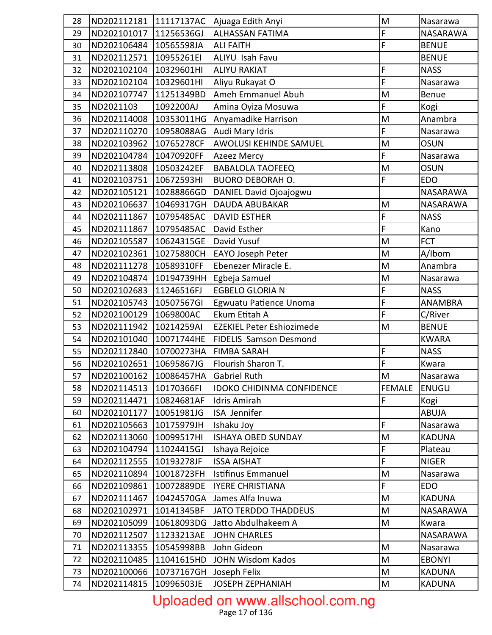| 28 | ND202112181            | 11117137AC | Ajuaga Edith Anyi                | M                                                                                                          | Nasarawa      |
|----|------------------------|------------|----------------------------------|------------------------------------------------------------------------------------------------------------|---------------|
| 29 | ND202101017            | 11256536GJ | <b>ALHASSAN FATIMA</b>           | $\mathsf{F}$                                                                                               | NASARAWA      |
| 30 | ND202106484            | 10565598JA | <b>ALI FAITH</b>                 | F                                                                                                          | <b>BENUE</b>  |
| 31 | ND202112571            | 10955261EI | ALIYU Isah Favu                  |                                                                                                            | <b>BENUE</b>  |
| 32 | ND202102104            | 10329601HI | <b>ALIYU RAKIAT</b>              | F                                                                                                          | <b>NASS</b>   |
| 33 | ND202102104            | 10329601HI | Aliyu Rukayat O                  | F                                                                                                          | Nasarawa      |
| 34 | ND202107747            | 11251349BD | Ameh Emmanuel Abuh               | M                                                                                                          | Benue         |
| 35 | ND2021103              | 1092200AJ  | Amina Oyiza Mosuwa               | $\overline{F}$                                                                                             | Kogi          |
| 36 | ND202114008            | 10353011HG | Anyamadike Harrison              | M                                                                                                          | Anambra       |
| 37 | ND202110270            | 10958088AG | Audi Mary Idris                  | $\overline{F}$                                                                                             | Nasarawa      |
| 38 | ND202103962            | 10765278CF | AWOLUSI KEHINDE SAMUEL           | M                                                                                                          | <b>OSUN</b>   |
| 39 | ND202104784            | 10470920FF | Azeez Mercy                      | $\overline{F}$                                                                                             | Nasarawa      |
| 40 | ND202113808            | 10503242EF | <b>BABALOLA TAOFEEQ</b>          | M                                                                                                          | <b>OSUN</b>   |
| 41 | ND202103751            | 10672593HI | <b>BUORO DEBORAH O.</b>          | F                                                                                                          | <b>EDO</b>    |
| 42 | ND202105121            | 10288866GD | DANIEL David Ojoajogwu           |                                                                                                            | NASARAWA      |
| 43 | ND202106637            | 10469317GH | <b>DAUDA ABUBAKAR</b>            | M                                                                                                          | NASARAWA      |
| 44 | ND202111867            | 10795485AC | <b>DAVID ESTHER</b>              | F                                                                                                          | <b>NASS</b>   |
| 45 | ND202111867            | 10795485AC | David Esther                     | F                                                                                                          | Kano          |
| 46 | ND202105587            | 10624315GE | David Yusuf                      | M                                                                                                          | <b>FCT</b>    |
| 47 | ND202102361            | 10275880CH | EAYO Joseph Peter                | M                                                                                                          | A/Ibom        |
| 48 | ND202111278            | 10589310FF | Ebenezer Miracle E.              | M                                                                                                          | Anambra       |
| 49 | ND202104874            | 10194739HH | Egbeja Samuel                    | M                                                                                                          | Nasarawa      |
| 50 | ND202102683            | 11246516FJ | <b>EGBELO GLORIA N</b>           | F                                                                                                          | <b>NASS</b>   |
| 51 | ND202105743            | 10507567GI | Egwuatu Patience Unoma           | F                                                                                                          | ANAMBRA       |
| 52 | ND202100129            | 1069800AC  | Ekum Etitah A                    | F                                                                                                          | C/River       |
| 53 | ND202111942            | 10214259AI | <b>EZEKIEL Peter Eshiozimede</b> | M                                                                                                          | <b>BENUE</b>  |
| 54 | ND202101040            | 10071744HE | FIDELIS Samson Desmond           |                                                                                                            | <b>KWARA</b>  |
| 55 | ND202112840            | 10700273HA | <b>FIMBA SARAH</b>               | $\mathsf{F}$                                                                                               | <b>NASS</b>   |
| 56 | ND202102651            | 10695867JG | Flourish Sharon T.               | F                                                                                                          | Kwara         |
| 57 | ND202100162 10086457HA |            | Gabriel Ruth                     | $\mathsf{M}% _{T}=\mathsf{M}_{T}\!\left( a,b\right) ,\ \mathsf{M}_{T}=\mathsf{M}_{T}\!\left( a,b\right) ,$ | Nasarawa      |
| 58 | ND202114513            | 10170366FI | <b>IDOKO CHIDINMA CONFIDENCE</b> | <b>FEMALE</b>                                                                                              | <b>ENUGU</b>  |
| 59 | ND202114471            | 10824681AF | <b>Idris Amirah</b>              | $\mathsf{F}$                                                                                               | Kogi          |
| 60 | ND202101177            | 10051981JG | ISA Jennifer                     |                                                                                                            | <b>ABUJA</b>  |
| 61 | ND202105663            | 10175979JH | Ishaku Joy                       | F                                                                                                          | Nasarawa      |
| 62 | ND202113060            | 10099517HI | <b>ISHAYA OBED SUNDAY</b>        | M                                                                                                          | <b>KADUNA</b> |
| 63 | ND202104794            | 11024415GJ | Ishaya Rejoice                   | $\mathsf F$                                                                                                | Plateau       |
| 64 | ND202112555            | 10193278JF | <b>ISSA AISHAT</b>               | $\mathsf F$                                                                                                | <b>NIGER</b>  |
| 65 | ND202110894            | 10018723FH | Istifinus Emmanuel               | M                                                                                                          | Nasarawa      |
| 66 | ND202109861            | 10072889DE | <b>IYERE CHRISTIANA</b>          | $\mathsf F$                                                                                                | <b>EDO</b>    |
| 67 | ND202111467            | 10424570GA | James Alfa Inuwa                 | ${\sf M}$                                                                                                  | <b>KADUNA</b> |
| 68 | ND202102971            | 10141345BF | <b>JATO TERDDO THADDEUS</b>      | ${\sf M}$                                                                                                  | NASARAWA      |
| 69 | ND202105099            | 10618093DG | Jatto Abdulhakeem A              | M                                                                                                          | Kwara         |
| 70 | ND202112507            | 11233213AE | <b>JOHN CHARLES</b>              |                                                                                                            | NASARAWA      |
| 71 | ND202113355            | 10545998BB | John Gideon                      | M                                                                                                          | Nasarawa      |
| 72 | ND202110485            | 11041615HD | <b>JOHN Wisdom Kados</b>         | M                                                                                                          | <b>EBONYI</b> |
| 73 | ND202100066            | 10737167GH | Joseph Felix                     | M                                                                                                          | <b>KADUNA</b> |
| 74 | ND202114815            | 10996503JE | <b>JOSEPH ZEPHANIAH</b>          | M                                                                                                          | <b>KADUNA</b> |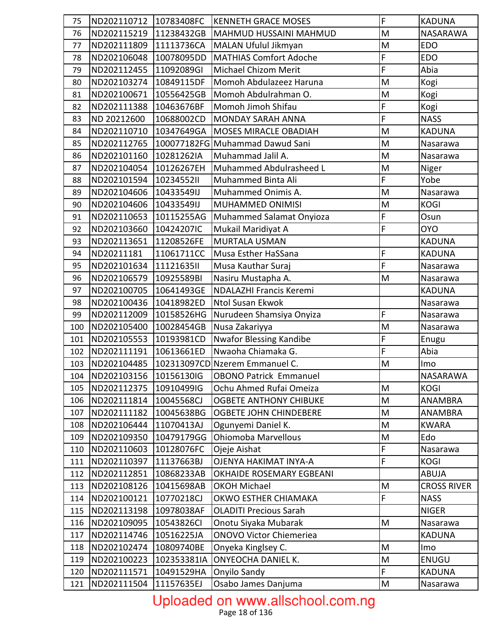| 75         | ND202110712                | 10783408FC               | <b>KENNETH GRACE MOSES</b>                             | F                | <b>KADUNA</b>             |
|------------|----------------------------|--------------------------|--------------------------------------------------------|------------------|---------------------------|
| 76         | ND202115219                | 11238432GB               | MAHMUD HUSSAINI MAHMUD                                 | M                | NASARAWA                  |
| 77         | ND202111809                | 11113736CA               | MALAN Ufulul Jikmyan                                   | M                | <b>EDO</b>                |
| 78         | ND202106048                | 10078095DD               | <b>MATHIAS Comfort Adoche</b>                          | F                | <b>EDO</b>                |
| 79         | ND202112455                | 11092089GI               | <b>Michael Chizom Merit</b>                            | F                | Abia                      |
| 80         | ND202103274                | 10849115DF               | Momoh Abdulazeez Haruna                                | M                | Kogi                      |
| 81         | ND202100671                | 10556425GB               | Momoh Abdulrahman O.                                   | M                | Kogi                      |
| 82         | ND202111388                | 10463676BF               | Momoh Jimoh Shifau                                     | F                | Kogi                      |
| 83         | ND 20212600                | 10688002CD               | <b>MONDAY SARAH ANNA</b>                               | $\mathsf{F}$     | <b>NASS</b>               |
| 84         | ND202110710                | 10347649GA               | MOSES MIRACLE OBADIAH                                  | M                | <b>KADUNA</b>             |
| 85         | ND202112765                |                          | 100077182FG Muhammad Dawud Sani                        | M                | Nasarawa                  |
| 86         | ND202101160                | 10281262IA               | Muhammad Jalil A.                                      | M                | Nasarawa                  |
| 87         | ND202104054                | 10126267EH               | Muhammed Abdulrasheed L                                | M                | Niger                     |
| 88         | ND202101594                | 1023455211               | Muhammed Binta Ali                                     | $\mathsf F$      | Yobe                      |
| 89         | ND202104606                | 10433549IJ               | Muhammed Onimis A.                                     | M                | Nasarawa                  |
| 90         | ND202104606                | 10433549IJ               | MUHAMMED ONIMISI                                       | M                | <b>KOGI</b>               |
| 91         | ND202110653                | 10115255AG               | Muhammed Salamat Onyioza                               | F                | Osun                      |
| 92         | ND202103660                | 10424207IC               | Mukail Maridiyat A                                     | F                | <b>OYO</b>                |
| 93         | ND202113651                | 11208526FE               | <b>MURTALA USMAN</b>                                   |                  | <b>KADUNA</b>             |
| 94         | ND20211181                 | 11061711CC               | Musa Esther HaSSana                                    | F                | <b>KADUNA</b>             |
| 95         | ND202101634                | 11121635II               | Musa Kauthar Suraj                                     | $\overline{F}$   | Nasarawa                  |
| 96         | ND202106579                | 10925589BI               | Nasiru Mustapha A.                                     | M                | Nasarawa                  |
| 97         | ND202100705                | 10641493GE               | <b>NDALAZHI Francis Keremi</b>                         |                  | <b>KADUNA</b>             |
| 98         | ND202100436                | 10418982ED               | Ntol Susan Ekwok                                       |                  | Nasarawa                  |
| 99         | ND202112009                | 10158526HG               | Nurudeen Shamsiya Onyiza                               | $\mathsf{F}$     | Nasarawa                  |
| 100        | ND202105400                | 10028454GB               | Nusa Zakariyya                                         | M                | Nasarawa                  |
| 101        | ND202105553                | 10193981CD               | Nwafor Blessing Kandibe                                | $\mathsf F$      | Enugu                     |
| 102        | ND202111191                | 10613661ED               | Nwaoha Chiamaka G.                                     | $\overline{F}$   | Abia                      |
| 103        | ND202104485                |                          | 102313097CD Nzerem Emmanuel C.                         | M                | Imo                       |
| 104        | ND202103156                | 10156130lG               | <b>OBONO Patrick Emmanuel</b>                          |                  | NASARAWA                  |
| 105        | ND202112375                | 10910499IG               | Ochu Ahmed Rufai Omeiza                                | M                | <b>KOGI</b>               |
| 106        | ND202111814                | 10045568CJ               | <b>OGBETE ANTHONY CHIBUKE</b>                          | M                | ANAMBRA                   |
| 107        | ND202111182                | 10045638BG               | OGBETE JOHN CHINDEBERE                                 | ${\sf M}$        | ANAMBRA                   |
| 108        | ND202106444                | 11070413AJ               | Ogunyemi Daniel K.                                     | M                | <b>KWARA</b>              |
| 109        | ND202109350                | 10479179GG               | Ohiomoba Marvellous                                    | M                | Edo                       |
| 110        | ND202110603                | 10128076FC               | Ojeje Aishat                                           | $\mathsf F$      | Nasarawa                  |
| 111        | ND202110397                | 11137663BJ               | <b>OJENYA HAKIMAT INYA-A</b>                           | $\mathsf F$      | <b>KOGI</b>               |
| 112        | ND202112851                | 10868233AB               | <b>OKHAIDE ROSEMARY EGBEANI</b>                        |                  | ABUJA                     |
| 113        | ND202108126                | 10415698AB               | <b>OKOH Michael</b>                                    | M<br>$\mathsf F$ | <b>CROSS RIVER</b>        |
| 114        | ND202100121                | 10770218CJ               | OKWO ESTHER CHIAMAKA                                   |                  | <b>NASS</b>               |
| 115        | ND202113198                | 10978038AF               | <b>OLADITI Precious Sarah</b>                          | M                | <b>NIGER</b>              |
| 116<br>117 | ND202109095<br>ND202114746 | 10543826CI<br>10516225JA | Onotu Siyaka Mubarak<br><b>ONOVO Victor Chiemeriea</b> |                  | Nasarawa<br><b>KADUNA</b> |
| 118        | ND202102474                | 10809740BE               | Onyeka Kinglsey C.                                     | M                | Imo                       |
| 119        | ND202100223                | 102353381IA              | <b>ONYEOCHA DANIEL K.</b>                              | M                | ENUGU                     |
| 120        | ND202111571                | 10491529HA               | Onyilo Sandy                                           | $\mathsf{F}$     | <b>KADUNA</b>             |
|            |                            |                          |                                                        |                  |                           |
| 121        | ND202111504                | 11157635EJ               | Osabo James Danjuma                                    | M                | Nasarawa                  |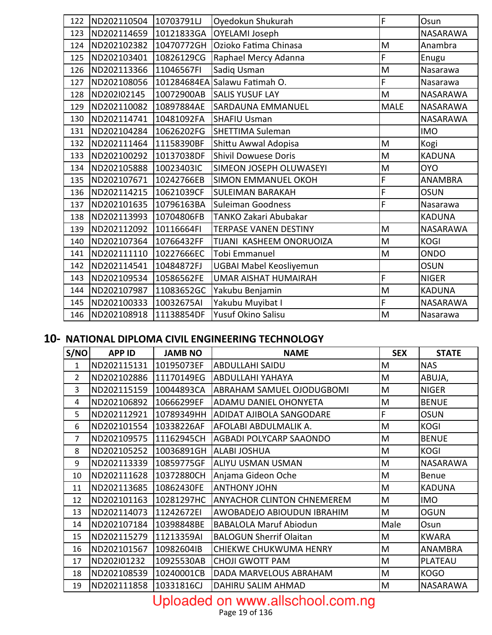| 122 | ND202110504 | 10703791LJ  | Oyedokun Shukurah              | F           | Osun            |
|-----|-------------|-------------|--------------------------------|-------------|-----------------|
| 123 | ND202114659 | 10121833GA  | <b>OYELAMI Joseph</b>          |             | <b>NASARAWA</b> |
| 124 | ND202102382 | 10470772GH  | Ozioko Fatima Chinasa          | M           | Anambra         |
| 125 | ND202103401 | 10826129CG  | Raphael Mercy Adanna           | F           | Enugu           |
| 126 | ND202113366 | 11046567FI  | Sadiq Usman                    | M           | Nasarawa        |
| 127 | ND202108056 | 101284684EA | Salawu Fatimah O.              | F           | Nasarawa        |
| 128 | ND202I02145 | 10072900AB  | <b>SALIS YUSUF LAY</b>         | M           | <b>NASARAWA</b> |
| 129 | ND202110082 | 10897884AE  | SARDAUNA EMMANUEL              | <b>MALE</b> | <b>NASARAWA</b> |
| 130 | ND202114741 | 10481092FA  | <b>SHAFIU Usman</b>            |             | <b>NASARAWA</b> |
| 131 | ND202104284 | 10626202FG  | <b>SHETTIMA Suleman</b>        |             | <b>IMO</b>      |
| 132 | ND202111464 | 11158390BF  | Shittu Awwal Adopisa           | M           | Kogi            |
| 133 | ND202100292 | 10137038DF  | <b>Shivil Dowuese Doris</b>    | M           | <b>KADUNA</b>   |
| 134 | ND202105888 | 10023403IC  | SIMEON JOSEPH OLUWASEYI        | M           | <b>OYO</b>      |
| 135 | ND202107671 | 10242766EB  | <b>SIMON EMMANUEL OKOH</b>     | F           | <b>ANAMBRA</b>  |
| 136 | ND202114215 | 10621039CF  | <b>SULEIMAN BARAKAH</b>        | F           | <b>OSUN</b>     |
| 137 | ND202101635 | 10796163BA  | <b>Suleiman Goodness</b>       | F           | Nasarawa        |
| 138 | ND202113993 | 10704806FB  | TANKO Zakari Abubakar          |             | <b>KADUNA</b>   |
| 139 | ND202112092 | 10116664FI  | <b>TERPASE VANEN DESTINY</b>   | M           | <b>NASARAWA</b> |
| 140 | ND202107364 | 10766432FF  | TIJANI KASHEEM ONORUOIZA       | ${\sf M}$   | <b>KOGI</b>     |
| 141 | ND202111110 | 10227666EC  | <b>Tobi Emmanuel</b>           | M           | ONDO            |
| 142 | ND202114541 | 10484872FJ  | <b>UGBAI Mabel Keosliyemun</b> |             | <b>OSUN</b>     |
| 143 | ND202109534 | 10586562FE  | <b>UMAR AISHAT HUMAIRAH</b>    | F           | <b>NIGER</b>    |
| 144 | ND202107987 | 11083652GC  | Yakubu Benjamin                | M           | <b>KADUNA</b>   |
| 145 | ND202100333 | 10032675AI  | Yakubu Muyibat I               | F           | NASARAWA        |
| 146 | ND202108918 | 11138854DF  | Yusuf Okino Salisu             | M           | Nasarawa        |

#### **10- NATIONAL DIPLOMA CIVIL ENGINEERING TECHNOLOGY**

| S/NO           | <b>APP ID</b> | <b>JAMB NO</b> | <b>NAME</b>                       | <b>SEX</b> | <b>STATE</b>    |
|----------------|---------------|----------------|-----------------------------------|------------|-----------------|
| 1              | ND202115131   | 10195073EF     | <b>ABDULLAHI SAIDU</b>            | M          | <b>NAS</b>      |
| $\overline{2}$ | ND202102886   | 11170149EG     | <b>ABDULLAHI YAHAYA</b>           | M          | ABUJA,          |
| 3              | ND202115159   | 10044893CA     | ABRAHAM SAMUEL OJODUGBOMI         | M          | <b>NIGER</b>    |
| 4              | ND202106892   | 10666299EF     | ADAMU DANIEL OHONYETA             | M          | <b>BENUE</b>    |
| 5              | ND202112921   | 10789349HH     | <b>ADIDAT AJIBOLA SANGODARE</b>   | F          | <b>OSUN</b>     |
| 6              | ND202101554   | 10338226AF     | AFOLABI ABDULMALIK A.             | M          | <b>KOGI</b>     |
| 7              | ND202109575   | 11162945CH     | AGBADI POLYCARP SAAONDO           | M          | <b>BENUE</b>    |
| 8              | ND202105252   | 10036891GH     | <b>ALABI JOSHUA</b>               | M          | <b>KOGI</b>     |
| 9              | ND202113339   | 10859775GF     | <b>ALIYU USMAN USMAN</b>          | M          | <b>NASARAWA</b> |
| 10             | ND202111628   | 10372880CH     | Anjama Gideon Oche                | M          | <b>Benue</b>    |
| 11             | ND202113685   | 10862430FE     | <b>ANTHONY JOHN</b>               | M          | <b>KADUNA</b>   |
| 12             | ND202101163   | 10281297HC     | <b>ANYACHOR CLINTON CHNEMEREM</b> | M          | <b>IMO</b>      |
| 13             | ND202114073   | 11242672EI     | AWOBADEJO ABIOUDUN IBRAHIM        | M          | <b>OGUN</b>     |
| 14             | ND202107184   | 10398848BE     | <b>BABALOLA Maruf Abiodun</b>     | Male       | Osun            |
| 15             | ND202115279   | 11213359AI     | <b>BALOGUN Sherrif Olaitan</b>    | M          | <b>KWARA</b>    |
| 16             | ND202101567   | 10982604IB     | <b>CHIEKWE CHUKWUMA HENRY</b>     | M          | <b>ANAMBRA</b>  |
| 17             | ND202I01232   | 10925530AB     | <b>CHOJI GWOTT PAM</b>            | M          | PLATEAU         |
| 18             | ND202108539   | 10240001CB     | DADA MARVELOUS ABRAHAM            | M          | <b>KOGO</b>     |
| 19             | ND202111858   | 10331816CJ     | DAHIRU SALIM AHMAD                | M          | <b>NASARAWA</b> |

# Uploaded on www.allschool.com.ng

Page 19 of 136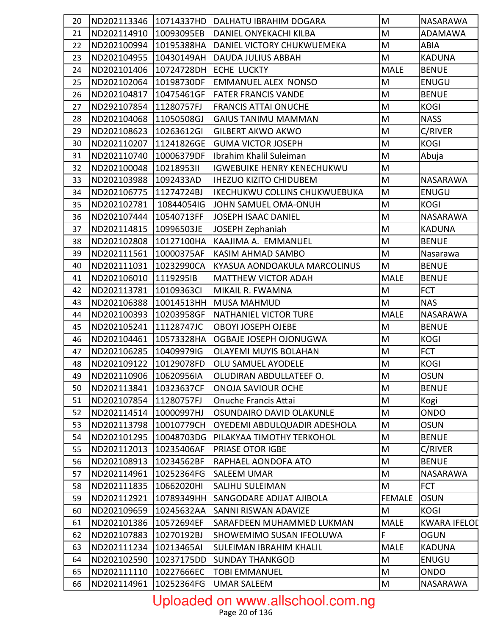| 20 |                                    |            | ND202113346   10714337HD   DALHATU IBRAHIM DOGARA | M                                                                                                          | <b>NASARAWA</b>     |
|----|------------------------------------|------------|---------------------------------------------------|------------------------------------------------------------------------------------------------------------|---------------------|
| 21 | ND202114910                        | 10093095EB | DANIEL ONYEKACHI KILBA                            | M                                                                                                          | ADAMAWA             |
| 22 | ND202100994                        |            | 10195388HA DANIEL VICTORY CHUKWUEMEKA             | M                                                                                                          | ABIA                |
| 23 | ND202104955                        |            | 10430149AH DAUDA JULIUS ABBAH                     | M                                                                                                          | <b>KADUNA</b>       |
| 24 | ND202101406 10724728DH ECHE LUCKTY |            |                                                   | <b>MALE</b>                                                                                                | <b>BENUE</b>        |
| 25 | ND202102064                        | 10198730DF | <b>EMMANUEL ALEX NONSO</b>                        | M                                                                                                          | <b>ENUGU</b>        |
| 26 | ND202104817                        | 10475461GF | <b>FATER FRANCIS VANDE</b>                        | M                                                                                                          | <b>BENUE</b>        |
| 27 | ND292107854                        | 11280757FJ | <b>FRANCIS ATTAI ONUCHE</b>                       | M                                                                                                          | <b>KOGI</b>         |
| 28 | ND202104068                        | 11050508GJ | <b>GAIUS TANIMU MAMMAN</b>                        | M                                                                                                          | <b>NASS</b>         |
| 29 | ND202108623                        | 10263612GI | <b>GILBERT AKWO AKWO</b>                          | M                                                                                                          | C/RIVER             |
| 30 | ND202110207                        | 11241826GE | <b>GUMA VICTOR JOSEPH</b>                         | M                                                                                                          | <b>KOGI</b>         |
| 31 | ND202110740                        | 10006379DF | Ibrahim Khalil Suleiman                           | M                                                                                                          | Abuja               |
| 32 | ND202100048                        | 1021895311 | <b>IGWEBUIKE HENRY KENECHUKWU</b>                 | M                                                                                                          |                     |
| 33 | ND202103988                        | 1092433AD  | <b>IHEZUO KIZITO CHIDUBEM</b>                     | M                                                                                                          | NASARAWA            |
| 34 | ND202106775                        | 11274724BJ | <b>IKECHUKWU COLLINS CHUKWUEBUKA</b>              | M                                                                                                          | <b>ENUGU</b>        |
| 35 | ND202102781                        | 10844054IG | JOHN SAMUEL OMA-ONUH                              | M                                                                                                          | <b>KOGI</b>         |
| 36 | ND202107444                        | 10540713FF | JOSEPH ISAAC DANIEL                               | M                                                                                                          | NASARAWA            |
| 37 | ND202114815                        | 10996503JE | JOSEPH Zephaniah                                  | M                                                                                                          | <b>KADUNA</b>       |
| 38 | ND202102808                        | 10127100HA | KAAJIMA A. EMMANUEL                               | M                                                                                                          | <b>BENUE</b>        |
| 39 | ND202111561                        | 10000375AF | <b>KASIM AHMAD SAMBO</b>                          | M                                                                                                          | Nasarawa            |
| 40 | ND202111031                        | 10232990CA | KYASUA AONDOAKULA MARCOLINUS                      | M                                                                                                          | <b>BENUE</b>        |
| 41 | ND202106010                        | 1119295IB  | <b>MATTHEW VICTOR ADAH</b>                        | <b>MALE</b>                                                                                                | <b>BENUE</b>        |
| 42 | ND202113781                        | 10109363CI | MIKAIL R. FWAMNA                                  | M                                                                                                          | <b>FCT</b>          |
| 43 | ND202106388                        |            | 10014513HH MUSA MAHMUD                            | M                                                                                                          | <b>NAS</b>          |
| 44 | ND202100393                        | 10203958GF | NATHANIEL VICTOR TURE                             | <b>MALE</b>                                                                                                | NASARAWA            |
| 45 | ND202105241                        | 11128747JC | <b>OBOYI JOSEPH OJEBE</b>                         | M                                                                                                          | <b>BENUE</b>        |
| 46 | ND202104461                        | 10573328HA | OGBAJE JOSEPH OJONUGWA                            | M                                                                                                          | <b>KOGI</b>         |
| 47 | ND202106285                        | 10409979IG | <b>OLAYEMI MUYIS BOLAHAN</b>                      | M                                                                                                          | <b>FCT</b>          |
| 48 | ND202109122                        | 10129078FD | OLU SAMUEL AYODELE                                | M                                                                                                          | <b>KOGI</b>         |
| 49 | ND202110906 10620956IA             |            | <b>OLUDIRAN ABDULLATEEF O.</b>                    | $\mathsf{M}% _{T}=\mathsf{M}_{T}\!\left( a,b\right) ,\ \mathsf{M}_{T}=\mathsf{M}_{T}\!\left( a,b\right) ,$ | <b>OSUN</b>         |
| 50 | ND202113841                        | 10323637CF | ONOJA SAVIOUR OCHE                                | M                                                                                                          | <b>BENUE</b>        |
| 51 | ND202107854                        | 11280757FJ | Onuche Francis Attai                              | M                                                                                                          | Kogi                |
| 52 | ND202114514                        | 10000997HJ | <b>OSUNDAIRO DAVID OLAKUNLE</b>                   | M                                                                                                          | ONDO                |
| 53 | ND202113798                        | 10010779CH | OYEDEMI ABDULQUADIR ADESHOLA                      | M                                                                                                          | <b>OSUN</b>         |
| 54 | ND202101295                        |            | 10048703DG   PILAKYAA TIMOTHY TERKOHOL            | M                                                                                                          | <b>BENUE</b>        |
| 55 | ND202112013                        | 10235406AF | <b>PRIASE OTOR IGBE</b>                           | M                                                                                                          | C/RIVER             |
| 56 | ND202108913                        | 10234562BF | <b>RAPHAEL AONDOFA ATO</b>                        | M                                                                                                          | <b>BENUE</b>        |
| 57 | ND202114961                        | 10252364FG | <b>SALEEM UMAR</b>                                | M                                                                                                          | NASARAWA            |
| 58 | ND202111835                        | 10662020HI | <b>SALIHU SULEIMAN</b>                            | M                                                                                                          | <b>FCT</b>          |
| 59 | ND202112921                        | 10789349HH | <b>SANGODARE ADIJAT AJIBOLA</b>                   | <b>FEMALE</b>                                                                                              | <b>OSUN</b>         |
| 60 | ND202109659                        | 10245632AA | <b>SANNI RISWAN ADAVIZE</b>                       | M                                                                                                          | KOGI                |
| 61 | ND202101386                        | 10572694EF | <b>SARAFDEEN MUHAMMED LUKMAN</b>                  | <b>MALE</b>                                                                                                | <b>KWARA IFELOL</b> |
| 62 | ND202107883                        | 10270192BJ | SHOWEMIMO SUSAN IFEOLUWA                          | F                                                                                                          | <b>OGUN</b>         |
| 63 | ND202111234                        | 10213465AI | <b>SULEIMAN IBRAHIM KHALIL</b>                    | <b>MALE</b>                                                                                                | <b>KADUNA</b>       |
| 64 | ND202102590                        | 10237175DD | <b>SUNDAY THANKGOD</b>                            | M                                                                                                          | <b>ENUGU</b>        |
| 65 | ND202111110                        | 10227666EC | <b>TOBI EMMANUEL</b>                              | M                                                                                                          | <b>ONDO</b>         |
| 66 | ND202114961                        | 10252364FG | <b>UMAR SALEEM</b>                                | M                                                                                                          | NASARAWA            |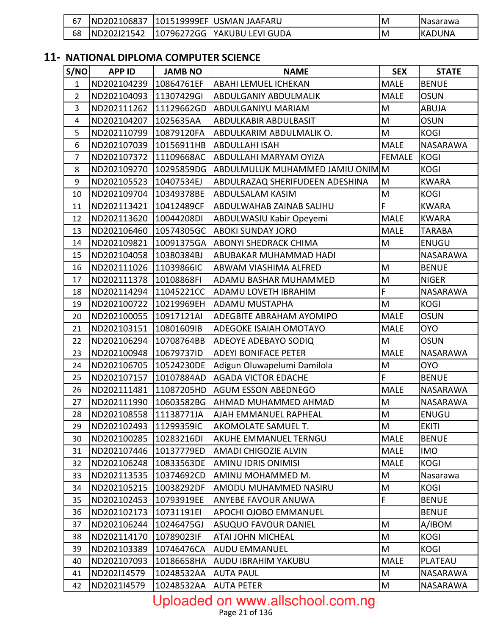| 67 | IND202106837 | 101519999EF USMAN JAAFARU    | M | <b>Nasarawa</b> |
|----|--------------|------------------------------|---|-----------------|
| 68 | IND202121542 | 10796272GG  YAKUBU LEVI GUDA | M | <b>KADUNA</b>   |

#### **11- NATIONAL DIPLOMA COMPUTER SCIENCE**

| S/NO           | <b>APP ID</b>          | <b>JAMB NO</b> | <b>NAME</b>                     | <b>SEX</b>                                                                                                 | <b>STATE</b>  |
|----------------|------------------------|----------------|---------------------------------|------------------------------------------------------------------------------------------------------------|---------------|
| $\mathbf{1}$   | ND202104239            | 10864761EF     | ABAHI LEMUEL ICHEKAN            | MALE                                                                                                       | <b>BENUE</b>  |
| $\overline{2}$ | ND202104093            | 11307429GI     | ABDULGANIY ABDULMALIK           | <b>MALE</b>                                                                                                | <b>OSUN</b>   |
| $\overline{3}$ | ND202111262            | 11129662GD     | <b>ABDULGANIYU MARIAM</b>       | M                                                                                                          | ABUJA         |
| $\overline{4}$ | ND202104207            | 1025635AA      | ABDULKABIR ABDULBASIT           | M                                                                                                          | <b>OSUN</b>   |
| 5              | ND202110799            | 10879120FA     | ABDULKARIM ABDULMALIK O.        | M                                                                                                          | <b>KOGI</b>   |
| 6              | ND202107039            | 10156911HB     | <b>ABDULLAHI ISAH</b>           | <b>MALE</b>                                                                                                | NASARAWA      |
| $\overline{7}$ | ND202107372            | 11109668AC     | <b>ABDULLAHI MARYAM OYIZA</b>   | <b>FEMALE</b>                                                                                              | <b>KOGI</b>   |
| 8              | ND202109270            | 10295859DG     | ABDULMULUK MUHAMMED JAMIU ONIMM |                                                                                                            | <b>KOGI</b>   |
| 9              | ND202105523            | 10407534EJ     | ABDULRAZAQ SHERIFUDEEN ADESHINA | M                                                                                                          | <b>KWARA</b>  |
| 10             | ND202109704            | 10349378BE     | <b>ABDULSALAM KASIM</b>         | M                                                                                                          | <b>KOGI</b>   |
| 11             | ND202113421            | 10412489CF     | <b>ABDULWAHAB ZAINAB SALIHU</b> | F                                                                                                          | <b>KWARA</b>  |
| 12             | ND202113620            | 10044208DI     | <b>ABDULWASIU Kabir Opeyemi</b> | <b>MALE</b>                                                                                                | <b>KWARA</b>  |
| 13             | ND202106460            | 10574305GC     | <b>ABOKI SUNDAY JORO</b>        | <b>MALE</b>                                                                                                | <b>TARABA</b> |
| 14             | ND202109821            | 10091375GA     | <b>ABONYI SHEDRACK CHIMA</b>    | M                                                                                                          | <b>ENUGU</b>  |
| 15             | ND202104058            | 10380384BJ     | ABUBAKAR MUHAMMAD HADI          |                                                                                                            | NASARAWA      |
| 16             | ND202111026            | 11039866IC     | ABWAM VIASHIMA ALFRED           | M                                                                                                          | <b>BENUE</b>  |
| 17             | ND202111378            | 10108868FI     | ADAMU BASHAR MUHAMMED           | M                                                                                                          | <b>NIGER</b>  |
| 18             | ND202114294            | 11045221CC     | ADAMU LOVETH IBRAHIM            | F                                                                                                          | NASARAWA      |
| 19             | ND202100722            | 10219969EH     | <b>ADAMU MUSTAPHA</b>           | M                                                                                                          | <b>KOGI</b>   |
| 20             | ND202100055            | 10917121AI     | ADEGBITE ABRAHAM AYOMIPO        | <b>MALE</b>                                                                                                | <b>OSUN</b>   |
| 21             | ND202103151            | 10801609IB     | <b>ADEGOKE ISAIAH OMOTAYO</b>   | <b>MALE</b>                                                                                                | <b>OYO</b>    |
| 22             | ND202106294            | 10708764BB     | <b>ADEOYE ADEBAYO SODIQ</b>     | M                                                                                                          | <b>OSUN</b>   |
| 23             | ND202100948            | 10679737ID     | <b>ADEYI BONIFACE PETER</b>     | <b>MALE</b>                                                                                                | NASARAWA      |
| 24             | ND202106705            | 10524230DE     | Adigun Oluwapelumi Damilola     | M                                                                                                          | <b>OYO</b>    |
| 25             | ND202107157            | 10107884AD     | <b>AGADA VICTOR EDACHE</b>      | F                                                                                                          | <b>BENUE</b>  |
| 26             | ND202111481            | 11087205HD     | <b>AGUM ESSON ABEDNEGO</b>      | <b>MALE</b>                                                                                                | NASARAWA      |
| 27             | ND202111990            | 10603582BG     | <b>AHMAD MUHAMMED AHMAD</b>     | M                                                                                                          | NASARAWA      |
| 28             | ND202108558            | 11138771JA     | AJAH EMMANUEL RAPHEAL           | M                                                                                                          | ENUGU         |
| 29             | ND202102493 11299359IC |                | AKOMOLATE SAMUEL T.             | $\mathsf{M}% _{T}=\mathsf{M}_{T}\!\left( a,b\right) ,\ \mathsf{M}_{T}=\mathsf{M}_{T}\!\left( a,b\right) ,$ | <b>EKITI</b>  |
| 30             | ND202100285            | 10283216DI     | AKUHE EMMANUEL TERNGU           | <b>MALE</b>                                                                                                | <b>BENUE</b>  |
| 31             | ND202107446            | 10137779ED     | <b>AMADI CHIGOZIE ALVIN</b>     | <b>MALE</b>                                                                                                | <b>IMO</b>    |
| 32             | ND202106248            | 10833563DE     | AMINU IDRIS ONIMISI             | <b>MALE</b>                                                                                                | <b>KOGI</b>   |
| 33             | ND202113535            | 10374692CD     | AMINU MOHAMMED M.               | M                                                                                                          | Nasarawa      |
| 34             | ND202105215            | 10038292DF     | AMODU MUHAMMED NASIRU           | M                                                                                                          | <b>KOGI</b>   |
| 35             | ND202102453            | 10793919EE     | <b>ANYEBE FAVOUR ANUWA</b>      | F                                                                                                          | <b>BENUE</b>  |
| 36             | ND202102173            | 10731191EI     | APOCHI OJOBO EMMANUEL           |                                                                                                            | <b>BENUE</b>  |
| 37             | ND202106244            | 10246475GJ     | <b>ASUQUO FAVOUR DANIEL</b>     | M                                                                                                          | A/IBOM        |
| 38             | ND202114170            | 10789023IF     | ATAI JOHN MICHEAL               | M                                                                                                          | <b>KOGI</b>   |
| 39             | ND202103389            | 10746476CA     | <b>AUDU EMMANUEL</b>            | M                                                                                                          | <b>KOGI</b>   |
| 40             | ND202107093            | 10186658HA     | AUDU IBRAHIM YAKUBU             | <b>MALE</b>                                                                                                | PLATEAU       |
| 41             | ND202I14579            | 10248532AA     | <b>AUTA PAUL</b>                | M                                                                                                          | NASARAWA      |
| 42             | ND2021I4579            | 10248532AA     | <b>AUTA PETER</b>               | M                                                                                                          | NASARAWA      |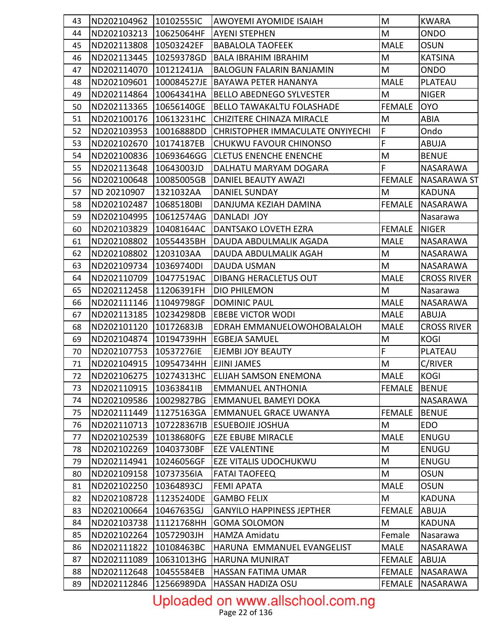| 43 | ND202104962 | 10102555IC  | AWOYEMI AYOMIDE ISAIAH                       | M             | <b>KWARA</b>       |
|----|-------------|-------------|----------------------------------------------|---------------|--------------------|
| 44 | ND202103213 | 10625064HF  | <b>AYENI STEPHEN</b>                         | M             | ONDO               |
| 45 | ND202113808 | 10503242EF  | <b>BABALOLA TAOFEEK</b>                      | <b>MALE</b>   | <b>OSUN</b>        |
| 46 | ND202113445 | 10259378GD  | <b>BALA IBRAHIM IBRAHIM</b>                  | M             | <b>KATSINA</b>     |
| 47 | ND202114070 | 10121241JA  | <b>BALOGUN FALARIN BANJAMIN</b>              | M             | ONDO               |
| 48 | ND202109601 | 100084527JE | BAYAWA PETER HANANYA                         | <b>MALE</b>   | PLATEAU            |
| 49 | ND202114864 | 10064341HA  | <b>BELLO ABEDNEGO SYLVESTER</b>              | M             | <b>NIGER</b>       |
| 50 | ND202113365 | 10656140GE  | <b>BELLO TAWAKALTU FOLASHADE</b>             | <b>FEMALE</b> | <b>OYO</b>         |
| 51 | ND202100176 | 10613231HC  | <b>CHIZITERE CHINAZA MIRACLE</b>             | M             | ABIA               |
| 52 | ND202103953 | 10016888DD  | CHRISTOPHER IMMACULATE ONYIYECHI             | $\mathsf F$   | Ondo               |
| 53 | ND202102670 | 10174187EB  | CHUKWU FAVOUR CHINONSO                       | F             | <b>ABUJA</b>       |
| 54 | ND202100836 | 10693646GG  | <b>CLETUS ENENCHE ENENCHE</b>                | M             | <b>BENUE</b>       |
| 55 | ND202113648 | 10643003JD  | DALHATU MARYAM DOGARA                        | F             | <b>NASARAWA</b>    |
| 56 | ND202100648 | 10085005GB  | DANIEL BEAUTY AWAZI                          | <b>FEMALE</b> | <b>NASARAWA ST</b> |
| 57 | ND 20210907 | 1321032AA   | <b>DANIEL SUNDAY</b>                         | M             | <b>KADUNA</b>      |
| 58 | ND202102487 | 10685180BI  | DANJUMA KEZIAH DAMINA                        | <b>FEMALE</b> | <b>NASARAWA</b>    |
| 59 | ND202104995 | 10612574AG  | DANLADI JOY                                  |               | Nasarawa           |
| 60 | ND202103829 | 10408164AC  | DANTSAKO LOVETH EZRA                         | <b>FEMALE</b> | <b>NIGER</b>       |
| 61 | ND202108802 | 10554435BH  | DAUDA ABDULMALIK AGADA                       | <b>MALE</b>   | NASARAWA           |
| 62 | ND202108802 | 1203103AA   | DAUDA ABDULMALIK AGAH                        | M             | NASARAWA           |
| 63 | ND202109734 | 10369740DI  | DAUDA USMAN                                  | M             | <b>NASARAWA</b>    |
| 64 | ND202110709 | 10477519AC  | DIBANG HERACLETUS OUT                        | <b>MALE</b>   | <b>CROSS RIVER</b> |
| 65 | ND202112458 | 11206391FH  | <b>DIO PHILEMON</b>                          | M             | Nasarawa           |
| 66 | ND202111146 | 11049798GF  | <b>DOMINIC PAUL</b>                          | <b>MALE</b>   | <b>NASARAWA</b>    |
| 67 | ND202113185 | 10234298DB  | <b>EBEBE VICTOR WODI</b>                     | <b>MALE</b>   | <b>ABUJA</b>       |
| 68 | ND202101120 | 10172683JB  | EDRAH EMMANUELOWOHOBALALOH                   | <b>MALE</b>   | <b>CROSS RIVER</b> |
| 69 | ND202104874 | 10194739HH  | <b>EGBEJA SAMUEL</b>                         | M             | <b>KOGI</b>        |
| 70 | ND202107753 | 10537276IE  | EJEMBI JOY BEAUTY                            | F             | PLATEAU            |
| 71 | ND202104915 | 10954734HH  | <b>EJINI JAMES</b>                           | M             | C/RIVER            |
| 72 |             |             | ND202106275 10274313HC ELIJAH SAMSON ENEMONA | <b>MALE</b>   | KOGI               |
| 73 | ND202110915 | 10363841IB  | <b>EMMANUEL ANTHONIA</b>                     | <b>FEMALE</b> | <b>BENUE</b>       |
| 74 | ND202109586 | 10029827BG  | <b>EMMANUEL BAMEYI DOKA</b>                  |               | <b>NASARAWA</b>    |
| 75 | ND202111449 | 11275163GA  | <b>EMMANUEL GRACE UWANYA</b>                 | <b>FEMALE</b> | <b>BENUE</b>       |
| 76 | ND202110713 | 107228367IB | <b>ESUEBOJIE JOSHUA</b>                      | M             | <b>EDO</b>         |
| 77 | ND202102539 | 10138680FG  | <b>EZE EBUBE MIRACLE</b>                     | <b>MALE</b>   | <b>ENUGU</b>       |
| 78 | ND202102269 | 10403730BF  | <b>EZE VALENTINE</b>                         | M             | <b>ENUGU</b>       |
| 79 | ND202114941 | 10246056GF  | EZE VITALIS UDOCHUKWU                        | M             | <b>ENUGU</b>       |
| 80 | ND202109158 | 10737356IA  | <b>FATAI TAOFEEQ</b>                         | M             | <b>OSUN</b>        |
| 81 | ND202102250 | 10364893CJ  | <b>FEMI APATA</b>                            | <b>MALE</b>   | <b>OSUN</b>        |
| 82 | ND202108728 | 11235240DE  | <b>GAMBO FELIX</b>                           | M             | <b>KADUNA</b>      |
| 83 | ND202100664 | 10467635GJ  | <b>GANYILO HAPPINESS JEPTHER</b>             | <b>FEMALE</b> | <b>ABUJA</b>       |
| 84 | ND202103738 | 11121768HH  | <b>GOMA SOLOMON</b>                          | M             | <b>KADUNA</b>      |
| 85 | ND202102264 | 10572903JH  | HAMZA Amidatu                                | Female        | Nasarawa           |
| 86 | ND202111822 | 10108463BC  | HARUNA EMMANUEL EVANGELIST                   | <b>MALE</b>   | <b>NASARAWA</b>    |
| 87 | ND202111089 | 10631013HG  | HARUNA MUNIRAT                               | <b>FEMALE</b> | <b>ABUJA</b>       |
| 88 | ND202112648 | 10455584EB  | HASSAN FATIMA UMAR                           | <b>FEMALE</b> | <b>NASARAWA</b>    |
| 89 | ND202112846 | 12566989DA  | <b>HASSAN HADIZA OSU</b>                     | <b>FEMALE</b> | <b>NASARAWA</b>    |

# Uploaded on www.allschool.com.ng<br>Page 22 of 136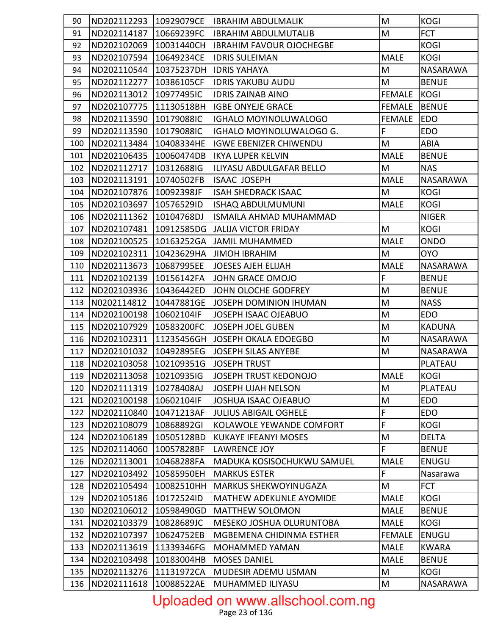| 90  | ND202112293 10929079CE |            | <b>IBRAHIM ABDULMALIK</b>       | M             | <b>KOGI</b>     |
|-----|------------------------|------------|---------------------------------|---------------|-----------------|
| 91  | ND202114187            | 10669239FC | <b>IBRAHIM ABDULMUTALIB</b>     | M             | <b>FCT</b>      |
| 92  | ND202102069            | 10031440CH | <b>IBRAHIM FAVOUR OJOCHEGBE</b> |               | <b>KOGI</b>     |
| 93  | ND202107594            | 10649234CE | <b>IDRIS SULEIMAN</b>           | <b>MALE</b>   | <b>KOGI</b>     |
| 94  | ND202110544            | 10375237DH | <b>IDRIS YAHAYA</b>             | M             | NASARAWA        |
| 95  | ND202112277            | 10386105CF | <b>IDRIS YAKUBU AUDU</b>        | M             | <b>BENUE</b>    |
| 96  | ND202113012            | 10977495IC | <b>IDRIS ZAINAB AINO</b>        | <b>FEMALE</b> | <b>KOGI</b>     |
| 97  | ND202107775            | 11130518BH | <b>IGBE ONYEJE GRACE</b>        | <b>FEMALE</b> | <b>BENUE</b>    |
| 98  | ND202113590            | 10179088IC | <b>IGHALO MOYINOLUWALOGO</b>    | <b>FEMALE</b> | <b>IEDO</b>     |
| 99  | ND202113590            | 10179088IC | IGHALO MOYINOLUWALOGO G.        | $\mathsf F$   | <b>EDO</b>      |
| 100 | ND202113484            | 10408334HE | <b>IGWE EBENIZER CHIWENDU</b>   | M             | ABIA            |
| 101 | ND202106435            | 10060474DB | <b>IKYA LUPER KELVIN</b>        | <b>MALE</b>   | <b>BENUE</b>    |
| 102 | ND202112717            | 10312688IG | ILIYASU ABDULGAFAR BELLO        | M             | <b>NAS</b>      |
| 103 | ND202113191            | 10740502FB | <b>ISAAC JOSEPH</b>             | <b>MALE</b>   | <b>NASARAWA</b> |
| 104 | ND202107876            | 10092398JF | <b>ISAH SHEDRACK ISAAC</b>      | M             | <b>KOGI</b>     |
| 105 | ND202103697            | 10576529ID | ISHAQ ABDULMUMUNI               | <b>MALE</b>   | <b>KOGI</b>     |
| 106 | ND202111362            | 10104768DJ | ISMAILA AHMAD MUHAMMAD          |               | <b>NIGER</b>    |
| 107 | ND202107481            | 10912585DG | <b>JALIJA VICTOR FRIDAY</b>     | M             | <b>KOGI</b>     |
| 108 | ND202100525            | 10163252GA | <b>JAMIL MUHAMMED</b>           | <b>MALE</b>   | <b>ONDO</b>     |
| 109 | ND202102311            | 10423629HA | <b>JIMOH IBRAHIM</b>            | M             | <b>OYO</b>      |
| 110 | ND202113673            | 10687995EE | <b>JOESES AJEH ELIJAH</b>       | <b>MALE</b>   | <b>NASARAWA</b> |
| 111 | ND202102139            | 10156142FA | JOHN GRACE OMOJO                | F             | <b>BENUE</b>    |
| 112 | ND202103936            | 10436442ED | JOHN OLOCHE GODFREY             | M             | <b>BENUE</b>    |
| 113 | N0202114812            | 10447881GE | JOSEPH DOMINION IHUMAN          | M             | <b>NASS</b>     |
| 114 | ND202100198            | 10602104IF | <b>JOSEPH ISAAC OJEABUO</b>     | M             | <b>EDO</b>      |
| 115 | ND202107929            | 10583200FC | JOSEPH JOEL GUBEN               | M             | <b>KADUNA</b>   |
| 116 | ND202102311            | 11235456GH | JOSEPH OKALA EDOEGBO            | M             | <b>NASARAWA</b> |
| 117 | ND202101032            | 10492895EG | <b>JOSEPH SILAS ANYEBE</b>      | M             | <b>NASARAWA</b> |
| 118 | ND202103058            | 102109351G | <b>JOSEPH TRUST</b>             |               | PLATEAU         |
| 119 | ND202113058 10210935IG |            | JOSEPH TRUST KEDONOJO           | <b>MALE</b>   | <b>KOGI</b>     |
| 120 | ND202111319            | 10278408AJ | <b>JOSEPH UJAH NELSON</b>       | M             | <b>PLATEAU</b>  |
| 121 | ND202100198            | 10602104IF | <b>JOSHUA ISAAC OJEABUO</b>     | M             | <b>EDO</b>      |
| 122 | ND202110840            | 10471213AF | <b>JULIUS ABIGAIL OGHELE</b>    | F             | <b>EDO</b>      |
| 123 | ND202108079            | 10868892GI | KOLAWOLE YEWANDE COMFORT        | F             | <b>KOGI</b>     |
| 124 | ND202106189            | 10505128BD | <b>KUKAYE IFEANYI MOSES</b>     | M             | <b>DELTA</b>    |
| 125 | ND202114060            | 10057828BF | LAWRENCE JOY                    | $\mathsf F$   | <b>BENUE</b>    |
| 126 | ND202113001            | 10468288FA | MADUKA KOSISOCHUKWU SAMUEL      | <b>MALE</b>   | <b>ENUGU</b>    |
| 127 | ND202103492            | 10585950EH | <b>MARKUS ESTER</b>             | $\mathsf F$   | Nasarawa        |
| 128 | ND202105494            | 10082510HH | MARKUS SHEKWOYINUGAZA           | M             | <b>FCT</b>      |
| 129 | ND202105186            | 10172524ID | MATHEW ADEKUNLE AYOMIDE         | <b>MALE</b>   | <b>KOGI</b>     |
| 130 | ND202106012            | 10598490GD | <b>MATTHEW SOLOMON</b>          | <b>MALE</b>   | <b>BENUE</b>    |
| 131 | ND202103379            | 10828689JC | MESEKO JOSHUA OLURUNTOBA        | <b>MALE</b>   | <b>KOGI</b>     |
| 132 | ND202107397            | 10624752EB | MGBEMENA CHIDINMA ESTHER        | <b>FEMALE</b> | <b>ENUGU</b>    |
| 133 | ND202113619            | 11339346FG | MOHAMMED YAMAN                  | <b>MALE</b>   | <b>KWARA</b>    |
| 134 | ND202103498            | 10183004HB | <b>MOSES DANIEL</b>             | <b>MALE</b>   | <b>BENUE</b>    |
| 135 | ND202113276            | 11131972CA | MUDESIR ADEMU USMAN             | M             | <b>KOGI</b>     |
| 136 | ND202111618            | 10088522AE | MUHAMMED ILIYASU                | M             | NASARAWA        |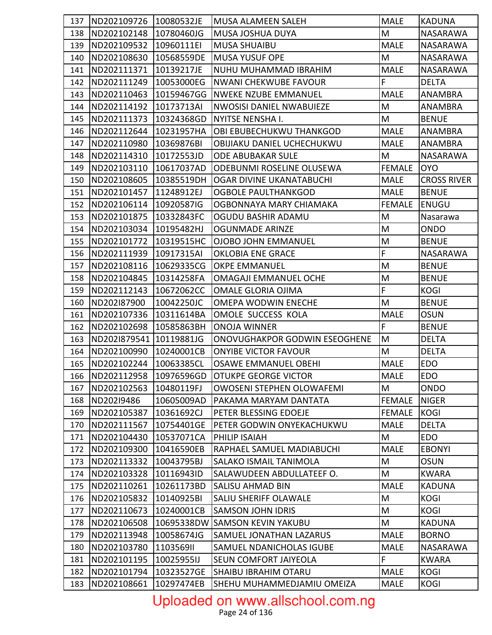| 137 | ND202109726  | 10080532JE | <b>MUSA ALAMEEN SALEH</b>                   | <b>MALE</b>   | <b>KADUNA</b>      |
|-----|--------------|------------|---------------------------------------------|---------------|--------------------|
| 138 | ND202102148  | 10780460JG | MUSA JOSHUA DUYA                            | M             | NASARAWA           |
| 139 | ND202109532  | 10960111EI | <b>MUSA SHUAIBU</b>                         | <b>MALE</b>   | NASARAWA           |
| 140 | ND202108630  | 10568559DE | <b>MUSA YUSUF OPE</b>                       | M             | NASARAWA           |
| 141 | ND202111371  | 10139217JE | NUHU MUHAMMAD IBRAHIM                       | <b>MALE</b>   | NASARAWA           |
| 142 | ND202111249  | 10053000EG | <b>NWANI CHEKWUBE FAVOUR</b>                | $\mathsf{F}$  | <b>DELTA</b>       |
| 143 | ND202110463  | 10159467GG | <b>NWEKE NZUBE EMMANUEL</b>                 | <b>MALE</b>   | <b>ANAMBRA</b>     |
| 144 | ND202114192  | 10173713AI | <b>NWOSISI DANIEL NWABUIEZE</b>             | M             | ANAMBRA            |
| 145 | ND202111373  | 10324368GD | <b>NYITSE NENSHA I.</b>                     | M             | <b>BENUE</b>       |
| 146 | ND202112644  | 10231957HA | OBI EBUBECHUKWU THANKGOD                    | <b>MALE</b>   | <b>ANAMBRA</b>     |
| 147 | ND202110980  | 10369876BI | OBIJIAKU DANIEL UCHECHUKWU                  | <b>MALE</b>   | <b>ANAMBRA</b>     |
| 148 | ND202114310  | 10172553JD | <b>ODE ABUBAKAR SULE</b>                    | M             | NASARAWA           |
| 149 | ND202103110  | 10617037AD | ODEBUNMI ROSELINE OLUSEWA                   | <b>FEMALE</b> | <b>OYO</b>         |
| 150 | ND202108605  | 10385519DH | OGAR DIVINE UKANATABUCHI                    | <b>MALE</b>   | <b>CROSS RIVER</b> |
| 151 | ND202101457  | 11248912EJ | <b>OGBOLE PAULTHANKGOD</b>                  | <b>MALE</b>   | <b>BENUE</b>       |
| 152 | ND202106114  | 10920587IG | OGBONNAYA MARY CHIAMAKA                     | <b>FEMALE</b> | <b>ENUGU</b>       |
| 153 | ND202101875  | 10332843FC | OGUDU BASHIR ADAMU                          | M             | Nasarawa           |
| 154 | ND202103034  | 10195482HJ | <b>OGUNMADE ARINZE</b>                      | M             | <b>ONDO</b>        |
| 155 | ND202101772  | 10319515HC | <b>OJOBO JOHN EMMANUEL</b>                  | M             | <b>BENUE</b>       |
| 156 | ND202111939  | 10917315AI | <b>OKLOBIA ENE GRACE</b>                    | $\mathsf F$   | NASARAWA           |
| 157 | ND202108116  | 10629335CG | <b>OKPE EMMANUEL</b>                        | M             | <b>BENUE</b>       |
| 158 | ND202104845  | 10314258FA | <b>OMAGAJI EMMANUEL OCHE</b>                | M             | <b>BENUE</b>       |
| 159 | ND202112143  | 10672062CC | <b>OMALE GLORIA OJIMA</b>                   | F             | <b>KOGI</b>        |
| 160 | ND202I87900  | 10042250JC | <b>OMEPA WODWIN ENECHE</b>                  | M             | <b>BENUE</b>       |
| 161 | ND202107336  | 10311614BA | OMOLE SUCCESS KOLA                          | <b>MALE</b>   | <b>OSUN</b>        |
| 162 | ND202102698  | 10585863BH | <b>ONOJA WINNER</b>                         | $\mathsf F$   | <b>BENUE</b>       |
| 163 | ND202I879541 | 10119881JG | ONOVUGHAKPOR GODWIN ESEOGHENE               | M             | <b>DELTA</b>       |
| 164 | ND202100990  | 10240001CB | <b>ONYIBE VICTOR FAVOUR</b>                 | M             | <b>DELTA</b>       |
| 165 | ND202102244  | 10063385CL | <b>OSAWE EMMANUEL OBEHI</b>                 | <b>MALE</b>   | <b>EDO</b>         |
| 166 |              |            | ND202112958 10976596GD OTUKPE GEORGE VICTOR | <b>MALE</b>   | <b>EDO</b>         |
| 167 | ND202102563  | 10480119FJ | <b>OWOSENI STEPHEN OLOWAFEMI</b>            | M             | ONDO               |
| 168 | ND20219486   | 10605009AD | PAKAMA MARYAM DANTATA                       | <b>FEMALE</b> | <b>NIGER</b>       |
| 169 | ND202105387  | 10361692CJ | PETER BLESSING EDOEJE                       | <b>FEMALE</b> | <b>KOGI</b>        |
| 170 | ND202111567  | 10754401GE | PETER GODWIN ONYEKACHUKWU                   | <b>MALE</b>   | <b>DELTA</b>       |
| 171 | ND202104430  | 10537071CA | PHILIP ISAIAH                               | M             | <b>EDO</b>         |
| 172 | ND202109300  | 10416590EB | RAPHAEL SAMUEL MADIABUCHI                   | <b>MALE</b>   | <b>EBONYI</b>      |
| 173 | ND202113332  | 10043795BJ | SALAKO ISMAIL TANIMOLA                      | M             | <b>OSUN</b>        |
| 174 | ND202103328  | 10116943ID | SALAWUDEEN ABDULLATEEF O.                   | M             | <b>KWARA</b>       |
| 175 | ND202110261  | 10261173BD | SALISU AHMAD BIN                            | <b>MALE</b>   | <b>KADUNA</b>      |
| 176 | ND202105832  | 10140925BI | <b>SALIU SHERIFF OLAWALE</b>                | M             | <b>KOGI</b>        |
| 177 | ND202110673  | 10240001CB | <b>SAMSON JOHN IDRIS</b>                    | M             | <b>KOGI</b>        |
| 178 | ND202106508  | 10695338DW | <b>SAMSON KEVIN YAKUBU</b>                  | M             | <b>KADUNA</b>      |
| 179 | ND202113948  | 10058674JG | SAMUEL JONATHAN LAZARUS                     | <b>MALE</b>   | <b>BORNO</b>       |
| 180 | ND202103780  | 110356911  | SAMUEL NDANICHOLAS IGUBE                    | <b>MALE</b>   | NASARAWA           |
| 181 | ND202101195  | 10025955IJ | SEUN COMFORT JAIYEOLA                       | $\mathsf{F}$  | <b>KWARA</b>       |
| 182 | ND202101794  | 10323527GE | SHAIBU IBRAHIM OTARU                        | <b>MALE</b>   | <b>KOGI</b>        |
| 183 | ND202108661  | 10297474EB | SHEHU MUHAMMEDJAMIU OMEIZA                  | <b>MALE</b>   | <b>KOGI</b>        |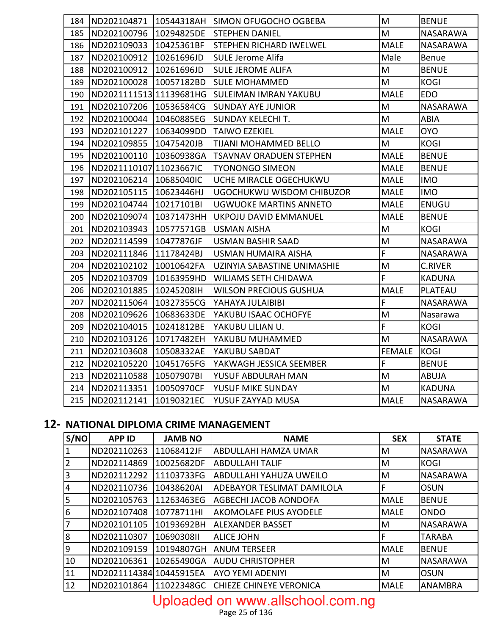| 184 |                         |            | ND202104871   10544318AH SIMON OFUGOCHO OGBEBA | M             | <b>BENUE</b>   |
|-----|-------------------------|------------|------------------------------------------------|---------------|----------------|
| 185 | ND202100796 10294825DE  |            | <b>STEPHEN DANIEL</b>                          | M             | NASARAWA       |
| 186 | ND202109033             | 10425361BF | STEPHEN RICHARD IWELWEL                        | <b>MALE</b>   | NASARAWA       |
| 187 | ND202100912             | 10261696JD | <b>SULE Jerome Alifa</b>                       | Male          | <b>Benue</b>   |
| 188 | ND202100912             | 10261696JD | <b>SULE JEROME ALIFA</b>                       | M             | <b>BENUE</b>   |
| 189 | ND202100028             | 10057182BD | <b>SULE MOHAMMED</b>                           | M             | <b>KOGI</b>    |
| 190 | ND2021111513 11139681HG |            | <b>SULEIMAN IMRAN YAKUBU</b>                   | <b>MALE</b>   | EDO            |
| 191 | ND202107206 10536584CG  |            | <b>SUNDAY AYE JUNIOR</b>                       | M             | NASARAWA       |
| 192 | ND202100044             | 10460885EG | <b>SUNDAY KELECHI T.</b>                       | M             | <b>ABIA</b>    |
| 193 | ND202101227             | 10634099DD | <b>TAIWO EZEKIEL</b>                           | <b>MALE</b>   | <b>OYO</b>     |
| 194 | ND202109855             | 10475420JB | TIJANI MOHAMMED BELLO                          | M             | <b>KOGI</b>    |
| 195 | ND202100110             | 10360938GA | <b>TSAVNAV ORADUEN STEPHEN</b>                 | <b>MALE</b>   | <b>BENUE</b>   |
| 196 | ND2021110107 11023667IC |            | <b>TYONONGO SIMEON</b>                         | <b>MALE</b>   | <b>BENUE</b>   |
| 197 | ND202106214 10685040IC  |            | UCHE MIRACLE OGECHUKWU                         | <b>MALE</b>   | <b>IMO</b>     |
| 198 | ND202105115             | 10623446HJ | UGOCHUKWU WISDOM CHIBUZOR                      | <b>MALE</b>   | <b>IMO</b>     |
| 199 | ND202104744             | 10217101BI | <b>UGWUOKE MARTINS ANNETO</b>                  | <b>MALE</b>   | ENUGU          |
| 200 | ND202109074             | 10371473HH | UKPOJU DAVID EMMANUEL                          | <b>MALE</b>   | <b>BENUE</b>   |
| 201 | ND202103943             | 10577571GB | <b>USMAN AISHA</b>                             | M             | <b>KOGI</b>    |
| 202 | ND202114599             | 10477876JF | <b>USMAN BASHIR SAAD</b>                       | M             | NASARAWA       |
| 203 | ND202111846             | 11178424BJ | USMAN HUMAIRA AISHA                            | F             | NASARAWA       |
| 204 | ND202102102             | 10010642FA | UZINYIA SABASTINE UNIMASHIE                    | M             | C.RIVER        |
| 205 | ND202103709             | 10163959HD | <b>WILIAMS SETH CHIDAWA</b>                    | F             | <b>KADUNA</b>  |
| 206 | ND202101885             | 10245208IH | WILSON PRECIOUS GUSHUA                         | <b>MALE</b>   | <b>PLATEAU</b> |
| 207 | ND202115064             | 10327355CG | YAHAYA JULAIBIBI                               | F             | NASARAWA       |
| 208 | ND202109626             | 10683633DE | YAKUBU ISAAC OCHOFYE                           | M             | Nasarawa       |
| 209 | ND202104015             | 10241812BE | YAKUBU LILIAN U.                               | F             | <b>KOGI</b>    |
| 210 | ND202103126             | 10717482EH | YAKUBU MUHAMMED                                | M             | NASARAWA       |
| 211 | ND202103608             | 10508332AE | YAKUBU SABDAT                                  | <b>FEMALE</b> | <b>KOGI</b>    |
| 212 | ND202105220             | 10451765FG | YAKWAGH JESSICA SEEMBER                        | F             | <b>BENUE</b>   |
| 213 | ND202110588             | 10507907BI | YUSUF ABDULRAH MAN                             | M             | ABUJA          |
| 214 | ND202113351             | 10050970CF | YUSUF MIKE SUNDAY                              | M             | <b>KADUNA</b>  |
| 215 | ND202112141 10190321EC  |            | YUSUF ZAYYAD MUSA                              | <b>MALE</b>   | NASARAWA       |

#### **12- NATIONAL DIPLOMA CRIME MANAGEMENT**

| S/NO            | <b>APP ID</b>           | <b>JAMB NO</b> | <b>NAME</b>                       | <b>SEX</b>  | <b>STATE</b>    |
|-----------------|-------------------------|----------------|-----------------------------------|-------------|-----------------|
| $\vert$ 1       | ND202110263             | 11068412JF     | ABDULLAHI HAMZA UMAR              | M           | <b>NASARAWA</b> |
| $\overline{2}$  | ND202114869             | 10025682DF     | <b>ABDULLAHI TALIF</b>            | M           | <b>KOGI</b>     |
| $\overline{3}$  | ND202112292             | 11103733FG     | <b>ABDULLAHI YAHUZA UWEILO</b>    | M           | <b>NASARAWA</b> |
| $\overline{4}$  | ND202110736             | 10438620AI     | <b>ADEBAYOR TESLIMAT DAMILOLA</b> | F           | <b>OSUN</b>     |
| 5               | ND202105763             | 11263463EG     | <b>AGBECHI JACOB AONDOFA</b>      | <b>MALE</b> | <b>BENUE</b>    |
| $6\phantom{.}6$ | ND202107408             | 10778711HI     | <b>AKOMOLAFE PIUS AYODELE</b>     | <b>MALE</b> | <b>ONDO</b>     |
| $\overline{7}$  | ND202101105             | 10193692BH     | <b>ALEXANDER BASSET</b>           | M           | <b>NASARAWA</b> |
| 8               | ND202110307             | 10690308II     | <b>ALICE JOHN</b>                 | F           | <b>TARABA</b>   |
| 9               | ND202109159             | 10194807GH     | <b>ANUM TERSEER</b>               | <b>MALE</b> | <b>BENUE</b>    |
| 10              | ND202106361             | 10265490GA     | <b>AUDU CHRISTOPHER</b>           | M           | <b>NASARAWA</b> |
| 11              | ND2021114384 10445915EA |                | AYO YEMI ADENIYI                  | M           | <b>OSUN</b>     |
| 12              | ND202101864             | 11022348GC     | CHIEZE CHINEYE VERONICA           | <b>MALE</b> | <b>ANAMBRA</b>  |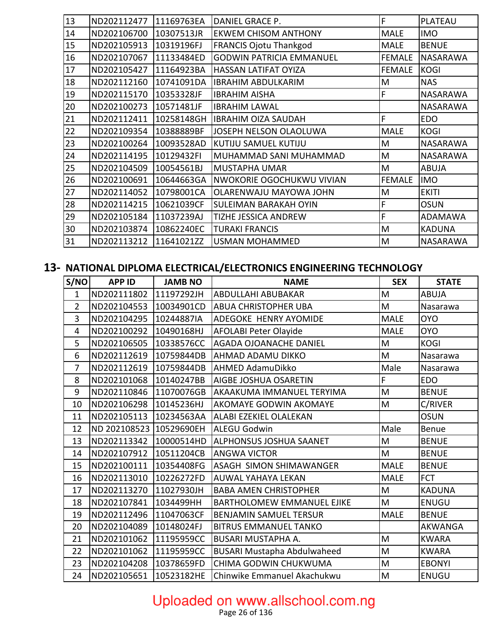| 13 | ND202112477 | 11169763EA | DANIEL GRACE P.                 | F             | PLATEAU         |
|----|-------------|------------|---------------------------------|---------------|-----------------|
| 14 | ND202106700 | 10307513JR | <b>EKWEM CHISOM ANTHONY</b>     | <b>MALE</b>   | <b>IMO</b>      |
| 15 | ND202105913 | 10319196FJ | <b>FRANCIS Ojotu Thankgod</b>   | <b>MALE</b>   | <b>BENUE</b>    |
| 16 | ND202107067 | 11133484ED | <b>GODWIN PATRICIA EMMANUEL</b> | <b>FEMALE</b> | <b>NASARAWA</b> |
| 17 | ND202105427 | 11164923BA | <b>HASSAN LATIFAT OYIZA</b>     | <b>FEMALE</b> | <b>KOGI</b>     |
| 18 | ND202112160 | 10741091DA | <b>IBRAHIM ABDULKARIM</b>       | M             | <b>NAS</b>      |
| 19 | ND202115170 | 10353328JF | <b>IBRAHIM AISHA</b>            | F             | <b>NASARAWA</b> |
| 20 | ND202100273 | 10571481JF | <b>IBRAHIM LAWAL</b>            |               | <b>NASARAWA</b> |
| 21 | ND202112411 | 10258148GH | <b>IBRAHIM OIZA SAUDAH</b>      | F             | <b>EDO</b>      |
| 22 | ND202109354 | 10388889BF | JOSEPH NELSON OLAOLUWA          | <b>MALE</b>   | <b>KOGI</b>     |
| 23 | ND202100264 | 10093528AD | <b>KUTIJU SAMUEL KUTIJU</b>     | M             | <b>NASARAWA</b> |
| 24 | ND202114195 | 10129432FI | MUHAMMAD SANI MUHAMMAD          | M             | NASARAWA        |
| 25 | ND202104509 | 10054561BJ | <b>MUSTAPHA UMAR</b>            | M             | <b>ABUJA</b>    |
| 26 | ND202100691 | 10644663GA | NWOKORIE OGOCHUKWU VIVIAN       | <b>FEMALE</b> | <b>IMO</b>      |
| 27 | ND202114052 | 10798001CA | OLARENWAJU MAYOWA JOHN          | M             | <b>EKITI</b>    |
| 28 | ND202114215 | 10621039CF | <b>SULEIMAN BARAKAH OYIN</b>    | F             | <b>OSUN</b>     |
| 29 | ND202105184 | 11037239AJ | <b>TIZHE JESSICA ANDREW</b>     | F             | <b>ADAMAWA</b>  |
| 30 | ND202103874 | 10862240EC | <b>TURAKI FRANCIS</b>           | M             | <b>KADUNA</b>   |
| 31 | ND202113212 | 11641021ZZ | <b>USMAN MOHAMMED</b>           | M             | <b>NASARAWA</b> |

#### **13- NATIONAL DIPLOMA ELECTRICAL/ELECTRONICS ENGINEERING TECHNOLOGY**

| S/NO           | <b>APP ID</b> | <b>JAMB NO</b> | <b>NAME</b>                        | <b>SEX</b>                                                                                                 | <b>STATE</b>   |
|----------------|---------------|----------------|------------------------------------|------------------------------------------------------------------------------------------------------------|----------------|
| $\mathbf{1}$   | ND202111802   | 11197292JH     | <b>ABDULLAHI ABUBAKAR</b>          | M                                                                                                          | <b>ABUJA</b>   |
| $\overline{2}$ | ND202104553   | 10034901CD     | <b>ABUA CHRISTOPHER UBA</b>        | M                                                                                                          | Nasarawa       |
| 3              | ND202104295   | 10244887IA     | ADEGOKE HENRY AYOMIDE              | <b>MALE</b>                                                                                                | <b>OYO</b>     |
| $\overline{4}$ | ND202100292   | 10490168HJ     | <b>AFOLABI Peter Olayide</b>       | <b>MALE</b>                                                                                                | <b>OYO</b>     |
| 5              | ND202106505   | 10338576CC     | <b>AGADA OJOANACHE DANIEL</b>      | M                                                                                                          | <b>KOGI</b>    |
| 6              | ND202112619   | 10759844DB     | AHMAD ADAMU DIKKO                  | M                                                                                                          | Nasarawa       |
| $\overline{7}$ | ND202112619   | 10759844DB     | <b>AHMED AdamuDikko</b>            | Male                                                                                                       | Nasarawa       |
| 8              | ND202101068   | 10140247BB     | <b>AIGBE JOSHUA OSARETIN</b>       | F                                                                                                          | EDO            |
| 9              | ND202110846   | 11070076GB     | AKAAKUMA IMMANUEL TERYIMA          | M                                                                                                          | <b>BENUE</b>   |
| 10             | ND202106298   | 10145236HJ     | <b>AKOMAYE GODWIN AKOMAYE</b>      | M                                                                                                          | C/RIVER        |
| 11             | ND202105113   | 10234563AA     | ALABI EZEKIEL OLALEKAN             |                                                                                                            | <b>OSUN</b>    |
| 12             | ND 202108523  | 10529690EH     | <b>ALEGU Godwin</b>                | Male                                                                                                       | Benue          |
| 13             | ND202113342   | 10000514HD     | <b>ALPHONSUS JOSHUA SAANET</b>     | M                                                                                                          | <b>BENUE</b>   |
| 14             | ND202107912   | 10511204CB     | <b>ANGWA VICTOR</b>                | M                                                                                                          | <b>BENUE</b>   |
| 15             | ND202100111   | 10354408FG     | <b>ASAGH SIMON SHIMAWANGER</b>     | <b>MALE</b>                                                                                                | <b>BENUE</b>   |
| 16             | ND202113010   | 10226272FD     | AUWAL YAHAYA LEKAN                 | <b>MALE</b>                                                                                                | <b>FCT</b>     |
| 17             | ND202113270   | 11027930JH     | <b>BABA AMEN CHRISTOPHER</b>       | M                                                                                                          | <b>KADUNA</b>  |
| 18             | ND202107841   | 1034499HH      | <b>BARTHOLOMEW EMMANUEL EJIKE</b>  | M                                                                                                          | ENUGU          |
| 19             | ND202112496   | 11047063CF     | <b>BENJAMIN SAMUEL TERSUR</b>      | <b>MALE</b>                                                                                                | <b>BENUE</b>   |
| 20             | ND202104089   | 10148024FJ     | <b>BITRUS EMMANUEL TANKO</b>       |                                                                                                            | <b>AKWANGA</b> |
| 21             | ND202101062   | 11195959CC     | BUSARI MUSTAPHA A.                 | M                                                                                                          | <b>KWARA</b>   |
| 22             | ND202101062   | 11195959CC     | <b>BUSARI Mustapha Abdulwaheed</b> | $\mathsf{M}% _{T}=\mathsf{M}_{T}\!\left( a,b\right) ,\ \mathsf{M}_{T}=\mathsf{M}_{T}\!\left( a,b\right) ,$ | <b>KWARA</b>   |
| 23             | ND202104208   | 10378659FD     | CHIMA GODWIN CHUKWUMA              | ${\sf M}$                                                                                                  | <b>EBONYI</b>  |
| 24             | ND202105651   | 10523182HE     | Chinwike Emmanuel Akachukwu        | ${\sf M}$                                                                                                  | ENUGU          |

#### Uploaded on www.allschool.com.ng

Page 26 of 136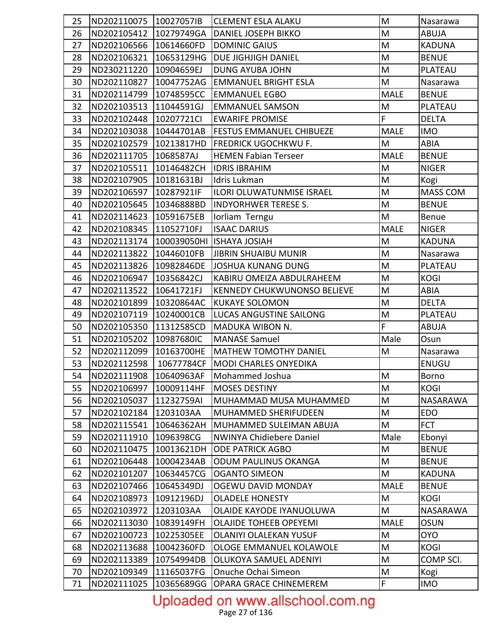| 25 | ND202110075            | 10027057IB  | <b>CLEMENT ESLA ALAKU</b>          | M              | Nasarawa        |
|----|------------------------|-------------|------------------------------------|----------------|-----------------|
| 26 | ND202105412            | 10279749GA  | <b>DANIEL JOSEPH BIKKO</b>         | M              | ABUJA           |
| 27 | ND202106566            | 10614660FD  | <b>DOMINIC GAIUS</b>               | M              | <b>KADUNA</b>   |
| 28 | ND202106321            | 10653129HG  | DUE JIGHJIGH DANIEL                | M              | <b>BENUE</b>    |
| 29 | ND230211220            | 10904659EJ  | <b>DUNG AYUBA JOHN</b>             | ${\sf M}$      | PLATEAU         |
| 30 | ND202110827            | 10047752AG  | <b>EMMANUEL BRIGHT ESLA</b>        | M              | Nasarawa        |
| 31 | ND202114799            | 10748595CC  | <b>EMMANUEL EGBO</b>               | <b>MALE</b>    | <b>BENUE</b>    |
| 32 | ND202103513            | 11044591GJ  | <b>EMMANUEL SAMSON</b>             | M              | PLATEAU         |
| 33 | ND202102448            | 10207721Cl  | <b>EWARIFE PROMISE</b>             | $\overline{F}$ | <b>DELTA</b>    |
| 34 | ND202103038            | 10444701AB  | <b>FESTUS EMMANUEL CHIBUEZE</b>    | <b>MALE</b>    | <b>IMO</b>      |
| 35 | ND202102579            | 10213817HD  | FREDRICK UGOCHKWU F.               | M              | ABIA            |
| 36 | ND202111705            | 1068587AJ   | <b>HEMEN Fabian Terseer</b>        | <b>MALE</b>    | <b>BENUE</b>    |
| 37 | ND202105511            | 10146482CH  | <b>IDRIS IBRAHIM</b>               | M              | <b>NIGER</b>    |
| 38 | ND202107905            | 10181631BJ  | Idris Lukman                       | M              | Kogi            |
| 39 | ND202106597            | 10287921IF  | <b>ILORI OLUWATUNMISE ISRAEL</b>   | M              | <b>MASS COM</b> |
| 40 | ND202105645            | 10346888BD  | <b>INDYORHWER TERESE S.</b>        | M              | <b>BENUE</b>    |
| 41 | ND202114623            | 10591675EB  | Iorliam Terngu                     | M              | Benue           |
| 42 | ND202108345            | 11052710FJ  | <b>ISAAC DARIUS</b>                | <b>MALE</b>    | <b>NIGER</b>    |
| 43 | ND202113174            | 100039050HI | <b>ISHAYA JOSIAH</b>               | ${\sf M}$      | <b>KADUNA</b>   |
| 44 | ND202113822            | 10446010FB  | <b>JIBRIN SHUAIBU MUNIR</b>        | M              | Nasarawa        |
| 45 | ND202113826            | 10982846DE  | <b>JOSHUA KUNANG DUNG</b>          | ${\sf M}$      | PLATEAU         |
| 46 | ND202106947            | 10356842CJ  | KABIRU OMEIZA ABDULRAHEEM          | M              | <b>KOGI</b>     |
| 47 | ND202113522            | 10641721FJ  | <b>KENNEDY CHUKWUNONSO BELIEVE</b> | M              | ABIA            |
| 48 | ND202101899            | 10320864AC  | <b>KUKAYE SOLOMON</b>              | M              | <b>DELTA</b>    |
| 49 | ND202107119            | 10240001CB  | LUCAS ANGUSTINE SAILONG            | M              | PLATEAU         |
| 50 | ND202105350            | 11312585CD  | MADUKA WIBON N.                    | F              | <b>ABUJA</b>    |
| 51 | ND202105202            | 10987680IC  | <b>MANASE Samuel</b>               | Male           | Osun            |
| 52 | ND202112099            | 10163700HE  | MATHEW TOMOTHY DANIEL              | M              | Nasarawa        |
| 53 | ND202112598            | 10677784CF  | <b>MODI CHARLES ONYEDIKA</b>       |                | <b>ENUGU</b>    |
| 54 | ND202111908 10640963AF |             | Mohammed Joshua                    | ${\sf M}$      | Borno           |
| 55 | ND202106997            | 10009114HF  | <b>MOSES DESTINY</b>               | M              | <b>KOGI</b>     |
| 56 | ND202105037            | 11232759AI  | MUHAMMAD MUSA MUHAMMED             | M              | <b>NASARAWA</b> |
| 57 | ND202102184            | 1203103AA   | <b>MUHAMMED SHERIFUDEEN</b>        | M              | <b>EDO</b>      |
| 58 | ND202115541            | 10646362AH  | MUHAMMED SULEIMAN ABUJA            | M              | <b>FCT</b>      |
| 59 | ND202111910            | 1096398CG   | NWINYA Chidiebere Daniel           | Male           | Ebonyi          |
| 60 | ND202110475            | 10013621DH  | <b>ODE PATRICK AGBO</b>            | M              | <b>BENUE</b>    |
| 61 | ND202106448            | 10004234AB  | <b>ODUM PAULINUS OKANGA</b>        | M              | <b>BENUE</b>    |
| 62 | ND202101207            | 10634457CG  | <b>OGANTO SIMEON</b>               | M              | <b>KADUNA</b>   |
| 63 | ND202107466            | 10645349DJ  | OGEWU DAVID MONDAY                 | <b>MALE</b>    | <b>BENUE</b>    |
| 64 | ND202108973            | 10912196DJ  | <b>OLADELE HONESTY</b>             | M              | <b>KOGI</b>     |
| 65 | ND202103972            | 1203103AA   | OLAIDE KAYODE IYANUOLUWA           | M              | NASARAWA        |
| 66 | ND202113030            | 10839149FH  | <b>OLAJIDE TOHEEB OPEYEMI</b>      | <b>MALE</b>    | <b>OSUN</b>     |
| 67 | ND202100723            | 10225305EE  | <b>OLANIYI OLALEKAN YUSUF</b>      | M              | <b>OYO</b>      |
| 68 | ND202113688            | 10042360FD  | OLOGE EMMANUEL KOLAWOLE            | M              | <b>KOGI</b>     |
| 69 | ND202113389            | 10754994DB  | <b>OLUKOYA SAMUEL ADENIYI</b>      | M              | COMP SCI.       |
| 70 | ND202109349            | 11165037FG  | Onuche Ochai Simeon                | M              | Kogi            |
| 71 | ND202111025            | 10365689GG  | OPARA GRACE CHINEMEREM             | F              | <b>IMO</b>      |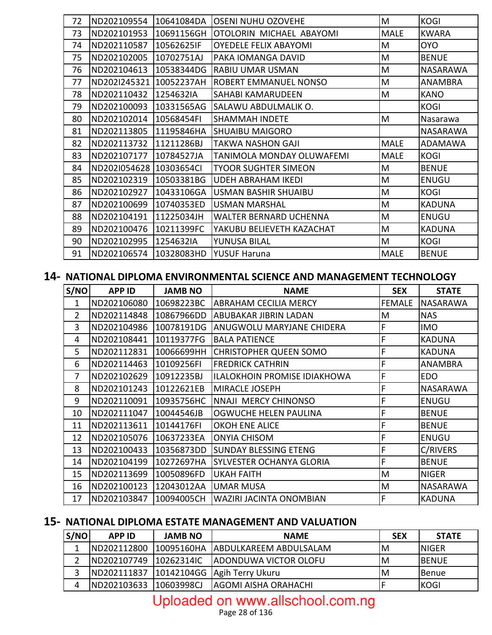| 72 | ND202109554  | 10641084DA | <b>OSENI NUHU OZOVEHE</b>    | M           | <b>KOGI</b>     |
|----|--------------|------------|------------------------------|-------------|-----------------|
| 73 | ND202101953  | 10691156GH | OTOLORIN MICHAEL ABAYOMI     | <b>MALE</b> | <b>KWARA</b>    |
| 74 | ND202110587  | 10562625IF | <b>OYEDELE FELIX ABAYOMI</b> | M           | <b>OYO</b>      |
| 75 | ND202102005  | 10702751AJ | PAKA IOMANGA DAVID           | M           | <b>BENUE</b>    |
| 76 | ND202104613  | 10538344DG | <b>RABIU UMAR USMAN</b>      | M           | NASARAWA        |
| 77 | ND202I245321 | 10052237AH | ROBERT EMMANUEL NONSO        | M           | ANAMBRA         |
| 78 | ND202110432  | 1254632IA  | SAHABI KAMARUDEEN            | M           | <b>KANO</b>     |
| 79 | ND202100093  | 10331565AG | SALAWU ABDULMALIK O.         |             | <b>KOGI</b>     |
| 80 | ND202102014  | 10568454FI | <b>SHAMMAH INDETE</b>        | M           | Nasarawa        |
| 81 | ND202113805  | 11195846HA | <b>SHUAIBU MAIGORO</b>       |             | <b>NASARAWA</b> |
| 82 | ND202113732  | 11211286BJ | TAKWA NASHON GAJI            | <b>MALE</b> | <b>ADAMAWA</b>  |
| 83 | ND202107177  | 10784527JA | TANIMOLA MONDAY OLUWAFEMI    | <b>MALE</b> | <b>KOGI</b>     |
| 84 | ND202I054628 | 10303654Cl | <b>TYOOR SUGHTER SIMEON</b>  | M           | <b>BENUE</b>    |
| 85 | ND202102319  | 10503381BG | <b>UDEH ABRAHAM IKEDI</b>    | M           | <b>ENUGU</b>    |
| 86 | ND202102927  | 10433106GA | <b>USMAN BASHIR SHUAIBU</b>  | M           | <b>KOGI</b>     |
| 87 | ND202100699  | 10740353ED | <b>USMAN MARSHAL</b>         | M           | <b>KADUNA</b>   |
| 88 | ND202104191  | 11225034JH | WALTER BERNARD UCHENNA       | M           | <b>ENUGU</b>    |
| 89 | ND202100476  | 10211399FC | YAKUBU BELIEVETH KAZACHAT    | M           | <b>KADUNA</b>   |
| 90 | ND202102995  | 1254632IA  | YUNUSA BILAL                 | M           | <b>KOGI</b>     |
| 91 | ND202106574  | 10328083HD | <b>YUSUF Haruna</b>          | <b>MALE</b> | <b>BENUE</b>    |

#### **14- NATIONAL DIPLOMA ENVIRONMENTAL SCIENCE AND MANAGEMENT TECHNOLOGY**

| S/NO           | <b>APP ID</b> | <b>JAMB NO</b> | <b>NAME</b>                         | <b>SEX</b>    | <b>STATE</b>    |
|----------------|---------------|----------------|-------------------------------------|---------------|-----------------|
| $\mathbf{1}$   | ND202106080   | 10698223BC     | <b>ABRAHAM CECILIA MERCY</b>        | <b>FEMALE</b> | <b>NASARAWA</b> |
| $\overline{2}$ | ND202114848   | 10867966DD     | <b>ABUBAKAR JIBRIN LADAN</b>        | M             | <b>NAS</b>      |
| 3              | ND202104986   | 10078191DG     | <b>ANUGWOLU MARYJANE CHIDERA</b>    | F             | <b>IMO</b>      |
| 4              | ND202108441   | 10119377FG     | <b>BALA PATIENCE</b>                | F             | <b>KADUNA</b>   |
| 5              | ND202112831   | 10066699HH     | <b>CHRISTOPHER QUEEN SOMO</b>       | F             | <b>KADUNA</b>   |
| 6              | ND202114463   | 10109256FI     | <b>FREDRICK CATHRIN</b>             | F             | <b>ANAMBRA</b>  |
| 7              | ND202102629   | 10912235BJ     | <b>ILALOKHOIN PROMISE IDIAKHOWA</b> | F             | <b>EDO</b>      |
| 8              | ND202101243   | 10122621EB     | <b>MIRACLE JOSEPH</b>               | $\mathsf F$   | <b>NASARAWA</b> |
| 9              | ND202110091   | 10935756HC     | NNAJI MERCY CHINONSO                | F             | <b>ENUGU</b>    |
| 10             | ND202111047   | 10044546JB     | OGWUCHE HELEN PAULINA               | F             | <b>BENUE</b>    |
| 11             | ND202113611   | 10144176FI     | <b>OKOH ENE ALICE</b>               | $\mathsf F$   | <b>BENUE</b>    |
| 12             | ND202105076   | 10637233EA     | <b>ONYIA CHISOM</b>                 | F             | <b>ENUGU</b>    |
| 13             | ND202100433   | 10356873DD     | <b>SUNDAY BLESSING ETENG</b>        | F             | <b>C/RIVERS</b> |
| 14             | ND202104199   | 10272697HA     | <b>SYLVESTER OCHANYA GLORIA</b>     | F             | <b>BENUE</b>    |
| 15             | ND202113699   | 10050896FD     | <b>UKAH FAITH</b>                   | M             | <b>NIGER</b>    |
| 16             | ND202100123   | 12043012AA     | <b>UMAR MUSA</b>                    | M             | <b>NASARAWA</b> |
| 17             | ND202103847   | 10094005CH     | WAZIRI JACINTA ONOMBIAN             | F             | <b>KADUNA</b>   |

#### **15- NATIONAL DIPLOMA ESTATE MANAGEMENT AND VALUATION**

| S/NO | <b>APP ID</b>          | <b>JAMB NO</b> | <b>NAME</b>                                  | <b>SEX</b> | <b>STATE</b> |
|------|------------------------|----------------|----------------------------------------------|------------|--------------|
|      | IND202112800           |                | 10095160HA ABDULKAREEM ABDULSALAM            | ΙM         | INIGER       |
|      |                        |                | ND202107749 10262314IC ADONDUWA VICTOR OLOFU | ΙM         | <b>BENUE</b> |
|      |                        |                | ND202111837   10142104GG   Agih Terry Ukuru  | ΙM         | <b>Benue</b> |
| 4    | ND202103633 10603998CJ |                | <b>AGOMI AISHA ORAHACHI</b>                  |            | <b>IKOGI</b> |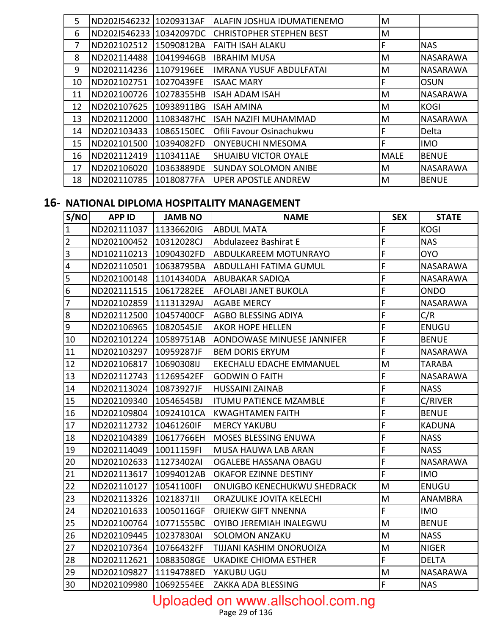| 5  | ND202I546232 10209313AF |            | ALAFIN JOSHUA IDUMATIENEMO      | M           |                 |
|----|-------------------------|------------|---------------------------------|-------------|-----------------|
| 6  | ND202I546233 10342097DC |            | <b>CHRISTOPHER STEPHEN BEST</b> | M           |                 |
| 7  | ND202102512             | 15090812BA | <b>FAITH ISAH ALAKU</b>         | F           | <b>NAS</b>      |
| 8  | ND202114488             | 10419946GB | <b>IBRAHIM MUSA</b>             | M           | <b>NASARAWA</b> |
| 9  | ND202114236             | 11079196EE | <b>IMRANA YUSUF ABDULFATAI</b>  | M           | <b>NASARAWA</b> |
| 10 | ND202102751             | 10270439FE | <b>ISAAC MARY</b>               | F           | <b>OSUN</b>     |
| 11 | ND202100726             | 10278355HB | <b>ISAH ADAM ISAH</b>           | M           | <b>NASARAWA</b> |
| 12 | ND202107625             | 10938911BG | <b>ISAH AMINA</b>               | M           | <b>KOGI</b>     |
| 13 | ND202112000             | 11083487HC | <b>ISAH NAZIFI MUHAMMAD</b>     | M           | <b>NASARAWA</b> |
| 14 | ND202103433             | 10865150EC | Ofili Favour Osinachukwu        | F           | Delta           |
| 15 | ND202101500             | 10394082FD | <b>ONYEBUCHI NMESOMA</b>        | F           | <b>IMO</b>      |
| 16 | ND202112419             | 1103411AE  | <b>SHUAIBU VICTOR OYALE</b>     | <b>MALE</b> | <b>BENUE</b>    |
| 17 | ND202106020             | 10363889DE | <b>SUNDAY SOLOMON ANIBE</b>     | M           | <b>NASARAWA</b> |
| 18 | ND202110785             | 10180877FA | <b>UPER APOSTLE ANDREW</b>      | M           | <b>BENUE</b>    |

#### **16- NATIONAL DIPLOMA HOSPITALITY MANAGEMENT**

| S/NO                    | <b>APP ID</b> | <b>JAMB NO</b> | <b>NAME</b>                     | <b>SEX</b>     | <b>STATE</b>    |
|-------------------------|---------------|----------------|---------------------------------|----------------|-----------------|
| 1                       | ND202111037   | 11336620IG     | <b>ABDUL MATA</b>               | F              | <b>KOGI</b>     |
| $\overline{2}$          | ND202100452   | 10312028CJ     | Abdulazeez Bashirat E           | F              | <b>NAS</b>      |
| 3                       | ND102110213   | 10904302FD     | ABDULKAREEM MOTUNRAYO           | $\overline{F}$ | <b>OYO</b>      |
| $\overline{\mathbf{4}}$ | ND202110501   | 10638795BA     | ABDULLAHI FATIMA GUMUL          | F              | <b>NASARAWA</b> |
| 5                       | ND202100148   | 11014340DA     | ABUBAKAR SADIQA                 | F              | NASARAWA        |
| 6                       | ND202111515   | 10617282EE     | AFOLABI JANET BUKOLA            | F              | <b>ONDO</b>     |
| 7                       | ND202102859   | 11131329AJ     | <b>AGABE MERCY</b>              | F              | <b>NASARAWA</b> |
| 8                       | ND202112500   | 10457400CF     | AGBO BLESSING ADIYA             | F              | C/R             |
| 9                       | ND202106965   | 10820545JE     | <b>AKOR HOPE HELLEN</b>         | F              | <b>ENUGU</b>    |
| 10                      | ND202101224   | 10589751AB     | AONDOWASE MINUESE JANNIFER      | F              | <b>BENUE</b>    |
| 11                      | ND202103297   | 10959287JF     | <b>BEM DORIS ERYUM</b>          | F              | <b>NASARAWA</b> |
| 12                      | ND202106817   | 10690308IJ     | <b>EKECHALU EDACHE EMMANUEL</b> | M              | <b>TARABA</b>   |
| 13                      | ND202112743   | 11269542EF     | <b>GODWIN O FAITH</b>           | F              | <b>NASARAWA</b> |
| 14                      | ND202113024   | 10873927JF     | <b>HUSSAINI ZAINAB</b>          | F              | <b>NASS</b>     |
| 15                      | ND202109340   | 10546545BJ     | <b>ITUMU PATIENCE MZAMBLE</b>   | F              | C/RIVER         |
| 16                      | ND202109804   | 10924101CA     | <b>KWAGHTAMEN FAITH</b>         | F              | <b>BENUE</b>    |
| 17                      | ND202112732   | 10461260IF     | <b>MERCY YAKUBU</b>             | $\overline{F}$ | <b>KADUNA</b>   |
| 18                      | ND202104389   | 10617766EH     | <b>MOSES BLESSING ENUWA</b>     | F              | <b>NASS</b>     |
| 19                      | ND202114049   | 10011159FI     | MUSA HAUWA LAB ARAN             | F              | <b>NASS</b>     |
| 20                      | ND202102633   | 11273402AI     | OGALEBE HASSANA OBAGU           | F              | <b>NASARAWA</b> |
| 21                      | ND202113617   | 10994012AB     | OKAFOR EZINNE DESTINY           | F              | <b>IMO</b>      |
| 22                      | ND202110127   | 10541100FI     | ONUIGBO KENECHUKWU SHEDRACK     | M              | <b>ENUGU</b>    |
| 23                      | ND202113326   | 10218371II     | ORAZULIKE JOVITA KELECHI        | M              | ANAMBRA         |
| 24                      | ND202101633   | 10050116GF     | <b>ORJIEKW GIFT NNENNA</b>      | F              | <b>IMO</b>      |
| 25                      | ND202100764   | 10771555BC     | OYIBO JEREMIAH INALEGWU         | M              | <b>BENUE</b>    |
| 26                      | ND202109445   | 10237830AI     | <b>SOLOMON ANZAKU</b>           | M              | <b>NASS</b>     |
| 27                      | ND202107364   | 10766432FF     | TIJJANI KASHIM ONORUOIZA        | M              | <b>NIGER</b>    |
| 28                      | ND202112621   | 10883508GE     | <b>UKADIKE CHIOMA ESTHER</b>    | $\overline{F}$ | <b>DELTA</b>    |
| 29                      | ND202109827   | 11194788ED     | YAKUBU UGU                      | M              | NASARAWA        |
| 30                      | ND202109980   | 10692554EE     | ZAKKA ADA BLESSING              | F              | <b>NAS</b>      |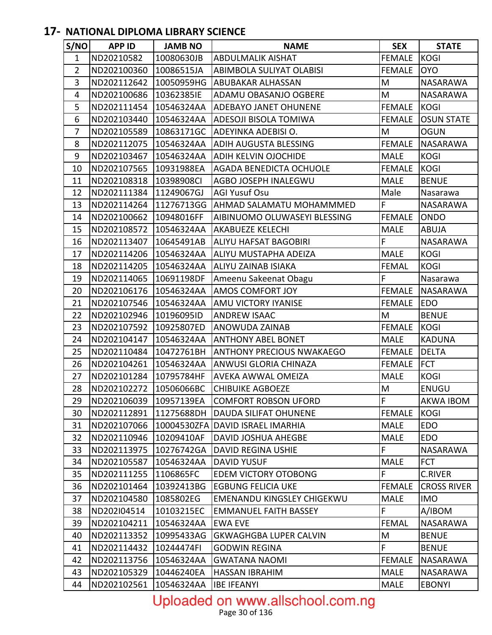#### **17- NATIONAL DIPLOMA LIBRARY SCIENCE**

| S/NO           | <b>APP ID</b>          | <b>JAMB NO</b> | <b>NAME</b>                      | <b>SEX</b>    | <b>STATE</b>       |
|----------------|------------------------|----------------|----------------------------------|---------------|--------------------|
| 1              | ND20210582             | 10080630JB     | <b>ABDULMALIK AISHAT</b>         | <b>FEMALE</b> | <b>KOGI</b>        |
| $\overline{2}$ | ND202100360            | 10086515JA     | ABIMBOLA SULIYAT OLABISI         | <b>FEMALE</b> | <b>OYO</b>         |
| 3              | ND202112642            | 10050959HG     | <b>ABUBAKAR ALHASSAN</b>         | M             | NASARAWA           |
| 4              | ND202100686            | 10362385IE     | ADAMU OBASANJO OGBERE            | M             | NASARAWA           |
| 5              | ND202111454            | 10546324AA     | <b>ADEBAYO JANET OHUNENE</b>     | <b>FEMALE</b> | <b>KOGI</b>        |
| 6              | ND202103440            | 10546324AA     | <b>ADESOJI BISOLA TOMIWA</b>     | <b>FEMALE</b> | <b>OSUN STATE</b>  |
| $\overline{7}$ | ND202105589            | 10863171GC     | ADEYINKA ADEBISI O.              | M             | <b>OGUN</b>        |
| 8              | ND202112075            | 10546324AA     | <b>ADIH AUGUSTA BLESSING</b>     | <b>FEMALE</b> | NASARAWA           |
| 9              | ND202103467            | 10546324AA     | ADIH KELVIN OJOCHIDE             | <b>MALE</b>   | <b>KOGI</b>        |
| 10             | ND202107565            | 10931988EA     | <b>AGADA BENEDICTA OCHUOLE</b>   | <b>FEMALE</b> | <b>KOGI</b>        |
| 11             | ND202108318            | 10398908CI     | AGBO JOSEPH INALEGWU             | <b>MALE</b>   | <b>BENUE</b>       |
| 12             | ND202111384            | 11249067GJ     | <b>AGI Yusuf Osu</b>             | Male          | Nasarawa           |
| 13             | ND202114264            | 11276713GG     | <b>AHMAD SALAMATU MOHAMMMED</b>  | F             | NASARAWA           |
| 14             | ND202100662            | 10948016FF     | AIBINUOMO OLUWASEYI BLESSING     | <b>FEMALE</b> | <b>ONDO</b>        |
| 15             | ND202108572            | 10546324AA     | <b>AKABUEZE KELECHI</b>          | <b>MALE</b>   | ABUJA              |
| 16             | ND202113407            | 10645491AB     | ALIYU HAFSAT BAGOBIRI            | F             | <b>NASARAWA</b>    |
| 17             | ND202114206            | 10546324AA     | <b>ALIYU MUSTAPHA ADEIZA</b>     | <b>MALE</b>   | <b>KOGI</b>        |
| 18             | ND202114205            | 10546324AA     | <b>ALIYU ZAINAB ISIAKA</b>       | <b>FEMAL</b>  | <b>KOGI</b>        |
| 19             | ND202114065            | 10691198DF     | Ameenu Sakeenat Obagu            | F.            | Nasarawa           |
| 20             | ND202106176            | 10546324AA     | AMOS COMFORT JOY                 | <b>FEMALE</b> | NASARAWA           |
| 21             | ND202107546            | 10546324AA     | <b>AMU VICTORY IYANISE</b>       | <b>FEMALE</b> | <b>EDO</b>         |
| 22             | ND202102946            | 10196095ID     | <b>ANDREW ISAAC</b>              | M             | <b>BENUE</b>       |
| 23             | ND202107592            | 10925807ED     | <b>ANOWUDA ZAINAB</b>            | <b>FEMALE</b> | <b>KOGI</b>        |
| 24             | ND202104147            | 10546324AA     | <b>ANTHONY ABEL BONET</b>        | <b>MALE</b>   | <b>KADUNA</b>      |
| 25             | ND202110484            | 10472761BH     | <b>ANTHONY PRECIOUS NWAKAEGO</b> | <b>FEMALE</b> | <b>DELTA</b>       |
| 26             | ND202104261            | 10546324AA     | <b>ANWUSI GLORIA CHINAZA</b>     | <b>FEMALE</b> | <b>FCT</b>         |
| 27             | ND202101284            | 10795784HF     | <b>AVEKA AWWAL OMEIZA</b>        | <b>MALE</b>   | <b>KOGI</b>        |
| 28             | ND202102272            | 10506066BC     | <b>CHIBUIKE AGBOEZE</b>          | M             | <b>ENUGU</b>       |
| 29             | ND202106039 10957139EA |                | COMFORT ROBSON UFORD             | $\mathsf F$   | AKWA IBOM          |
| 30             | ND202112891            | 11275688DH     | <b>DAUDA SILIFAT OHUNENE</b>     | <b>FEMALE</b> | <b>KOGI</b>        |
| 31             | ND202107066            |                | 10004530ZFA DAVID ISRAEL IMARHIA | <b>MALE</b>   | <b>EDO</b>         |
| 32             | ND202110946            | 10209410AF     | <b>DAVID JOSHUA AHEGBE</b>       | <b>MALE</b>   | <b>EDO</b>         |
| 33             | ND202113975            | 10276742GA     | <b>DAVID REGINA USHIE</b>        | F             | NASARAWA           |
| 34             | ND202105587            | 10546324AA     | <b>DAVID YUSUF</b>               | <b>MALE</b>   | <b>FCT</b>         |
| 35             | ND202111255            | 1106865FC      | <b>EDEM VICTORY OTOBONG</b>      | F             | <b>C.RIVER</b>     |
| 36             | ND202101464            | 10392413BG     | <b>EGBUNG FELICIA UKE</b>        | <b>FEMALE</b> | <b>CROSS RIVER</b> |
| 37             | ND202104580            | 1085802EG      | EMENANDU KINGSLEY CHIGEKWU       | <b>MALE</b>   | <b>IMO</b>         |
| 38             | ND202I04514            | 10103215EC     | <b>EMMANUEL FAITH BASSEY</b>     | F             | A/IBOM             |
| 39             | ND202104211            | 10546324AA     | <b>EWA EVE</b>                   | <b>FEMAL</b>  | NASARAWA           |
| 40             | ND202113352            | 10995433AG     | <b>GKWAGHGBA LUPER CALVIN</b>    | M             | <b>BENUE</b>       |
| 41             | ND202114432            | 10244474FI     | <b>GODWIN REGINA</b>             | F.            | <b>BENUE</b>       |
| 42             | ND202113756            | 10546324AA     | <b>GWATANA NAOMI</b>             | <b>FEMALE</b> | NASARAWA           |
| 43             | ND202105329            | 10446240EA     | <b>HASSAN IBRAHIM</b>            | <b>MALE</b>   | NASARAWA           |
| 44             | ND202102561            | 10546324AA     | <b>IBE IFEANYI</b>               | <b>MALE</b>   | <b>EBONYI</b>      |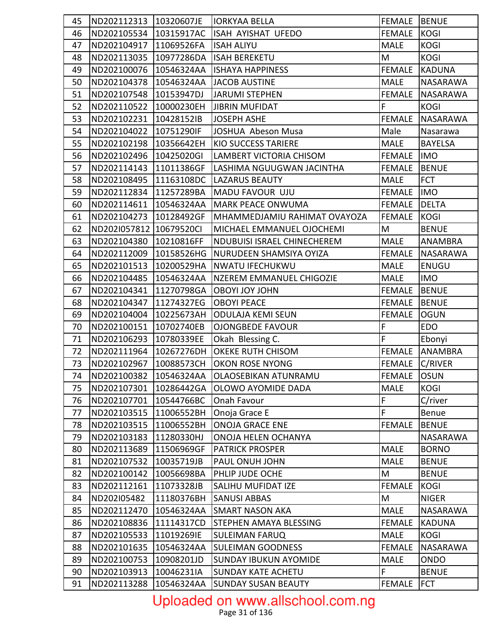| 45 | ND202112313            | 10320607JE | <b>IORKYAA BELLA</b>         | FEMALE BENUE   |                 |
|----|------------------------|------------|------------------------------|----------------|-----------------|
| 46 | ND202105534            | 10315917AC | ISAH AYISHAT UFEDO           | <b>FEMALE</b>  | <b>KOGI</b>     |
| 47 | ND202104917            | 11069526FA | <b>ISAH ALIYU</b>            | <b>MALE</b>    | <b>KOGI</b>     |
| 48 | ND202113035            | 10977286DA | <b>ISAH BEREKETU</b>         | M              | <b>KOGI</b>     |
| 49 | ND202100076            | 10546324AA | <b>ISHAYA HAPPINESS</b>      | <b>FEMALE</b>  | <b>KADUNA</b>   |
| 50 | ND202104378            | 10546324AA | <b>JACOB AUSTINE</b>         | <b>MALE</b>    | <b>NASARAWA</b> |
| 51 | ND202107548            | 10153947DJ | <b>JARUMI STEPHEN</b>        | <b>FEMALE</b>  | <b>NASARAWA</b> |
| 52 | ND202110522            | 10000230EH | <b>JIBRIN MUFIDAT</b>        | $\mathsf{F}$   | <b>KOGI</b>     |
| 53 | ND202102231            | 10428152IB | <b>JOSEPH ASHE</b>           | <b>FEMALE</b>  | NASARAWA        |
| 54 | ND202104022            | 10751290IF | JOSHUA Abeson Musa           | Male           | Nasarawa        |
| 55 | ND202102198            | 10356642EH | <b>KIO SUCCESS TARIERE</b>   | <b>MALE</b>    | <b>BAYELSA</b>  |
| 56 | ND202102496            | 10425020GI | LAMBERT VICTORIA CHISOM      | <b>FEMALE</b>  | <b>IMO</b>      |
| 57 | ND202114143            | 11011386GF | LASHIMA NGUUGWAN JACINTHA    | <b>FEMALE</b>  | <b>BENUE</b>    |
| 58 | ND202108495            | 11163108DC | <b>LAZARUS BEAUTY</b>        | <b>MALE</b>    | <b>FCT</b>      |
| 59 | ND202112834            | 11257289BA | MADU FAVOUR UJU              | <b>FEMALE</b>  | <b>IMO</b>      |
| 60 | ND202114611            | 10546324AA | <b>MARK PEACE ONWUMA</b>     | FEMALE         | <b>DELTA</b>    |
| 61 | ND202104273            | 10128492GF | MHAMMEDJAMIU RAHIMAT OVAYOZA | <b>FEMALE</b>  | <b>KOGI</b>     |
| 62 | ND202I057812           | 10679520Cl | MICHAEL EMMANUEL OJOCHEMI    | M              | <b>BENUE</b>    |
| 63 | ND202104380            | 10210816FF | NDUBUISI ISRAEL CHINECHEREM  | <b>MALE</b>    | ANAMBRA         |
| 64 | ND202112009            | 10158526HG | NURUDEEN SHAMSIYA OYIZA      | <b>FEMALE</b>  | <b>NASARAWA</b> |
| 65 | ND202101513            | 10200529HA | NWATU IFECHUKWU              | <b>MALE</b>    | <b>ENUGU</b>    |
| 66 | ND202104485            | 10546324AA | NZEREM EMMANUEL CHIGOZIE     | <b>MALE</b>    | <b>IMO</b>      |
| 67 | ND202104341            | 11270798GA | <b>OBOYI JOY JOHN</b>        | <b>FEMALE</b>  | <b>BENUE</b>    |
| 68 | ND202104347            | 11274327EG | <b>OBOYI PEACE</b>           | <b>FEMALE</b>  | <b>BENUE</b>    |
| 69 | ND202104004            | 10225673AH | <b>ODULAJA KEMI SEUN</b>     | <b>FEMALE</b>  | <b>OGUN</b>     |
| 70 | ND202100151            | 10702740EB | <b>OJONGBEDE FAVOUR</b>      | $\mathsf F$    | <b>EDO</b>      |
| 71 | ND202106293            | 10780339EE | Okah Blessing C.             | $\overline{F}$ | Ebonyi          |
| 72 | ND202111964            | 10267276DH | OKEKE RUTH CHISOM            | FEMALE         | <b>ANAMBRA</b>  |
| 73 | ND202102967            | 10088573CH | <b>OKON ROSE NYONG</b>       | FEMALE         | C/RIVER         |
| 74 | ND202100382 10546324AA |            | <b>OLAOSEBIKAN ATUNRAMU</b>  | FEMALE OSUN    |                 |
| 75 | ND202107301            | 10286442GA | OLOWO AYOMIDE DADA           | <b>MALE</b>    | <b>KOGI</b>     |
| 76 | ND202107701            | 10544766BC | Onah Favour                  | $\mathsf F$    | C/river         |
| 77 | ND202103515            | 11006552BH | Onoja Grace E                | $\mathsf{F}$   | <b>Benue</b>    |
| 78 | ND202103515            | 11006552BH | <b>ONOJA GRACE ENE</b>       | <b>FEMALE</b>  | <b>BENUE</b>    |
| 79 | ND202103183            | 11280330HJ | ONOJA HELEN OCHANYA          |                | NASARAWA        |
| 80 | ND202113689            | 11506969GF | <b>PATRICK PROSPER</b>       | <b>MALE</b>    | <b>BORNO</b>    |
| 81 | ND202107532            | 10035719JB | PAUL ONUH JOHN               | <b>MALE</b>    | <b>BENUE</b>    |
| 82 | ND202100142            | 10056698BA | PHLIP JUDE OCHE              | M              | <b>BENUE</b>    |
| 83 | ND202112161            | 11073328JB | SALIHU MUFIDAT IZE           | <b>FEMALE</b>  | <b>KOGI</b>     |
| 84 | ND202I05482            | 11180376BH | <b>SANUSI ABBAS</b>          | M              | <b>NIGER</b>    |
| 85 | ND202112470            | 10546324AA | <b>SMART NASON AKA</b>       | <b>MALE</b>    | NASARAWA        |
| 86 | ND202108836            | 11114317CD | STEPHEN AMAYA BLESSING       | <b>FEMALE</b>  | <b>KADUNA</b>   |
| 87 | ND202105533            | 11019269IE | <b>SULEIMAN FARUQ</b>        | <b>MALE</b>    | <b>KOGI</b>     |
| 88 | ND202101635            | 10546324AA | <b>SULEIMAN GOODNESS</b>     | <b>FEMALE</b>  | NASARAWA        |
| 89 | ND202100753            | 10908201JD | <b>SUNDAY IBUKUN AYOMIDE</b> | <b>MALE</b>    | ONDO            |
| 90 | ND202103913            | 10046231IA | <b>SUNDAY KATE ACHETU</b>    | $\mathsf{F}$   | <b>BENUE</b>    |
| 91 | ND202113288            | 10546324AA | <b>SUNDAY SUSAN BEAUTY</b>   | <b>FEMALE</b>  | <b>FCT</b>      |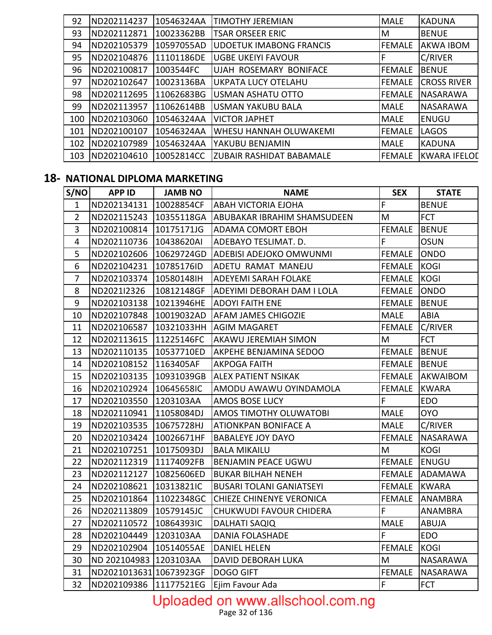| 92  | ND202114237 | 10546324AA | TIMOTHY JEREMIAN                | <b>MALE</b>   | <b>KADUNA</b>       |
|-----|-------------|------------|---------------------------------|---------------|---------------------|
| 93  | ND202112871 | 10023362BB | <b>TSAR ORSEER ERIC</b>         | M             | <b>BENUE</b>        |
| 94  | ND202105379 | 10597055AD | <b>UDOETUK IMABONG FRANCIS</b>  | <b>FEMALE</b> | <b>AKWA IBOM</b>    |
| 95  | ND202104876 | 11101186DE | <b>UGBE UKEIYI FAVOUR</b>       |               | <b>C/RIVER</b>      |
| 96  | ND202100817 | 1003544FC  | UJAH ROSEMARY BONIFACE          | <b>FEMALE</b> | <b>BENUE</b>        |
| 97  | ND202102647 | 10023136BA | <b>UKPATA LUCY OTELAHU</b>      | <b>FEMALE</b> | <b>CROSS RIVER</b>  |
| 98  | ND202112695 | 11062683BG | <b>USMAN ASHATU OTTO</b>        | FEMALE        | <b>NASARAWA</b>     |
| 99  | ND202113957 | 11062614BB | USMAN YAKUBU BALA               | <b>MALE</b>   | <b>NASARAWA</b>     |
| 100 | ND202103060 | 10546324AA | <b>VICTOR JAPHET</b>            | <b>MALE</b>   | <b>ENUGU</b>        |
| 101 | ND202100107 | 10546324AA | WHESU HANNAH OLUWAKEMI          | <b>FEMALE</b> | <b>LAGOS</b>        |
| 102 | ND202107989 | 10546324AA | YAKUBU BENJAMIN                 | <b>MALE</b>   | <b>KADUNA</b>       |
| 103 | ND202104610 | 10052814CC | <b>ZUBAIR RASHIDAT BABAMALE</b> | <b>FEMALE</b> | <b>KWARA IFELOL</b> |

# **18- NATIONAL DIPLOMA MARKETING**

| S/NO           | <b>APP ID</b>           | <b>JAMB NO</b> | <b>NAME</b>                        | <b>SEX</b>     | <b>STATE</b>    |
|----------------|-------------------------|----------------|------------------------------------|----------------|-----------------|
| $\mathbf{1}$   | ND202134131             | 10028854CF     | <b>ABAH VICTORIA EJOHA</b>         | F              | <b>BENUE</b>    |
| $\overline{2}$ | ND202115243             | 10355118GA     | <b>ABUBAKAR IBRAHIM SHAMSUDEEN</b> | M              | <b>FCT</b>      |
| $\overline{3}$ | ND202100814             | 10175171JG     | <b>ADAMA COMORT EBOH</b>           | <b>FEMALE</b>  | <b>BENUE</b>    |
| 4              | ND202110736             | 10438620AI     | ADEBAYO TESLIMAT. D.               | F              | <b>OSUN</b>     |
| 5              | ND202102606             | 10629724GD     | ADEBISI ADEJOKO OMWUNMI            | <b>FEMALE</b>  | <b>ONDO</b>     |
| 6              | ND202104231             | 10785176ID     | ADETU RAMAT MANEJU                 | <b>FEMALE</b>  | <b>KOGI</b>     |
| $\overline{7}$ | ND202103374             | 10580148IH     | <b>ADEYEMI SARAH FOLAKE</b>        | <b>FEMALE</b>  | <b>KOGI</b>     |
| 8              | ND2021I2326             | 10812148GF     | ADEYIMI DEBORAH DAM I LOLA         | <b>FEMALE</b>  | <b>ONDO</b>     |
| 9              | ND202103138             | 10213946HE     | <b>ADOYI FAITH ENE</b>             | <b>FEMALE</b>  | <b>BENUE</b>    |
| 10             | ND202107848             | 10019032AD     | <b>AFAM JAMES CHIGOZIE</b>         | <b>MALE</b>    | ABIA            |
| 11             | ND202106587             | 10321033HH     | <b>AGIM MAGARET</b>                | <b>FEMALE</b>  | C/RIVER         |
| 12             | ND202113615             | 11225146FC     | <b>AKAWU JEREMIAH SIMON</b>        | M              | <b>FCT</b>      |
| 13             | ND202110135             | 10537710ED     | <b>AKPEHE BENJAMINA SEDOO</b>      | <b>FEMALE</b>  | BENUE           |
| 14             | ND202108152             | 1163405AF      | <b>AKPOGA FAITH</b>                | <b>FEMALE</b>  | <b>BENUE</b>    |
| 15             | ND202103135             | 10931039GB     | <b>ALEX PATIENT NSIKAK</b>         | <b>FEMALE</b>  | AKWAIBOM        |
| 16             | ND202102924             | 10645658IC     | AMODU AWAWU OYINDAMOLA             | <b>FEMALE</b>  | <b>KWARA</b>    |
| 17             | ND202103550             | 1203103AA      | AMOS BOSE LUCY                     | F              | <b>EDO</b>      |
| 18             | ND202110941             | 11058084DJ     | AMOS TIMOTHY OLUWATOBI             | <b>MALE</b>    | <b>OYO</b>      |
| 19             | ND202103535             | 10675728HJ     | <b>ATIONKPAN BONIFACE A</b>        | <b>MALE</b>    | C/RIVER         |
| 20             | ND202103424             | 10026671HF     | <b>BABALEYE JOY DAYO</b>           | <b>FEMALE</b>  | <b>NASARAWA</b> |
| 21             | ND202107251             | 10175093DJ     | <b>BALA MIKAILU</b>                | M              | <b>KOGI</b>     |
| 22             | ND202112319             | 11174092FB     | BENJAMIN PEACE UGWU                | FEMALE ENUGU   |                 |
| 23             | ND202112127             | 10825606ED     | <b>BUKAR BILHAH NENEH</b>          | <b>FEMALE</b>  | <b>ADAMAWA</b>  |
| 24             | ND202108621             | 10313821IC     | <b>BUSARI TOLANI GANIATSEYI</b>    | <b>FEMALE</b>  | <b>KWARA</b>    |
| 25             | ND202101864             | 11022348GC     | CHIEZE CHINENYE VERONICA           | <b>FEMALE</b>  | <b>ANAMBRA</b>  |
| 26             | ND202113809             | 10579145JC     | CHUKWUDI FAVOUR CHIDERA            | F              | ANAMBRA         |
| 27             | ND202110572             | 10864393IC     | <b>DALHATI SAQIQ</b>               | <b>MALE</b>    | ABUJA           |
| 28             | ND202104449             | 1203103AA      | <b>DANIA FOLASHADE</b>             | F              | <b>EDO</b>      |
| 29             | ND202102904             | 10514055AE     | <b>DANIEL HELEN</b>                | <b>FEMALE</b>  | <b>KOGI</b>     |
| 30             | ND 202104983 1203103AA  |                | DAVID DEBORAH LUKA                 | M              | NASARAWA        |
| 31             | ND2021013631 10673923GF |                | <b>DOGO GIFT</b>                   | <b>FEMALE</b>  | NASARAWA        |
| 32             | ND202109386 11177521EG  |                | Ejim Favour Ada                    | $\overline{F}$ | <b>FCT</b>      |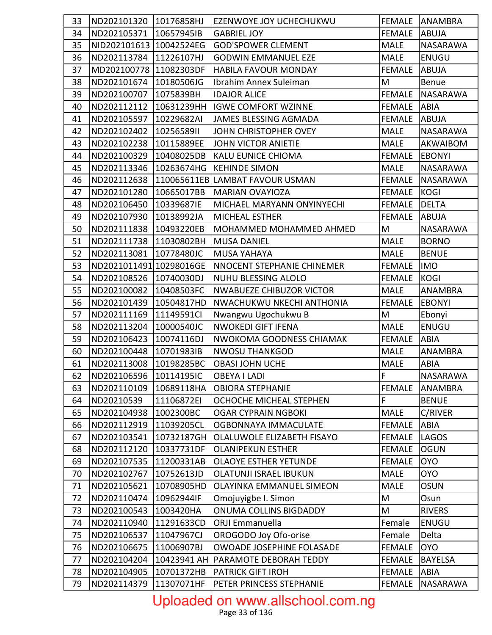| 33 | ND202101320 10176858HJ    |             | <b>EZENWOYE JOY UCHECHUKWU</b>   |               | FEMALE ANAMBRA  |
|----|---------------------------|-------------|----------------------------------|---------------|-----------------|
| 34 | ND202105371               | 10657945IB  | <b>GABRIEL JOY</b>               | <b>FEMALE</b> | <b>ABUJA</b>    |
| 35 | NID202101613   10042524EG |             | <b>GOD'SPOWER CLEMENT</b>        | <b>MALE</b>   | NASARAWA        |
| 36 | ND202113784               | 11226107HJ  | <b>GODWIN EMMANUEL EZE</b>       | <b>MALE</b>   | ENUGU           |
| 37 | MD202100778 11082303DF    |             | <b>HABILA FAVOUR MONDAY</b>      | <b>FEMALE</b> | <b>ABUJA</b>    |
| 38 | ND202101674               | 10180506JG  | Ibrahim Annex Suleiman           | M             | Benue           |
| 39 | ND202100707               | 1075839BH   | <b>IDAJOR ALICE</b>              | <b>FEMALE</b> | <b>NASARAWA</b> |
| 40 | ND202112112               | 10631239HH  | <b>IGWE COMFORT WZINNE</b>       | FEMALE        | <b>ABIA</b>     |
| 41 | ND202105597               | 10229682AI  | <b>JAMES BLESSING AGMADA</b>     | FEMALE        | <b>ABUJA</b>    |
| 42 | ND202102402               | 1025658911  | JOHN CHRISTOPHER OVEY            | <b>MALE</b>   | NASARAWA        |
| 43 | ND202102238               | 10115889EE  | <b>JOHN VICTOR ANIETIE</b>       | <b>MALE</b>   | AKWAIBOM        |
| 44 | ND202100329               | 10408025DB  | <b>KALU EUNICE CHIOMA</b>        | <b>FEMALE</b> | <b>EBONYI</b>   |
| 45 | ND202113346               | 10263674HG  | <b>KEHINDE SIMON</b>             | <b>MALE</b>   | NASARAWA        |
| 46 | ND202112638               |             | 110065611EB LAMBAT FAVOUR USMAN  | <b>FEMALE</b> | <b>NASARAWA</b> |
| 47 | ND202101280               | 10665017BB  | <b>MARIAN OVAYIOZA</b>           | <b>FEMALE</b> | <b>KOGI</b>     |
| 48 | ND202106450               | 10339687IE  | MICHAEL MARYANN ONYINYECHI       | FEMALE        | <b>DELTA</b>    |
| 49 | ND202107930               | 10138992JA  | MICHEAL ESTHER                   | <b>FEMALE</b> | <b>ABUJA</b>    |
| 50 | ND202111838               | 10493220EB  | MOHAMMED MOHAMMED AHMED          | M             | NASARAWA        |
| 51 | ND202111738               | 11030802BH  | <b>MUSA DANIEL</b>               | <b>MALE</b>   | <b>BORNO</b>    |
| 52 | ND202113081               | 10778480JC  | <b>MUSA YAHAYA</b>               | <b>MALE</b>   | <b>BENUE</b>    |
| 53 | ND2021011491 10298016GE   |             | NNOCENT STEPHANIE CHINEMER       | <b>FEMALE</b> | <b>IMO</b>      |
| 54 | ND202108526               | 10740030DJ  | <b>NUHU BLESSING ALOLO</b>       | <b>FEMALE</b> | <b>KOGI</b>     |
| 55 | ND202100082               | 10408503FC  | <b>NWABUEZE CHIBUZOR VICTOR</b>  | <b>MALE</b>   | ANAMBRA         |
| 56 | ND202101439               | 10504817HD  | NWACHUKWU NKECHI ANTHONIA        | <b>FEMALE</b> | <b>EBONYI</b>   |
| 57 | ND202111169               | 11149591Cl  | Nwangwu Ugochukwu B              | M             | Ebonyi          |
| 58 | ND202113204               | 10000540JC  | <b>NWOKEDI GIFT IFENA</b>        | <b>MALE</b>   | ENUGU           |
| 59 | ND202106423               | 10074116DJ  | NWOKOMA GOODNESS CHIAMAK         | <b>FEMALE</b> | <b>ABIA</b>     |
| 60 | ND202100448               | 10701983IB  | <b>NWOSU THANKGOD</b>            | <b>MALE</b>   | ANAMBRA         |
| 61 | ND202113008               | 10198285BC  | <b>OBASI JOHN UCHE</b>           | <b>MALE</b>   | <b>ABIA</b>     |
| 62 | ND202106596 10114195IC    |             | <b>OBEYA I LADI</b>              | F             | <b>NASARAWA</b> |
| 63 | ND202110109               | 10689118HA  | <b>OBIORA STEPHANIE</b>          | <b>FEMALE</b> | <b>ANAMBRA</b>  |
| 64 | ND20210539                | 11106872EI  | OCHOCHE MICHEAL STEPHEN          | $\mathsf{F}$  | <b>BENUE</b>    |
| 65 | ND202104938               | 1002300BC   | <b>OGAR CYPRAIN NGBOKI</b>       | <b>MALE</b>   | C/RIVER         |
| 66 | ND202112919               | 11039205CL  | OGBONNAYA IMMACULATE             | <b>FEMALE</b> | ABIA            |
| 67 | ND202103541               | 10732187GH  | OLALUWOLE ELIZABETH FISAYO       | <b>FEMALE</b> | <b>LAGOS</b>    |
| 68 | ND202112120               | 10337731DF  | <b>OLANIPEKUN ESTHER</b>         | <b>FEMALE</b> | <b>OGUN</b>     |
| 69 | ND202107535               | 11200331AB  | <b>OLAOYE ESTHER YETUNDE</b>     | <b>FEMALE</b> | <b>OYO</b>      |
| 70 | ND202102767               | 10752613JD  | <b>OLATUNJI ISRAEL IBUKUN</b>    | <b>MALE</b>   | OYO             |
| 71 | ND202105621               | 10708905HD  | OLAYINKA EMMANUEL SIMEON         | <b>MALE</b>   | <b>OSUN</b>     |
| 72 | ND202110474               | 10962944IF  | Omojuyigbe I. Simon              | M             | Osun            |
| 73 | ND202100543               | 1003420HA   | ONUMA COLLINS BIGDADDY           | M             | <b>RIVERS</b>   |
| 74 | ND202110940               | 11291633CD  | ORJI Emmanuella                  | Female        | <b>ENUGU</b>    |
| 75 | ND202106537               | 11047967CJ  | OROGODO Joy Ofo-orise            | Female        | Delta           |
| 76 | ND202106675               | 11006907BJ  | <b>OWOADE JOSEPHINE FOLASADE</b> | <b>FEMALE</b> | <b>OYO</b>      |
| 77 | ND202104204               | 10423941 AH | PARAMOTE DEBORAH TEDDY           | <b>FEMALE</b> | <b>BAYELSA</b>  |
| 78 | ND202104905               | 10701372HB  | PATRICK GIFT IROH                | <b>FEMALE</b> | <b>ABIA</b>     |
| 79 | ND202114379               | 11307071HF  | PETER PRINCESS STEPHANIE         | <b>FEMALE</b> | NASARAWA        |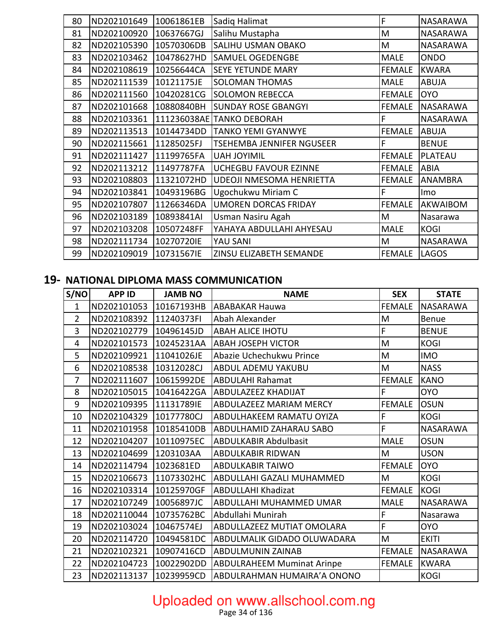| 80 | ND202101649 | 10061861EB | Sadiq Halimat                    | $\mathsf F$   | <b>NASARAWA</b> |
|----|-------------|------------|----------------------------------|---------------|-----------------|
| 81 | ND202100920 | 10637667GJ | Salihu Mustapha                  | M             | <b>NASARAWA</b> |
| 82 | ND202105390 | 10570306DB | SALIHU USMAN OBAKO               | M             | NASARAWA        |
| 83 | ND202103462 | 10478627HD | SAMUEL OGEDENGBE                 | <b>MALE</b>   | <b>ONDO</b>     |
| 84 | ND202108619 | 10256644CA | SEYE YETUNDE MARY                | <b>FEMALE</b> | <b>KWARA</b>    |
| 85 | ND202111539 | 10121175JE | <b>SOLOMAN THOMAS</b>            | <b>MALE</b>   | <b>ABUJA</b>    |
| 86 | ND202111560 | 10420281CG | <b>SOLOMON REBECCA</b>           | <b>FEMALE</b> | <b>OYO</b>      |
| 87 | ND202101668 | 10880840BH | <b>SUNDAY ROSE GBANGYI</b>       | <b>FEMALE</b> | <b>NASARAWA</b> |
| 88 | ND202103361 |            | 111236038AE TANKO DEBORAH        | F             | <b>NASARAWA</b> |
| 89 | ND202113513 | 10144734DD | <b>TANKO YEMI GYANWYE</b>        | <b>FEMALE</b> | <b>ABUJA</b>    |
| 90 | ND202115661 | 11285025FJ | <b>TSEHEMBA JENNIFER NGUSEER</b> | F             | <b>BENUE</b>    |
| 91 | ND202111427 | 11199765FA | <b>UAH JOYIMIL</b>               | <b>FEMALE</b> | PLATEAU         |
| 92 | ND202113212 | 11497787FA | <b>UCHEGBU FAVOUR EZINNE</b>     | <b>FEMALE</b> | <b>ABIA</b>     |
| 93 | ND202108803 | 11321072HD | UDEOJI NMESOMA HENRIETTA         | <b>FEMALE</b> | ANAMBRA         |
| 94 | ND202103841 | 10493196BG | Ugochukwu Miriam C               | F             | <b>Imo</b>      |
| 95 | ND202107807 | 11266346DA | <b>UMOREN DORCAS FRIDAY</b>      | <b>FEMALE</b> | <b>AKWAIBOM</b> |
| 96 | ND202103189 | 10893841AI | Usman Nasiru Agah                | M             | Nasarawa        |
| 97 | ND202103208 | 10507248FF | YAHAYA ABDULLAHI AHYESAU         | <b>MALE</b>   | <b>KOGI</b>     |
| 98 | ND202111734 | 10270720IE | YAU SANI                         | M             | NASARAWA        |
| 99 | ND202109019 | 10731567IE | ZINSU ELIZABETH SEMANDE          | <b>FEMALE</b> | <b>LAGOS</b>    |

#### **19- NATIONAL DIPLOMA MASS COMMUNICATION**

| S/NO           | <b>APP ID</b> | <b>JAMB NO</b> | <b>NAME</b>                       | <b>SEX</b>    | <b>STATE</b>    |
|----------------|---------------|----------------|-----------------------------------|---------------|-----------------|
| $\mathbf{1}$   | ND202101053   | 10167193HB     | <b>ABABAKAR Hauwa</b>             | <b>FEMALE</b> | <b>NASARAWA</b> |
| $\overline{2}$ | ND202108392   | 11240373FI     | Abah Alexander                    | M             | <b>Benue</b>    |
| 3              | ND202102779   | 10496145JD     | <b>ABAH ALICE IHOTU</b>           | F             | <b>BENUE</b>    |
| 4              | ND202101573   | 10245231AA     | <b>ABAH JOSEPH VICTOR</b>         | M             | <b>KOGI</b>     |
| 5              | ND202109921   | 11041026JE     | Abazie Uchechukwu Prince          | M             | <b>IMO</b>      |
| 6              | ND202108538   | 10312028CJ     | ABDUL ADEMU YAKUBU                | M             | <b>NASS</b>     |
| 7              | ND202111607   | 10615992DE     | <b>ABDULAHI Rahamat</b>           | <b>FEMALE</b> | <b>KANO</b>     |
| 8              | ND202105015   | 10416422GA     | <b>ABDULAZEEZ KHADIJAT</b>        | F             | <b>OYO</b>      |
| 9              | ND202109395   | 11131789IE     | <b>ABDULAZEEZ MARIAM MERCY</b>    | <b>FEMALE</b> | <b>OSUN</b>     |
| 10             | ND202104329   | 10177780CJ     | <b>ABDULHAKEEM RAMATU OYIZA</b>   | F             | <b>KOGI</b>     |
| 11             | ND202101958   | 10185410DB     | <b>ABDULHAMID ZAHARAU SABO</b>    | F             | <b>NASARAWA</b> |
| 12             | ND202104207   | 10110975EC     | <b>ABDULKABIR Abdulbasit</b>      | <b>MALE</b>   | <b>OSUN</b>     |
| 13             | ND202104699   | 1203103AA      | <b>ABDULKABIR RIDWAN</b>          | M             | <b>USON</b>     |
| 14             | ND202114794   | 1023681ED      | <b>ABDULKABIR TAIWO</b>           | <b>FEMALE</b> | <b>OYO</b>      |
| 15             | ND202106673   | 11073302HC     | <b>ABDULLAHI GAZALI MUHAMMED</b>  | M             | <b>KOGI</b>     |
| 16             | ND202103314   | 10125970GF     | <b>ABDULLAHI Khadizat</b>         | <b>FEMALE</b> | <b>KOGI</b>     |
| 17             | ND202107249   | 10056897JC     | ABDULLAHI MUHAMMED UMAR           | <b>MALE</b>   | <b>NASARAWA</b> |
| 18             | ND202110044   | 10735762BC     | Abdullahi Munirah                 | F             | Nasarawa        |
| 19             | ND202103024   | 10467574EJ     | ABDULLAZEEZ MUTIAT OMOLARA        | F             | <b>OYO</b>      |
| 20             | ND202114720   | 10494581DC     | ABDULMALIK GIDADO OLUWADARA       | M             | <b>EKITI</b>    |
| 21             | ND202102321   | 10907416CD     | <b>ABDULMUNIN ZAINAB</b>          | <b>FEMALE</b> | <b>NASARAWA</b> |
| 22             | ND202104723   | 10022902DD     | <b>ABDULRAHEEM Muminat Arinpe</b> | <b>FEMALE</b> | <b>KWARA</b>    |
| 23             | ND202113137   | 10239959CD     | ABDULRAHMAN HUMAIRA'A ONONO       |               | <b>KOGI</b>     |

### Uploaded on www.allschool.com.ng

Page 34 of 136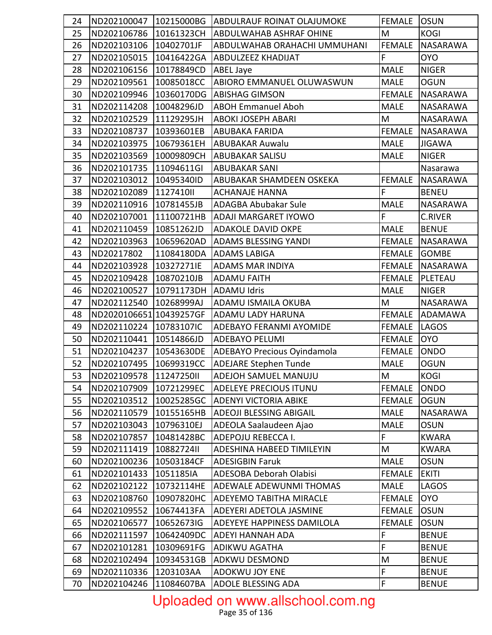| 24 | ND202100047             | 10215000BG | <b>ABDULRAUF ROINAT OLAJUMOKE</b> | <b>FEMALE OSUN</b> |                 |
|----|-------------------------|------------|-----------------------------------|--------------------|-----------------|
| 25 | ND202106786             | 10161323CH | ABDULWAHAB ASHRAF OHINE           | M                  | <b>KOGI</b>     |
| 26 | ND202103106             | 10402701JF | ABDULWAHAB ORAHACHI UMMUHANI      | <b>FEMALE</b>      | <b>NASARAWA</b> |
| 27 | ND202105015             | 10416422GA | ABDULZEEZ KHADIJAT                | F                  | <b>OYO</b>      |
| 28 | ND202106156             | 10178849CD | ABEL Jaye                         | <b>MALE</b>        | <b>NIGER</b>    |
| 29 | ND202109561             | 10085018CC | ABIORO EMMANUEL OLUWASWUN         | <b>MALE</b>        | <b>OGUN</b>     |
| 30 | ND202109946             | 10360170DG | <b>ABISHAG GIMSON</b>             | <b>FEMALE</b>      | <b>NASARAWA</b> |
| 31 | ND202114208             | 10048296JD | <b>ABOH Emmanuel Aboh</b>         | <b>MALE</b>        | <b>NASARAWA</b> |
| 32 | ND202102529             | 11129295JH | <b>ABOKI JOSEPH ABARI</b>         | M                  | <b>NASARAWA</b> |
| 33 | ND202108737             | 10393601EB | ABUBAKA FARIDA                    | <b>FEMALE</b>      | <b>NASARAWA</b> |
| 34 | ND202103975             | 10679361EH | <b>ABUBAKAR Auwalu</b>            | <b>MALE</b>        | <b>JIGAWA</b>   |
| 35 | ND202103569             | 10009809CH | <b>ABUBAKAR SALISU</b>            | <b>MALE</b>        | <b>NIGER</b>    |
| 36 | ND202101735             | 11094611GI | <b>ABUBAKAR SANI</b>              |                    | Nasarawa        |
| 37 | ND202103012             | 10495340ID | ABUBAKAR SHAMDEEN OSKEKA          | <b>FEMALE</b>      | <b>NASARAWA</b> |
| 38 | ND202102089             | 1127410II  | <b>ACHANAJE HANNA</b>             | F                  | <b>BENEU</b>    |
| 39 | ND202110916             | 10781455JB | <b>ADAGBA Abubakar Sule</b>       | <b>MALE</b>        | NASARAWA        |
| 40 | ND202107001             | 11100721HB | ADAJI MARGARET IYOWO              | F                  | <b>C.RIVER</b>  |
| 41 | ND202110459             | 10851262JD | <b>ADAKOLE DAVID OKPE</b>         | <b>MALE</b>        | <b>BENUE</b>    |
| 42 | ND202103963             | 10659620AD | <b>ADAMS BLESSING YANDI</b>       | <b>FEMALE</b>      | <b>NASARAWA</b> |
| 43 | ND20217802              | 11084180DA | <b>ADAMS LABIGA</b>               | <b>FEMALE</b>      | <b>GOMBE</b>    |
| 44 | ND202103928             | 10327271IE | <b>ADAMS MAR INDIYA</b>           | FEMALE             | NASARAWA        |
| 45 | ND202109428             | 10870210JB | <b>ADAMU FAITH</b>                | <b>FEMALE</b>      | PLETEAU         |
| 46 | ND202100527             | 10791173DH | <b>ADAMU Idris</b>                | <b>MALE</b>        | <b>NIGER</b>    |
| 47 | ND202112540             | 10268999AJ | ADAMU ISMAILA OKUBA               | M                  | <b>NASARAWA</b> |
| 48 | ND2020106651 10439257GF |            | ADAMU LADY HARUNA                 | <b>FEMALE</b>      | ADAMAWA         |
| 49 | ND202110224             | 10783107IC | ADEBAYO FERANMI AYOMIDE           | <b>FEMALE</b>      | <b>LAGOS</b>    |
| 50 | ND202110441             | 10514866JD | <b>ADEBAYO PELUMI</b>             | <b>FEMALE</b>      | <b>OYO</b>      |
| 51 | ND202104237             | 10543630DE | ADEBAYO Precious Oyindamola       | <b>FEMALE</b>      | <b>ONDO</b>     |
| 52 | ND202107495             | 10699319CC | <b>ADEJARE Stephen Tunde</b>      | <b>MALE</b>        | <b>OGUN</b>     |
| 53 | ND202109578 11247250II  |            | ADEJOH SAMUEL MANUJU              | M                  | KOGI            |
| 54 | ND202107909             | 10721299EC | ADELEYE PRECIOUS ITUNU            | <b>FEMALE</b>      | <b>ONDO</b>     |
| 55 | ND202103512             | 10025285GC | <b>ADENYI VICTORIA ABIKE</b>      | <b>FEMALE</b>      | <b>OGUN</b>     |
| 56 | ND202110579             | 10155165HB | ADEOJI BLESSING ABIGAIL           | <b>MALE</b>        | <b>NASARAWA</b> |
| 57 | ND202103043             | 10796310EJ | ADEOLA Saalaudeen Ajao            | <b>MALE</b>        | <b>OSUN</b>     |
| 58 | ND202107857             | 10481428BC | ADEPOJU REBECCA I.                | F                  | <b>KWARA</b>    |
| 59 | ND202111419             | 1088272411 | ADESHINA HABEED TIMILEYIN         | M                  | <b>KWARA</b>    |
| 60 | ND202100236             | 10503184CF | <b>ADESIGBIN Faruk</b>            | <b>MALE</b>        | <b>OSUN</b>     |
| 61 | ND202101433             | 1051185IA  | ADESOBA Deborah Olabisi           | <b>FEMALE</b>      | <b>EKITI</b>    |
| 62 | ND202102122             | 10732114HE | ADEWALE ADEWUNMI THOMAS           | <b>MALE</b>        | <b>LAGOS</b>    |
| 63 | ND202108760             | 10907820HC | ADEYEMO TABITHA MIRACLE           | <b>FEMALE</b>      | <b>OYO</b>      |
| 64 | ND202109552             | 10674413FA | ADEYERI ADETOLA JASMINE           | <b>FEMALE</b>      | <b>OSUN</b>     |
| 65 | ND202106577             | 10652673IG | ADEYEYE HAPPINESS DAMILOLA        | <b>FEMALE</b>      | <b>OSUN</b>     |
| 66 | ND202111597             | 10642409DC | ADEYI HANNAH ADA                  | F                  | <b>BENUE</b>    |
| 67 | ND202101281             | 10309691FG | ADIKWU AGATHA                     | $\mathsf F$        | <b>BENUE</b>    |
| 68 | ND202102494             | 10934531GB | ADKWU DESMOND                     | ${\sf M}$          | <b>BENUE</b>    |
| 69 | ND202110336             | 1203103AA  | ADOKWU JOY ENE                    | $\overline{F}$     | <b>BENUE</b>    |
| 70 | ND202104246             | 11084607BA | <b>ADOLE BLESSING ADA</b>         | F                  | <b>BENUE</b>    |

# Uploaded on www.allschool.com.ng<br>Page 35 of 136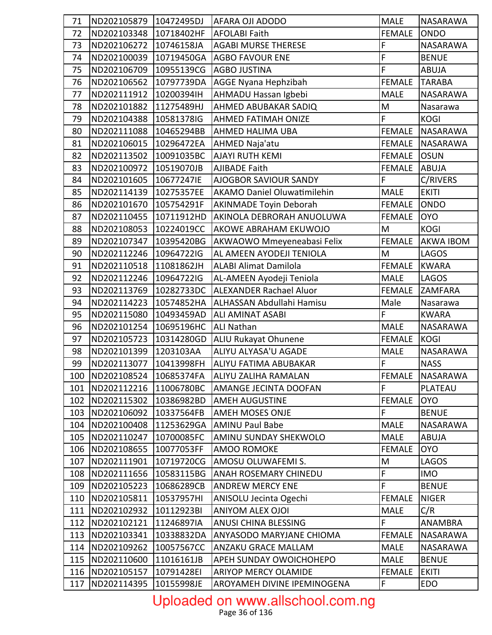| 71  | ND202105879                | 10472495DJ | AFARA OJI ADODO                    | <b>MALE</b>   | <b>NASARAWA</b>  |
|-----|----------------------------|------------|------------------------------------|---------------|------------------|
| 72  | ND202103348                | 10718402HF | <b>AFOLABI Faith</b>               | <b>FEMALE</b> | <b>ONDO</b>      |
| 73  | ND202106272                | 10746158JA | <b>AGABI MURSE THERESE</b>         | F             | <b>NASARAWA</b>  |
| 74  | ND202100039                | 10719450GA | <b>AGBO FAVOUR ENE</b>             | F             | <b>BENUE</b>     |
| 75  | ND202106709                | 10955139CG | <b>AGBO JUSTINA</b>                | F             | <b>ABUJA</b>     |
| 76  | ND202106562                | 10797739DA | AGGE Nyana Hephzibah               | <b>FEMALE</b> | <b>TARABA</b>    |
| 77  | ND202111912                | 10200394IH | AHMADU Hassan Igbebi               | <b>MALE</b>   | NASARAWA         |
| 78  | ND202101882                | 11275489HJ | AHMED ABUBAKAR SADIQ               | M             | Nasarawa         |
| 79  | ND202104388                | 10581378IG | AHMED FATIMAH ONIZE                | $\mathsf{F}$  | <b>KOGI</b>      |
| 80  | ND202111088                | 10465294BB | AHMED HALIMA UBA                   | <b>FEMALE</b> | NASARAWA         |
| 81  | ND202106015                | 10296472EA | AHMED Naja'atu                     | <b>FEMALE</b> | <b>NASARAWA</b>  |
| 82  | ND202113502                | 10091035BC | <b>AJAYI RUTH KEMI</b>             | <b>FEMALE</b> | <b>OSUN</b>      |
| 83  | ND202100972                | 10519070JB | <b>AJIBADE Faith</b>               | <b>FEMALE</b> | ABUJA            |
| 84  | ND202101605                | 10677247IE | AJOGBOR SAVIOUR SANDY              | $\mathsf{F}$  | C/RIVERS         |
| 85  | ND202114139                | 10275357EE | <b>AKAMO Daniel Oluwatimilehin</b> | <b>MALE</b>   | <b>EKITI</b>     |
| 86  | ND202101670                | 105754291F | <b>AKINMADE Toyin Deborah</b>      | <b>FEMALE</b> | <b>ONDO</b>      |
| 87  | ND202110455                | 10711912HD | AKINOLA DEBRORAH ANUOLUWA          | <b>FEMALE</b> | <b>OYO</b>       |
| 88  | ND202108053                | 10224019CC | AKOWE ABRAHAM EKUWOJO              | M             | <b>KOGI</b>      |
| 89  | ND202107347                | 10395420BG | AKWAOWO Mmeyeneabasi Felix         | <b>FEMALE</b> | <b>AKWA IBOM</b> |
| 90  | ND202112246                | 10964722IG | AL AMEEN AYODEJI TENIOLA           | M             | LAGOS            |
| 91  | ND202110518                | 11081862JH | <b>ALABI Alimat Damilola</b>       | <b>FEMALE</b> | <b>KWARA</b>     |
| 92  | ND202112246                | 10964722IG | AL-AMEEN Ayodeji Teniola           | <b>MALE</b>   | <b>LAGOS</b>     |
| 93  | ND202113769                | 10282733DC | <b>ALEXANDER Rachael Aluor</b>     | <b>FEMALE</b> | <b>ZAMFARA</b>   |
| 94  | ND202114223                | 10574852HA | ALHASSAN Abdullahi Hamisu          | Male          | Nasarawa         |
| 95  | ND202115080                | 10493459AD | ALI AMINAT ASABI                   | $\mathsf{F}$  | <b>KWARA</b>     |
| 96  | ND202101254                | 10695196HC | <b>ALI Nathan</b>                  | <b>MALE</b>   | NASARAWA         |
| 97  | ND202105723                | 10314280GD | ALIU Rukayat Ohunene               | <b>FEMALE</b> | <b>KOGI</b>      |
| 98  | ND202101399                | 1203103AA  | ALIYU ALYASA'U AGADE               | <b>MALE</b>   | <b>NASARAWA</b>  |
| 99  | ND202113077                | 10413998FH | ALIYU FATIMA ABUBAKAR              | F             | <b>NASS</b>      |
|     | 100 ND202108524 10685374FA |            | ALIYU ZALIHA RAMALAN               |               | FEMALE NASARAWA  |
| 101 | ND202112216                | 11006780BC | AMANGE JECINTA DOOFAN              | F             | <b>PLATEAU</b>   |
| 102 | ND202115302                | 10386982BD | <b>AMEH AUGUSTINE</b>              | <b>FEMALE</b> | <b>OYO</b>       |
| 103 | ND202106092                | 10337564FB | AMEH MOSES ONJE                    | $\mathsf F$   | <b>BENUE</b>     |
| 104 | ND202100408                | 11253629GA | <b>AMINU Paul Babe</b>             | <b>MALE</b>   | <b>NASARAWA</b>  |
| 105 | ND202110247                | 10700085FC | AMINU SUNDAY SHEKWOLO              | <b>MALE</b>   | <b>ABUJA</b>     |
| 106 | ND202108655                | 10077053FF | <b>AMOO ROMOKE</b>                 | <b>FEMALE</b> | <b>OYO</b>       |
| 107 | ND202111901                | 10719720CG | AMOSU OLUWAFEMI S.                 | M             | LAGOS            |
| 108 | ND202111656                | 10583115BG | ANAH ROSEMARY CHINEDU              | F             | <b>IMO</b>       |
| 109 | ND202105223                | 10686289CB | <b>ANDREW MERCY ENE</b>            | F             | <b>BENUE</b>     |
| 110 | ND202105811                | 10537957HI | ANISOLU Jecinta Ogechi             | <b>FEMALE</b> | <b>NIGER</b>     |
| 111 | ND202102932                | 10112923BI | ANIYOM ALEX OJOI                   | <b>MALE</b>   | C/R              |
| 112 | ND202102121                | 11246897IA | ANUSI CHINA BLESSING               | $\mathsf F$   | ANAMBRA          |
| 113 | ND202103341                | 10338832DA | ANYASODO MARYJANE CHIOMA           | <b>FEMALE</b> | <b>NASARAWA</b>  |
| 114 | ND202109262                | 10057567CC | ANZAKU GRACE MALLAM                | <b>MALE</b>   | NASARAWA         |
| 115 | ND202110600                | 11016161JB | APEH SUNDAY OWOICHOHEPO            | <b>MALE</b>   | <b>BENUE</b>     |
| 116 | ND202105157                | 10791428EI | ARIYOP MERCY OLAMIDE               | <b>FEMALE</b> | <b>EKITI</b>     |
| 117 | ND202114395                | 10155998JE | AROYAMEH DIVINE IPEMINOGENA        | $\mathsf F$   | EDO              |

# Uploaded on www.allschool.com.ng<br>Page 36 of 136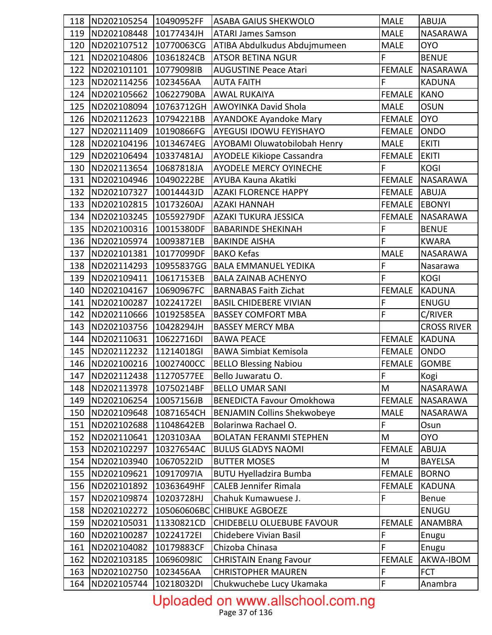| 118 | ND202105254                    | 10490952FF  | <b>ASABA GAIUS SHEKWOLO</b>        | <b>MALE</b>   | <b>ABUJA</b>       |
|-----|--------------------------------|-------------|------------------------------------|---------------|--------------------|
| 119 | ND202108448                    | 10177434JH  | <b>ATARI James Samson</b>          | <b>MALE</b>   | NASARAWA           |
| 120 | ND202107512                    | 10770063CG  | ATIBA Abdulkudus Abdujmumeen       | <b>MALE</b>   | <b>OYO</b>         |
| 121 | ND202104806                    | 10361824CB  | <b>ATSOR BETINA NGUR</b>           | F             | <b>BENUE</b>       |
| 122 | ND202101101                    | 10779098IB  | <b>AUGUSTINE Peace Atari</b>       | <b>FEMALE</b> | <b>NASARAWA</b>    |
| 123 | ND202114256                    | 1023456AA   | <b>AUTA FAITH</b>                  | F             | <b>KADUNA</b>      |
| 124 | ND202105662                    | 10622790BA  | <b>AWAL RUKAIYA</b>                | <b>FEMALE</b> | <b>KANO</b>        |
| 125 | ND202108094                    | 10763712GH  | <b>AWOYINKA David Shola</b>        | <b>MALE</b>   | <b>OSUN</b>        |
| 126 | ND202112623                    | 10794221BB  | <b>AYANDOKE Ayandoke Mary</b>      | <b>FEMALE</b> | <b>OYO</b>         |
| 127 | ND202111409                    | 10190866FG  | AYEGUSI IDOWU FEYISHAYO            | <b>FEMALE</b> | <b>ONDO</b>        |
| 128 | ND202104196                    | 10134674EG  | AYOBAMI Oluwatobilobah Henry       | <b>MALE</b>   | <b>EKITI</b>       |
| 129 | ND202106494                    | 10337481AJ  | <b>AYODELE Kikiope Cassandra</b>   | <b>FEMALE</b> | <b>EKITI</b>       |
| 130 | ND202113654                    | 10687818JA  | <b>AYODELE MERCY OYINECHE</b>      | F             | <b>KOGI</b>        |
| 131 | ND202104946                    | 10490222BE  | AYUBA Kauna Akatiki                | <b>FEMALE</b> | <b>NASARAWA</b>    |
| 132 | ND202107327                    | 10014443JD  | <b>AZAKI FLORENCE HAPPY</b>        | <b>FEMALE</b> | <b>ABUJA</b>       |
| 133 | ND202102815                    | 10173260AJ  | <b>AZAKI HANNAH</b>                | <b>FEMALE</b> | <b>EBONYI</b>      |
| 134 | ND202103245                    | 10559279DF  | AZAKI TUKURA JESSICA               | <b>FEMALE</b> | <b>NASARAWA</b>    |
| 135 | ND202100316                    | 10015380DF  | <b>BABARINDE SHEKINAH</b>          | F             | <b>BENUE</b>       |
| 136 | ND202105974                    | 10093871EB  | <b>BAKINDE AISHA</b>               | F             | <b>KWARA</b>       |
| 137 | ND202101381                    | 10177099DF  | <b>BAKO Kefas</b>                  | <b>MALE</b>   | NASARAWA           |
| 138 | ND202114293                    | 10955837GG  | <b>BALA EMMANUEL YEDIKA</b>        | F             | Nasarawa           |
| 139 | ND202109411                    | 10617153EB  | <b>BALA ZAINAB ACHENYO</b>         | F             | <b>KOGI</b>        |
| 140 | ND202104167                    | 10690967FC  | <b>BARNABAS Faith Zichat</b>       | <b>FEMALE</b> | <b>KADUNA</b>      |
| 141 | ND202100287                    | 10224172EI  | <b>BASIL CHIDEBERE VIVIAN</b>      | F             | ENUGU              |
| 142 | ND202110666                    | 10192585EA  | <b>BASSEY COMFORT MBA</b>          | F             | C/RIVER            |
| 143 | ND202103756                    | 10428294JH  | <b>BASSEY MERCY MBA</b>            |               | <b>CROSS RIVER</b> |
| 144 | ND202110631                    | 10622716DI  | <b>BAWA PEACE</b>                  | <b>FEMALE</b> | <b>KADUNA</b>      |
| 145 | ND202112232                    | 11214018GI  | <b>BAWA Simbiat Kemisola</b>       | <b>FEMALE</b> | <b>ONDO</b>        |
| 146 | ND202100216                    | 10027400CC  | <b>BELLO Blessing Nabiou</b>       | <b>FEMALE</b> | <b>GOMBE</b>       |
|     | 147   ND202112438   11270577EE |             | Bello Juwaratu O.                  | F             | Kogi               |
| 148 | ND202113978                    | 10750214BF  | <b>BELLO UMAR SANI</b>             | M             | NASARAWA           |
| 149 | ND202106254                    | 10057156JB  | <b>BENEDICTA Favour Omokhowa</b>   | <b>FEMALE</b> | NASARAWA           |
| 150 | ND202109648                    | 10871654CH  | <b>BENJAMIN Collins Shekwobeye</b> | <b>MALE</b>   | NASARAWA           |
| 151 | ND202102688                    | 11048642EB  | Bolarinwa Rachael O.               | F             | Osun               |
| 152 | ND202110641                    | 1203103AA   | <b>BOLATAN FERANMI STEPHEN</b>     | M             | <b>OYO</b>         |
| 153 | ND202102297                    | 10327654AC  | <b>BULUS GLADYS NAOMI</b>          | <b>FEMALE</b> | <b>ABUJA</b>       |
| 154 | ND202103940                    | 10670522ID  | <b>BUTTER MOSES</b>                | M             | <b>BAYELSA</b>     |
| 155 | ND202109621                    | 10917097IA  | <b>BUTU Hyelladzira Bumba</b>      | <b>FEMALE</b> | <b>BORNO</b>       |
| 156 | ND202101892                    | 10363649HF  | <b>CALEB Jennifer Rimala</b>       | <b>FEMALE</b> | <b>KADUNA</b>      |
| 157 | ND202109874                    | 10203728HJ  | Chahuk Kumawuese J.                | F             | Benue              |
| 158 | ND202102272                    | 105060606BC | <b>CHIBUKE AGBOEZE</b>             |               | ENUGU              |
| 159 | ND202105031                    | 11330821CD  | CHIDEBELU OLUEBUBE FAVOUR          | <b>FEMALE</b> | ANAMBRA            |
| 160 | ND202100287                    | 10224172EI  | Chidebere Vivian Basil             | F             | Enugu              |
| 161 | ND202104082                    | 10179883CF  | Chizoba Chinasa                    | F             | Enugu              |
| 162 | ND202103185                    | 10696098IC  | <b>CHRISTAIN Enang Favour</b>      | <b>FEMALE</b> | AKWA-IBOM          |
| 163 | ND202102750                    | 1023456AA   | <b>CHRISTOPHER MAUREN</b>          | F             | <b>FCT</b>         |
| 164 | ND202105744                    | 10218032DI  | Chukwuchebe Lucy Ukamaka           | F             | Anambra            |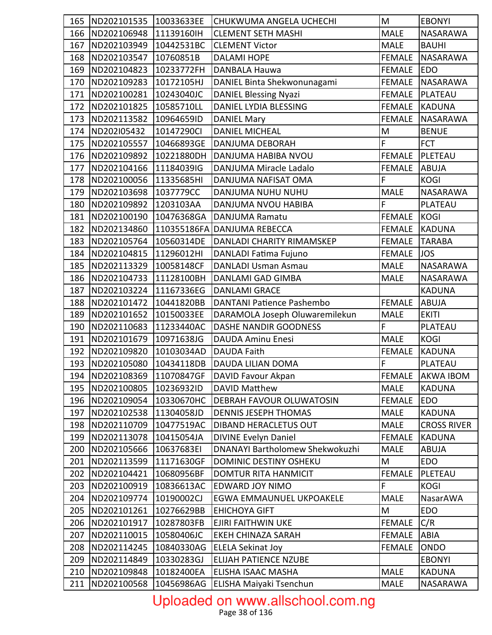| 165 | ND202101535                | 10033633EE  | CHUKWUMA ANGELA UCHECHI         | M             | <b>EBONYI</b>      |
|-----|----------------------------|-------------|---------------------------------|---------------|--------------------|
| 166 | ND202106948                | 11139160IH  | <b>CLEMENT SETH MASHI</b>       | <b>MALE</b>   | NASARAWA           |
| 167 | ND202103949                | 10442531BC  | <b>CLEMENT Victor</b>           | MALE          | <b>BAUHI</b>       |
| 168 | ND202103547                | 10760851B   | <b>DALAMI HOPE</b>              | <b>FEMALE</b> | <b>NASARAWA</b>    |
| 169 | ND202104823                | 10233772FH  | DANBALA Hauwa                   | <b>FEMALE</b> | <b>EDO</b>         |
| 170 | ND202109283                | 10172105HJ  | DANIEL Binta Shekwonunagami     | <b>FEMALE</b> | NASARAWA           |
| 171 | ND202100281                | 10243040JC  | <b>DANIEL Blessing Nyazi</b>    | <b>FEMALE</b> | PLATEAU            |
| 172 | ND202101825                | 10585710LL  | DANIEL LYDIA BLESSING           | <b>FEMALE</b> | <b>KADUNA</b>      |
| 173 | ND202113582                | 10964659ID  | <b>DANIEL Mary</b>              | <b>FEMALE</b> | NASARAWA           |
| 174 | ND202I05432                | 10147290Cl  | <b>DANIEL MICHEAL</b>           | M             | <b>BENUE</b>       |
| 175 | ND202105557                | 10466893GE  | DANJUMA DEBORAH                 | $\mathsf{F}$  | <b>FCT</b>         |
| 176 | ND202109892                | 10221880DH  | DANJUMA HABIBA NVOU             | <b>FEMALE</b> | PLETEAU            |
| 177 | ND202104166                | 11184039IG  | DANJUMA Miracle Ladalo          | <b>FEMALE</b> | <b>ABUJA</b>       |
| 178 | ND202100056                | 11335685HI  | DANJUMA NAFISAT OMA             | F             | <b>KOGI</b>        |
| 179 | ND202103698                | 1037779CC   | DANJUMA NUHU NUHU               | <b>MALE</b>   | NASARAWA           |
| 180 | ND202109892                | 1203103AA   | DANJUMA NVOU HABIBA             | $\mathsf{F}$  | PLATEAU            |
| 181 | ND202100190                | 10476368GA  | DANJUMA Ramatu                  | <b>FEMALE</b> | KOGI               |
| 182 | ND202134860                | 110355186FA | DANJUMA REBECCA                 | <b>FEMALE</b> | <b>KADUNA</b>      |
| 183 | ND202105764                | 10560314DE  | DANLADI CHARITY RIMAMSKEP       | <b>FEMALE</b> | <b>TARABA</b>      |
| 184 | ND202104815                | 11296012HI  | DANLADI Fatima Fujuno           | <b>FEMALE</b> | <b>JOS</b>         |
| 185 | ND202113329                | 10058148CF  | <b>DANLADI Usman Asmau</b>      | <b>MALE</b>   | NASARAWA           |
| 186 | ND202104733                | 11128100BH  | DANLAMI GAD GIMBA               | <b>MALE</b>   | NASARAWA           |
| 187 | ND202103224                | 11167336EG  | <b>DANLAMI GRACE</b>            |               | <b>KADUNA</b>      |
| 188 | ND202101472                | 10441820BB  | DANTANI Patience Pashembo       | <b>FEMALE</b> | <b>ABUJA</b>       |
| 189 | ND202101652                | 10150033EE  | DARAMOLA Joseph Oluwaremilekun  | <b>MALE</b>   | <b>EKITI</b>       |
| 190 | ND202110683                | 11233440AC  | DASHE NANDIR GOODNESS           | $\mathsf F$   | <b>PLATEAU</b>     |
| 191 | ND202101679                | 10971638JG  | <b>DAUDA Aminu Enesi</b>        | <b>MALE</b>   | <b>KOGI</b>        |
| 192 | ND202109820                | 10103034AD  | <b>DAUDA Faith</b>              | <b>FEMALE</b> | <b>KADUNA</b>      |
| 193 | ND202105080                | 10434118DB  | DAUDA LILIAN DOMA               | $\mathsf F$   | PLATEAU            |
|     | 194 ND202108369 11070847GF |             | DAVID Favour Akpan              |               | FEMALE AKWA IBOM   |
| 195 | ND202100805                | 10236932ID  | DAVID Matthew                   | <b>MALE</b>   | <b>KADUNA</b>      |
| 196 | ND202109054                | 10330670HC  | DEBRAH FAVOUR OLUWATOSIN        | <b>FEMALE</b> | <b>EDO</b>         |
| 197 | ND202102538                | 11304058JD  | <b>DENNIS JESEPH THOMAS</b>     | <b>MALE</b>   | <b>KADUNA</b>      |
| 198 | ND202110709                | 10477519AC  | <b>DIBAND HERACLETUS OUT</b>    | <b>MALE</b>   | <b>CROSS RIVER</b> |
| 199 | ND202113078                | 10415054JA  | <b>DIVINE Evelyn Daniel</b>     | <b>FEMALE</b> | <b>KADUNA</b>      |
| 200 | ND202105666                | 10637683EI  | DNANAYI Bartholomew Shekwokuzhi | <b>MALE</b>   | <b>ABUJA</b>       |
| 201 | ND202113599                | 11171630GF  | DOMINIC DESTINY OSHEKU          | M             | <b>EDO</b>         |
| 202 | ND202104421                | 10680956BF  | DOMTUR RITA HANMICIT            | <b>FEMALE</b> | PLETEAU            |
| 203 | ND202100919                | 10836613AC  | EDWARD JOY NIMO                 | $\mathsf F$   | <b>KOGI</b>        |
| 204 | ND202109774                | 10190002CJ  | EGWA EMMAUNUEL UKPOAKELE        | <b>MALE</b>   | NasarAWA           |
| 205 | ND202101261                | 10276629BB  | <b>EHICHOYA GIFT</b>            | M             | EDO                |
| 206 | ND202101917                | 10287803FB  | EJIRI FAITHWIN UKE              | <b>FEMALE</b> | C/R                |
| 207 | ND202110015                | 10580406JC  | <b>EKEH CHINAZA SARAH</b>       | <b>FEMALE</b> | <b>ABIA</b>        |
| 208 | ND202114245                | 10840330AG  | <b>ELELA Sekinat Joy</b>        | <b>FEMALE</b> | ONDO               |
| 209 | ND202114849                | 10330283GJ  | <b>ELIJAH PATIENCE NZUBE</b>    |               | <b>EBONYI</b>      |
| 210 | ND202109848                | 10182400EA  | ELISHA ISAAC MASHA              | <b>MALE</b>   | <b>KADUNA</b>      |
| 211 | ND202100568                | 10456986AG  | ELISHA Maiyaki Tsenchun         | <b>MALE</b>   | NASARAWA           |

# Uploaded on www.allschool.com.ng<br>Page 38 of 136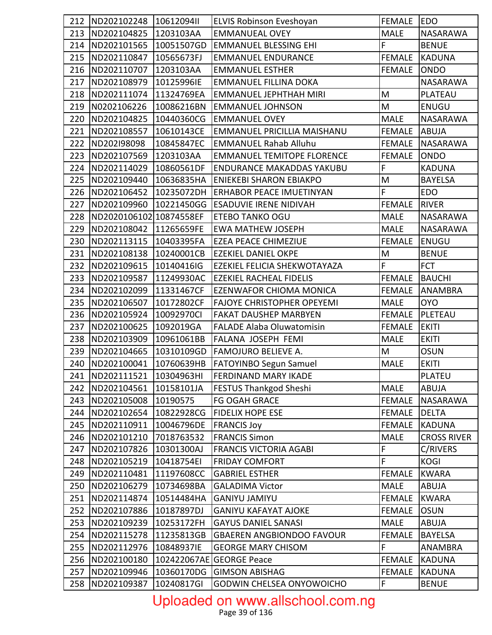| 212 | ND202102248 10612094II     |            | <b>ELVIS Robinson Eveshoyan</b>   | FEMALE        | <b>EDO</b>         |
|-----|----------------------------|------------|-----------------------------------|---------------|--------------------|
| 213 | ND202104825                | 1203103AA  | <b>EMMANUEAL OVEY</b>             | <b>MALE</b>   | NASARAWA           |
| 214 | ND202101565                | 10051507GD | <b>EMMANUEL BLESSING EHI</b>      | F             | <b>BENUE</b>       |
| 215 | ND202110847                | 10565673FJ | <b>EMMANUEL ENDURANCE</b>         | <b>FEMALE</b> | <b>KADUNA</b>      |
| 216 | ND202110707                | 1203103AA  | <b>EMMANUEL ESTHER</b>            | <b>FEMALE</b> | <b>ONDO</b>        |
| 217 | ND202108979                | 10125996IE | <b>EMMANUEL FILLINA DOKA</b>      |               | <b>NASARAWA</b>    |
| 218 | ND202111074                | 11324769EA | <b>EMMANUEL JEPHTHAH MIRI</b>     | M             | <b>PLATEAU</b>     |
| 219 | N0202106226                | 10086216BN | <b>EMMANUEL JOHNSON</b>           | M             | <b>ENUGU</b>       |
| 220 | ND202104825                | 10440360CG | <b>EMMANUEL OVEY</b>              | <b>MALE</b>   | NASARAWA           |
| 221 | ND202108557                | 10610143CE | EMMANUEL PRICILLIA MAISHANU       | <b>FEMALE</b> | <b>ABUJA</b>       |
| 222 | ND202I98098                | 10845847EC | <b>EMMANUEL Rahab Alluhu</b>      | <b>FEMALE</b> | <b>NASARAWA</b>    |
| 223 | ND202107569                | 1203103AA  | <b>EMMANUEL TEMITOPE FLORENCE</b> | <b>FEMALE</b> | <b>ONDO</b>        |
| 224 | ND202114029                | 10860561DF | ENDURANCE MAKADDAS YAKUBU         | F             | <b>KADUNA</b>      |
| 225 | ND202109440                | 10636835HA | <b>ENIEKEBI SHARON EBIAKPO</b>    | M             | <b>BAYELSA</b>     |
| 226 | ND202106452                | 10235072DH | ERHABOR PEACE IMUETINYAN          | F             | <b>EDO</b>         |
| 227 | ND202109960                | 10221450GG | <b>ESADUVIE IRENE NIDIVAH</b>     | <b>FEMALE</b> | <b>RIVER</b>       |
| 228 | ND2020106102 10874558EF    |            | ETEBO TANKO OGU                   | <b>MALE</b>   | <b>NASARAWA</b>    |
| 229 | ND202108042                | 11265659FE | <b>EWA MATHEW JOSEPH</b>          | <b>MALE</b>   | NASARAWA           |
| 230 | ND202113115                | 10403395FA | <b>EZEA PEACE CHIMEZIUE</b>       | <b>FEMALE</b> | <b>ENUGU</b>       |
| 231 | ND202108138                | 10240001CB | <b>EZEKIEL DANIEL OKPE</b>        | M             | <b>BENUE</b>       |
| 232 | ND202109615                | 10140416IG | EZEKIEL FELICIA SHEKWOTAYAZA      | F             | <b>FCT</b>         |
| 233 | ND202109587                | 11249930AC | <b>EZEKIEL RACHEAL FIDELIS</b>    | <b>FEMALE</b> | <b>BAUCHI</b>      |
| 234 | ND202102099                | 11331467CF | <b>EZENWAFOR CHIOMA MONICA</b>    | <b>FEMALE</b> | ANAMBRA            |
| 235 | ND202106507                | 10172802CF | <b>FAJOYE CHRISTOPHER OPEYEMI</b> | <b>MALE</b>   | <b>OYO</b>         |
| 236 | ND202105924                | 10092970Cl | <b>FAKAT DAUSHEP MARBYEN</b>      | <b>FEMALE</b> | PLETEAU            |
| 237 | ND202100625                | 1092019GA  | <b>FALADE Alaba Oluwatomisin</b>  | <b>FEMALE</b> | <b>EKITI</b>       |
| 238 | ND202103909                | 10961061BB | FALANA JOSEPH FEMI                | <b>MALE</b>   | <b>EKITI</b>       |
| 239 | ND202104665                | 10310109GD | <b>FAMOJURO BELIEVE A.</b>        | M             | <b>OSUN</b>        |
| 240 | ND202100041                | 10760639HB | FATOYINBO Segun Samuel            | <b>MALE</b>   | <b>EKITI</b>       |
|     | 241 ND202111521 10304963HI |            | <b>FERDINAND MARY IKADE</b>       |               | <b>PLATEU</b>      |
| 242 | ND202104561                | 10158101JA | <b>FESTUS Thankgod Sheshi</b>     | <b>MALE</b>   | <b>ABUJA</b>       |
| 243 | ND202105008                | 10190575   | FG OGAH GRACE                     | FEMALE        | NASARAWA           |
| 244 | ND202102654 10822928CG     |            | <b>FIDELIX HOPE ESE</b>           | <b>FEMALE</b> | DELTA              |
| 245 | ND202110911                | 10046796DE | <b>FRANCIS Joy</b>                | <b>FEMALE</b> | <b>KADUNA</b>      |
| 246 | ND202101210                | 7018763532 | <b>FRANCIS Simon</b>              | <b>MALE</b>   | <b>CROSS RIVER</b> |
| 247 | ND202107826                | 10301300AJ | <b>FRANCIS VICTORIA AGABI</b>     | F             | C/RIVERS           |
| 248 | ND202105219                | 10418754EI | <b>FRIDAY COMFORT</b>             | F             | <b>KOGI</b>        |
| 249 | ND202110481                | 11197608CC | <b>GABRIEL ESTHER</b>             | <b>FEMALE</b> | <b>KWARA</b>       |
| 250 | ND202106279                | 10734698BA | <b>GALADIMA Victor</b>            | <b>MALE</b>   | <b>ABUJA</b>       |
| 251 | ND202114874                | 10514484HA | <b>GANIYU JAMIYU</b>              | <b>FEMALE</b> | <b>KWARA</b>       |
| 252 | ND202107886                | 10187897DJ | <b>GANIYU KAFAYAT AJOKE</b>       | <b>FEMALE</b> | <b>OSUN</b>        |
| 253 | ND202109239                | 10253172FH | <b>GAYUS DANIEL SANASI</b>        | <b>MALE</b>   | <b>ABUJA</b>       |
| 254 | ND202115278                | 11235813GB | <b>GBAEREN ANGBIONDOO FAVOUR</b>  | <b>FEMALE</b> | <b>BAYELSA</b>     |
| 255 | ND202112976                | 10848937IE | <b>GEORGE MARY CHISOM</b>         | F             | <b>ANAMBRA</b>     |
| 256 | ND202100180                |            | 102422067AE GEORGE Peace          | <b>FEMALE</b> | <b>KADUNA</b>      |
| 257 | ND202109946                | 10360170DG | <b>GIMSON ABISHAG</b>             | <b>FEMALE</b> | <b>KADUNA</b>      |
| 258 | ND202109387                | 10240817GI | <b>GODWIN CHELSEA ONYOWOICHO</b>  | F             | <b>BENUE</b>       |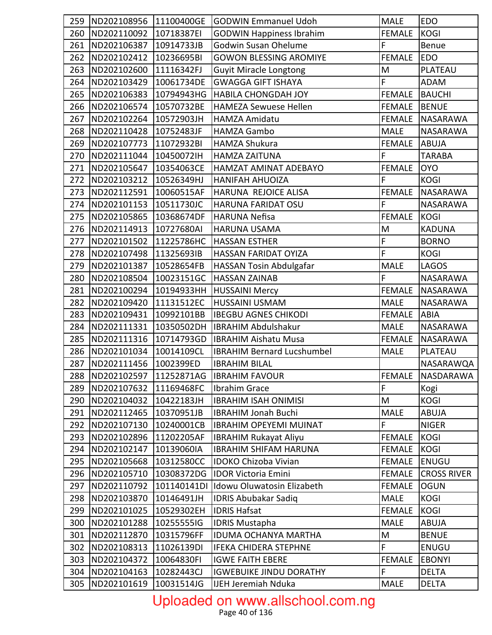| 259 | ND202108956 11100400GE |             | <b>GODWIN Emmanuel Udoh</b>           | <b>MALE</b>   | <b>EDO</b>         |
|-----|------------------------|-------------|---------------------------------------|---------------|--------------------|
| 260 | ND202110092            | 10718387EI  | <b>GODWIN Happiness Ibrahim</b>       | <b>FEMALE</b> | <b>KOGI</b>        |
| 261 | ND202106387            | 10914733JB  | Godwin Susan Ohelume                  | F             | <b>Benue</b>       |
| 262 | ND202102412            | 10236695BI  | <b>GOWON BLESSING AROMIYE</b>         | <b>FEMALE</b> | <b>EDO</b>         |
| 263 | ND202102600            | 11116342FJ  | <b>Guyit Miracle Longtong</b>         | M             | PLATEAU            |
| 264 | ND202103429            | 10061734DE  | <b>GWAGGA GIFT ISHAYA</b>             | F             | <b>ADAM</b>        |
| 265 | ND202106383            | 10794943HG  | HABILA CHONGDAH JOY                   | <b>FEMALE</b> | <b>BAUCHI</b>      |
| 266 | ND202106574            | 10570732BE  | <b>HAMEZA Sewuese Hellen</b>          | <b>FEMALE</b> | BENUE              |
| 267 | ND202102264            | 10572903JH  | <b>HAMZA Amidatu</b>                  | <b>FEMALE</b> | <b>NASARAWA</b>    |
| 268 | ND202110428            | 10752483JF  | HAMZA Gambo                           | <b>MALE</b>   | NASARAWA           |
| 269 | ND202107773            | 11072932BI  | <b>HAMZA Shukura</b>                  | <b>FEMALE</b> | <b>ABUJA</b>       |
| 270 | ND202111044            | 10450072IH  | <b>HAMZA ZAITUNA</b>                  | F             | <b>TARABA</b>      |
| 271 | ND202105647            | 10354063CE  | HAMZAT AMINAT ADEBAYO                 | <b>FEMALE</b> | <b>OYO</b>         |
| 272 | ND202103212            | 10526349HJ  | <b>HANIFAH AHUOIZA</b>                | F             | <b>KOGI</b>        |
| 273 | ND202112591            | 10060515AF  | HARUNA REJOICE ALISA                  | <b>FEMALE</b> | NASARAWA           |
| 274 | ND202101153            | 10511730JC  | <b>HARUNA FARIDAT OSU</b>             | F             | NASARAWA           |
| 275 | ND202105865            | 10368674DF  | <b>HARUNA Nefisa</b>                  | <b>FEMALE</b> | <b>KOGI</b>        |
| 276 | ND202114913            | 10727680AI  | <b>HARUNA USAMA</b>                   | M             | <b>KADUNA</b>      |
| 277 | ND202101502            | 11225786HC  | <b>HASSAN ESTHER</b>                  | F             | <b>BORNO</b>       |
| 278 | ND202107498            | 11325693IB  | HASSAN FARIDAT OYIZA                  | F             | <b>KOGI</b>        |
| 279 | ND202101387            | 10528654FB  | HASSAN Tosin Abdulgafar               | <b>MALE</b>   | LAGOS              |
| 280 | ND202108504            | 10023151GC  | <b>HASSAN ZAINAB</b>                  | F             | NASARAWA           |
| 281 | ND202100294            | 10194933HH  | <b>HUSSAINI Mercy</b>                 | <b>FEMALE</b> | <b>NASARAWA</b>    |
| 282 | ND202109420            | 11131512EC  | HUSSAINI USMAM                        | <b>MALE</b>   | NASARAWA           |
| 283 | ND202109431            | 10992101BB  | <b>IBEGBU AGNES CHIKODI</b>           | <b>FEMALE</b> | <b>ABIA</b>        |
| 284 | ND202111331            | 10350502DH  | <b>IBRAHIM Abdulshakur</b>            | <b>MALE</b>   | NASARAWA           |
| 285 | ND202111316            | 10714793GD  | <b>IBRAHIM Aishatu Musa</b>           | <b>FEMALE</b> | <b>NASARAWA</b>    |
| 286 | ND202101034            | 10014109CL  | <b>IBRAHIM Bernard Lucshumbel</b>     | <b>MALE</b>   | PLATEAU            |
| 287 | ND202111456            | 1002399ED   | <b>IBRAHIM BILAL</b>                  |               | NASARAWQA          |
| 288 |                        |             | ND202102597 11252871AG IBRAHIM FAVOUR |               | FEMALE NASDARAWA   |
| 289 | ND202107632            | 11169468FC  | Ibrahim Grace                         | F             | Kogi               |
| 290 | ND202104032            | 10422183JH  | <b>IBRAHIM ISAH ONIMISI</b>           | M             | <b>KOGI</b>        |
| 291 | ND202112465            | 10370951JB  | <b>IBRAHIM Jonah Buchi</b>            | <b>MALE</b>   | ABUJA              |
| 292 | ND202107130            | 10240001CB  | <b>IBRAHIM OPEYEMI MUINAT</b>         | F             | <b>NIGER</b>       |
| 293 | ND202102896            | 11202205AF  | <b>IBRAHIM Rukayat Aliyu</b>          | <b>FEMALE</b> | <b>KOGI</b>        |
| 294 | ND202102147            | 10139060IA  | <b>IBRAHIM SHIFAM HARUNA</b>          | <b>FEMALE</b> | <b>KOGI</b>        |
| 295 | ND202105668            | 10312580CC  | <b>IDOKO Chizoba Vivian</b>           | <b>FEMALE</b> | <b>ENUGU</b>       |
| 296 | ND202105710            | 10308372DG  | <b>IDOR Victoria Emini</b>            | <b>FEMALE</b> | <b>CROSS RIVER</b> |
| 297 | ND202110792            | 101140141DI | Idowu Oluwatosin Elizabeth            | <b>FEMALE</b> | <b>OGUN</b>        |
| 298 | ND202103870            | 10146491JH  | <b>IDRIS Abubakar Sadiq</b>           | <b>MALE</b>   | <b>KOGI</b>        |
| 299 | ND202101025            | 10529302EH  | <b>IDRIS Hafsat</b>                   | <b>FEMALE</b> | <b>KOGI</b>        |
| 300 | ND202101288            | 102555551G  | <b>IDRIS Mustapha</b>                 | <b>MALE</b>   | ABUJA              |
| 301 | ND202112870            | 10315796FF  | <b>IDUMA OCHANYA MARTHA</b>           | M             | <b>BENUE</b>       |
| 302 | ND202108313            | 11026139DI  | <b>IFEKA CHIDERA STEPHNE</b>          | F             | ENUGU              |
| 303 | ND202104372            | 10064830FI  | <b>IGWE FAITH EBERE</b>               | <b>FEMALE</b> | <b>EBONYI</b>      |
| 304 | ND202104163            | 10282443CJ  | <b>IGWEBUIKE JINDU DORATHY</b>        | F             | <b>DELTA</b>       |
| 305 | ND202101619            | 10031514JG  | IJEH Jeremiah Nduka                   | <b>MALE</b>   | <b>DELTA</b>       |

# Uploaded on www.allschool.com.ng<br>Page 40 of 136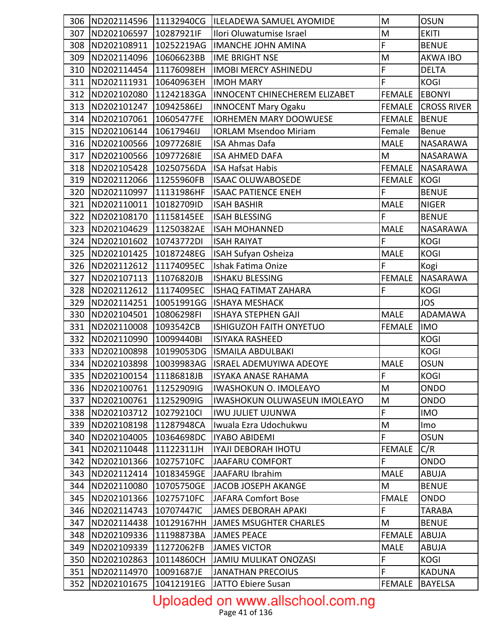| 306 | ND202114596                | 11132940CG | <b>ILELADEWA SAMUEL AYOMIDE</b>     | M              | <b>OSUN</b>        |
|-----|----------------------------|------------|-------------------------------------|----------------|--------------------|
| 307 | ND202106597                | 10287921IF | Ilori Oluwatumise Israel            | M              | <b>EKITI</b>       |
| 308 | ND202108911                | 10252219AG | <b>IMANCHE JOHN AMINA</b>           | F              | <b>BENUE</b>       |
| 309 | ND202114096                | 10606623BB | <b>IME BRIGHT NSE</b>               | M              | AKWA IBO           |
| 310 | ND202114454                | 11176098EH | <b>IMOBI MERCY ASHINEDU</b>         | F              | <b>DELTA</b>       |
| 311 | ND202111931                | 10640963EH | <b>IMOH MARY</b>                    | F              | <b>KOGI</b>        |
| 312 | ND202102080                | 11242183GA | INNOCENT CHINECHEREM ELIZABET       | <b>FEMALE</b>  | <b>EBONYI</b>      |
| 313 | ND202101247                | 10942586EJ | <b>INNOCENT Mary Ogaku</b>          | <b>FEMALE</b>  | <b>CROSS RIVER</b> |
| 314 | ND202107061                | 10605477FE | <b>IORHEMEN MARY DOOWUESE</b>       | <b>FEMALE</b>  | <b>BENUE</b>       |
| 315 | ND202106144                | 10617946IJ | <b>IORLAM Msendoo Miriam</b>        | Female         | Benue              |
| 316 | ND202100566                | 10977268IE | <b>ISA Ahmas Dafa</b>               | <b>MALE</b>    | NASARAWA           |
| 317 | ND202100566                | 10977268IE | <b>ISA AHMED DAFA</b>               | M              | <b>NASARAWA</b>    |
| 318 | ND202105428                | 10250756DA | <b>ISA Hafsat Habis</b>             | <b>FEMALE</b>  | NASARAWA           |
| 319 | ND202112066                | 11255960FB | <b>ISAAC OLUWABOSEDE</b>            | <b>FEMALE</b>  | <b>KOGI</b>        |
| 320 | ND202110997                | 11131986HF | <b>ISAAC PATIENCE ENEH</b>          | F              | <b>BENUE</b>       |
| 321 | ND202110011                | 10182709ID | <b>ISAH BASHIR</b>                  | <b>MALE</b>    | <b>NIGER</b>       |
| 322 | ND202108170                | 11158145EE | <b>ISAH BLESSING</b>                | F              | <b>BENUE</b>       |
| 323 | ND202104629                | 11250382AE | <b>ISAH MOHANNED</b>                | <b>MALE</b>    | NASARAWA           |
| 324 | ND202101602                | 10743772DI | <b>ISAH RAIYAT</b>                  | F              | <b>KOGI</b>        |
| 325 | ND202101425                | 10187248EG | ISAH Sufyan Osheiza                 | <b>MALE</b>    | <b>KOGI</b>        |
| 326 | ND202112612                | 11174095EC | Ishak Fatima Onize                  | F              | Kogi               |
| 327 | ND202107113                | 11076820JB | <b>ISHAKU BLESSING</b>              | <b>FEMALE</b>  | NASARAWA           |
| 328 | ND202112612                | 11174095EC | <b>ISHAQ FATIMAT ZAHARA</b>         | F              | <b>KOGI</b>        |
| 329 | ND202114251                | 10051991GG | <b>ISHAYA MESHACK</b>               |                | <b>JOS</b>         |
| 330 | ND202104501                | 10806298FI | <b>ISHAYA STEPHEN GAJI</b>          | <b>MALE</b>    | <b>ADAMAWA</b>     |
| 331 | ND202110008                | 1093542CB  | <b>ISHIGUZOH FAITH ONYETUO</b>      | <b>FEMALE</b>  | <b>IMO</b>         |
| 332 | ND202110990                | 10099440BI | <b>ISIYAKA RASHEED</b>              |                | <b>KOGI</b>        |
| 333 | ND202100898                | 10199053DG | <b>ISMAILA ABDULBAKI</b>            |                | <b>KOGI</b>        |
| 334 | ND202103898                | 10039983AG | <b>ISRAEL ADEMUYIWA ADEOYE</b>      | <b>MALE</b>    | <b>OSUN</b>        |
|     | 335 ND202100154 11186818JB |            | ISYAKA ANASE RAHAMA                 | $\overline{F}$ | <b>KOGI</b>        |
| 336 | ND202100761                | 11252909IG | <b>IWASHOKUN O. IMOLEAYO</b>        | M              | ONDO               |
| 337 | ND202100761 11252909IG     |            | <b>IWASHOKUN OLUWASEUN IMOLEAYO</b> | M              | <b>ONDO</b>        |
| 338 | ND202103712   10279210Cl   |            | IWU JULIET UJUNWA                   | $\mathsf F$    | <b>IMO</b>         |
| 339 | ND202108198                | 11287948CA | Iwuala Ezra Udochukwu               | M              | Imo                |
| 340 | ND202104005                | 10364698DC | <b>IYABO ABIDEMI</b>                | F              | <b>OSUN</b>        |
| 341 | ND202110448                | 11122311JH | <b>IYAJI DEBORAH IHOTU</b>          | <b>FEMALE</b>  | C/R                |
| 342 | ND202101366                | 10275710FC | <b>JAAFARU COMFORT</b>              | F              | ONDO               |
| 343 | ND202112414                | 10183459GE | JAAFARU Ibrahim                     | <b>MALE</b>    | ABUJA              |
| 344 | ND202110080                | 10705750GE | JACOB JOSEPH AKANGE                 | M              | <b>BENUE</b>       |
| 345 | ND202101366                | 10275710FC | <b>JAFARA Comfort Bose</b>          | <b>FMALE</b>   | ONDO               |
| 346 | ND202114743                | 10707447IC | <b>JAMES DEBORAH APAKI</b>          | F              | <b>TARABA</b>      |
| 347 | ND202114438                | 10129167HH | <b>JAMES MSUGHTER CHARLES</b>       | M              | <b>BENUE</b>       |
| 348 | ND202109336                | 11198873BA | <b>JAMES PEACE</b>                  | <b>FEMALE</b>  | <b>ABUJA</b>       |
| 349 | ND202109339                | 11272062FB | <b>JAMES VICTOR</b>                 | <b>MALE</b>    | ABUJA              |
| 350 | ND202102863                | 10114860CH | <b>JAMIU MULIKAT ONOZASI</b>        | F              | <b>KOGI</b>        |
| 351 | ND202114970                | 10091687JE | <b>JANATHAN PRECOIUS</b>            | $\overline{F}$ | <b>KADUNA</b>      |
| 352 | ND202101675                | 10412191EG | JATTO Ebiere Susan                  | <b>FEMALE</b>  | <b>BAYELSA</b>     |

# Uploaded on www.allschool.com.ng<br>Page 41 of 136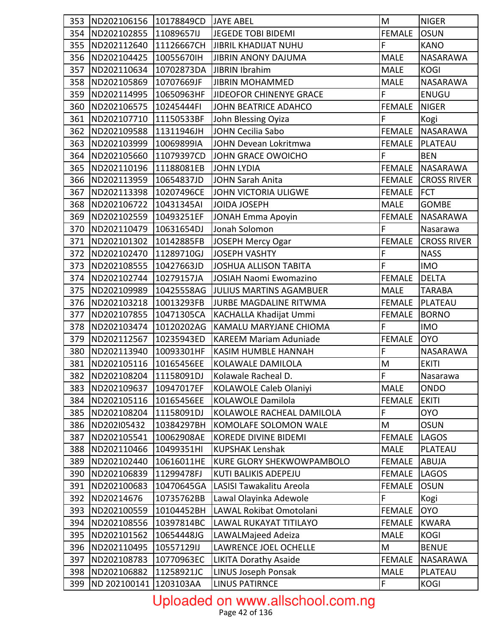| 353 | ND202106156                | 10178849CD | <b>JAYE ABEL</b>               | M                  | <b>NIGER</b>       |
|-----|----------------------------|------------|--------------------------------|--------------------|--------------------|
| 354 | ND202102855                | 11089657IJ | <b>JEGEDE TOBI BIDEMI</b>      | <b>FEMALE</b>      | <b>OSUN</b>        |
| 355 | ND202112640                | 11126667CH | <b>JIBRIL KHADIJAT NUHU</b>    | F                  | <b>KANO</b>        |
| 356 | ND202104425                | 10055670IH | <b>JIBRIN ANONY DAJUMA</b>     | <b>MALE</b>        | <b>NASARAWA</b>    |
| 357 | ND202110634                | 10702873DA | JIBRIN Ibrahim                 | <b>MALE</b>        | KOGI               |
| 358 | ND202105869                | 10707669JF | <b>JIBRIN MOHAMMED</b>         | <b>MALE</b>        | <b>NASARAWA</b>    |
| 359 | ND202114995                | 10650963HF | JIDEOFOR CHINENYE GRACE        | F                  | <b>ENUGU</b>       |
| 360 | ND202106575                | 10245444FI | JOHN BEATRICE ADAHCO           | <b>FEMALE</b>      | <b>NIGER</b>       |
| 361 | ND202107710                | 11150533BF | John Blessing Oyiza            | F                  | Kogi               |
| 362 | ND202109588                | 11311946JH | JOHN Cecilia Sabo              | <b>FEMALE</b>      | NASARAWA           |
| 363 | ND202103999                | 10069899IA | JOHN Devean Lokritmwa          | <b>FEMALE</b>      | PLATEAU            |
| 364 | ND202105660                | 11079397CD | JOHN GRACE OWOICHO             | F                  | <b>BEN</b>         |
| 365 | ND202110196                | 11188081EB | <b>JOHN LYDIA</b>              | FEMALE             | NASARAWA           |
| 366 | ND202113959                | 10654837JD | JOHN Sarah Anita               | <b>FEMALE</b>      | <b>CROSS RIVER</b> |
| 367 | ND202113398                | 10207496CE | JOHN VICTORIA ULIGWE           | <b>FEMALE</b>      | <b>FCT</b>         |
| 368 | ND202106722                | 10431345AI | JOIDA JOSEPH                   | <b>MALE</b>        | <b>GOMBE</b>       |
| 369 | ND202102559                | 10493251EF | <b>JONAH Emma Apoyin</b>       | <b>FEMALE</b>      | NASARAWA           |
| 370 | ND202110479                | 10631654DJ | Jonah Solomon                  | F                  | Nasarawa           |
| 371 | ND202101302                | 10142885FB | <b>JOSEPH Mercy Ogar</b>       | <b>FEMALE</b>      | <b>CROSS RIVER</b> |
| 372 | ND202102470                | 11289710GJ | <b>JOSEPH VASHTY</b>           | F                  | <b>NASS</b>        |
| 373 | ND202108555                | 10427663JD | <b>JOSHUA ALLISON TABITA</b>   | F                  | <b>IMO</b>         |
| 374 | ND202102744                | 10279157JA | JOSIAH Naomi Ewomazino         | <b>FEMALE</b>      | <b>DELTA</b>       |
| 375 | ND202109989                | 10425558AG | <b>JULIUS MARTINS AGAMBUER</b> | <b>MALE</b>        | <b>TARABA</b>      |
| 376 | ND202103218                | 10013293FB | JURBE MAGDALINE RITWMA         | FEMALE             | PLATEAU            |
| 377 | ND202107855                | 10471305CA | KACHALLA Khadijat Ummi         | <b>FEMALE</b>      | <b>BORNO</b>       |
| 378 | ND202103474                | 10120202AG | KAMALU MARYJANE CHIOMA         | F                  | <b>IMO</b>         |
| 379 | ND202112567                | 10235943ED | <b>KAREEM Mariam Aduniade</b>  | <b>FEMALE</b>      | <b>OYO</b>         |
| 380 | ND202113940                | 10093301HF | KASIM HUMBLE HANNAH            | F                  | <b>NASARAWA</b>    |
| 381 | ND202105116                | 10165456EE | KOLAWALE DAMILOLA              | M                  | <b>EKITI</b>       |
|     | 382 ND202108204 11158091DJ |            | Kolawale Racheal D.            | $\bar{\mathsf{F}}$ | Nasarawa           |
| 383 | ND202109637                | 10947017EF | KOLAWOLE Caleb Olaniyi         | <b>MALE</b>        | <b>ONDO</b>        |
| 384 | ND202105116                | 10165456EE | <b>KOLAWOLE Damilola</b>       | <b>FEMALE</b>      | <b>EKITI</b>       |
| 385 | ND202108204                | 11158091DJ | KOLAWOLE RACHEAL DAMILOLA      | F                  | <b>OYO</b>         |
| 386 | ND202I05432                | 10384297BH | KOMOLAFE SOLOMON WALE          | M                  | <b>OSUN</b>        |
| 387 | ND202105541                | 10062908AE | <b>KOREDE DIVINE BIDEMI</b>    | <b>FEMALE</b>      | <b>LAGOS</b>       |
| 388 | ND202110466                | 10499351HI | <b>KUPSHAK Lenshak</b>         | <b>MALE</b>        | PLATEAU            |
| 389 | ND202102440                | 10616011HE | KURE GLORY SHEKWOWPAMBOLO      | <b>FEMALE</b>      | <b>ABUJA</b>       |
| 390 | ND202106839                | 11299478FJ | <b>KUTI BALIKIS ADEPEJU</b>    | <b>FEMALE</b>      | <b>LAGOS</b>       |
| 391 | ND202100683                | 10470645GA | LASISI Tawakalitu Areola       | <b>FEMALE</b>      | <b>OSUN</b>        |
| 392 | ND20214676                 | 10735762BB | Lawal Olayinka Adewole         | F                  | Kogi               |
| 393 | ND202100559                | 10104452BH | LAWAL Rokibat Omotolani        | <b>FEMALE</b>      | <b>OYO</b>         |
| 394 | ND202108556                | 10397814BC | <b>LAWAL RUKAYAT TITILAYO</b>  | <b>FEMALE</b>      | <b>KWARA</b>       |
| 395 | ND202101562                | 10654448JG | LAWALMajeed Adeiza             | <b>MALE</b>        | <b>KOGI</b>        |
| 396 | ND202110495                | 10557129IJ | LAWRENCE JOEL OCHELLE          | M                  | <b>BENUE</b>       |
| 397 | ND202108783                | 10770963EC | <b>LIKITA Dorathy Asaide</b>   | <b>FEMALE</b>      | <b>NASARAWA</b>    |
| 398 | ND202106882                | 11258921JC | <b>LINUS Joseph Ponsak</b>     | <b>MALE</b>        | PLATEAU            |
| 399 | ND 202100141   1203103AA   |            | <b>LINUS PATIRNCE</b>          | F                  | <b>KOGI</b>        |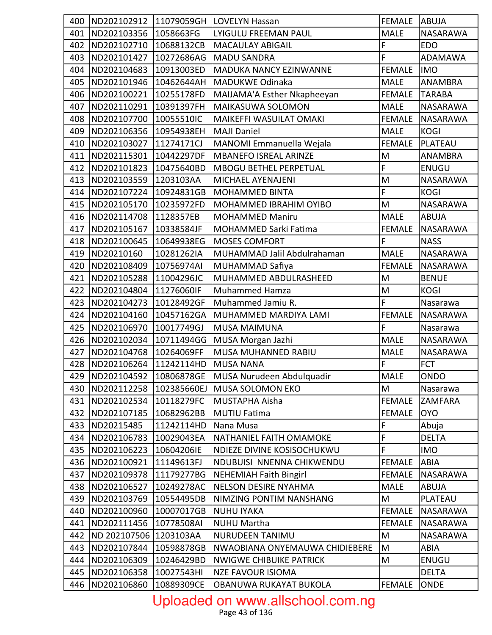| 400 | ND202102912            |             | 11079059GH LOVELYN Hassan                            | <b>FEMALE</b> | ABUJA           |
|-----|------------------------|-------------|------------------------------------------------------|---------------|-----------------|
| 401 | ND202103356            | 1058663FG   | LYIGULU FREEMAN PAUL                                 | <b>MALE</b>   | <b>NASARAWA</b> |
| 402 | ND202102710            | 10688132CB  | <b>MACAULAY ABIGAIL</b>                              | F             | <b>EDO</b>      |
| 403 | ND202101427            | 10272686AG  | <b>MADU SANDRA</b>                                   | F             | <b>ADAMAWA</b>  |
| 404 | ND202104683            | 10913003ED  | MADUKA NANCY EZINWANNE                               | <b>FEMALE</b> | <b>IMO</b>      |
| 405 | ND202101946            | 10462644AH  | <b>MADUKWE Odinaka</b>                               | <b>MALE</b>   | <b>ANAMBRA</b>  |
| 406 | ND202100221            | 10255178FD  | MAIJAMA'A Esther Nkapheeyan                          | <b>FEMALE</b> | <b>TARABA</b>   |
| 407 | ND202110291            | 10391397FH  | MAIKASUWA SOLOMON                                    | <b>MALE</b>   | NASARAWA        |
| 408 | ND202107700            | 10055510IC  | MAIKEFFI WASUILAT OMAKI                              | <b>FEMALE</b> | <b>NASARAWA</b> |
| 409 | ND202106356            | 10954938EH  | <b>MAJI Daniel</b>                                   | <b>MALE</b>   | <b>KOGI</b>     |
| 410 | ND202103027            | 11274171CJ  | MANOMI Emmanuella Wejala                             | <b>FEMALE</b> | <b>PLATEAU</b>  |
| 411 | ND202115301            | 10442297DF  | <b>MBANEFO ISREAL ARINZE</b>                         | M             | ANAMBRA         |
| 412 | ND202101823            | 10475640BD  | MBOGU BETHEL PERPETUAL                               | F             | ENUGU           |
| 413 | ND202103559            | 1203103AA   | MICHAEL AYENAJENI                                    | M             | NASARAWA        |
| 414 | ND202107224            | 10924831GB  | <b>MOHAMMED BINTA</b>                                | F             | <b>KOGI</b>     |
| 415 | ND202105170            | 10235972FD  | MOHAMMED IBRAHIM OYIBO                               | M             | NASARAWA        |
| 416 | ND202114708            | 1128357EB   | <b>MOHAMMED Maniru</b>                               | <b>MALE</b>   | ABUJA           |
| 417 | ND202105167            | 10338584JF  | MOHAMMED Sarki Fatima                                | <b>FEMALE</b> | <b>NASARAWA</b> |
| 418 | ND202100645            | 10649938EG  | <b>MOSES COMFORT</b>                                 | F             | <b>NASS</b>     |
| 419 | ND20210160             | 10281262IA  | MUHAMMAD Jalil Abdulrahaman                          | <b>MALE</b>   | NASARAWA        |
| 420 | ND202108409            | 10756974AI  | MUHAMMAD Safiya                                      | <b>FEMALE</b> | <b>NASARAWA</b> |
| 421 | ND202105288            | 11004296JC  | MUHAMMED ABDULRASHEED                                | M             | <b>BENUE</b>    |
| 422 | ND202104804            | 11276060IF  | Muhammed Hamza                                       | M             | <b>KOGI</b>     |
| 423 | ND202104273            | 10128492GF  | Muhammed Jamiu R.                                    | F             | Nasarawa        |
| 424 | ND202104160            | 10457162GA  | MUHAMMED MARDIYA LAMI                                | <b>FEMALE</b> | <b>NASARAWA</b> |
| 425 | ND202106970            | 10017749GJ  | <b>MUSA MAIMUNA</b>                                  | F             | Nasarawa        |
| 426 | ND202102034            | 10711494GG  | MUSA Morgan Jazhi                                    | <b>MALE</b>   | NASARAWA        |
| 427 | ND202104768            | 10264069FF  | MUSA MUHANNED RABIU                                  | <b>MALE</b>   | NASARAWA        |
| 428 | ND202106264            | 11242114HD  | <b>MUSA NANA</b>                                     | F             | <b>FCT</b>      |
| 429 |                        |             | ND202104592   10806878GE   MUSA Nurudeen Abdulquadir | MALE          | <b>ONDO</b>     |
| 430 | ND202112258            | 102385660EJ | MUSA SOLOMON EKO                                     | M             | Nasarawa        |
| 431 | ND202102534            | 10118279FC  | MUSTAPHA Aisha                                       | <b>FEMALE</b> | <b>ZAMFARA</b>  |
| 432 | ND202107185            | 10682962BB  | <b>MUTIU Fatima</b>                                  | <b>FEMALE</b> | <b>OYO</b>      |
| 433 | ND20215485             | 11242114HD  | Nana Musa                                            | F             | Abuja           |
| 434 | ND202106783            | 10029043EA  | NATHANIEL FAITH OMAMOKE                              | F             | <b>DELTA</b>    |
| 435 | ND202106223            | 10604206IE  | NDIEZE DIVINE KOSISOCHUKWU                           | F             | <b>IMO</b>      |
| 436 | ND202100921            | 11149613FJ  | NDUBUISI NNENNA CHIKWENDU                            | <b>FEMALE</b> | <b>ABIA</b>     |
| 437 | ND202109378            | 11179277BG  | <b>NEHEMIAH Faith Bingirl</b>                        | <b>FEMALE</b> | <b>NASARAWA</b> |
| 438 | ND202106527            | 10249278AC  | NELSON DESIRE NYAHMA                                 | <b>MALE</b>   | <b>ABUJA</b>    |
| 439 | ND202103769            | 10554495DB  | NIMZING PONTIM NANSHANG                              | M             | <b>PLATEAU</b>  |
| 440 | ND202100960            | 10007017GB  | <b>NUHU IYAKA</b>                                    | <b>FEMALE</b> | <b>NASARAWA</b> |
| 441 | ND202111456            | 10778508AI  | <b>NUHU Martha</b>                                   | <b>FEMALE</b> | <b>NASARAWA</b> |
| 442 | ND 202107506 1203103AA |             | NURUDEEN TANIMU                                      | M             | NASARAWA        |
| 443 | ND202107844            | 10598878GB  | NWAOBIANA ONYEMAUWA CHIDIEBERE                       | M             | ABIA            |
| 444 | ND202106309            | 10246429BD  | <b>NWIGWE CHIBUIKE PATRICK</b>                       | M             | ENUGU           |
| 445 | ND202106358            | 10027543HI  | <b>NZE FAVOUR ISIOMA</b>                             |               | <b>DELTA</b>    |
| 446 | ND202106860            | 10889309CE  | OBANUWA RUKAYAT BUKOLA                               | <b>FEMALE</b> | <b>ONDE</b>     |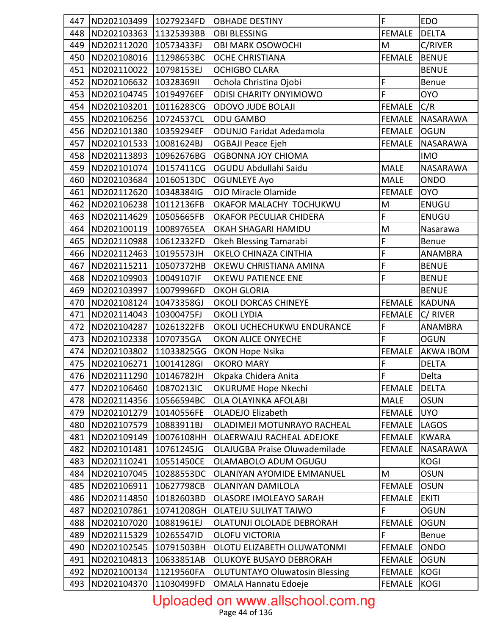| 447 | ND202103499                | 10279234FD | <b>OBHADE DESTINY</b>                 | $\mathsf F$    | <b>EDO</b>       |
|-----|----------------------------|------------|---------------------------------------|----------------|------------------|
| 448 | ND202103363                | 11325393BB | <b>OBI BLESSING</b>                   | <b>FEMALE</b>  | <b>DELTA</b>     |
| 449 | ND202112020                | 10573433FJ | OBI MARK OSOWOCHI                     | M              | C/RIVER          |
| 450 | ND202108016                | 11298653BC | OCHE CHRISTIANA                       | <b>FEMALE</b>  | <b>BENUE</b>     |
| 451 | ND202110022                | 10798153EJ | <b>OCHIGBO CLARA</b>                  |                | <b>BENUE</b>     |
| 452 | ND202106632                | 1032836911 | Ochola Christina Ojobi                | F              | Benue            |
| 453 | ND202104745                | 10194976EF | <b>ODISI CHARITY ONYIMOWO</b>         | F              | <b>OYO</b>       |
| 454 | ND202103201                | 10116283CG | <b>ODOVO JUDE BOLAJI</b>              | <b>FEMALE</b>  | C/R              |
| 455 | ND202106256                | 10724537CL | <b>ODU GAMBO</b>                      | <b>FEMALE</b>  | NASARAWA         |
| 456 | ND202101380                | 10359294EF | <b>ODUNJO Faridat Adedamola</b>       | <b>FEMALE</b>  | <b>OGUN</b>      |
| 457 | ND202101533                | 10081624BJ | OGBAJI Peace Ejeh                     | <b>FEMALE</b>  | <b>NASARAWA</b>  |
| 458 | ND202113893                | 10962676BG | OGBONNA JOY CHIOMA                    |                | <b>IMO</b>       |
| 459 | ND202101074                | 10157411CG | OGUDU Abdullahi Saidu                 | <b>MALE</b>    | NASARAWA         |
| 460 | ND202103684                | 10160513DC | <b>OGUNLEYE Ayo</b>                   | <b>MALE</b>    | <b>ONDO</b>      |
| 461 | ND202112620                | 10348384IG | <b>OJO Miracle Olamide</b>            | <b>FEMALE</b>  | <b>OYO</b>       |
| 462 | ND202106238                | 10112136FB | OKAFOR MALACHY TOCHUKWU               | M              | ENUGU            |
| 463 | ND202114629                | 10505665FB | OKAFOR PECULIAR CHIDERA               | F              | ENUGU            |
| 464 | ND202100119                | 10089765EA | OKAH SHAGARI HAMIDU                   | $\mathsf{M}$   | Nasarawa         |
| 465 | ND202110988                | 10612332FD | Okeh Blessing Tamarabi                | F              | Benue            |
| 466 | ND202112463                | 10195573JH | OKELO CHINAZA CINTHIA                 | F              | <b>ANAMBRA</b>   |
| 467 | ND202115211                | 10507372HB | OKEWU CHRISTIANA AMINA                | F              | <b>BENUE</b>     |
| 468 | ND202109903                | 10049107IF | OKEWU PATIENCE ENE                    | F              | <b>BENUE</b>     |
| 469 | ND202103997                | 10079996FD | <b>OKOH GLORIA</b>                    |                | <b>BENUE</b>     |
| 470 | ND202108124                | 10473358GJ | OKOLI DORCAS CHINEYE                  | <b>FEMALE</b>  | <b>KADUNA</b>    |
| 471 | ND202114043                | 10300475FJ | <b>OKOLI LYDIA</b>                    | <b>FEMALE</b>  | C/RIVER          |
| 472 | ND202104287                | 10261322FB | OKOLI UCHECHUKWU ENDURANCE            | F              | ANAMBRA          |
| 473 | ND202102338                | 1070735GA  | OKON ALICE ONYECHE                    | F              | <b>OGUN</b>      |
| 474 | ND202103802                | 11033825GG | <b>OKON Hope Nsika</b>                | <b>FEMALE</b>  | <b>AKWA IBOM</b> |
| 475 | ND202106271                | 10014128GI | <b>OKORO MARY</b>                     | F              | <b>DELTA</b>     |
|     | 476 ND202111290 10146782JH |            | Okpaka Chidera Anita                  | $\overline{F}$ | Delta            |
| 477 | ND202106460                | 10870213IC | <b>OKURUME Hope Nkechi</b>            | <b>FEMALE</b>  | <b>DELTA</b>     |
| 478 | ND202114356                | 10566594BC | OLA OLAYINKA AFOLABI                  | <b>MALE</b>    | <b>OSUN</b>      |
| 479 | ND202101279                | 10140556FE | <b>OLADEJO Elizabeth</b>              | <b>FEMALE</b>  | <b>UYO</b>       |
| 480 | ND202107579                | 10883911BJ | OLADIMEJI MOTUNRAYO RACHEAL           | <b>FEMALE</b>  | <b>LAGOS</b>     |
| 481 | ND202109149                | 10076108HH | OLAERWAJU RACHEAL ADEJOKE             | <b>FEMALE</b>  | <b>KWARA</b>     |
| 482 | ND202101481                | 10761245JG | <b>OLAJUGBA Praise Oluwademilade</b>  | <b>FEMALE</b>  | NASARAWA         |
| 483 | ND202110241                | 10551450CE | OLAMABOLO ADUM OGUGU                  |                | <b>KOGI</b>      |
| 484 | ND202107045                | 10288553DC | <b>OLANIYAN AYOMIDE EMMANUEL</b>      | M              | <b>OSUN</b>      |
| 485 | ND202106911                | 10627798CB | <b>OLANIYAN DAMILOLA</b>              | <b>FEMALE</b>  | <b>OSUN</b>      |
| 486 | ND202114850                | 10182603BD | <b>OLASORE IMOLEAYO SARAH</b>         | <b>FEMALE</b>  | <b>EKITI</b>     |
| 487 | ND202107861                | 10741208GH | OLATEJU SULIYAT TAIWO                 | F              | <b>OGUN</b>      |
| 488 | ND202107020                | 10881961EJ | OLATUNJI OLOLADE DEBRORAH             | <b>FEMALE</b>  | <b>OGUN</b>      |
| 489 | ND202115329                | 10265547ID | <b>OLOFU VICTORIA</b>                 | F              | Benue            |
| 490 | ND202102545                | 10791503BH | OLOTU ELIZABETH OLUWATONMI            | <b>FEMALE</b>  | <b>ONDO</b>      |
| 491 | ND202104813                | 10633851AB | OLUKOYE BUSAYO DEBRORAH               | <b>FEMALE</b>  | <b>OGUN</b>      |
| 492 | ND202100134                | 11219560FA | <b>OLUTUNTAYO Oluwatosin Blessing</b> | <b>FEMALE</b>  | <b>KOGI</b>      |
| 493 | ND202104370                | 11030499FD | <b>OMALA Hannatu Edoeje</b>           | <b>FEMALE</b>  | <b>KOGI</b>      |

# Uploaded on www.allschool.com.ng<br>Page 44 of 136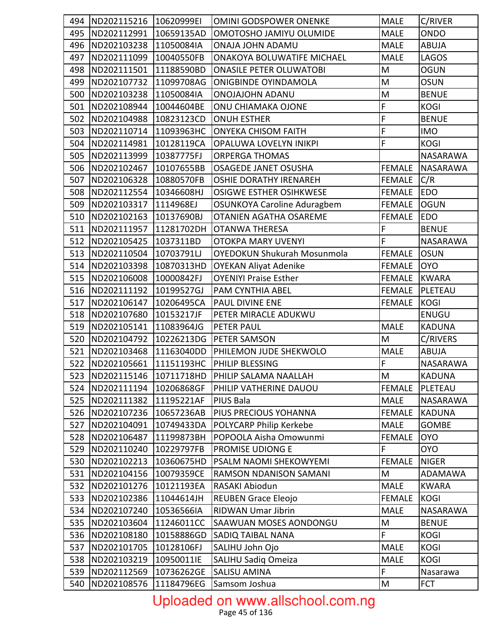| 494 | ND202115216 10620999EI |            | OMINI GODSPOWER ONENKE                           | <b>MALE</b>    | C/RIVER         |
|-----|------------------------|------------|--------------------------------------------------|----------------|-----------------|
| 495 | ND202112991            | 10659135AD | OMOTOSHO JAMIYU OLUMIDE                          | <b>MALE</b>    | <b>ONDO</b>     |
| 496 | ND202103238            | 11050084IA | <b>ONAJA JOHN ADAMU</b>                          | <b>MALE</b>    | <b>ABUJA</b>    |
| 497 | ND202111099            | 10040550FB | <b>ONAKOYA BOLUWATIFE MICHAEL</b>                | <b>MALE</b>    | LAGOS           |
| 498 | ND202111501            | 11188590BD | <b>ONASILE PETER OLUWATOBI</b>                   | M              | <b>OGUN</b>     |
| 499 | ND202107732            | 11099708AG | <b>ONIGBINDE OYINDAMOLA</b>                      | M              | <b>OSUN</b>     |
| 500 | ND202103238            | 11050084IA | <b>ONOJAJOHN ADANU</b>                           | M              | <b>BENUE</b>    |
| 501 | ND202108944            | 10044604BE | ONU CHIAMAKA OJONE                               | F              | <b>KOGI</b>     |
| 502 | ND202104988            | 10823123CD | <b>ONUH ESTHER</b>                               | $\overline{F}$ | <b>BENUE</b>    |
| 503 | ND202110714            | 11093963HC | <b>ONYEKA CHISOM FAITH</b>                       | F              | <b>IMO</b>      |
| 504 | ND202114981            | 10128119CA | <b>OPALUWA LOVELYN INIKPI</b>                    | F              | <b>KOGI</b>     |
| 505 | ND202113999            | 10387775FJ | <b>ORPERGA THOMAS</b>                            |                | <b>NASARAWA</b> |
| 506 | ND202102467            | 10107655BB | <b>OSAGEDE JANET OSUSHA</b>                      | <b>FEMALE</b>  | NASARAWA        |
| 507 | ND202106328            | 10880570FB | <b>OSHIE DORATHY IRENAREH</b>                    | <b>FEMALE</b>  | C/R             |
| 508 | ND202112554            | 10346608HJ | OSIGWE ESTHER OSIHKWESE                          | <b>FEMALE</b>  | <b>EDO</b>      |
| 509 | ND202103317            | 1114968EJ  | <b>OSUNKOYA Caroline Aduragbem</b>               | <b>FEMALE</b>  | <b>OGUN</b>     |
| 510 | ND202102163            | 10137690BJ | OTANIEN AGATHA OSAREME                           | <b>FEMALE</b>  | <b>EDO</b>      |
| 511 | ND202111957            | 11281702DH | <b>OTANWA THERESA</b>                            | F              | <b>BENUE</b>    |
| 512 | ND202105425            | 1037311BD  | <b>OTOKPA MARY UVENYI</b>                        | F              | NASARAWA        |
| 513 | ND202110504            | 10703791LJ | <b>OYEDOKUN Shukurah Mosunmola</b>               | <b>FEMALE</b>  | <b>OSUN</b>     |
| 514 | ND202103398            | 10870313HD | <b>OYEKAN Aliyat Adenike</b>                     | <b>FEMALE</b>  | <b>OYO</b>      |
| 515 | ND202106008            | 10000842FJ | <b>OYENIYI Praise Esther</b>                     | <b>FEMALE</b>  | <b>KWARA</b>    |
| 516 | ND202111192            | 10199527GJ | PAM CYNTHIA ABEL                                 | <b>FEMALE</b>  | PLETEAU         |
| 517 | ND202106147            | 10206495CA | PAUL DIVINE ENE                                  | <b>FEMALE</b>  | <b>KOGI</b>     |
| 518 | ND202107680            | 10153217JF | PETER MIRACLE ADUKWU                             |                | ENUGU           |
| 519 | ND202105141            | 11083964JG | PETER PAUL                                       | <b>MALE</b>    | <b>KADUNA</b>   |
| 520 | ND202104792            | 10226213DG | <b>PETER SAMSON</b>                              | M              | C/RIVERS        |
| 521 | ND202103468            | 11163040DD | PHILEMON JUDE SHEKWOLO                           | <b>MALE</b>    | <b>ABUJA</b>    |
| 522 | ND202105661            | 11151193HC | PHILIP BLESSING                                  | F              | NASARAWA        |
| 523 |                        |            | ND202115146   10711718HD   PHILIP SALAMA NAALLAH | M              | <b>KADUNA</b>   |
| 524 | ND202111194            | 10206868GF | PHILIP VATHERINE DAUOU                           | <b>FEMALE</b>  | PLETEAU         |
| 525 | ND202111382            | 11195221AF | <b>PIUS Bala</b>                                 | <b>MALE</b>    | <b>NASARAWA</b> |
| 526 | ND202107236 10657236AB |            | PIUS PRECIOUS YOHANNA                            | <b>FEMALE</b>  | <b>KADUNA</b>   |
| 527 | ND202104091            | 10749433DA | POLYCARP Philip Kerkebe                          | <b>MALE</b>    | <b>GOMBE</b>    |
| 528 | ND202106487            | 11199873BH | POPOOLA Aisha Omowunmi                           | <b>FEMALE</b>  | <b>OYO</b>      |
| 529 | ND202110240            | 10229797FB | <b>PROMISE UDIONG E</b>                          | F              | <b>OYO</b>      |
| 530 | ND202102213            | 10360675HD | PSALM NAOMI SHEKOWYEMI                           | <b>FEMALE</b>  | <b>NIGER</b>    |
| 531 | ND202104156            | 10079359CE | RAMSON NDANISON SAMANI                           | M              | ADAMAWA         |
| 532 | ND202101276            | 10121193EA | RASAKI Abiodun                                   | <b>MALE</b>    | <b>KWARA</b>    |
| 533 | ND202102386            | 11044614JH | <b>REUBEN Grace Eleojo</b>                       | <b>FEMALE</b>  | <b>KOGI</b>     |
| 534 | ND202107240            | 10536566IA | RIDWAN Umar Jibrin                               | <b>MALE</b>    | NASARAWA        |
| 535 | ND202103604            | 11246011CC | SAAWUAN MOSES AONDONGU                           | M              | <b>BENUE</b>    |
| 536 | ND202108180            | 10158886GD | <b>SADIQ TAIBAL NANA</b>                         | F              | <b>KOGI</b>     |
| 537 | ND202101705            | 10128106FJ | SALIHU John Ojo                                  | <b>MALE</b>    | <b>KOGI</b>     |
| 538 | ND202103219            | 10950011IE | <b>SALIHU Sadiq Omeiza</b>                       | <b>MALE</b>    | <b>KOGI</b>     |
| 539 | ND202112569            | 10736262GE | <b>SALISU AMINA</b>                              | $\overline{F}$ | Nasarawa        |
| 540 | ND202108576            | 11184796EG | Samsom Joshua                                    | M              | <b>FCT</b>      |

# Uploaded on www.allschool.com.ng<br>Page 45 of 136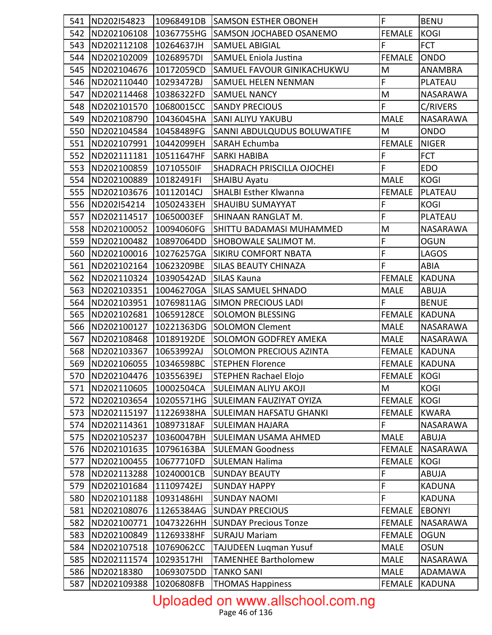| 541 | ND202154823                | 10968491DB | <b>SAMSON ESTHER OBONEH</b>    | F              | <b>BENU</b>     |
|-----|----------------------------|------------|--------------------------------|----------------|-----------------|
| 542 | ND202106108                | 10367755HG | <b>SAMSON JOCHABED OSANEMO</b> | <b>FEMALE</b>  | <b>KOGI</b>     |
| 543 | ND202112108                | 10264637JH | <b>SAMUEL ABIGIAL</b>          | F              | <b>FCT</b>      |
| 544 | ND202102009                | 10268957DI | <b>SAMUEL Eniola Justina</b>   | <b>FEMALE</b>  | <b>ONDO</b>     |
| 545 | ND202104676                | 10172059CD | SAMUEL FAVOUR GINIKACHUKWU     | M              | ANAMBRA         |
| 546 | ND202110440                | 10293472BJ | SAMUEL HELEN NENMAN            | F              | PLATEAU         |
| 547 | ND202114468                | 10386322FD | <b>SAMUEL NANCY</b>            | M              | NASARAWA        |
| 548 | ND202101570                | 10680015CC | <b>SANDY PRECIOUS</b>          | F              | C/RIVERS        |
| 549 | ND202108790                | 10436045HA | SANI ALIYU YAKUBU              | <b>MALE</b>    | NASARAWA        |
| 550 | ND202104584                | 10458489FG | SANNI ABDULQUDUS BOLUWATIFE    | M              | ONDO            |
| 551 | ND202107991                | 10442099EH | SARAH Echumba                  | <b>FEMALE</b>  | <b>NIGER</b>    |
| 552 | ND202111181                | 10511647HF | <b>SARKI HABIBA</b>            | F              | <b>FCT</b>      |
| 553 | ND202100859                | 10710550IF | SHADRACH PRISCILLA OJOCHEI     | F              | <b>EDO</b>      |
| 554 | ND202100889                | 10182491FI | <b>SHAIBU Ayatu</b>            | <b>MALE</b>    | <b>KOGI</b>     |
| 555 | ND202103676                | 10112014CJ | <b>SHALBI Esther Klwanna</b>   | <b>FEMALE</b>  | PLATEAU         |
| 556 | ND202I54214                | 10502433EH | SHAUIBU SUMAYYAT               | F              | <b>KOGI</b>     |
| 557 | ND202114517                | 10650003EF | SHINAAN RANGLAT M.             | F              | PLATEAU         |
| 558 | ND202100052                | 10094060FG | SHITTU BADAMASI MUHAMMED       | M              | NASARAWA        |
| 559 | ND202100482                | 10897064DD | SHOBOWALE SALIMOT M.           | F              | <b>OGUN</b>     |
| 560 | ND202100016                | 10276257GA | SIKIRU COMFORT NBATA           | F              | <b>LAGOS</b>    |
| 561 | ND202102164                | 10623209BE | <b>SILAS BEAUTY CHINAZA</b>    | $\overline{F}$ | <b>ABIA</b>     |
| 562 | ND202110324                | 10390542AD | <b>SILAS Kauna</b>             | <b>FEMALE</b>  | <b>KADUNA</b>   |
| 563 | ND202103351                | 10046270GA | <b>SILAS SAMUEL SHNADO</b>     | <b>MALE</b>    | <b>ABUJA</b>    |
| 564 | ND202103951                | 10769811AG | <b>SIMON PRECIOUS LADI</b>     | F              | <b>BENUE</b>    |
| 565 | ND202102681                | 10659128CE | <b>SOLOMON BLESSING</b>        | <b>FEMALE</b>  | <b>KADUNA</b>   |
| 566 | ND202100127                | 10221363DG | <b>SOLOMON Clement</b>         | <b>MALE</b>    | NASARAWA        |
| 567 | ND202108468                | 10189192DE | <b>SOLOMON GODFREY AMEKA</b>   | <b>MALE</b>    | <b>NASARAWA</b> |
| 568 | ND202103367                | 10653992AJ | SOLOMON PRECIOUS AZINTA        | <b>FEMALE</b>  | <b>KADUNA</b>   |
| 569 | ND202106055                | 10346598BC | <b>STEPHEN Florence</b>        | <b>FEMALE</b>  | <b>KADUNA</b>   |
|     | 570 ND202104476 10355639EJ |            | STEPHEN Rachael Elojo          | FEMALE KOGI    |                 |
| 571 | ND202110605                | 10002504CA | <b>SULEIMAN ALIYU AKOJI</b>    | M              | <b>KOGI</b>     |
| 572 | ND202103654                | 10205571HG | <b>SULEIMAN FAUZIYAT OYIZA</b> | <b>FEMALE</b>  | KOGI            |
| 573 | ND202115197                | 11226938HA | <b>SULEIMAN HAFSATU GHANKI</b> | FEMALE         | <b>KWARA</b>    |
| 574 | ND202114361                | 10897318AF | <b>SULEIMAN HAJARA</b>         | F              | <b>NASARAWA</b> |
| 575 | ND202105237                | 10360047BH | <b>SULEIMAN USAMA AHMED</b>    | <b>MALE</b>    | <b>ABUJA</b>    |
| 576 | ND202101635                | 10796163BA | <b>SULEMAN Goodness</b>        | <b>FEMALE</b>  | NASARAWA        |
| 577 | ND202100455                | 10677710FD | <b>SULEMAN Halima</b>          | <b>FEMALE</b>  | <b>KOGI</b>     |
| 578 | ND202113288                | 10240001CB | <b>SUNDAY BEAUTY</b>           | F              | <b>ABUJA</b>    |
| 579 | ND202101684                | 11109742EJ | <b>SUNDAY HAPPY</b>            | F              | <b>KADUNA</b>   |
| 580 | ND202101188                | 10931486HI | <b>SUNDAY NAOMI</b>            | F              | <b>KADUNA</b>   |
| 581 | ND202108076                | 11265384AG | <b>SUNDAY PRECIOUS</b>         | <b>FEMALE</b>  | <b>EBONYI</b>   |
| 582 | ND202100771                | 10473226HH | <b>SUNDAY Precious Tonze</b>   | <b>FEMALE</b>  | <b>NASARAWA</b> |
| 583 | ND202100849                | 11269338HF | <b>SURAJU Mariam</b>           | <b>FEMALE</b>  | <b>OGUN</b>     |
| 584 | ND202107518                | 10769062CC | <b>TAJUDEEN Luqman Yusuf</b>   | <b>MALE</b>    | <b>OSUN</b>     |
| 585 | ND202111574                | 10293517HI | <b>TAMENHEE Bartholomew</b>    | <b>MALE</b>    | <b>NASARAWA</b> |
| 586 | ND20218380                 | 10693075DD | <b>TANKO SANI</b>              | <b>MALE</b>    | ADAMAWA         |
| 587 | ND202109388                | 10206808FB | <b>THOMAS Happiness</b>        | <b>FEMALE</b>  | <b>KADUNA</b>   |

# Uploaded on www.allschool.com.ng<br>Page 46 of 136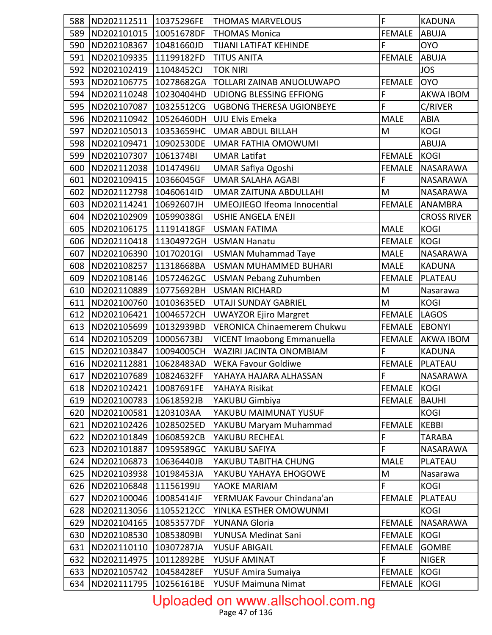| 588 | ND202112511            | 10375296FE  | <b>THOMAS MARVELOUS</b>            | $\mathsf F$    | <b>KADUNA</b>      |
|-----|------------------------|-------------|------------------------------------|----------------|--------------------|
| 589 | ND202101015            | 10051678DF  | <b>THOMAS Monica</b>               | <b>FEMALE</b>  | <b>ABUJA</b>       |
| 590 | ND202108367            | 10481660JD  | <b>TIJANI LATIFAT KEHINDE</b>      | F              | <b>OYO</b>         |
| 591 | ND202109335            | 11199182FD  | <b>TITUS ANITA</b>                 | <b>FEMALE</b>  | <b>ABUJA</b>       |
| 592 | ND202102419            | 11048452CJ  | <b>TOK NIRI</b>                    |                | <b>JOS</b>         |
| 593 | ND202106775            | 10278682GA  | TOLLARI ZAINAB ANUOLUWAPO          | <b>FEMALE</b>  | <b>OYO</b>         |
| 594 | ND202110248            | 10230404HD  | <b>UDIONG BLESSING EFFIONG</b>     | F              | <b>AKWA IBOM</b>   |
| 595 | ND202107087            | 10325512CG  | <b>UGBONG THERESA UGIONBEYE</b>    | F              | C/RIVER            |
| 596 | ND202110942            | 10526460DH  | <b>UJU Elvis Emeka</b>             | <b>MALE</b>    | ABIA               |
| 597 | ND202105013            | 10353659HC  | <b>UMAR ABDUL BILLAH</b>           | M              | <b>KOGI</b>        |
| 598 | ND202109471            | 10902530DE  | UMAR FATHIA OMOWUMI                |                | <b>ABUJA</b>       |
| 599 | ND202107307            | 1061374BI   | <b>UMAR Latifat</b>                | <b>FEMALE</b>  | KOGI               |
| 600 | ND202112038            | [10147496IJ | <b>UMAR Safiya Ogoshi</b>          | <b>FEMALE</b>  | <b>NASARAWA</b>    |
| 601 | ND202109415            | 10366045GF  | <b>UMAR SALAHA AGABI</b>           | F              | NASARAWA           |
| 602 | ND202112798            | 10460614ID  | <b>UMAR ZAITUNA ABDULLAHI</b>      | M              | NASARAWA           |
| 603 | ND202114241            | 10692607JH  | UMEOJIEGO Ifeoma Innocential       | <b>FEMALE</b>  | ANAMBRA            |
| 604 | ND202102909            | 10599038GI  | <b>USHIE ANGELA ENEJI</b>          |                | <b>CROSS RIVER</b> |
| 605 | ND202106175            | 11191418GF  | <b>USMAN FATIMA</b>                | <b>MALE</b>    | <b>KOGI</b>        |
| 606 | ND202110418            | 11304972GH  | <b>USMAN Hanatu</b>                | <b>FEMALE</b>  | <b>KOGI</b>        |
| 607 | ND202106390            | 10170201GI  | <b>USMAN Muhammad Taye</b>         | <b>MALE</b>    | NASARAWA           |
| 608 | ND202108257            | 11318668BA  | <b>USMAN MUHAMMED BUHARI</b>       | <b>MALE</b>    | <b>KADUNA</b>      |
| 609 | ND202108146            | 10572462GC  | <b>USMAN Pebang Zuhumben</b>       | <b>FEMALE</b>  | PLATEAU            |
| 610 | ND202110889            | 10775692BH  | <b>USMAN RICHARD</b>               | M              | Nasarawa           |
| 611 | ND202100760            | 10103635ED  | UTAJI SUNDAY GABRIEL               | M              | <b>KOGI</b>        |
| 612 | ND202106421            | 10046572CH  | <b>UWAYZOR Ejiro Margret</b>       | <b>FEMALE</b>  | <b>LAGOS</b>       |
| 613 | ND202105699            | 10132939BD  | <b>VERONICA Chinaemerem Chukwu</b> | <b>FEMALE</b>  | <b>EBONYI</b>      |
| 614 | ND202105209            | 10005673BJ  | VICENT Imaobong Emmanuella         | <b>FEMALE</b>  | <b>AKWA IBOM</b>   |
| 615 | ND202103847            | 10094005CH  | WAZIRI JACINTA ONOMBIAM            | F              | <b>KADUNA</b>      |
| 616 | ND202112881            | 10628483AD  | <b>WEKA Favour Goldiwe</b>         | <b>FEMALE</b>  | PLATEAU            |
| 617 | ND202107689 10824632FF |             | YAHAYA HAJARA ALHASSAN             | $\overline{F}$ | NASARAWA           |
| 618 | ND202102421            | 10087691FE  | YAHAYA Risikat                     | <b>FEMALE</b>  | KOGI               |
| 619 | ND202100783            | 10618592JB  | YAKUBU Gimbiya                     | <b>FEMALE</b>  | <b>BAUHI</b>       |
| 620 | ND202100581            | 1203103AA   | YAKUBU MAIMUNAT YUSUF              |                | <b>KOGI</b>        |
| 621 | ND202102426            | 10285025ED  | YAKUBU Maryam Muhammad             | <b>FEMALE</b>  | KEBBI              |
| 622 | ND202101849            | 10608592CB  | YAKUBU RECHEAL                     | F              | <b>TARABA</b>      |
| 623 | ND202101887            | 10959589GC  | YAKUBU SAFIYA                      | F              | <b>NASARAWA</b>    |
| 624 | ND202106873            | 10636440JB  | YAKUBU TABITHA CHUNG               | <b>MALE</b>    | PLATEAU            |
| 625 | ND202103938            | 10198453JA  | YAKUBU YAHAYA EHOGOWE              | M              | Nasarawa           |
| 626 | ND202106848            | 11156199IJ  | YAOKE MARIAM                       | F              | <b>KOGI</b>        |
| 627 | ND202100046            | 10085414JF  | YERMUAK Favour Chindana'an         | <b>FEMALE</b>  | PLATEAU            |
| 628 | ND202113056            | 11055212CC  | YINLKA ESTHER OMOWUNMI             |                | <b>KOGI</b>        |
| 629 | ND202104165            | 10853577DF  | <b>YUNANA Gloria</b>               | <b>FEMALE</b>  | <b>NASARAWA</b>    |
| 630 | ND202108530            | 10853809BI  | YUNUSA Medinat Sani                | <b>FEMALE</b>  | KOGI               |
| 631 | ND202110110            | 10307287JA  | <b>YUSUF ABIGAIL</b>               | <b>FEMALE</b>  | <b>GOMBE</b>       |
| 632 | ND202114975            | 10112892BE  | YUSUF AMINAT                       | F              | <b>NIGER</b>       |
| 633 | ND202105742            | 10458428EF  | YUSUF Amira Sumaiya                | <b>FEMALE</b>  | <b>KOGI</b>        |
| 634 | ND202111795            | 10256161BE  | YUSUF Maimuna Nimat                | <b>FEMALE</b>  | KOGI               |

# Uploaded on www.allschool.com.ng<br>Page 47 of 136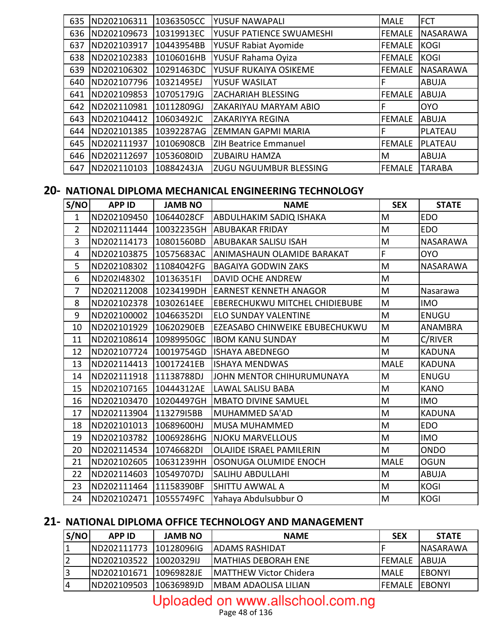| 635 | ND202106311 | 10363505CC | YUSUF NAWAPALI                | <b>MALE</b>   | <b>FCT</b>      |
|-----|-------------|------------|-------------------------------|---------------|-----------------|
| 636 | ND202109673 | 10319913EC | YUSUF PATIENCE SWUAMESHI      | <b>FEMALE</b> | <b>NASARAWA</b> |
| 637 | ND202103917 | 10443954BB | YUSUF Rabiat Ayomide          | <b>FEMALE</b> | <b>KOGI</b>     |
| 638 | ND202102383 | 10106016HB | YUSUF Rahama Oyiza            | <b>FEMALE</b> | <b>KOGI</b>     |
| 639 | ND202106302 | 10291463DC | YUSUF RUKAIYA OSIKEME         | <b>FEMALE</b> | <b>NASARAWA</b> |
| 640 | ND202107796 | 10321495EJ | YUSUF WASILAT                 | F             | <b>ABUJA</b>    |
| 641 | ND202109853 | 10705179JG | <b>ZACHARIAH BLESSING</b>     | <b>FEMALE</b> | <b>ABUJA</b>    |
| 642 | ND202110981 | 10112809GJ | ZAKARIYAU MARYAM ABIO         | F             | <b>OYO</b>      |
| 643 | ND202104412 | 10603492JC | <b>ZAKARIYYA REGINA</b>       | <b>FEMALE</b> | <b>ABUJA</b>    |
| 644 | ND202101385 | 10392287AG | <b>ZEMMAN GAPMI MARIA</b>     | F             | PLATEAU         |
| 645 | ND202111937 | 10106908CB | <b>ZIH Beatrice Emmanuel</b>  | <b>FEMALE</b> | PLATEAU         |
| 646 | ND202112697 | 10536080ID | <b>ZUBAIRU HAMZA</b>          | M             | <b>ABUJA</b>    |
| 647 | ND202110103 | 10884243JA | <b>ZUGU NGUUMBUR BLESSING</b> | <b>FEMALE</b> | <b>TARABA</b>   |

#### 20- NATIONAL DIPLOMA MECHANICAL ENGINEERING TECHNOLOGY

| S/NO           | <b>APP ID</b> | <b>JAMB NO</b> | <b>NAME</b>                     | <b>SEX</b>  | <b>STATE</b>    |
|----------------|---------------|----------------|---------------------------------|-------------|-----------------|
| $\mathbf{1}$   | ND202109450   | 10644028CF     | ABDULHAKIM SADIQ ISHAKA         | M           | <b>EDO</b>      |
| $\overline{2}$ | ND202111444   | 10032235GH     | <b>ABUBAKAR FRIDAY</b>          | M           | <b>EDO</b>      |
| 3              | ND202114173   | 10801560BD     | <b>ABUBAKAR SALISU ISAH</b>     | M           | NASARAWA        |
| 4              | ND202103875   | 10575683AC     | ANIMASHAUN OLAMIDE BARAKAT      | F           | <b>OYO</b>      |
| 5              | ND202108302   | 11084042FG     | <b>BAGAIYA GODWIN ZAKS</b>      | M           | <b>NASARAWA</b> |
| 6              | ND202I48302   | 10136351FI     | DAVID OCHE ANDREW               | M           |                 |
| 7              | ND202112008   | 10234199DH     | <b>EARNEST KENNETH ANAGOR</b>   | M           | Nasarawa        |
| 8              | ND202102378   | 10302614EE     | EBERECHUKWU MITCHEL CHIDIEBUBE  | M           | <b>IMO</b>      |
| 9              | ND202100002   | 10466352DI     | <b>ELO SUNDAY VALENTINE</b>     | M           | <b>ENUGU</b>    |
| 10             | ND202101929   | 10620290EB     | EZEASABO CHINWEIKE EBUBECHUKWU  | M           | <b>ANAMBRA</b>  |
| 11             | ND202108614   | 10989950GC     | <b>IBOM KANU SUNDAY</b>         | M           | C/RIVER         |
| 12             | ND202107724   | 10019754GD     | <b>ISHAYA ABEDNEGO</b>          | M           | <b>KADUNA</b>   |
| 13             | ND202114413   | 10017241EB     | <b>ISHAYA MENDWAS</b>           | <b>MALE</b> | <b>KADUNA</b>   |
| 14             | ND202111918   | 11138788DJ     | JOHN MENTOR CHIHURUMUNAYA       | M           | <b>ENUGU</b>    |
| 15             | ND202107165   | 10444312AE     | LAWAL SALISU BABA               | M           | <b>KANO</b>     |
| 16             | ND202103470   | 10204497GH     | <b>MBATO DIVINE SAMUEL</b>      | M           | <b>IMO</b>      |
| 17             | ND202113904   | 11327915BB     | MUHAMMED SA'AD                  | M           | <b>KADUNA</b>   |
| 18             | ND202101013   | 10689600HJ     | <b>MUSA MUHAMMED</b>            | M           | <b>EDO</b>      |
| 19             | ND202103782   | 10069286HG     | <b>NJOKU MARVELLOUS</b>         | M           | <b>IMO</b>      |
| 20             | ND202114534   | 10746682DI     | <b>OLAJIDE ISRAEL PAMILERIN</b> | M           | <b>ONDO</b>     |
| 21             | ND202102605   | 10631239HH     | OSONUGA OLUMIDE ENOCH           | <b>MALE</b> | <b>OGUN</b>     |
| 22             | ND202114603   | 10549707DJ     | SALIHU ABDULLAHI                | M           | <b>ABUJA</b>    |
| 23             | ND202111464   | 11158390BF     | SHITTU AWWAL A                  | M           | <b>KOGI</b>     |
| 24             | ND202102471   | 10555749FC     | Yahaya Abdulsubbur O            | M           | <b>KOGI</b>     |

#### 21- NATIONAL DIPLOMA OFFICE TECHNOLOGY AND MANAGEMENT

| S/NO | <b>APP ID</b>            | <b>JAMB NO</b> | <b>NAME</b>                    | <b>SEX</b>     | <b>STATE</b>   |
|------|--------------------------|----------------|--------------------------------|----------------|----------------|
|      | IND202111773 110128096IG |                | IADAMS RASHIDAT                |                | INASARAWA      |
|      | IND202103522 110020329IJ |                | <b>IMATHIAS DEBORAH ENE</b>    | <b>IFEMALE</b> | <b>IABUJA</b>  |
|      | IND202101671 10969828JE  |                | <b>IMATTHEW Victor Chidera</b> | <b>IMALE</b>   | <b>IEBONYI</b> |
| 14   | IND202109503             | 110636989JD    | <b>IMBAM ADAOLISA LILIAN</b>   | <b>IFEMALE</b> | <b>IEBONYI</b> |

Uploaded on www.allschool.com.ng<br>Page 48 of 136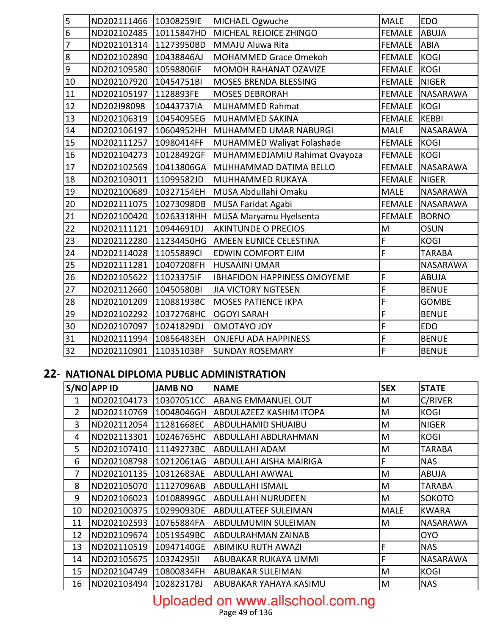| 5              | ND202111466 | 10308259IE | MICHAEL Ogwuche                    | <b>MALE</b>   | <b>EDO</b>      |
|----------------|-------------|------------|------------------------------------|---------------|-----------------|
| $\overline{6}$ | ND202102485 | 10115847HD | MICHEAL REJOICE ZHINGO             | <b>FEMALE</b> | <b>ABUJA</b>    |
| $\overline{7}$ | ND202101314 | 11273950BD | MMAJU Aluwa Rita                   | <b>FEMALE</b> | <b>ABIA</b>     |
| 8              | ND202102890 | 10438846AJ | MOHAMMED Grace Omekoh              | <b>FEMALE</b> | <b>KOGI</b>     |
| 9              | ND202109580 | 10598806IF | MOMOH RAHANAT OZAVIZE              | <b>FEMALE</b> | <b>KOGI</b>     |
| 10             | ND202107920 | 10454751BI | MOSES BRENDA BLESSING              | <b>FEMALE</b> | <b>NIGER</b>    |
| 11             | ND202105197 | 1128893FE  | <b>MOSES DEBRORAH</b>              | <b>FEMALE</b> | <b>NASARAWA</b> |
| 12             | ND202I98098 | 10443737IA | <b>MUHAMMED Rahmat</b>             | <b>FEMALE</b> | <b>KOGI</b>     |
| 13             | ND202106319 | 10454095EG | <b>MUHAMMED SAKINA</b>             | <b>FEMALE</b> | <b>KEBBI</b>    |
| 14             | ND202106197 | 10604952HH | MUHAMMED UMAR NABURGI              | <b>MALE</b>   | <b>NASARAWA</b> |
| 15             | ND202111257 | 10980414FF | MUHAMMED Waliyat Folashade         | <b>FEMALE</b> | KOGI            |
| 16             | ND202104273 | 10128492GF | MUHAMMEDJAMIU Rahimat Ovayoza      | <b>FEMALE</b> | <b>KOGI</b>     |
| 17             | ND202102569 | 10413806GA | MUHHAMMAD DATIMA BELLO             | <b>FEMALE</b> | <b>NASARAWA</b> |
| 18             | ND202103011 | 11099582JD | MUHHAMMED RUKAYA                   | <b>FEMALE</b> | <b>NIGER</b>    |
| 19             | ND202100689 | 10327154EH | MUSA Abdullahi Omaku               | <b>MALE</b>   | <b>NASARAWA</b> |
| 20             | ND202111075 | 10273098DB | MUSA Faridat Agabi                 | <b>FEMALE</b> | <b>NASARAWA</b> |
| 21             | ND202100420 | 10263318HH | MUSA Maryamu Hyelsenta             | <b>FEMALE</b> | <b>BORNO</b>    |
| 22             | ND202111121 | 10944691DJ | <b>AKINTUNDE O PRECIOS</b>         | M             | <b>OSUN</b>     |
| 23             | ND202112280 | 11234450HG | <b>AMEEN EUNICE CELESTINA</b>      | F             | <b>KOGI</b>     |
| 24             | ND202114028 | 11055889CI | <b>EDWIN COMFORT EJIM</b>          | F             | <b>TARABA</b>   |
| 25             | ND202111281 | 10407208FH | <b>HUSAAINI UMAR</b>               |               | <b>NASARAWA</b> |
| 26             | ND202105622 | 11023375IF | <b>IBHAFIDON HAPPINESS OMOYEME</b> | F             | <b>ABUJA</b>    |
| 27             | ND202112660 | 10450580BI | <b>JIA VICTORY NGTESEN</b>         | F             | <b>BENUE</b>    |
| 28             | ND202101209 | 11088193BC | <b>MOSES PATIENCE IKPA</b>         | F             | <b>GOMBE</b>    |
| 29             | ND202102292 | 10372768HC | <b>OGOYI SARAH</b>                 | F             | <b>BENUE</b>    |
| 30             | ND202107097 | 10241829DJ | <b>OMOTAYO JOY</b>                 | F             | <b>EDO</b>      |
| 31             | ND202111994 | 10856483EH | <b>ONJEFU ADA HAPPINESS</b>        | F             | <b>BENUE</b>    |
| 32             | ND202110901 | 11035103BF | <b>SUNDAY ROSEMARY</b>             | F             | <b>BENUE</b>    |

### 22- NATIONAL DIPLOMA PUBLIC ADMINISTRATION

|                | S/NO APP ID | <b>JAMB NO</b> | <b>NAME</b>               | <b>SEX</b>  | <b>STATE</b>    |
|----------------|-------------|----------------|---------------------------|-------------|-----------------|
| 1              | ND202104173 | 10307051CC     | <b>ABANG EMMANUEL OUT</b> | M           | <b>C/RIVER</b>  |
| $\overline{2}$ | ND202110769 | 10048046GH     | ABDULAZEEZ KASHIM ITOPA   | M           | <b>KOGI</b>     |
| 3              | ND202112054 | 11281668EC     | ABDULHAMID SHUAIBU        | M           | <b>NIGER</b>    |
| 4              | ND202113301 | 10246765HC     | ABDULLAHI ABDLRAHMAN      | M           | <b>KOGI</b>     |
| 5              | ND202107410 | 11149273BC     | ABDULLAHI ADAM            | M           | TARABA          |
| 6              | ND202108798 | 10212061AG     | ABDULLAHI AISHA MAIRIGA   | F           | <b>NAS</b>      |
| 7              | ND202101135 | 10312683AE     | ABDULLAHI AWWAL           | M           | <b>ABUJA</b>    |
| 8              | ND202105070 | 11127096AB     | <b>ABDULLAHI ISMAIL</b>   | M           | <b>TARABA</b>   |
| 9              | ND202106023 | 10108899GC     | ABDULLAHI NURUDEEN        | M           | SOKOTO          |
| 10             | ND202100375 | 10299093DE     | ABDULLATEEF SULEIMAN      | <b>MALE</b> | <b>KWARA</b>    |
| 11             | ND202102593 | 10765884FA     | ABDULMUMIN SULEIMAN       | M           | NASARAWA        |
| 12             | ND202109674 | 10519549BC     | ABDULRAHMAN ZAINAB        |             | <b>OYO</b>      |
| 13             | ND202110519 | 10947140GE     | <b>ABIMIKU RUTH AWAZI</b> | F           | <b>NAS</b>      |
| 14             | ND202105675 | 10324295II     | ABUBAKAR RUKAYA UMMI      | F           | <b>NASARAWA</b> |
| 15             | ND202104749 | 10800834FH     | ABUBAKAR SULEIMAN         | M           | <b>KOGI</b>     |
| 16             | ND202103494 | 10282317BJ     | ABUBAKAR YAHAYA KASIMU    | M           | <b>NAS</b>      |

## Uploaded on www.allschool.com.ng<br>Page 49 of 136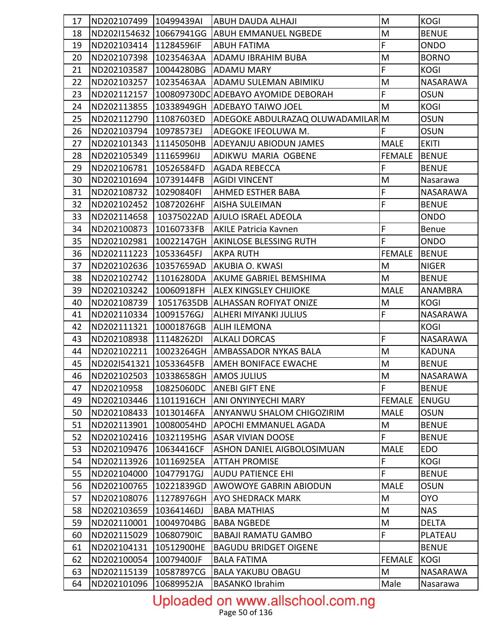| 17 | ND202107499 10499439AI             |            | <b>ABUH DAUDA ALHAJI</b>            | M              | <b>KOGI</b>     |
|----|------------------------------------|------------|-------------------------------------|----------------|-----------------|
| 18 | ND202I154632 10667941GG            |            | <b>ABUH EMMANUEL NGBEDE</b>         | M              | <b>BENUE</b>    |
| 19 | ND202103414                        | 11284596IF | <b>ABUH FATIMA</b>                  | F              | <b>ONDO</b>     |
| 20 | ND202107398                        | 10235463AA | ADAMU IBRAHIM BUBA                  | M              | <b>BORNO</b>    |
| 21 | ND202103587                        | 10044280BG | <b>ADAMU MARY</b>                   | F              | <b>KOGI</b>     |
| 22 | ND202103257                        | 10235463AA | ADAMU SULEMAN ABIMIKU               | M              | <b>NASARAWA</b> |
| 23 | ND202112157                        |            | 100809730DC ADEBAYO AYOMIDE DEBORAH | $\overline{F}$ | <b>OSUN</b>     |
| 24 | ND202113855                        | 10338949GH | <b>ADEBAYO TAIWO JOEL</b>           | M              | <b>KOGI</b>     |
| 25 | ND202112790                        | 11087603ED | ADEGOKE ABDULRAZAQ OLUWADAMILAR M   |                | <b>OSUN</b>     |
| 26 | ND202103794                        | 10978573EJ | ADEGOKE IFEOLUWA M.                 | $\mathsf{F}$   | <b>OSUN</b>     |
| 27 | ND202101343                        | 11145050HB | ADEYANJU ABIODUN JAMES              | <b>MALE</b>    | <b>EKITI</b>    |
| 28 | ND202105349                        | 11165996IJ | ADIKWU MARIA OGBENE                 | <b>FEMALE</b>  | <b>BENUE</b>    |
| 29 | ND202106781                        | 10526584FD | AGADA REBECCA                       | F              | <b>BENUE</b>    |
| 30 | ND202101694                        | 10739144FB | <b>AGIDI VINCENT</b>                | M              | Nasarawa        |
| 31 | ND202108732                        | 10290840FI | <b>AHMED ESTHER BABA</b>            | F              | <b>NASARAWA</b> |
| 32 | ND202102452                        | 10872026HF | <b>AISHA SULEIMAN</b>               | F              | <b>BENUE</b>    |
| 33 | ND202114658                        | 10375022AD | <b>AJULO ISRAEL ADEOLA</b>          |                | ONDO            |
| 34 | ND202100873                        | 10160733FB | <b>AKILE Patricia Kavnen</b>        | F              | Benue           |
| 35 | ND202102981                        | 10022147GH | AKINLOSE BLESSING RUTH              | F              | <b>ONDO</b>     |
| 36 | ND202111223                        | 10533645FJ | <b>AKPA RUTH</b>                    | <b>FEMALE</b>  | <b>BENUE</b>    |
| 37 | ND202102636                        | 10357659AD | AKUBIA O. KWASI                     | M              | <b>NIGER</b>    |
| 38 | ND202102742                        | 11016280DA | AKUME GABRIEL BEMSHIMA              | M              | <b>BENUE</b>    |
| 39 | ND202103242                        | 10060918FH | <b>ALEX KINGSLEY CHIJIOKE</b>       | <b>MALE</b>    | <b>ANAMBRA</b>  |
| 40 | ND202108739                        | 10517635DB | <b>ALHASSAN ROFIYAT ONIZE</b>       | M              | <b>KOGI</b>     |
| 41 | ND202110334                        | 10091576GJ | ALHERI MIYANKI JULIUS               | F              | <b>NASARAWA</b> |
| 42 | ND202111321                        | 10001876GB | <b>ALIH ILEMONA</b>                 |                | <b>KOGI</b>     |
| 43 | ND202108938                        | 11148262DI | <b>ALKALI DORCAS</b>                | F              | <b>NASARAWA</b> |
| 44 | ND202102211                        | 10023264GH | AMBASSADOR NYKAS BALA               | M              | <b>KADUNA</b>   |
| 45 | ND202I541321 10533645FB            |            | AMEH BONIFACE EWACHE                | ${\sf M}$      | <b>BENUE</b>    |
| 46 | ND202102503 10338658GH AMOS JULIUS |            |                                     | ${\sf M}$      | <b>NASARAWA</b> |
| 47 | ND20210958                         | 10825060DC | <b>ANEBI GIFT ENE</b>               | F              | <b>BENUE</b>    |
| 49 | ND202103446                        | 11011916CH | <b>ANI ONYINYECHI MARY</b>          | <b>FEMALE</b>  | ENUGU           |
| 50 | ND202108433                        | 10130146FA | ANYANWU SHALOM CHIGOZIRIM           | <b>MALE</b>    | <b>OSUN</b>     |
| 51 | ND202113901                        | 10080054HD | <b>APOCHI EMMANUEL AGADA</b>        | M              | <b>BENUE</b>    |
| 52 | ND202102416                        | 10321195HG | <b>ASAR VIVIAN DOOSE</b>            | F              | <b>BENUE</b>    |
| 53 | ND202109476                        | 10634416CF | ASHON DANIEL AIGBOLOSIMUAN          | <b>MALE</b>    | <b>EDO</b>      |
| 54 | ND202113926                        | 10116925EA | <b>ATTAH PROMISE</b>                | F              | <b>KOGI</b>     |
| 55 | ND202104000                        | 10477917GJ | <b>AUDU PATIENCE EHI</b>            | $\overline{F}$ | <b>BENUE</b>    |
| 56 | ND202100765                        | 10221839GD | AWOWOYE GABRIN ABIODUN              | <b>MALE</b>    | <b>OSUN</b>     |
| 57 | ND202108076                        | 11278976GH | <b>AYO SHEDRACK MARK</b>            | M              | <b>OYO</b>      |
| 58 | ND202103659                        | 10364146DJ | <b>BABA MATHIAS</b>                 | M              | <b>NAS</b>      |
| 59 | ND202110001                        | 10049704BG | <b>BABA NGBEDE</b>                  | M              | <b>DELTA</b>    |
| 60 | ND202115029                        | 10680790IC | <b>BABAJI RAMATU GAMBO</b>          | F              | PLATEAU         |
| 61 | ND202104131                        | 10512900HE | <b>BAGUDU BRIDGET OIGENE</b>        |                | <b>BENUE</b>    |
| 62 | ND202100054                        | 10079400JF | <b>BALA FATIMA</b>                  | <b>FEMALE</b>  | KOGI            |
| 63 | ND202115139                        | 10587897CG | <b>BALA YAKUBU OBAGU</b>            | M              | <b>NASARAWA</b> |
| 64 | ND202101096                        | 10689952JA | <b>BASANKO Ibrahim</b>              | Male           | Nasarawa        |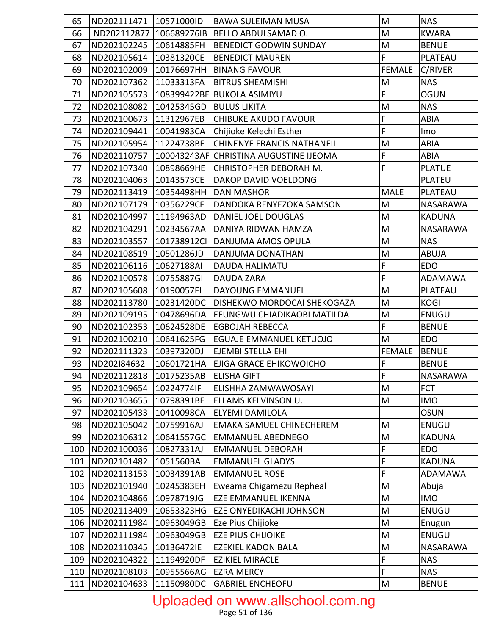| 65  | ND202111471             | 10571000ID  | <b>BAWA SULEIMAN MUSA</b>              | M              | <b>NAS</b>      |
|-----|-------------------------|-------------|----------------------------------------|----------------|-----------------|
| 66  | ND202112877 106689276IB |             | BELLO ABDULSAMAD O.                    | M              | <b>KWARA</b>    |
| 67  | ND202102245             | 10614885FH  | <b>BENEDICT GODWIN SUNDAY</b>          | M              | <b>BENUE</b>    |
| 68  | ND202105614             | 10381320CE  | <b>BENEDICT MAUREN</b>                 | $\mathsf{F}$   | <b>PLATEAU</b>  |
| 69  | ND202102009             | 10176697HH  | <b>BINANG FAVOUR</b>                   | <b>FEMALE</b>  | C/RIVER         |
| 70  | ND202107362             | 11033313FA  | <b>BITRUS SHEAMISHI</b>                | M              | <b>NAS</b>      |
| 71  | ND202105573             | 108399422BE | <b>BUKOLA ASIMIYU</b>                  | $\mathsf F$    | <b>OGUN</b>     |
| 72  | ND202108082             | 10425345GD  | <b>BULUS LIKITA</b>                    | M              | <b>NAS</b>      |
| 73  | ND202100673             | 11312967EB  | <b>CHIBUKE AKUDO FAVOUR</b>            | $\mathsf F$    | ABIA            |
| 74  | ND202109441             | 10041983CA  | Chijioke Kelechi Esther                | $\overline{F}$ | Imo             |
| 75  | ND202105954             | 11224738BF  | <b>CHINENYE FRANCIS NATHANEIL</b>      | M              | ABIA            |
| 76  | ND202110757             |             | 100043243AF CHRISTINA AUGUSTINE IJEOMA | $\overline{F}$ | ABIA            |
| 77  | ND202107340             | 10898669HE  | CHRISTOPHER DEBORAH M.                 | $\mathsf{F}$   | <b>PLATUE</b>   |
| 78  | ND202104063             | 10143573CE  | DAKOP DAVID VOELDONG                   |                | <b>PLATEU</b>   |
| 79  | ND202113419             | 10354498HH  | <b>DAN MASHOR</b>                      | <b>MALE</b>    | <b>PLATEAU</b>  |
| 80  | ND202107179             | 10356229CF  | DANDOKA RENYEZOKA SAMSON               | M              | NASARAWA        |
| 81  | ND202104997             | 11194963AD  | DANIEL JOEL DOUGLAS                    | M              | <b>KADUNA</b>   |
| 82  | ND202104291             | 10234567AA  | DANIYA RIDWAN HAMZA                    | M              | <b>NASARAWA</b> |
| 83  | ND202103557             | 101738912Cl | DANJUMA AMOS OPULA                     | M              | <b>NAS</b>      |
| 84  | ND202108519             | 10501286JD  | DANJUMA DONATHAN                       | ${\sf M}$      | <b>ABUJA</b>    |
| 85  | ND202106116             | 10627188AI  | <b>DAUDA HALIMATU</b>                  | $\overline{F}$ | <b>EDO</b>      |
| 86  | ND202100578             | 10755887GI  | <b>DAUDA ZARA</b>                      | $\overline{F}$ | ADAMAWA         |
| 87  | ND202105608             | 10190057FI  | DAYOUNG EMMANUEL                       | M              | <b>PLATEAU</b>  |
| 88  | ND202113780             | 10231420DC  | DISHEKWO MORDOCAI SHEKOGAZA            | M              | <b>KOGI</b>     |
| 89  | ND202109195             | 10478696DA  | EFUNGWU CHIADIKAOBI MATILDA            | M              | ENUGU           |
| 90  | ND202102353             | 10624528DE  | <b>EGBOJAH REBECCA</b>                 | $\mathsf{F}$   | <b>BENUE</b>    |
| 91  | ND202100210             | 10641625FG  | EGUAJE EMMANUEL KETUOJO                | M              | <b>EDO</b>      |
| 92  | ND202111323             | 10397320DJ  | EJEMBI STELLA EHI                      | FEMALE         | <b>BENUE</b>    |
| 93  | ND202I84632             | 10601721HA  | EJIGA GRACE EHIKOWOICHO                | $\mathsf F$    | <b>BENUE</b>    |
| 94  | ND202112818             | 10175235AB  | <b>ELISHA GIFT</b>                     | F              | NASARAWA        |
| 95  | ND202109654             | 10224774IF  | ELISHHA ZAMWAWOSAYI                    | M              | <b>FCT</b>      |
| 96  | ND202103655             | 10798391BE  | ELLAMS KELVINSON U.                    | M              | <b>IMO</b>      |
| 97  | ND202105433             | 10410098CA  | <b>ELYEMI DAMILOLA</b>                 |                | <b>OSUN</b>     |
| 98  | ND202105042             | 10759916AJ  | <b>EMAKA SAMUEL CHINECHEREM</b>        | M              | ENUGU           |
| 99  | ND202106312             | 10641557GC  | <b>EMMANUEL ABEDNEGO</b>               | ${\sf M}$      | <b>KADUNA</b>   |
| 100 | ND202100036             | 10827331AJ  | <b>EMMANUEL DEBORAH</b>                | $\mathsf F$    | <b>EDO</b>      |
| 101 | ND202101482             | 1051560BA   | <b>EMMANUEL GLADYS</b>                 | $\mathsf F$    | <b>KADUNA</b>   |
| 102 | ND202113153             | 10034391AB  | <b>EMMANUEL ROSE</b>                   | $\mathsf F$    | ADAMAWA         |
| 103 | ND202101940             | 10245383EH  | Eweama Chigamezu Repheal               | ${\sf M}$      | Abuja           |
| 104 | ND202104866             | 10978719JG  | EZE EMMANUEL IKENNA                    | ${\sf M}$      | <b>IMO</b>      |
| 105 | ND202113409             | 10653323HG  | EZE ONYEDIKACHI JOHNSON                | M              | ENUGU           |
| 106 | ND202111984             | 10963049GB  | Eze Pius Chijioke                      | ${\sf M}$      | Enugun          |
| 107 | ND202111984             | 10963049GB  | <b>EZE PIUS CHIJOIKE</b>               | M              | ENUGU           |
| 108 | ND202110345             | 10136472IE  | <b>EZEKIEL KADON BALA</b>              | ${\sf M}$      | NASARAWA        |
| 109 | ND202104322             | 11194920DF  | <b>EZIKIEL MIRACLE</b>                 | $\mathsf F$    | <b>NAS</b>      |
| 110 | ND202108103             | 10955566AG  | <b>EZRA MERCY</b>                      | $\overline{F}$ | <b>NAS</b>      |
| 111 | ND202104633             | 11150980DC  | <b>GABRIEL ENCHEOFU</b>                | ${\sf M}$      | <b>BENUE</b>    |

# Uploaded on www.allschool.com.ng<br>Page 51 of 136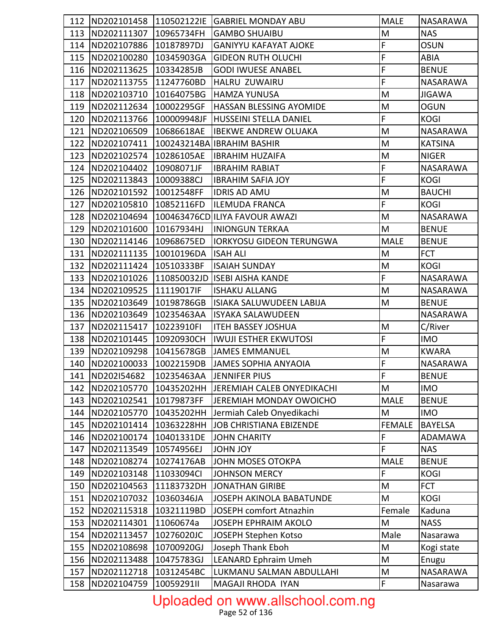| 112 | ND202101458 110502122IE              |             | <b>GABRIEL MONDAY ABU</b>       | <b>MALE</b>    | <b>NASARAWA</b> |
|-----|--------------------------------------|-------------|---------------------------------|----------------|-----------------|
| 113 | ND202111307                          | 10965734FH  | <b>GAMBO SHUAIBU</b>            | M              | <b>NAS</b>      |
| 114 | ND202107886                          | 10187897DJ  | <b>GANIYYU KAFAYAT AJOKE</b>    | F              | <b>OSUN</b>     |
| 115 | ND202100280                          | 10345903GA  | <b>GIDEON RUTH OLUCHI</b>       | F              | <b>ABIA</b>     |
| 116 | ND202113625                          | 10334285JB  | <b>GODI IWUESE ANABEL</b>       | F              | <b>BENUE</b>    |
| 117 | ND202113755                          | 11247760BD  | HALRU ZUWAIRU                   | F              | <b>NASARAWA</b> |
| 118 | ND202103710                          | 10164075BG  | <b>HAMZA YUNUSA</b>             | M              | <b>JIGAWA</b>   |
| 119 | ND202112634                          | 10002295GF  | <b>HASSAN BLESSING AYOMIDE</b>  | M              | <b>OGUN</b>     |
| 120 | ND202113766                          | 100009948JF | <b>HUSSEINI STELLA DANIEL</b>   | F              | <b>KOGI</b>     |
| 121 | ND202106509                          | 10686618AE  | <b>IBEKWE ANDREW OLUAKA</b>     | M              | <b>NASARAWA</b> |
| 122 | ND202107411                          |             | 100243214BA IBRAHIM BASHIR      | M              | <b>KATSINA</b>  |
| 123 | ND202102574                          | 10286105AE  | <b>IBRAHIM HUZAIFA</b>          | M              | <b>NIGER</b>    |
| 124 | ND202104402                          | 10908071JF  | <b>IBRAHIM RABIAT</b>           | F              | NASARAWA        |
| 125 | ND202113843                          | 10009388CJ  | <b>IBRAHIM SAFIA JOY</b>        | F              | <b>KOGI</b>     |
| 126 | ND202101592                          | 10012548FF  | <b>IDRIS AD AMU</b>             | M              | <b>BAUCHI</b>   |
| 127 | ND202105810                          | 10852116FD  | <b>ILEMUDA FRANCA</b>           | F              | <b>KOGI</b>     |
| 128 | ND202104694                          |             | 100463476CD ILIYA FAVOUR AWAZI  | M              | <b>NASARAWA</b> |
| 129 | ND202101600                          | 10167934HJ  | <b>INIONGUN TERKAA</b>          | M              | <b>BENUE</b>    |
| 130 | ND202114146                          | 10968675ED  | <b>IORKYOSU GIDEON TERUNGWA</b> | <b>MALE</b>    | <b>BENUE</b>    |
| 131 | ND202111135                          | 10010196DA  | <b>ISAH ALI</b>                 | M              | <b>FCT</b>      |
| 132 | ND202111424                          | 10510333BF  | <b>ISAIAH SUNDAY</b>            | M              | <b>KOGI</b>     |
| 133 | ND202101026                          | 110850032JD | <b>ISEBI AISHA KANDE</b>        | F              | NASARAWA        |
| 134 | ND202109525                          | 11119017IF  | <b>ISHAKU ALLANG</b>            | M              | <b>NASARAWA</b> |
| 135 | ND202103649                          | 10198786GB  | ISIAKA SALUWUDEEN LABIJA        | M              | <b>BENUE</b>    |
| 136 | ND202103649                          | 10235463AA  | <b>ISYAKA SALAWUDEEN</b>        |                | NASARAWA        |
| 137 | ND202115417                          | 10223910FI  | <b>ITEH BASSEY JOSHUA</b>       | M              | C/River         |
| 138 | ND202101445                          | 10920930CH  | <b>IWUJI ESTHER EKWUTOSI</b>    | $\overline{F}$ | <b>IMO</b>      |
| 139 | ND202109298                          | 10415678GB  | <b>JAMES EMMANUEL</b>           | M              | <b>KWARA</b>    |
| 140 | ND202100033                          | 10022159DB  | <b>JAMES SOPHIA ANYAOIA</b>     | F              | NASARAWA        |
| 141 | ND202154682 10235463AA JENNIFER PIUS |             |                                 | $\sqrt{F}$     | <b>BENUE</b>    |
| 142 | ND202105770                          | 10435202HH  | JEREMIAH CALEB ONYEDIKACHI      | M              | <b>IMO</b>      |
| 143 | ND202102541                          | 10179873FF  | <b>JEREMIAH MONDAY OWOICHO</b>  | <b>MALE</b>    | <b>BENUE</b>    |
| 144 | ND202105770                          | 10435202HH  | Jermiah Caleb Onyedikachi       | M              | <b>IMO</b>      |
| 145 | ND202101414                          | 10363228HH  | <b>JOB CHRISTIANA EBIZENDE</b>  | <b>FEMALE</b>  | <b>BAYELSA</b>  |
| 146 | ND202100174                          | 10401331DE  | <b>JOHN CHARITY</b>             | F              | ADAMAWA         |
| 147 | ND202113549                          | 10574956EJ  | <b>YOL NHOL</b>                 | F              | <b>NAS</b>      |
| 148 | ND202108274                          | 10274176AB  | JOHN MOSES OTOKPA               | <b>MALE</b>    | <b>BENUE</b>    |
| 149 | ND202103148                          | 11033094Cl  | JOHNSON MERCY                   | F              | <b>KOGI</b>     |
| 150 | ND202104563                          | 11183732DH  | <b>JONATHAN GIRIBE</b>          | M              | <b>FCT</b>      |
| 151 | ND202107032                          | 10360346JA  | JOSEPH AKINOLA BABATUNDE        | M              | <b>KOGI</b>     |
| 152 | ND202115318                          | 10321119BD  | JOSEPH comfort Atnazhin         | Female         | Kaduna          |
| 153 | ND202114301                          | 11060674a   | <b>JOSEPH EPHRAIM AKOLO</b>     | M              | <b>NASS</b>     |
| 154 | ND202113457                          | 10276020JC  | JOSEPH Stephen Kotso            | Male           | Nasarawa        |
| 155 | ND202108698                          | 10700920GJ  | Joseph Thank Eboh               | M              | Kogi state      |
| 156 | ND202113488                          | 10475783GJ  | <b>LEANARD Ephraim Umeh</b>     | M              | Enugu           |
| 157 | ND202112718                          | 10312454BC  | LUKMANU SALMAN ABDULLAHI        | M              | NASARAWA        |
| 158 | ND202104759                          | 10059291II  | MAGAJI RHODA IYAN               | F              | Nasarawa        |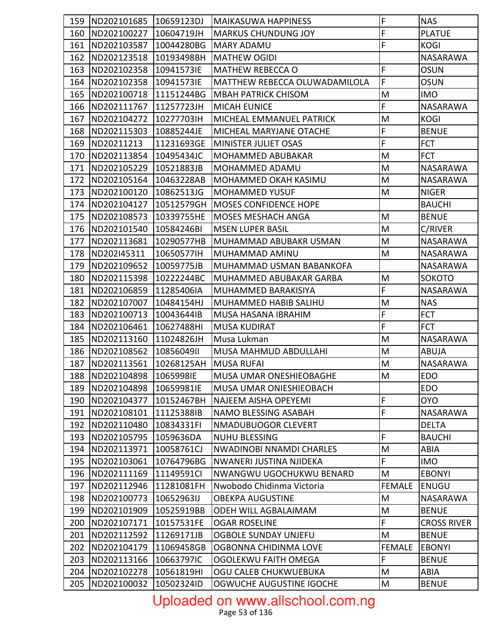| 159 | ND202101685               | 10659123DJ | <b>MAIKASUWA HAPPINESS</b>      | F              | <b>NAS</b>         |
|-----|---------------------------|------------|---------------------------------|----------------|--------------------|
| 160 | ND202100227               | 10604719JH | <b>MARKUS CHUNDUNG JOY</b>      | $\overline{F}$ | <b>PLATUE</b>      |
| 161 | ND202103587               | 10044280BG | <b>MARY ADAMU</b>               | F              | <b>KOGI</b>        |
| 162 | ND202123518               | 10193498BH | <b>MATHEW OGIDI</b>             |                | <b>NASARAWA</b>    |
| 163 | ND202102358               | 10941573IE | <b>MATHEW REBECCA O</b>         | $\mathsf{F}$   | <b>OSUN</b>        |
| 164 | ND202102358               | 10941573IE | MATTHEW REBECCA OLUWADAMILOLA   | F              | <b>OSUN</b>        |
| 165 | ND202100718               | 11151244BG | <b>MBAH PATRICK CHISOM</b>      | M              | <b>IMO</b>         |
| 166 | ND202111767               | 11257723JH | <b>MICAH EUNICE</b>             | $\mathsf{F}$   | <b>NASARAWA</b>    |
| 167 | ND202104272               | 10277703IH | MICHEAL EMMANUEL PATRICK        | M              | <b>KOGI</b>        |
| 168 | ND202115303               | 10885244JE | MICHEAL MARYJANE OTACHE         | F              | <b>BENUE</b>       |
| 169 | ND20211213                | 11231693GE | MINISTER JULIET OSAS            | $\mathsf F$    | <b>FCT</b>         |
| 170 | ND202113854               | 10495434JC | <b>MOHAMMED ABUBAKAR</b>        | M              | <b>FCT</b>         |
| 171 | ND202105229               | 10521883JB | MOHAMMED ADAMU                  | M              | NASARAWA           |
| 172 | ND202105164               | 10463228AB | MOHAMMED OKAH KASIMU            | M              | NASARAWA           |
| 173 | ND202100120               | 10862513JG | <b>MOHAMMED YUSUF</b>           | M              | <b>NIGER</b>       |
| 174 | ND202104127               | 10512579GH | <b>MOSES CONFIDENCE HOPE</b>    |                | <b>BAUCHI</b>      |
| 175 | ND202108573               | 10339755HE | <b>MOSES MESHACH ANGA</b>       | M              | <b>BENUE</b>       |
| 176 | ND202101540               | 10584246BI | <b>MSEN LUPER BASIL</b>         | M              | C/RIVER            |
| 177 | ND202113681               | 10290577HB | MUHAMMAD ABUBAKR USMAN          | M              | <b>NASARAWA</b>    |
| 178 | ND202I45311               | 10650577lH | MUHAMMAD AMINU                  | M              | NASARAWA           |
| 179 | ND202109652               | 10059775JB | MUHAMMAD USMAN BABANKOFA        |                | NASARAWA           |
| 180 | ND202115398               | 10222244BC | MUHAMMED ABUBAKAR GARBA         | M              | SOKOTO             |
| 181 | ND202106859               | 11285406IA | MUHAMMED BARAKISIYA             | $\mathsf F$    | NASARAWA           |
| 182 | ND202107007               | 10484154HJ | MUHAMMED HABIB SALIHU           | M              | <b>NAS</b>         |
| 183 | ND202100713               | 10043644IB | MUSA HASANA IBRAHIM             | $\mathsf F$    | <b>FCT</b>         |
| 184 | ND202106461               | 10627488HI | <b>MUSA KUDIRAT</b>             | $\mathsf F$    | <b>FCT</b>         |
| 185 | ND202113160               | 11024826JH | Musa Lukman                     | M              | <b>NASARAWA</b>    |
| 186 | ND202108562               | 1085604911 | MUSA MAHMUD ABDULLAHI           | M              | <b>ABUJA</b>       |
| 187 | ND202113561               | 10268125AH | <b>MUSA RUFAI</b>               | M              | NASARAWA           |
|     | 188 ND202104898 1065998IE |            | MUSA UMAR ONESHIEOBAGHE         | M              | <b>EDO</b>         |
| 189 | ND202104898               | 10659981IE | MUSA UMAR ONIESHIEOBACH         |                | EDO                |
| 190 | ND202104377               | 10152467BH | <b>NAJEEM AISHA OPEYEMI</b>     | $\mathsf F$    | <b>OYO</b>         |
| 191 | ND202108101               | 11125388IB | <b>NAMO BLESSING ASABAH</b>     | $\mathsf F$    | NASARAWA           |
| 192 | ND202110480               | 10834331FI | NMADUBUOGOR CLEVERT             |                | <b>DELTA</b>       |
| 193 | ND202105795               | 1059636DA  | <b>NUHU BLESSING</b>            | $\mathsf F$    | <b>BAUCHI</b>      |
| 194 | ND202113971               | 10058761CJ | <b>NWADINOBI NNAMDI CHARLES</b> | M              | ABIA               |
| 195 | ND202103061               | 10764796BG | NWANERI JUSTINA NJIDEKA         | F              | <b>IMO</b>         |
| 196 | ND202111169               | 11149591Cl | NWANGWU UGOCHUKWU BENARD        | M              | <b>EBONYI</b>      |
| 197 | ND202112946               | 11281081FH | Nwobodo Chidinma Victoria       | <b>FEMALE</b>  | <b>ENUGU</b>       |
| 198 | ND202100773               | 10652963IJ | <b>OBEKPA AUGUSTINE</b>         | M              | NASARAWA           |
| 199 | ND202101909               | 10525919BB | ODEH WILL AGBALAIMAM            | M              | <b>BENUE</b>       |
| 200 | ND202107171               | 10157531FE | <b>OGAR ROSELINE</b>            | $\mathsf F$    | <b>CROSS RIVER</b> |
| 201 | ND202112592               | 11269171JB | <b>OGBOLE SUNDAY UNJEFU</b>     | M              | <b>BENUE</b>       |
| 202 | ND202104179               | 11069458GB | OGBONNA CHIDINMA LOVE           | <b>FEMALE</b>  | <b>EBONYI</b>      |
| 203 | ND202113166               | 10663797IC | OGOLEKWU FAITH OMEGA            | $\mathsf F$    | <b>BENUE</b>       |
| 204 | ND202102278               | 10561819HI | OGU CALEB CHUKWUEBUKA           | M              | ABIA               |
| 205 | ND202100032               | 10502324ID | OGWUCHE AUGUSTINE IGOCHE        | M              | <b>BENUE</b>       |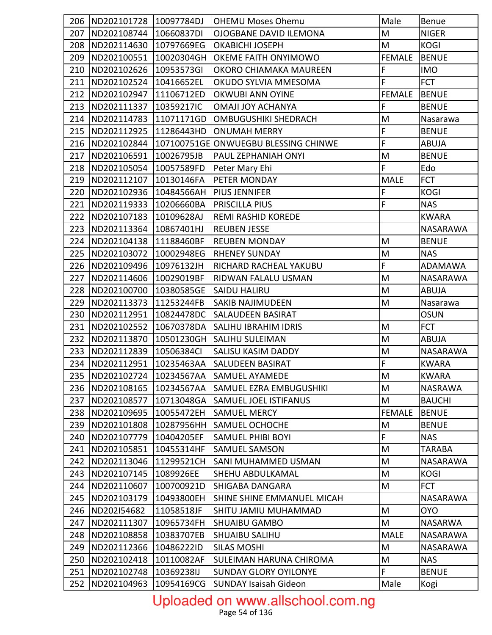| 206 | ND202101728 10097784DJ |            | <b>OHEMU Moses Ohemu</b>             | Male                                                                                  | <b>Benue</b>   |
|-----|------------------------|------------|--------------------------------------|---------------------------------------------------------------------------------------|----------------|
| 207 | ND202108744            | 10660837DI | OJOGBANE DAVID ILEMONA               | M                                                                                     | <b>NIGER</b>   |
| 208 | ND202114630            | 10797669EG | <b>OKABICHI JOSEPH</b>               | M                                                                                     | <b>KOGI</b>    |
| 209 | ND202100551            | 10020304GH | OKEME FAITH ONYIMOWO                 | <b>FEMALE</b>                                                                         | <b>BENUE</b>   |
| 210 | ND202102626            | 10953573GI | OKORO CHIAMAKA MAUREEN               | F                                                                                     | <b>IMO</b>     |
| 211 | ND202102524            | 10416652EL | OKUDO SYLVIA MMESOMA                 | $\mathsf{F}$                                                                          | <b>FCT</b>     |
| 212 | ND202102947            | 11106712ED | <b>OKWUBI ANN OYINE</b>              | <b>FEMALE</b>                                                                         | <b>BENUE</b>   |
| 213 | ND202111337            | 10359217IC | <b>OMAJI JOY ACHANYA</b>             | F                                                                                     | <b>BENUE</b>   |
| 214 | ND202114783            | 11071171GD | <b>OMBUGUSHIKI SHEDRACH</b>          | M                                                                                     | Nasarawa       |
| 215 | ND202112925            | 11286443HD | <b>ONUMAH MERRY</b>                  | F                                                                                     | <b>BENUE</b>   |
| 216 | ND202102844            |            | 107100751GE ONWUEGBU BLESSING CHINWE | F                                                                                     | <b>ABUJA</b>   |
| 217 | ND202106591            | 10026795JB | PAUL ZEPHANIAH ONYI                  | M                                                                                     | <b>BENUE</b>   |
| 218 | ND202105054            | 10057589FD | Peter Mary Ehi                       | F                                                                                     | Edo            |
| 219 | ND202112107            | 10130146FA | PETER MONDAY                         | <b>MALE</b>                                                                           | <b>FCT</b>     |
| 220 | ND202102936            | 10484566AH | PIUS JENNIFER                        | F                                                                                     | <b>KOGI</b>    |
| 221 | ND202119333            | 10206660BA | PRISCILLA PIUS                       | F                                                                                     | <b>NAS</b>     |
| 222 | ND202107183            | 10109628AJ | <b>REMI RASHID KOREDE</b>            |                                                                                       | <b>KWARA</b>   |
| 223 | ND202113364            | 10867401HJ | <b>REUBEN JESSE</b>                  |                                                                                       | NASARAWA       |
| 224 | ND202104138            | 11188460BF | <b>REUBEN MONDAY</b>                 | M                                                                                     | <b>BENUE</b>   |
| 225 | ND202103072            | 10002948EG | <b>RHENEY SUNDAY</b>                 | M                                                                                     | <b>NAS</b>     |
| 226 | ND202109496            | 10976132JH | RICHARD RACHEAL YAKUBU               | F                                                                                     | ADAMAWA        |
| 227 | ND202114606            | 10029019BF | RIDWAN FALALU USMAN                  | M                                                                                     | NASARAWA       |
| 228 | ND202100700            | 10380585GE | <b>SAIDU HALIRU</b>                  | M                                                                                     | <b>ABUJA</b>   |
| 229 | ND202113373            | 11253244FB | <b>SAKIB NAJIMUDEEN</b>              | M                                                                                     | Nasarawa       |
| 230 | ND202112951            | 10824478DC | <b>SALAUDEEN BASIRAT</b>             |                                                                                       | <b>OSUN</b>    |
| 231 | ND202102552            | 10670378DA | <b>SALIHU IBRAHIM IDRIS</b>          | M                                                                                     | <b>FCT</b>     |
| 232 | ND202113870            | 10501230GH | <b>SALIHU SULEIMAN</b>               | M                                                                                     | ABUJA          |
| 233 | ND202112839            | 10506384Cl | SALISU KASIM DADDY                   | M                                                                                     | NASARAWA       |
| 234 | ND202112951            | 10235463AA | <b>SALUDEEN BASIRAT</b>              | $\overline{F}$                                                                        | <b>KWARA</b>   |
| 235 | ND202102724 10234567AA |            | SAMUEL AYAMEDE                       | $\mathsf{M}% _{T}=\mathsf{M}_{T}\!\left( a,b\right) ,\ \mathsf{M}_{T}=\mathsf{M}_{T}$ | <b>KWARA</b>   |
| 236 | ND202108165            | 10234567AA | <b>SAMUEL EZRA EMBUGUSHIKI</b>       | M                                                                                     | <b>NASRAWA</b> |
| 237 | ND202108577            | 10713048GA | <b>SAMUEL JOEL ISTIFANUS</b>         | M                                                                                     | <b>BAUCHI</b>  |
| 238 | ND202109695            | 10055472EH | <b>SAMUEL MERCY</b>                  | <b>FEMALE</b>                                                                         | <b>BENUE</b>   |
| 239 | ND202101808            | 10287956HH | <b>SAMUEL OCHOCHE</b>                | M                                                                                     | <b>BENUE</b>   |
| 240 | ND202107779            | 10404205EF | <b>SAMUEL PHIBI BOYI</b>             | F                                                                                     | <b>NAS</b>     |
| 241 | ND202105851            | 10455314HF | <b>SAMUEL SAMSON</b>                 | M                                                                                     | <b>TARABA</b>  |
| 242 | ND202113046            | 11299521CH | <b>SANI MUHAMMED USMAN</b>           | M                                                                                     | NASARAWA       |
| 243 | ND202107145            | 1089926EE  | SHEHU ABDULKAMAL                     | M                                                                                     | <b>KOGI</b>    |
| 244 | ND202110607            | 100700921D | SHIGABA DANGARA                      | M                                                                                     | <b>FCT</b>     |
| 245 | ND202103179            | 10493800EH | SHINE SHINE EMMANUEL MICAH           |                                                                                       | NASARAWA       |
| 246 | ND202I54682            | 11058518JF | SHITU JAMIU MUHAMMAD                 | M                                                                                     | <b>OYO</b>     |
| 247 | ND202111307            | 10965734FH | <b>SHUAIBU GAMBO</b>                 | M                                                                                     | <b>NASARWA</b> |
| 248 | ND202108858            | 10383707EB | SHUAIBU SALIHU                       | <b>MALE</b>                                                                           | NASARAWA       |
| 249 | ND202112366            | 10486222ID | <b>SILAS MOSHI</b>                   | M                                                                                     | NASARAWA       |
| 250 | ND202102418            | 10110082AF | <b>SULEIMAN HARUNA CHIROMA</b>       | M                                                                                     | <b>NAS</b>     |
| 251 | ND202102748            | 10369238IJ | <b>SUNDAY GLORY OYILONYE</b>         | F                                                                                     | <b>BENUE</b>   |
| 252 | ND202104963            | 10954169CG | <b>SUNDAY Isaisah Gideon</b>         | Male                                                                                  | Kogi           |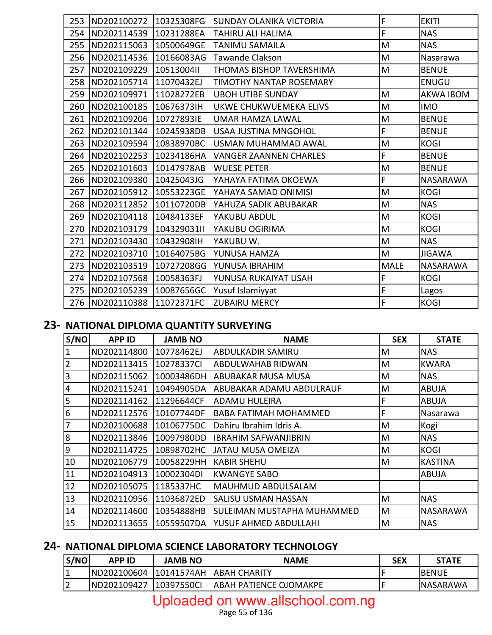| 253 | ND202100272 10325308FG |             | <b>SUNDAY OLANIKA VICTORIA</b> | $\mathsf F$    | <b>EKITI</b>     |
|-----|------------------------|-------------|--------------------------------|----------------|------------------|
| 254 | ND202114539            | 10231288EA  | <b>TAHIRU ALI HALIMA</b>       | $\mathsf{F}$   | <b>NAS</b>       |
| 255 | ND202115063            | 10500649GE  | <b>TANIMU SAMAILA</b>          | M              | <b>NAS</b>       |
| 256 | ND202114536            | 10166083AG  | Tawande Clakson                | M              | Nasarawa         |
| 257 | ND202109229            | 10513004II  | THOMAS BISHOP TAVERSHIMA       | M              | <b>BENUE</b>     |
| 258 | ND202105714            | 11070432EJ  | TIMOTHY NANTAP ROSEMARY        |                | <b>ENUGU</b>     |
| 259 | ND202109971            | 11028272EB  | <b>UBOH UTIBE SUNDAY</b>       | M              | <b>AKWA IBOM</b> |
| 260 | ND202100185            | 10676373IH  | UKWE CHUKWUEMEKA ELIVS         | ${\sf M}$      | <b>IMO</b>       |
| 261 | ND202109206            | 10727893IE  | <b>UMAR HAMZA LAWAL</b>        | M              | <b>BENUE</b>     |
| 262 | ND202101344            | 10245938DB  | <b>USAA JUSTINA MNGOHOL</b>    | $\mathsf F$    | <b>BENUE</b>     |
| 263 | ND202109594            | 10838970BC  | USMAN MUHAMMAD AWAL            | M              | <b>KOGI</b>      |
| 264 | ND202102253            | 10234186HA  | <b>VANGER ZAANNEN CHARLES</b>  | $\mathsf F$    | <b>BENUE</b>     |
| 265 | ND202101603            | 10147978AB  | <b>WUESE PETER</b>             | M              | <b>BENUE</b>     |
| 266 | ND202109380            | 10425043JG  | YAHAYA FATIMA OKOEWA           | $\mathsf{F}$   | <b>NASARAWA</b>  |
| 267 | ND202105912            | 10553223GE  | YAHAYA SAMAD ONIMISI           | M              | <b>KOGI</b>      |
| 268 | ND202112852            | 10110720DB  | YAHUZA SADIK ABUBAKAR          | M              | <b>NAS</b>       |
| 269 | ND202104118            | 10484133EF  | YAKUBU ABDUL                   | ${\sf M}$      | <b>KOGI</b>      |
| 270 | ND202103179            | 104329031II | YAKUBU OGIRIMA                 | M              | <b>KOGI</b>      |
| 271 | ND202103430            | 10432908IH  | YAKUBU W.                      | M              | <b>NAS</b>       |
| 272 | ND202103710            | 10164075BG  | YUNUSA HAMZA                   | M              | <b>JIGAWA</b>    |
| 273 | ND202103519            | 10727208GG  | YUNUSA IBRAHIM                 | <b>MALE</b>    | <b>NASARAWA</b>  |
| 274 | ND202107568            | 10058363FJ  | YUNUSA RUKAIYAT USAH           | F              | <b>KOGI</b>      |
| 275 | ND202105239            | 10087656GC  | Yusuf Islamiyyat               | $\overline{F}$ | Lagos            |
| 276 | ND202110388            | 11072371FC  | <b>ZUBAIRU MERCY</b>           | $\mathsf{F}$   | <b>KOGI</b>      |

#### 23- NATIONAL DIPLOMA QUANTITY SURVEYING

| S/NO | <b>APP ID</b> | <b>JAMB NO</b> | <b>NAME</b>                  | <b>SEX</b> | <b>STATE</b>   |
|------|---------------|----------------|------------------------------|------------|----------------|
|      | ND202114800   | 10778462EJ     | <b>ABDULKADIR SAMIRU</b>     | M          | <b>NAS</b>     |
|      | ND202113415   | 10278337CI     | ABDULWAHAB RIDWAN            | M          | <b>KWARA</b>   |
| 3    | ND202115062   | 10003486DH     | ABUBAKAR MUSA MUSA           | M          | <b>NAS</b>     |
| 4    | ND202115241   | 10494905DA     | ABUBAKAR ADAMU ABDULRAUF     | M          | <b>ABUJA</b>   |
| 5    | ND202114162   | 11296644CF     | <b>ADAMU HULEIRA</b>         | F          | <b>ABUJA</b>   |
| 6    | ND202112576   | 10107744DF     | <b>BABA FATIMAH MOHAMMED</b> | F          | Nasarawa       |
|      | ND202100688   | 10106775DC     | Dahiru Ibrahim Idris A.      | M          | Kogi           |
| 8    | ND202113846   | 10097980DD     | <b>IBRAHIM SAFWANJIBRIN</b>  | M          | <b>NAS</b>     |
| 9    | ND202114725   | 10898702HC     | <b>JATAU MUSA OMEIZA</b>     | M          | <b>KOGI</b>    |
| 10   | ND202106779   | 10058229HH     | <b>KABIR SHEHU</b>           | M          | <b>KASTINA</b> |
| 11   | ND202104913   | 10002304DI     | <b>KWANGYE SABO</b>          |            | <b>ABUJA</b>   |
| 12   | ND202105075   | 1185337HC      | MAUHMUD ABDULSALAM           |            |                |
| 13   | ND202110956   | 11036872ED     | <b>SALISU USMAN HASSAN</b>   | M          | <b>NAS</b>     |
| 14   | ND202114600   | 10354888HB     | SULEIMAN MUSTAPHA MUHAMMED   | M          | NASARAWA       |
| 15   | ND202113655   | 10559507DA     | YUSUF AHMED ABDULLAHI        | M          | <b>NAS</b>     |

#### 24- NATIONAL DIPLOMA SCIENCE LABORATORY TECHNOLOGY

| S/NO   | <b>APP ID</b> | <b>JAMB NO</b> | <b>NAME</b>                   | SEX | <b>STATE</b>     |
|--------|---------------|----------------|-------------------------------|-----|------------------|
| ᅩ      | ND202100604   |                | 10141574AH ABAH CHARITY       |     | <b>IBENUE</b>    |
| ⌒<br>▃ | IND202109427  | 10397550Cl     | <b>ABAH PATIENCE OJOMAKPE</b> |     | <b>INASARAWA</b> |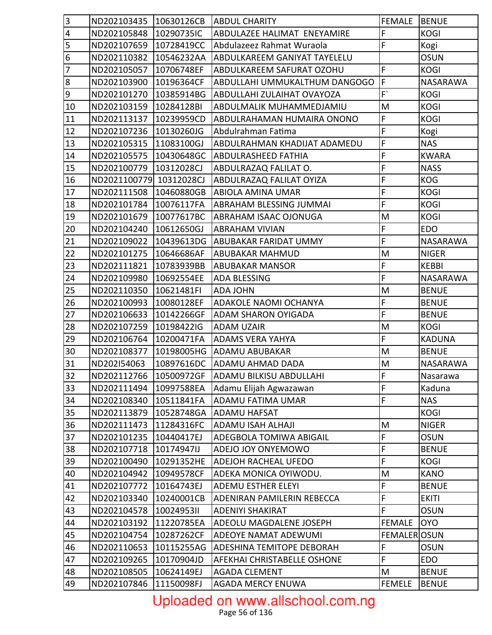| $\overline{3}$  | ND202103435 10630126CB  |            | <b>ABDUL CHARITY</b>                           | <b>FEMALE BENUE</b> |               |
|-----------------|-------------------------|------------|------------------------------------------------|---------------------|---------------|
| $\overline{4}$  | ND202105848             | 10290735IC | ABDULAZEE HALIMAT ENEYAMIRE                    | F                   | <b>KOGI</b>   |
| $\overline{5}$  | ND202107659             | 10728419CC | Abdulazeez Rahmat Wuraola                      | $\overline{F}$      | Kogi          |
| $6\phantom{1}6$ | ND202110382             | 10546232AA | ABDULKAREEM GANIYAT TAYELELU                   |                     | <b>OSUN</b>   |
| $\overline{7}$  | ND202105057             | 10706748EF | <b>ABDULKAREEM SAFURAT OZOHU</b>               | $\mathsf F$         | <b>KOGI</b>   |
| 8               | ND202103900             | 10196364CF | ABDULLAHI UMMUKALTHUM DANGOGO                  | ١F                  | NASARAWA      |
| 9               | ND202101270             | 10385914BG | <b>ABDULLAHI ZULAIHAT OVAYOZA</b>              | F                   | <b>KOGI</b>   |
| 10              | ND202103159             | 10284128BI | ABDULMALIK MUHAMMEDJAMIU                       | M                   | <b>KOGI</b>   |
| 11              | ND202113137             | 10239959CD | ABDULRAHAMAN HUMAIRA ONONO                     | $\mathsf F$         | <b>KOGI</b>   |
| 12              | ND202107236             | 10130260JG | Abdulrahman Fatima                             | $\mathsf F$         | Kogi          |
| 13              | ND202105315             | 11083100GJ | ABDULRAHMAN KHADIJAT ADAMEDU                   | F                   | <b>NAS</b>    |
| 14              | ND202105575             | 10430648GC | ABDULRASHEED FATHIA                            | F                   | <b>KWARA</b>  |
| 15              | ND202100779             | 10312028CJ | ABDULRAZAQ FALILAT O.                          | F                   | <b>NASS</b>   |
| 16              | ND2021100779 10312028CJ |            | ABDULRAZAQ FALILAT OYIZA                       | F                   | <b>KOG</b>    |
| 17              | ND202111508             | 10460880GB | ABIOLA AMINA UMAR                              | $\overline{F}$      | <b>KOGI</b>   |
| 18              | ND202101784             | 10076117FA | ABRAHAM BLESSING JUMMAI                        | $\mathsf{F}$        | <b>KOGI</b>   |
| 19              | ND202101679             | 10077617BC | ABRAHAM ISAAC OJONUGA                          | M                   | <b>KOGI</b>   |
| 20              | ND202104240             | 10612650GJ | <b>ABRAHAM VIVIAN</b>                          | F                   | <b>EDO</b>    |
| 21              | ND202109022             | 10439613DG | <b>ABUBAKAR FARIDAT UMMY</b>                   | $\overline{F}$      | NASARAWA      |
| 22              | ND202101275             | 10646686AF | <b>ABUBAKAR MAHMUD</b>                         | M                   | <b>NIGER</b>  |
| 23              | ND202111821             | 10783939BB | <b>ABUBAKAR MANSOR</b>                         | $\mathsf F$         | KEBBI         |
| 24              | ND202109980             | 10692554EE | <b>ADA BLESSING</b>                            | $\mathsf{F}$        | NASARAWA      |
| 25              | ND202110350             | 10621481FI | <b>ADA JOHN</b>                                | M                   | <b>BENUE</b>  |
| 26              | ND202100993             | 10080128EF | <b>ADAKOLE NAOMI OCHANYA</b>                   | F                   | <b>BENUE</b>  |
| 27              | ND202106633             | 10142266GF | <b>ADAM SHARON OYIGADA</b>                     | F                   | <b>BENUE</b>  |
| 28              | ND202107259             | 10198422IG | <b>ADAM UZAIR</b>                              | M                   | <b>KOGI</b>   |
| 29              | ND202106764             | 10200471FA | <b>ADAMS VERA YAHYA</b>                        | $\overline{F}$      | <b>KADUNA</b> |
| 30              | ND202108377             | 10198005HG | <b>ADAMU ABUBAKAR</b>                          | M                   | <b>BENUE</b>  |
| 31              | ND202I54063             | 10897616DC | <b>ADAMU AHMAD DADA</b>                        | ${\sf M}$           | NASARAWA      |
| 32              |                         |            | ND202112766 10500972GF ADAMU BILKISU ABDULLAHI | $\overline{F}$      | Nasarawa      |
| 33              | ND202111494             | 10997588EA | Adamu Elijah Agwazawan                         | $\mathsf{F}$        | Kaduna        |
| 34              | ND202108340             | 10511841FA | ADAMU FATIMA UMAR                              | $\mathsf F$         | <b>NAS</b>    |
| 35              | ND202113879             | 10528748GA | <b>ADAMU HAFSAT</b>                            |                     | <b>KOGI</b>   |
| 36              | ND202111473             | 11284316FC | ADAMU ISAH ALHAJI                              | M                   | <b>NIGER</b>  |
| 37              | ND202101235             | 10440417EJ | ADEGBOLA TOMIWA ABIGAIL                        | F                   | <b>OSUN</b>   |
| 38              | ND202107718             | 10174947IJ | ADEJO JOY ONYEMOWO                             | F                   | <b>BENUE</b>  |
| 39              | ND202100490             | 10291352HE | ADEJOH RACHEAL UFEDO                           | $\mathsf F$         | <b>KOGI</b>   |
| 40              | ND202104942             | 10949578CF | ADEKA MONICA OYIWODU.                          | M                   | <b>KANO</b>   |
| 41              | ND202107772             | 10164743EJ | <b>ADEMU ESTHER ELEYI</b>                      | $\mathsf F$         | <b>BENUE</b>  |
| 42              | ND202103340             | 10240001CB | ADENIRAN PAMILERIN REBECCA                     | $\mathsf F$         | <b>EKITI</b>  |
| 43              | ND202104578             | 10024953II | <b>ADENIYI SHAKIRAT</b>                        | F                   | <b>OSUN</b>   |
| 44              | ND202103192             | 11220785EA | ADEOLU MAGDALENE JOSEPH                        | <b>FEMALE</b>       | <b>OYO</b>    |
| 45              | ND202104754             | 10287262CF | ADEOYE NAMAT ADEWUMI                           | FEMALEROSUN         |               |
| 46              | ND202110653             | 10115255AG | <b>ADESHINA TEMITOPE DEBORAH</b>               | $\mathsf F$         | <b>OSUN</b>   |
| 47              | ND202109265             | 10170904JD | AFEKHAI CHRISTABELLE OSHONE                    | $\mathsf F$         | <b>EDO</b>    |
| 48              | ND202108505             | 10624149EJ | <b>AGADA CLEMENT</b>                           | M                   | <b>BENUE</b>  |
| 49              | ND202107846             | 11150098FJ | <b>AGADA MERCY ENUWA</b>                       | <b>FEMELE</b>       | <b>BENUE</b>  |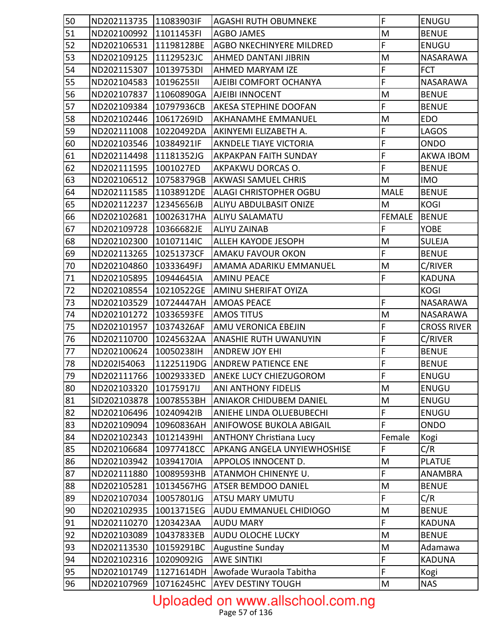| 50 | ND202113735 11083903IF |            | <b>AGASHI RUTH OBUMNEKE</b>                   | F              | <b>ENUGU</b>       |
|----|------------------------|------------|-----------------------------------------------|----------------|--------------------|
| 51 | ND202100992            | 11011453FI | <b>AGBO JAMES</b>                             | M              | <b>BENUE</b>       |
| 52 | ND202106531            | 11198128BE | <b>AGBO NKECHINYERE MILDRED</b>               | F              | <b>ENUGU</b>       |
| 53 | ND202109125            | 11129523JC | AHMED DANTANI JIBRIN                          | M              | NASARAWA           |
| 54 | ND202115307            | 10139753DI | <b>AHMED MARYAM IZE</b>                       | $\overline{F}$ | <b>FCT</b>         |
| 55 | ND202104583            | 10196255II | AJEIBI COMFORT OCHANYA                        | $\mathsf{F}$   | NASARAWA           |
| 56 | ND202107837            | 11060890GA | AJEIBI INNOCENT                               | M              | <b>BENUE</b>       |
| 57 | ND202109384            | 10797936CB | <b>AKESA STEPHINE DOOFAN</b>                  | $\overline{F}$ | <b>BENUE</b>       |
| 58 | ND202102446            | 10617269ID | <b>AKHANAMHE EMMANUEL</b>                     | M              | <b>EDO</b>         |
| 59 | ND202111008            | 10220492DA | AKINYEMI ELIZABETH A.                         | F              | <b>LAGOS</b>       |
| 60 | ND202103546            | 10384921IF | <b>AKNDELE TIAYE VICTORIA</b>                 | $\mathsf F$    | ONDO               |
| 61 | ND202114498            | 11181352JG | <b>AKPAKPAN FAITH SUNDAY</b>                  | $\mathsf F$    | <b>AKWA IBOM</b>   |
| 62 | ND202111595            | 1001027ED  | AKPAKWU DORCAS O.                             | $\mathsf{F}$   | <b>BENUE</b>       |
| 63 | ND202106512            | 10758379GB | AKWASI SAMUEL CHRIS                           | M              | <b>IMO</b>         |
| 64 | ND202111585            | 11038912DE | <b>ALAGI CHRISTOPHER OGBU</b>                 | <b>MALE</b>    | <b>BENUE</b>       |
| 65 | ND202112237            | 12345656JB | <b>ALIYU ABDULBASIT ONIZE</b>                 | M              | <b>KOGI</b>        |
| 66 | ND202102681            | 10026317HA | <b>ALIYU SALAMATU</b>                         | <b>FEMALE</b>  | <b>BENUE</b>       |
| 67 | ND202109728            | 10366682JE | <b>ALIYU ZAINAB</b>                           | $\overline{F}$ | <b>YOBE</b>        |
| 68 | ND202102300            | 10107114IC | <b>ALLEH KAYODE JESOPH</b>                    | M              | <b>SULEJA</b>      |
| 69 | ND202113265            | 10251373CF | AMAKU FAVOUR OKON                             | $\mathsf{F}$   | <b>BENUE</b>       |
| 70 | ND202104860            | 10333649FJ | AMAMA ADARIKU EMMANUEL                        | M              | C/RIVER            |
| 71 | ND202105895            | 10944645IA | <b>AMINU PEACE</b>                            | $\mathsf F$    | <b>KADUNA</b>      |
| 72 | ND202108554            | 10210522GE | <b>AMINU SHERIFAT OYIZA</b>                   |                | <b>KOGI</b>        |
| 73 | ND202103529            | 10724447AH | <b>AMOAS PEACE</b>                            | $\mathsf F$    | NASARAWA           |
| 74 | ND202101272            | 10336593FE | <b>AMOS TITUS</b>                             | M              | NASARAWA           |
| 75 | ND202101957            | 10374326AF | AMU VERONICA EBEJIN                           | F              | <b>CROSS RIVER</b> |
| 76 | ND202110700            | 10245632AA | ANASHIE RUTH UWANUYIN                         | F              | C/RIVER            |
| 77 | ND202100624            | 10050238IH | <b>ANDREW JOY EHI</b>                         | $\mathsf F$    | <b>BENUE</b>       |
| 78 | ND202I54063            | 11225119DG | <b>ANDREW PATIENCE ENE</b>                    | F              | <b>BENUE</b>       |
| 79 |                        |            | ND202111766 10029333ED ANEKE LUCY CHIEZUGOROM | F              | ENUGU              |
| 80 | ND202103320            | 10175917IJ | ANI ANTHONY FIDELIS                           | M              | ENUGU              |
| 81 | SID202103878           | 10078553BH | <b>ANIAKOR CHIDUBEM DANIEL</b>                | M              | ENUGU              |
| 82 | ND202106496            | 10240942IB | ANIEHE LINDA OLUEBUBECHI                      | $\mathsf F$    | <b>ENUGU</b>       |
| 83 | ND202109094            | 10960836AH | <b>ANIFOWOSE BUKOLA ABIGAIL</b>               | $\overline{F}$ | ONDO               |
| 84 | ND202102343            | 10121439HI | <b>ANTHONY Christiana Lucy</b>                | Female         | Kogi               |
| 85 | ND202106684            | 10977418CC | APKANG ANGELA UNYIEWHOSHISE                   | $\mathsf F$    | C/R                |
| 86 | ND202103942            | 10394170IA | APPOLOS INNOCENT D.                           | M              | <b>PLATUE</b>      |
| 87 | ND202111880            | 10089593HB | ATANMOH CHINENYE U.                           | $\mathsf F$    | ANAMBRA            |
| 88 | ND202105281            | 10134567HG | <b>ATSER BEMDOO DANIEL</b>                    | M              | <b>BENUE</b>       |
| 89 | ND202107034            | 10057801JG | ATSU MARY UMUTU                               | $\mathsf F$    | C/R                |
| 90 | ND202102935            | 10013715EG | AUDU EMMANUEL CHIDIOGO                        | M              | <b>BENUE</b>       |
| 91 | ND202110270            | 1203423AA  | <b>AUDU MARY</b>                              | $\mathsf F$    | <b>KADUNA</b>      |
| 92 | ND202103089            | 10437833EB | <b>AUDU OLOCHE LUCKY</b>                      | M              | <b>BENUE</b>       |
| 93 | ND202113530            | 10159291BC | <b>Augustine Sunday</b>                       | M              | Adamawa            |
| 94 | ND202102316            | 10209092IG | <b>AWE SINTIKI</b>                            | $\mathsf F$    | <b>KADUNA</b>      |
| 95 | ND202101749            | 11271614DH | Awofade Wuraola Tabitha                       | $\mathsf F$    | Kogi               |
| 96 | ND202107969            | 10716245HC | <b>AYEV DESTINY TOUGH</b>                     | M              | <b>NAS</b>         |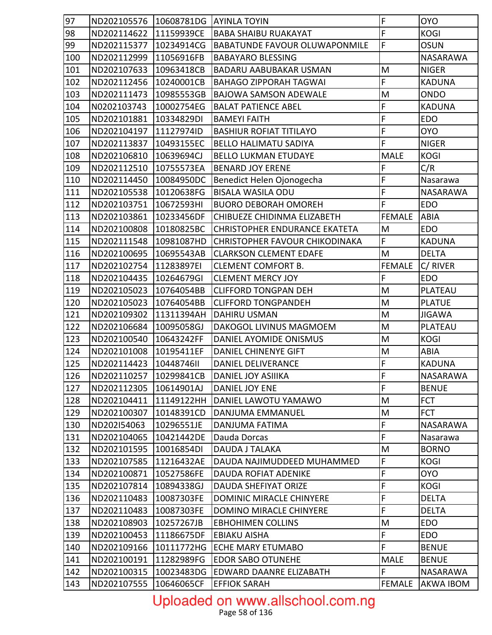| 97  | ND202105576 10608781DG AYINLA TOYIN |            |                                       | $\mathsf F$    | <b>OYO</b>       |
|-----|-------------------------------------|------------|---------------------------------------|----------------|------------------|
| 98  | ND202114622                         | 11159939CE | <b>BABA SHAIBU RUAKAYAT</b>           | F              | <b>KOGI</b>      |
| 99  | ND202115377                         | 10234914CG | <b>BABATUNDE FAVOUR OLUWAPONMILE</b>  | F              | <b>OSUN</b>      |
| 100 | ND202112999                         | 11056916FB | <b>BABAYARO BLESSING</b>              |                | <b>NASARAWA</b>  |
| 101 | ND202107633                         | 10963418CB | BADARU AABUBAKAR USMAN                | M              | <b>NIGER</b>     |
| 102 | ND202112456                         | 10240001CB | <b>BAHAGO ZIPPORAH TAGWAI</b>         | F              | <b>KADUNA</b>    |
| 103 | ND202111473                         | 10985553GB | <b>BAJOWA SAMSON ADEWALE</b>          | M              | <b>ONDO</b>      |
| 104 | N0202103743                         | 10002754EG | <b>BALAT PATIENCE ABEL</b>            | F              | <b>KADUNA</b>    |
| 105 | ND202101881                         | 10334829DI | <b>BAMEYI FAITH</b>                   | F              | <b>EDO</b>       |
| 106 | ND202104197                         | 11127974ID | <b>BASHIUR ROFIAT TITILAYO</b>        | $\overline{F}$ | <b>OYO</b>       |
| 107 | ND202113837                         | 10493155EC | <b>BELLO HALIMATU SADIYA</b>          | F              | <b>NIGER</b>     |
| 108 | ND202106810                         | 10639694CJ | <b>BELLO LUKMAN ETUDAYE</b>           | <b>MALE</b>    | <b>KOGI</b>      |
| 109 | ND202112510                         | 10755573EA | <b>BENARD JOY ERENE</b>               | F              | C/R              |
| 110 | ND202114450                         | 10084950DC | Benedict Helen Ojonogecha             | F              | Nasarawa         |
| 111 | ND202105538                         | 10120638FG | <b>BISALA WASILA ODU</b>              | $\overline{F}$ | NASARAWA         |
| 112 | ND202103751                         | 10672593HI | <b>BUORO DEBORAH OMOREH</b>           | $\overline{F}$ | <b>EDO</b>       |
| 113 | ND202103861                         | 10233456DF | CHIBUEZE CHIDINMA ELIZABETH           | <b>FEMALE</b>  | <b>ABIA</b>      |
| 114 | ND202100808                         | 10180825BC | <b>CHRISTOPHER ENDURANCE EKATETA</b>  | M              | <b>EDO</b>       |
| 115 | ND202111548                         | 10981087HD | <b>CHRISTOPHER FAVOUR CHIKODINAKA</b> | $\mathsf{F}$   | <b>KADUNA</b>    |
| 116 | ND202100695                         | 10695543AB | <b>CLARKSON CLEMENT EDAFE</b>         | M              | <b>DELTA</b>     |
| 117 | ND202102754                         | 11283897EI | <b>CLEMENT COMFORT B.</b>             | <b>FEMALE</b>  | C/RIVER          |
| 118 | ND202104435                         | 10264679GI | <b>CLEMENT MERCY JOY</b>              | F              | <b>EDO</b>       |
| 119 | ND202105023                         | 10764054BB | <b>CLIFFORD TONGPAN DEH</b>           | ${\sf M}$      | PLATEAU          |
| 120 | ND202105023                         | 10764054BB | <b>CLIFFORD TONGPANDEH</b>            | M              | <b>PLATUE</b>    |
| 121 | ND202109302                         | 11311394AH | DAHIRU USMAN                          | M              | <b>JIGAWA</b>    |
| 122 | ND202106684                         | 10095058GJ | DAKOGOL LIVINUS MAGMOEM               | M              | PLATEAU          |
| 123 | ND202100540                         | 10643242FF | <b>DANIEL AYOMIDE ONISMUS</b>         | M              | <b>KOGI</b>      |
| 124 | ND202101008                         | 10195411EF | <b>DANIEL CHINENYE GIFT</b>           | ${\sf M}$      | <b>ABIA</b>      |
| 125 | ND202114423                         | 10448746II | <b>DANIEL DELIVERANCE</b>             | $\overline{F}$ | <b>KADUNA</b>    |
| 126 | ND202110257 10299841CB              |            | <b>DANIEL JOY ASIIIKA</b>             | F              | NASARAWA         |
| 127 | ND202112305                         | 10614901AJ | DANIEL JOY ENE                        | F              | <b>BENUE</b>     |
| 128 | ND202104411                         | 11149122HH | DANIEL LAWOTU YAMAWO                  | M              | <b>FCT</b>       |
| 129 | ND202100307                         | 10148391CD | DANJUMA EMMANUEL                      | M              | <b>FCT</b>       |
| 130 | ND202I54063                         | 10296551JE | DANJUMA FATIMA                        | F              | <b>NASARAWA</b>  |
| 131 | ND202104065                         | 10421442DE | Dauda Dorcas                          | F              | Nasarawa         |
| 132 | ND202101595                         | 10016854DI | DAUDA J TALAKA                        | M              | <b>BORNO</b>     |
| 133 | ND202107585                         | 11216432AE | DAUDA NAJIMUDDEED MUHAMMED            | F              | <b>KOGI</b>      |
| 134 | ND202100871                         | 10527586FE | DAUDA ROFIAT ADENIKE                  | F              | <b>OYO</b>       |
| 135 | ND202107814                         | 10894338GJ | DAUDA SHEFIYAT ORIZE                  | F              | <b>KOGI</b>      |
| 136 | ND202110483                         | 10087303FE | DOMINIC MIRACLE CHINYERE              | F              | <b>DELTA</b>     |
| 137 | ND202110483                         | 10087303FE | DOMINO MIRACLE CHINYERE               | $\overline{F}$ | <b>DELTA</b>     |
| 138 | ND202108903                         | 10257267JB | <b>EBHOHIMEN COLLINS</b>              | M              | <b>EDO</b>       |
| 139 | ND202100453                         | 11186675DF | <b>EBIAKU AISHA</b>                   | F              | <b>EDO</b>       |
| 140 | ND202109166                         | 10111772HG | <b>ECHE MARY ETUMABO</b>              | F              | <b>BENUE</b>     |
| 141 | ND202100191                         | 11282989FG | <b>EDOR SABO OTUNEHE</b>              | <b>MALE</b>    | <b>BENUE</b>     |
| 142 | ND202100315                         | 10023483DG | EDWARD DAANRE ELIZABATH               | F              | <b>NASARAWA</b>  |
| 143 | ND202107555                         | 10646065CF | <b>EFFIOK SARAH</b>                   | <b>FEMALE</b>  | <b>AKWA IBOM</b> |

# Uploaded on www.allschool.com.ng<br>Page 58 of 136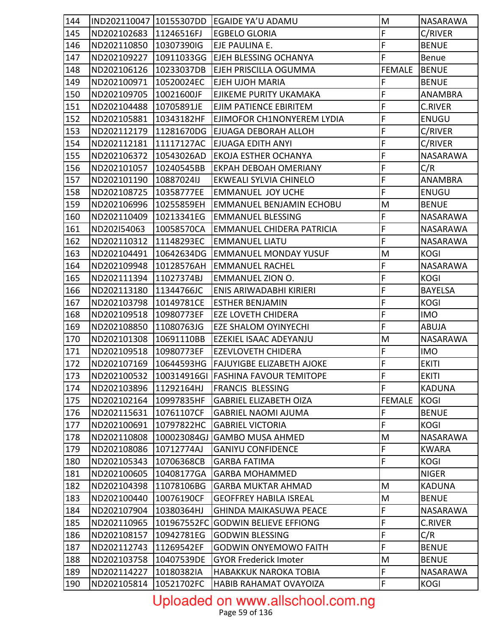| 144 |                        |             | IND202110047 10155307DD EGAIDE YA'U ADAMU       | M              | NASARAWA        |
|-----|------------------------|-------------|-------------------------------------------------|----------------|-----------------|
| 145 | ND202102683            | 11246516FJ  | <b>EGBELO GLORIA</b>                            | F              | C/RIVER         |
| 146 | ND202110850            | 10307390IG  | EJE PAULINA E.                                  | F              | <b>BENUE</b>    |
| 147 | ND202109227            | 10911033GG  | <b>EJEH BLESSING OCHANYA</b>                    | F              | Benue           |
| 148 | ND202106126 10233037DB |             | <b>EJEH PRISCILLA OGUMMA</b>                    | <b>FEMALE</b>  | <b>BENUE</b>    |
| 149 | ND202100971            | 10520024EC  | <b>EJEH UJOH MARIA</b>                          | F              | <b>BENUE</b>    |
| 150 | ND202109705            | 10021600JF  | EJIKEME PURITY UKAMAKA                          | F              | <b>ANAMBRA</b>  |
| 151 | ND202104488            | 10705891JE  | EJIM PATIENCE EBIRITEM                          | F              | <b>C.RIVER</b>  |
| 152 | ND202105881            | 10343182HF  | EJIMOFOR CH1NONYEREM LYDIA                      | F              | <b>ENUGU</b>    |
| 153 | ND202112179            | 11281670DG  | <b>EJUAGA DEBORAH ALLOH</b>                     | F              | C/RIVER         |
| 154 | ND202112181            | 11117127AC  | <b>EJUAGA EDITH ANYI</b>                        | F              | C/RIVER         |
| 155 | ND202106372            | 10543026AD  | <b>EKOJA ESTHER OCHANYA</b>                     | F              | NASARAWA        |
| 156 | ND202101057            | 10240545BB  | <b>EKPAH DEBOAH OMERIANY</b>                    | F              | C/R             |
| 157 | ND202101190            | 10887024IJ  | EKWEALI SYLVIA CHINELO                          | F              | <b>ANAMBRA</b>  |
| 158 | ND202108725            | 10358777EE  | <b>EMMANUEL JOY UCHE</b>                        | F              | ENUGU           |
| 159 | ND202106996            | 10255859EH  | <b>EMMANUEL BENJAMIN ECHOBU</b>                 | M              | <b>BENUE</b>    |
| 160 | ND202110409            | 10213341EG  | <b>EMMANUEL BLESSING</b>                        | F              | NASARAWA        |
| 161 | ND202I54063            | 10058570CA  | <b>EMMANUEL CHIDERA PATRICIA</b>                | F              | NASARAWA        |
| 162 | ND202110312            | 11148293EC  | <b>EMMANUEL LIATU</b>                           | F              | NASARAWA        |
| 163 | ND202104491            | 10642634DG  | <b>EMMANUEL MONDAY YUSUF</b>                    | M              | <b>KOGI</b>     |
| 164 | ND202109948            | 10128576AH  | EMMANUEL RACHEL                                 | F              | NASARAWA        |
| 165 | ND202111394            | [11027374BJ | <b>EMMANUEL ZION O.</b>                         | F              | <b>KOGI</b>     |
| 166 | ND202113180            | 11344766JC  | ENIS ARIWADABHI KIRIERI                         | F              | <b>BAYELSA</b>  |
| 167 | ND202103798            | 10149781CE  | <b>ESTHER BENJAMIN</b>                          | F              | <b>KOGI</b>     |
| 168 | ND202109518            | 10980773EF  | <b>EZE LOVETH CHIDERA</b>                       | F              | <b>IMO</b>      |
| 169 | ND202108850            | 11080763JG  | <b>EZE SHALOM OYINYECHI</b>                     | F              | <b>ABUJA</b>    |
| 170 | ND202101308            | 10691110BB  | EZEKIEL ISAAC ADEYANJU                          | M              | NASARAWA        |
| 171 | ND202109518            | 10980773EF  | <b>EZEVLOVETH CHIDERA</b>                       | F              | <b>IMO</b>      |
| 172 | ND202107169            | 10644593HG  | <b>FAJUYIGBE ELIZABETH AJOKE</b>                | F              | <b>EKITI</b>    |
| 173 |                        |             | ND202100532 100314916GI FASHINA FAVOUR TEMITOPE | $\overline{F}$ | <b>EKITI</b>    |
| 174 | ND202103896            | 11292164HJ  | <b>FRANCIS BLESSING</b>                         | F              | <b>KADUNA</b>   |
| 175 | ND202102164            | 10997835HF  | <b>GABRIEL ELIZABETH OIZA</b>                   | <b>FEMALE</b>  | <b>KOGI</b>     |
| 176 | ND202115631            | 10761107CF  | <b>GABRIEL NAOMI AJUMA</b>                      | F              | <b>BENUE</b>    |
| 177 | ND202100691            | 10797822HC  | <b>GABRIEL VICTORIA</b>                         | F              | <b>KOGI</b>     |
| 178 | ND202110808            | 100023084GJ | <b>GAMBO MUSA AHMED</b>                         | M              | <b>NASARAWA</b> |
| 179 | ND202108086            | 10712774AJ  | <b>GANIYU CONFIDENCE</b>                        | F              | <b>KWARA</b>    |
| 180 | ND202105343            | 10706368CB  | <b>GARBA FATIMA</b>                             | F              | <b>KOGI</b>     |
| 181 | ND202100605            | 10408177GA  | <b>GARBA MOHAMMED</b>                           |                | <b>NIGER</b>    |
| 182 | ND202104398            | 11078106BG  | <b>GARBA MUKTAR AHMAD</b>                       | M              | <b>KADUNA</b>   |
| 183 | ND202100440            | 10076190CF  | <b>GEOFFREY HABILA ISREAL</b>                   | M              | <b>BENUE</b>    |
| 184 | ND202107904            | 10380364HJ  | <b>GHINDA MAIKASUWA PEACE</b>                   | F              | NASARAWA        |
| 185 | ND202110965            | 101967552FC | <b>GODWIN BELIEVE EFFIONG</b>                   | F              | <b>C.RIVER</b>  |
| 186 | ND202108157            | 10942781EG  | <b>GODWIN BLESSING</b>                          | F              | C/R             |
| 187 | ND202112743            | 11269542EF  | <b>GODWIN ONYEMOWO FAITH</b>                    | F              | <b>BENUE</b>    |
| 188 | ND202103758            | 10407539DE  | <b>GYOR Frederick Imoter</b>                    | M              | <b>BENUE</b>    |
| 189 | ND202114227            | 10180382IA  | <b>HABAKKUK NAROKA TOBIA</b>                    | F              | NASARAWA        |
| 190 | ND202105814            | 10521702FC  | <b>HABIB RAHAMAT OVAYOIZA</b>                   | F              | <b>KOGI</b>     |

# Uploaded on www.allschool.com.ng<br>Page 59 of 136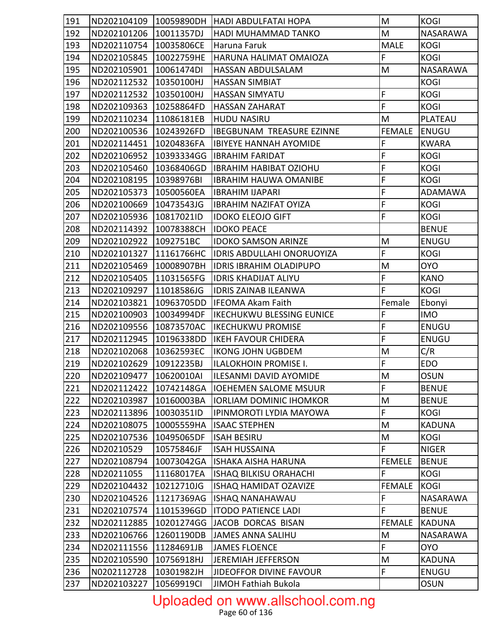| 191 |                        |            | ND202104109 10059890DH HADI ABDULFATAI HOPA | M                                                                                     | <b>KOGI</b>    |
|-----|------------------------|------------|---------------------------------------------|---------------------------------------------------------------------------------------|----------------|
| 192 | ND202101206            | 10011357DJ | HADI MUHAMMAD TANKO                         | M                                                                                     | NASARAWA       |
| 193 | ND202110754            | 10035806CE | Haruna Faruk                                | <b>MALE</b>                                                                           | <b>KOGI</b>    |
| 194 | ND202105845            | 10022759HE | HARUNA HALIMAT OMAIOZA                      | F                                                                                     | <b>KOGI</b>    |
| 195 | ND202105901            | 10061474DI | HASSAN ABDULSALAM                           | M                                                                                     | NASARAWA       |
| 196 | ND202112532            | 10350100HJ | <b>HASSAN SIMBIAT</b>                       |                                                                                       | <b>KOGI</b>    |
| 197 | ND202112532            | 10350100HJ | <b>HASSAN SIMYATU</b>                       | F                                                                                     | <b>KOGI</b>    |
| 198 | ND202109363            | 10258864FD | <b>HASSAN ZAHARAT</b>                       | F                                                                                     | <b>KOGI</b>    |
| 199 | ND202110234            | 11086181EB | <b>HUDU NASIRU</b>                          | M                                                                                     | PLATEAU        |
| 200 | ND202100536            | 10243926FD | <b>IBEGBUNAM TREASURE EZINNE</b>            | <b>FEMALE</b>                                                                         | <b>ENUGU</b>   |
| 201 | ND202114451            | 10204836FA | <b>IBIYEYE HANNAH AYOMIDE</b>               | F                                                                                     | <b>KWARA</b>   |
| 202 | ND202106952            | 10393334GG | <b>IBRAHIM FARIDAT</b>                      | F                                                                                     | <b>KOGI</b>    |
| 203 | ND202105460            | 10368406GD | <b>IBRAHIM HABIBAT OZIOHU</b>               | F                                                                                     | <b>KOGI</b>    |
| 204 | ND202108195            | 10398976BI | <b>IBRAHIM HAUWA OMANIBE</b>                | F                                                                                     | <b>KOGI</b>    |
| 205 | ND202105373            | 10500560EA | <b>IBRAHIM IJAPARI</b>                      | F                                                                                     | <b>ADAMAWA</b> |
| 206 | ND202100669            | 10473543JG | <b>IBRAHIM NAZIFAT OYIZA</b>                | F                                                                                     | <b>KOGI</b>    |
| 207 | ND202105936            | 10817021ID | <b>IDOKO ELEOJO GIFT</b>                    | F                                                                                     | <b>KOGI</b>    |
| 208 | ND202114392            | 10078388CH | <b>IDOKO PEACE</b>                          |                                                                                       | <b>BENUE</b>   |
| 209 | ND202102922            | 1092751BC  | <b>IDOKO SAMSON ARINZE</b>                  | M                                                                                     | <b>ENUGU</b>   |
| 210 | ND202101327            | 11161766HC | <b>IDRIS ABDULLAHI ONORUOYIZA</b>           | F                                                                                     | <b>KOGI</b>    |
| 211 | ND202105469            | 10008907BH | <b>IDRIS IBRAHIM OLADIPUPO</b>              | M                                                                                     | <b>OYO</b>     |
| 212 | ND202105405            | 11031565FG | <b>IDRIS KHADIJAT ALIYU</b>                 | F                                                                                     | <b>KANO</b>    |
| 213 | ND202109297            | 11018586JG | <b>IDRIS ZAINAB ILEANWA</b>                 | F                                                                                     | <b>KOGI</b>    |
| 214 | ND202103821            | 10963705DD | <b>IFEOMA Akam Faith</b>                    | Female                                                                                | Ebonyi         |
| 215 | ND202100903            | 10034994DF | <b>IKECHUKWU BLESSING EUNICE</b>            | F                                                                                     | <b>IMO</b>     |
| 216 | ND202109556            | 10873570AC | <b>IKECHUKWU PROMISE</b>                    | F                                                                                     | ENUGU          |
| 217 | ND202112945            | 10196338DD | <b>IKEH FAVOUR CHIDERA</b>                  | F                                                                                     | <b>ENUGU</b>   |
| 218 | ND202102068            | 10362593EC | <b>IKONG JOHN UGBDEM</b>                    | M                                                                                     | C/R            |
| 219 | ND202102629            | 10912235BJ | ILALOKHOIN PROMISE I.                       | $\overline{F}$                                                                        | <b>EDO</b>     |
| 220 | ND202109477 10620010AI |            | ILESANMI DAVID AYOMIDE                      | $\mathsf{M}% _{T}=\mathsf{M}_{T}\!\left( a,b\right) ,\ \mathsf{M}_{T}=\mathsf{M}_{T}$ | <b>OSUN</b>    |
| 221 | ND202112422            | 10742148GA | <b>IOEHEMEN SALOME MSUUR</b>                | F                                                                                     | <b>BENUE</b>   |
| 222 | ND202103987            | 10160003BA | <b>IORLIAM DOMINIC IHOMKOR</b>              | M                                                                                     | <b>BENUE</b>   |
| 223 | ND202113896            | 10030351ID | IPINMOROTI LYDIA MAYOWA                     | F.                                                                                    | <b>KOGI</b>    |
| 224 | ND202108075            | 10005559HA | <b>ISAAC STEPHEN</b>                        | M                                                                                     | <b>KADUNA</b>  |
| 225 | ND202107536            | 10495065DF | <b>ISAH BESIRU</b>                          | M                                                                                     | <b>KOGI</b>    |
| 226 | ND20210529             | 10575846JF | <b>ISAH HUSSAINA</b>                        | F                                                                                     | <b>NIGER</b>   |
| 227 | ND202108794            | 10073042GA | <b>ISHAKA AISHA HARUNA</b>                  | <b>FEMELE</b>                                                                         | <b>BENUE</b>   |
| 228 | ND20211055             | 11168017EA | <b>ISHAQ BILKISU ORAHACHI</b>               | F                                                                                     | <b>KOGI</b>    |
| 229 | ND202104432            | 10212710JG | ISHAQ HAMIDAT OZAVIZE                       | <b>FEMALE</b>                                                                         | <b>KOGI</b>    |
| 230 | ND202104526            | 11217369AG | <b>ISHAQ NANAHAWAU</b>                      | F                                                                                     | NASARAWA       |
| 231 | ND202107574            | 11015396GD | <b>ITODO PATIENCE LADI</b>                  | F.                                                                                    | <b>BENUE</b>   |
| 232 | ND202112885            | 10201274GG | JACOB DORCAS BISAN                          | <b>FEMALE</b>                                                                         | <b>KADUNA</b>  |
| 233 | ND202106766            | 12601190DB | JAMES ANNA SALIHU                           | M                                                                                     | NASARAWA       |
| 234 | ND202111556            | 11284691JB | <b>JAMES FLOENCE</b>                        | F.                                                                                    | <b>OYO</b>     |
| 235 | ND202105590            | 10756918HJ | JEREMIAH JEFFERSON                          | M                                                                                     | <b>KADUNA</b>  |
| 236 | N0202112728            | 10301982JH | JIDEOFFOR DIVINE FAVOUR                     | F.                                                                                    | <b>ENUGU</b>   |
| 237 | ND202103227            | 10569919Cl | JIMOH Fathiah Bukola                        |                                                                                       | <b>OSUN</b>    |

# Uploaded on www.allschool.com.ng<br>Page 60 of 136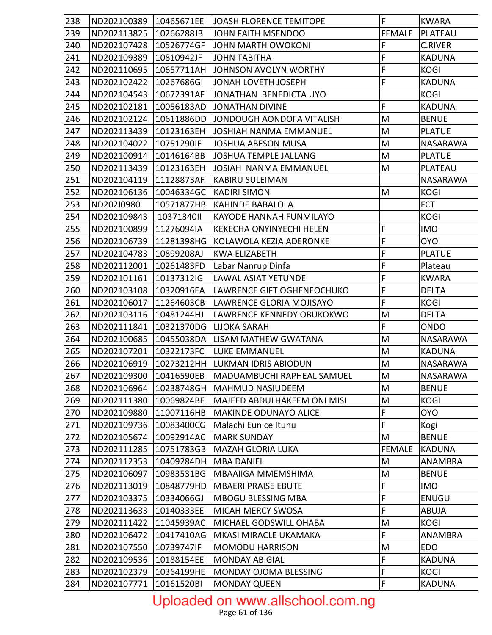| 238 | ND202100389  10465671EE |            | <b>JOASH FLORENCE TEMITOPE</b>  | F                                                                                                          | <b>KWARA</b>    |
|-----|-------------------------|------------|---------------------------------|------------------------------------------------------------------------------------------------------------|-----------------|
| 239 | ND202113825             | 10266288JB | JOHN FAITH MSENDOO              | <b>FEMALE</b>                                                                                              | PLATEAU         |
| 240 | ND202107428             | 10526774GF | JOHN MARTH OWOKONI              | F                                                                                                          | <b>C.RIVER</b>  |
| 241 | ND202109389             | 10810942JF | <b>JOHN TABITHA</b>             | F                                                                                                          | <b>KADUNA</b>   |
| 242 | ND202110695             | 10657711AH | JOHNSON AVOLYN WORTHY           | F                                                                                                          | <b>KOGI</b>     |
| 243 | ND202102422             | 10267686GI | JONAH LOVETH JOSEPH             | F                                                                                                          | <b>KADUNA</b>   |
| 244 | ND202104543             | 10672391AF | JONATHAN BENEDICTA UYO          |                                                                                                            | <b>KOGI</b>     |
| 245 | ND202102181             | 10056183AD | <b>JONATHAN DIVINE</b>          | $\mathsf{F}$                                                                                               | <b>KADUNA</b>   |
| 246 | ND202102124             | 10611886DD | JONDOUGH AONDOFA VITALISH       | M                                                                                                          | <b>BENUE</b>    |
| 247 | ND202113439             | 10123163EH | JOSHIAH NANMA EMMANUEL          | M                                                                                                          | <b>PLATUE</b>   |
| 248 | ND202104022             | 10751290IF | <b>JOSHUA ABESON MUSA</b>       | M                                                                                                          | NASARAWA        |
| 249 | ND202100914             | 10146164BB | <b>JOSHUA TEMPLE JALLANG</b>    | M                                                                                                          | <b>PLATUE</b>   |
| 250 | ND202113439             | 10123163EH | JOSIAH NANMA EMMANUEL           | M                                                                                                          | PLATEAU         |
| 251 | ND202104119             | 11128873AF | <b>KABIRU SULEIMAN</b>          |                                                                                                            | <b>NASARAWA</b> |
| 252 | ND202106136             | 10046334GC | <b>KADIRI SIMON</b>             | M                                                                                                          | <b>KOGI</b>     |
| 253 | ND20210980              | 10571877HB | <b>KAHINDE BABALOLA</b>         |                                                                                                            | <b>FCT</b>      |
| 254 | ND202109843             | 10371340II | KAYODE HANNAH FUNMILAYO         |                                                                                                            | <b>KOGI</b>     |
| 255 | ND202100899             | 11276094IA | <b>KEKECHA ONYINYECHI HELEN</b> | F                                                                                                          | <b>IMO</b>      |
| 256 | ND202106739             | 11281398HG | KOLAWOLA KEZIA ADERONKE         | F                                                                                                          | <b>OYO</b>      |
| 257 | ND202104783             | 10899208AJ | <b>KWA ELIZABETH</b>            | F                                                                                                          | <b>PLATUE</b>   |
| 258 | ND202112001             | 10261483FD | Labar Nanrup Dinfa              | $\overline{F}$                                                                                             | Plateau         |
| 259 | ND202101161             | 10137312IG | LAWAL ASIAT YETUNDE             | $\mathsf F$                                                                                                | <b>KWARA</b>    |
| 260 | ND202103108             | 10320916EA | LAWRENCE GIFT OGHENEOCHUKO      | $\mathsf F$                                                                                                | <b>DELTA</b>    |
| 261 | ND202106017             | 11264603CB | LAWRENCE GLORIA MOJISAYO        | $\mathsf F$                                                                                                | <b>KOGI</b>     |
| 262 | ND202103116             | 10481244HJ | LAWRENCE KENNEDY OBUKOKWO       | M                                                                                                          | <b>DELTA</b>    |
| 263 | ND202111841             | 10321370DG | <b>LIJOKA SARAH</b>             | $\mathsf F$                                                                                                | ONDO            |
| 264 | ND202100685             | 10455038DA | <b>LISAM MATHEW GWATANA</b>     | M                                                                                                          | NASARAWA        |
| 265 | ND202107201             | 10322173FC | LUKE EMMANUEL                   | M                                                                                                          | <b>KADUNA</b>   |
| 266 | ND202106919             | 10273212HH | LUKMAN IDRIS ABIODUN            | M                                                                                                          | NASARAWA        |
| 267 | ND202109300 10416590EB  |            | MADUAMBUCHI RAPHEAL SAMUEL      | $\mathsf{M}% _{T}=\mathsf{M}_{T}\!\left( a,b\right) ,\ \mathsf{M}_{T}=\mathsf{M}_{T}\!\left( a,b\right) ,$ | <b>NASARAWA</b> |
| 268 | ND202106964             | 10238748GH | <b>MAHMUD NASIUDEEM</b>         | M                                                                                                          | <b>BENUE</b>    |
| 269 | ND202111380             | 10069824BE | MAJEED ABDULHAKEEM ONI MISI     | M                                                                                                          | <b>KOGI</b>     |
| 270 | ND202109880             | 11007116HB | <b>MAKINDE ODUNAYO ALICE</b>    | $\mathsf F$                                                                                                | <b>OYO</b>      |
| 271 | ND202109736             | 10083400CG | Malachi Eunice Itunu            | $\mathsf F$                                                                                                | Kogi            |
| 272 | ND202105674             | 10092914AC | <b>MARK SUNDAY</b>              | M                                                                                                          | <b>BENUE</b>    |
| 273 | ND202111285             | 10751783GB | <b>MAZAH GLORIA LUKA</b>        | <b>FEMALE</b>                                                                                              | <b>KADUNA</b>   |
| 274 | ND202112353             | 10409284DH | <b>MBA DANIEL</b>               | M                                                                                                          | ANAMBRA         |
| 275 | ND202106097             | 10983531BG | <b>MBAAIIGA MMEMSHIMA</b>       | M                                                                                                          | <b>BENUE</b>    |
| 276 | ND202113019             | 10848779HD | <b>MBAERI PRAISE EBUTE</b>      | $\mathsf F$                                                                                                | <b>IMO</b>      |
| 277 | ND202103375             | 10334066GJ | MBOGU BLESSING MBA              | $\mathsf F$                                                                                                | <b>ENUGU</b>    |
| 278 | ND202113633             | 10140333EE | MICAH MERCY SWOSA               | F                                                                                                          | <b>ABUJA</b>    |
| 279 | ND202111422             | 11045939AC | MICHAEL GODSWILL OHABA          | M                                                                                                          | <b>KOGI</b>     |
| 280 | ND202106472             | 10417410AG | MKASI MIRACLE UKAMAKA           | F                                                                                                          | ANAMBRA         |
| 281 | ND202107550             | 10739747IF | <b>MOMODU HARRISON</b>          | M                                                                                                          | <b>EDO</b>      |
| 282 | ND202109536             | 10188154EE | <b>MONDAY ABIGIAL</b>           | $\mathsf{F}$                                                                                               | <b>KADUNA</b>   |
| 283 | ND202102379             | 10364199HE | MONDAY OJOMA BLESSING           | $\mathsf F$                                                                                                | <b>KOGI</b>     |
| 284 | ND202107771             | 10161520BI | <b>MONDAY QUEEN</b>             | $\mathsf F$                                                                                                | <b>KADUNA</b>   |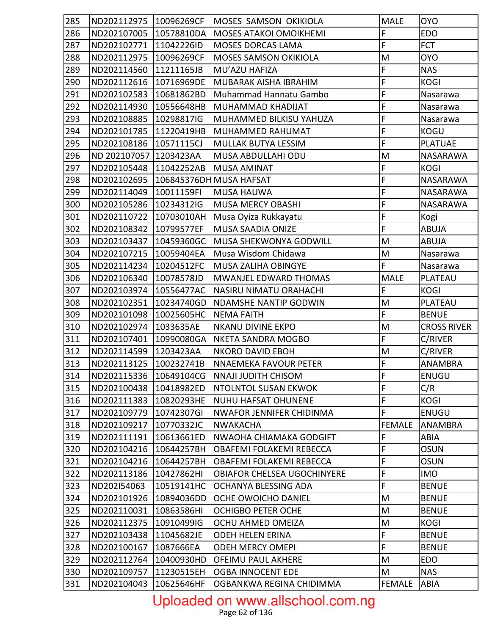| 285 | ND202112975 10096269CF |            | <b>MOSES SAMSON OKIKIOLA</b>               | <b>MALE</b>    | <b>OYO</b>         |
|-----|------------------------|------------|--------------------------------------------|----------------|--------------------|
| 286 | ND202107005            | 10578810DA | <b>MOSES ATAKOI OMOIKHEMI</b>              | F              | <b>EDO</b>         |
| 287 | ND202102771            | 11042226ID | <b>MOSES DORCAS LAMA</b>                   | F              | <b>FCT</b>         |
| 288 | ND202112975            | 10096269CF | <b>MOSES SAMSON OKIKIOLA</b>               | M              | <b>OYO</b>         |
| 289 | ND202114560            | 11211165JB | MU'AZU HAFIZA                              | F              | <b>NAS</b>         |
| 290 | ND202112616            | 10716969DE | MUBARAK AISHA IBRAHIM                      | $\overline{F}$ | <b>KOGI</b>        |
| 291 | ND202102583            | 10681862BD | Muhammad Hannatu Gambo                     | F              | Nasarawa           |
| 292 | ND202114930            | 10556648HB | MUHAMMAD KHADIJAT                          | F              | Nasarawa           |
| 293 | ND202108885            | 10298817IG | MUHAMMED BILKISU YAHUZA                    | $\mathsf F$    | Nasarawa           |
| 294 | ND202101785            | 11220419HB | MUHAMMED RAHUMAT                           | F              | KOGU               |
| 295 | ND202108186            | 10571115CJ | MULLAK BUTYA LESSIM                        | $\mathsf{F}$   | <b>PLATUAE</b>     |
| 296 | ND 202107057 1203423AA |            | MUSA ABDULLAHI ODU                         | M              | NASARAWA           |
| 297 | ND202105448            | 11042252AB | <b>MUSA AMINAT</b>                         | F              | <b>KOGI</b>        |
| 298 | ND202102695            |            | 106845376DH MUSA HAFSAT                    | F              | NASARAWA           |
| 299 | ND202114049            | 10011159FI | <b>MUSA HAUWA</b>                          | F              | NASARAWA           |
| 300 | ND202105286            | 10234312IG | <b>MUSA MERCY OBASHI</b>                   | F              | NASARAWA           |
| 301 | ND202110722            | 10703010AH | Musa Oyiza Rukkayatu                       | F              | Kogi               |
| 302 | ND202108342            | 10799577EF | MUSA SAADIA ONIZE                          | $\overline{F}$ | <b>ABUJA</b>       |
| 303 | ND202103437            | 10459360GC | MUSA SHEKWONYA GODWILL                     | M              | <b>ABUJA</b>       |
| 304 | ND202107215            | 10059404EA | Musa Wisdom Chidawa                        | M              | Nasarawa           |
| 305 | ND202114234            | 10204512FC | MUSA ZALIHA OBINGYE                        | F              | Nasarawa           |
| 306 | ND202106340            | 10078578JD | MWANJEL EDWARD THOMAS                      | <b>MALE</b>    | <b>PLATEAU</b>     |
| 307 | ND202103974            | 10556477AC | NASIRU NIMATU ORAHACHI                     | $\mathsf{F}$   | <b>KOGI</b>        |
| 308 | ND202102351            | 10234740GD | <b>NDAMSHE NANTIP GODWIN</b>               | M              | PLATEAU            |
| 309 | ND202101098            | 10025605HC | <b>NEMA FAITH</b>                          | $\mathsf{F}$   | <b>BENUE</b>       |
| 310 | ND202102974            | 1033635AE  | <b>NKANU DIVINE EKPO</b>                   | M              | <b>CROSS RIVER</b> |
| 311 | ND202107401            | 10990080GA | NKETA SANDRA MOGBO                         | $\overline{F}$ | C/RIVER            |
| 312 | ND202114599            | 1203423AA  | <b>NKORO DAVID EBOH</b>                    | M              | C/RIVER            |
| 313 | ND202113125            | 100232741B | <b>NNAEMEKA FAVOUR PETER</b>               | F              | ANAMBRA            |
| 314 |                        |            | ND202115336 10649104CG NNAJI JUDITH CHISOM | F              | ENUGU              |
| 315 | ND202100438            | 10418982ED | <b>NTOLNTOL SUSAN EKWOK</b>                | $\mathsf F$    | C/R                |
| 316 | ND202111383            | 10820293HE | <b>NUHU HAFSAT OHUNENE</b>                 | $\mathsf{F}$   | <b>KOGI</b>        |
| 317 | ND202109779            | 10742307GI | NWAFOR JENNIFER CHIDINMA                   | $\mathsf F$    | <b>ENUGU</b>       |
| 318 | ND202109217            | 10770332JC | <b>NWAKACHA</b>                            | <b>FEMALE</b>  | <b>ANAMBRA</b>     |
| 319 | ND202111191            | 10613661ED | NWAOHA CHIAMAKA GODGIFT                    | $\mathsf F$    | ABIA               |
| 320 | ND202104216            | 10644257BH | OBAFEMI FOLAKEMI REBECCA                   | $\mathsf F$    | <b>OSUN</b>        |
| 321 | ND202104216            | 10644257BH | OBAFEMI FOLAKEMI REBECCA                   | $\mathsf F$    | <b>OSUN</b>        |
| 322 | ND202113186            | 10427862HI | <b>OBIAFOR CHELSEA UGOCHINYERE</b>         | $\mathsf F$    | <b>IMO</b>         |
| 323 | ND202I54063            | 10519141HC | OCHANYA BLESSING ADA                       | $\mathsf{F}$   | <b>BENUE</b>       |
| 324 | ND202101926            | 10894036DD | OCHE OWOICHO DANIEL                        | M              | <b>BENUE</b>       |
| 325 | ND202110031            | 10863586HI | <b>OCHIGBO PETER OCHE</b>                  | M              | <b>BENUE</b>       |
| 326 | ND202112375            | 10910499IG | OCHU AHMED OMEIZA                          | M              | <b>KOGI</b>        |
| 327 | ND202103438            | 11045682JE | <b>ODEH HELEN ERINA</b>                    | $\mathsf F$    | <b>BENUE</b>       |
| 328 | ND202100167            | 1087666EA  | <b>ODEH MERCY OMEPI</b>                    | $\mathsf F$    | <b>BENUE</b>       |
| 329 | ND202112764            | 10400930HD | <b>OFEIMU PAUL AKHERE</b>                  | M              | <b>EDO</b>         |
| 330 | ND202109757            | 11230515EH | <b>OGBA INNOCENT EDE</b>                   | M              | <b>NAS</b>         |
| 331 | ND202104043            | 10625646HF | OGBANKWA REGINA CHIDIMMA                   | <b>FEMALE</b>  | <b>ABIA</b>        |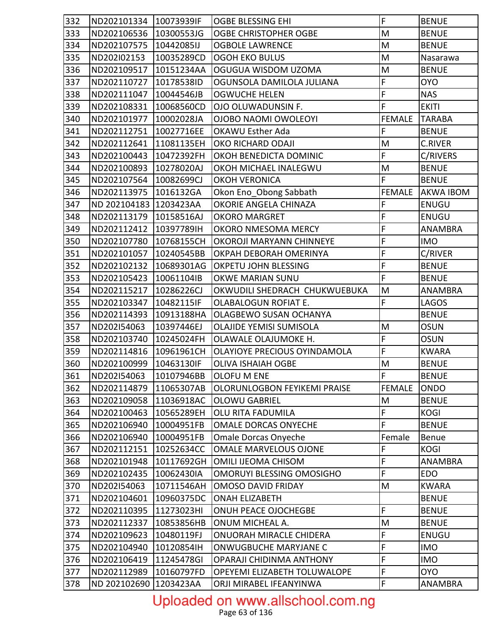| 332 | ND202101334 10073939IF |            | <b>OGBE BLESSING EHI</b>        | $\mathsf F$    | <b>BENUE</b>     |
|-----|------------------------|------------|---------------------------------|----------------|------------------|
| 333 | ND202106536            | 10300553JG | <b>OGBE CHRISTOPHER OGBE</b>    | M              | <b>BENUE</b>     |
| 334 | ND202107575            | 10442085IJ | <b>OGBOLE LAWRENCE</b>          | M              | <b>BENUE</b>     |
| 335 | ND202I02153            | 10035289CD | <b>OGOH EKO BULUS</b>           | M              | Nasarawa         |
| 336 | ND202109517            | 10151234AA | OGUGUA WISDOM UZOMA             | M              | <b>BENUE</b>     |
| 337 | ND202110727            | 10178538ID | OGUNSOLA DAMILOLA JULIANA       | $\overline{F}$ | <b>OYO</b>       |
| 338 | ND202111047            | 10044546JB | <b>OGWUCHE HELEN</b>            | $\mathsf F$    | <b>NAS</b>       |
| 339 | ND202108331            | 10068560CD | OJO OLUWADUNSIN F.              | F              | <b>EKITI</b>     |
| 340 | ND202101977            | 10002028JA | <b>OJOBO NAOMI OWOLEOYI</b>     | <b>FEMALE</b>  | <b>TARABA</b>    |
| 341 | ND202112751            | 10027716EE | <b>OKAWU Esther Ada</b>         | $\mathsf{F}$   | <b>BENUE</b>     |
| 342 | ND202112641            | 11081135EH | OKO RICHARD ODAJI               | M              | <b>C.RIVER</b>   |
| 343 | ND202100443            | 10472392FH | OKOH BENEDICTA DOMINIC          | $\mathsf F$    | C/RIVERS         |
| 344 | ND202100893            | 10278020AJ | OKOH MICHAEL INALEGWU           | M              | <b>BENUE</b>     |
| 345 | ND202107564            | 10082699CJ | <b>OKOH VERONICA</b>            | $\overline{F}$ | <b>BENUE</b>     |
| 346 | ND202113975            | 1016132GA  | Okon Eno Obong Sabbath          | <b>FEMALE</b>  | <b>AKWA IBOM</b> |
| 347 | ND 202104183 1203423AA |            | OKORIE ANGELA CHINAZA           | F              | ENUGU            |
| 348 | ND202113179            | 10158516AJ | <b>OKORO MARGRET</b>            | $\overline{F}$ | ENUGU            |
| 349 | ND202112412            | 10397789IH | OKORO NMESOMA MERCY             | $\mathsf F$    | ANAMBRA          |
| 350 | ND202107780            | 10768155CH | OKOROJI MARYANN CHINNEYE        | F              | <b>IMO</b>       |
| 351 | ND202101057            | 10240545BB | OKPAH DEBORAH OMERINYA          | $\mathsf F$    | C/RIVER          |
| 352 | ND202102132            | 10689301AG | OKPETU JOHN BLESSING            | F              | <b>BENUE</b>     |
| 353 | ND202105423            | 10061104IB | <b>OKWE MARIAN SUNU</b>         | $\mathsf{F}$   | <b>BENUE</b>     |
| 354 | ND202115217            | 10286226CJ | OKWUDILI SHEDRACH CHUKWUEBUKA   | M              | ANAMBRA          |
| 355 | ND202103347            | 10482115IF | <b>OLABALOGUN ROFIAT E.</b>     | $\mathsf F$    | LAGOS            |
| 356 | ND202114393            | 10913188HA | OLAGBEWO SUSAN OCHANYA          |                | <b>BENUE</b>     |
| 357 | ND202I54063            | 10397446EJ | <b>OLAJIDE YEMISI SUMISOLA</b>  | M              | <b>OSUN</b>      |
| 358 | ND202103740            | 10245024FH | OLAWALE OLAJUMOKE H.            | F              | <b>OSUN</b>      |
| 359 | ND202114816            | 10961961CH | OLAYIOYE PRECIOUS OYINDAMOLA    | $\mathsf{F}$   | <b>KWARA</b>     |
| 360 | ND202100999            | 10463130IF | <b>OLIVA ISHAIAH OGBE</b>       | ${\sf M}$      | <b>BENUE</b>     |
| 361 | ND202I54063 10107946BB |            | <b>OLOFU M ENE</b>              | ΙĒ             | <b>BENUE</b>     |
| 362 | ND202114879            | 11065307AB | OLORUNLOGBON FEYIKEMI PRAISE    | <b>FEMALE</b>  | ONDO             |
| 363 | ND202109058            | 11036918AC | <b>OLOWU GABRIEL</b>            | M              | <b>BENUE</b>     |
| 364 | ND202100463            | 10565289EH | OLU RITA FADUMILA               | $\mathsf F$    | <b>KOGI</b>      |
| 365 | ND202106940            | 10004951FB | <b>OMALE DORCAS ONYECHE</b>     | $\mathsf{F}$   | <b>BENUE</b>     |
| 366 | ND202106940            | 10004951FB | Omale Dorcas Onyeche            | Female         | Benue            |
| 367 | ND202112151            | 10252634CC | <b>OMALE MARVELOUS OJONE</b>    | $\mathsf F$    | <b>KOGI</b>      |
| 368 | ND202101948            | 10117692GH | OMILI IJEOMA CHISOM             | F              | ANAMBRA          |
| 369 | ND202102435            | 10062430IA | OMORUYI BLESSING OMOSIGHO       | F              | <b>EDO</b>       |
| 370 | ND202I54063            | 10711546AH | <b>OMOSO DAVID FRIDAY</b>       | M              | <b>KWARA</b>     |
| 371 | ND202104601            | 10960375DC | <b>ONAH ELIZABETH</b>           |                | <b>BENUE</b>     |
| 372 | ND202110395            | 11273023HI | ONUH PEACE OJOCHEGBE            | $\mathsf{F}$   | <b>BENUE</b>     |
| 373 | ND202112337            | 10853856HB | ONUM MICHEAL A.                 | M              | <b>BENUE</b>     |
| 374 | ND202109623            | 10480119FJ | ONUORAH MIRACLE CHIDERA         | $\mathsf F$    | ENUGU            |
| 375 | ND202104940            | 10120854IH | ONWUGBUCHE MARYJANE C           | $\mathsf F$    | <b>IMO</b>       |
| 376 | ND202106419            | 11245478GI | <b>OPARAJI CHIDINMA ANTHONY</b> | $\mathsf F$    | <b>IMO</b>       |
| 377 | ND202112989            | 10160797FD | OPEYEMI ELIZABETH TOLUWALOPE    | $\mathsf F$    | <b>OYO</b>       |
| 378 | ND 202102690 1203423AA |            | ORJI MIRABEL IFEANYINWA         | $\mathsf F$    | ANAMBRA          |

# Uploaded on www.allschool.com.ng<br>Page 63 of 136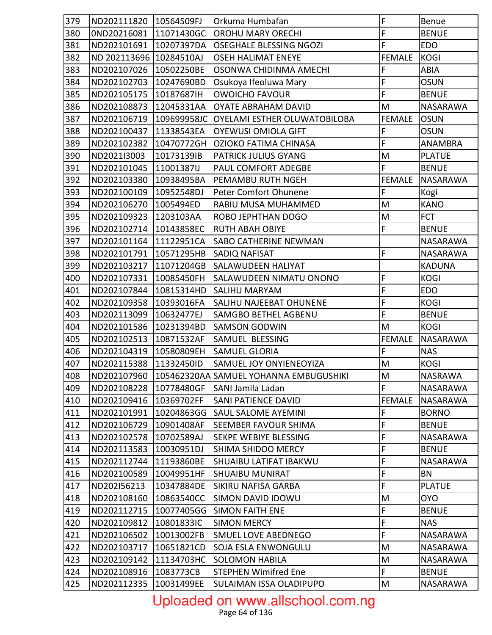| 379 | ND202111820 10564509FJ  |             | Orkuma Humbafan                                     | F             | <b>Benue</b>    |
|-----|-------------------------|-------------|-----------------------------------------------------|---------------|-----------------|
| 380 | 0ND20216081             | 11071430GC  | <b>OROHU MARY ORECHI</b>                            | F             | <b>BENUE</b>    |
| 381 | ND202101691             | 10207397DA  | <b>OSEGHALE BLESSING NGOZI</b>                      | F             | <b>EDO</b>      |
| 382 | ND 202113696 10284510AJ |             | <b>OSEH HALIMAT ENEYE</b>                           | <b>FEMALE</b> | <b>KOGI</b>     |
| 383 | ND202107026 10502250BE  |             | OSONWA CHIDINMA AMECHI                              | F             | ABIA            |
| 384 | ND202102703             | 10247690BD  | Osukoya Ifeoluwa Mary                               | F             | <b>OSUN</b>     |
| 385 | ND202105175             | 10187687IH  | <b>OWOICHO FAVOUR</b>                               | F             | <b>BENUE</b>    |
| 386 | ND202108873             | 12045331AA  | <b>OYATE ABRAHAM DAVID</b>                          | M             | NASARAWA        |
| 387 | ND202106719             | 109699958JC | <b>OYELAMI ESTHER OLUWATOBILOBA</b>                 | <b>FEMALE</b> | <b>OSUN</b>     |
| 388 | ND202100437             | 11338543EA  | <b>OYEWUSI OMIOLA GIFT</b>                          | F             | <b>OSUN</b>     |
| 389 | ND202102382             | 10470772GH  | OZIOKO FATIMA CHINASA                               | F             | <b>ANAMBRA</b>  |
| 390 | ND2021I3003             | 10173139IB  | PATRICK JULIUS GYANG                                | M             | <b>PLATUE</b>   |
| 391 | ND202101045             | 11001387IJ  | PAUL COMFORT ADEGBE                                 | F             | <b>BENUE</b>    |
| 392 | ND202103380             | 10938495BA  | PEMAMBU RUTH NGEH                                   | <b>FEMALE</b> | <b>NASARAWA</b> |
| 393 | ND202100109             | 10952548DJ  | Peter Comfort Ohunene                               | F             | Kogi            |
| 394 | ND202106270             | 1005494ED   | RABIU MUSA MUHAMMED                                 | M             | <b>KANO</b>     |
| 395 | ND202109323             | 1203103AA   | ROBO JEPHTHAN DOGO                                  | M             | <b>FCT</b>      |
| 396 | ND202102714             | 10143858EC  | <b>RUTH ABAH OBIYE</b>                              | F             | <b>BENUE</b>    |
| 397 | ND202101164             | 11122951CA  | <b>SABO CATHERINE NEWMAN</b>                        |               | NASARAWA        |
| 398 | ND202101791             | 10571295HB  | <b>SADIQ NAFISAT</b>                                | F             | NASARAWA        |
| 399 | ND202103217             | 11071204GB  | <b>SALAWUDEEN HALIYAT</b>                           |               | <b>KADUNA</b>   |
| 400 | ND202107331             | 10085450FH  | SALAWUDEEN NIMATU ONONO                             | F             | <b>KOGI</b>     |
| 401 | ND202107844             | 10815314HD  | <b>SALIHU MARYAM</b>                                | F             | EDO             |
| 402 | ND202109358             | 10393016FA  | <b>SALIHU NAJEEBAT OHUNENE</b>                      | F             | <b>KOGI</b>     |
| 403 | ND202113099             | 10632477EJ  | SAMGBO BETHEL AGBENU                                | F             | <b>BENUE</b>    |
| 404 | ND202101586             | 10231394BD  | <b>SAMSON GODWIN</b>                                | M             | <b>KOGI</b>     |
| 405 | ND202102513             | 10871532AF  | SAMUEL BLESSING                                     | <b>FEMALE</b> | NASARAWA        |
| 406 | ND202104319             | 10580809EH  | <b>SAMUEL GLORIA</b>                                | F             | <b>NAS</b>      |
| 407 | ND202115388             | 11332450ID  | SAMUEL JOY ONYIENEOYIZA                             | M             | <b>KOGI</b>     |
| 408 |                         |             | ND202107960  105462320AA SAMUEL YOHANNA EMBUGUSHIKI | M             | <b>NASRAWA</b>  |
| 409 | ND202108228             | 10778480GF  | SANI Jamila Ladan                                   | F.            | NASARAWA        |
| 410 | ND202109416             | 10369702FF  | <b>SANI PATIENCE DAVID</b>                          | <b>FEMALE</b> | <b>NASARAWA</b> |
| 411 | ND202101991             | 10204863GG  | <b>SAUL SALOME AYEMINI</b>                          | F             | <b>BORNO</b>    |
| 412 | ND202106729             | 10901408AF  | <b>SEEMBER FAVOUR SHIMA</b>                         | F             | <b>BENUE</b>    |
| 413 | ND202102578             | 10702589AJ  | SEKPE WEBIYE BLESSING                               | F             | NASARAWA        |
| 414 | ND202113583             | 10030951DJ  | SHIMA SHIDOO MERCY                                  | F             | <b>BENUE</b>    |
| 415 | ND202112744             | 11193860BE  | SHUAIBU LATIFAT IBAKWU                              | F             | <b>NASARAWA</b> |
| 416 | ND202100589             | 10049951HF  | <b>SHUAIBU MUNIRAT</b>                              | F             | ΒN              |
| 417 | ND202I56213             | 10347884DE  | SIKIRU NAFISA GARBA                                 | F             | <b>PLATUE</b>   |
| 418 | ND202108160             | 10863540CC  | SIMON DAVID IDOWU                                   | M             | <b>OYO</b>      |
| 419 | ND202112715             | 10077405GG  | <b>SIMON FAITH ENE</b>                              | F             | <b>BENUE</b>    |
| 420 | ND202109812             | 10801833IC  | <b>SIMON MERCY</b>                                  | F             | <b>NAS</b>      |
| 421 | ND202106502             | 10013002FB  | <b>SMUEL LOVE ABEDNEGO</b>                          | F             | NASARAWA        |
| 422 | ND202103717             | 10651821CD  | <b>SOJA ESLA ENWONGULU</b>                          | M             | NASARAWA        |
| 423 | ND202109142             | 11134703HC  | <b>SOLOMON HABILA</b>                               | M             | NASARAWA        |
| 424 | ND202108916             | 1083773CB   | <b>STEPHEN Wimifred Ene</b>                         | F             | <b>BENUE</b>    |
| 425 | ND202112335             | 10031499EE  | <b>SULAIMAN ISSA OLADIPUPO</b>                      | M             | NASARAWA        |

# Uploaded on www.allschool.com.ng<br>Page 64 of 136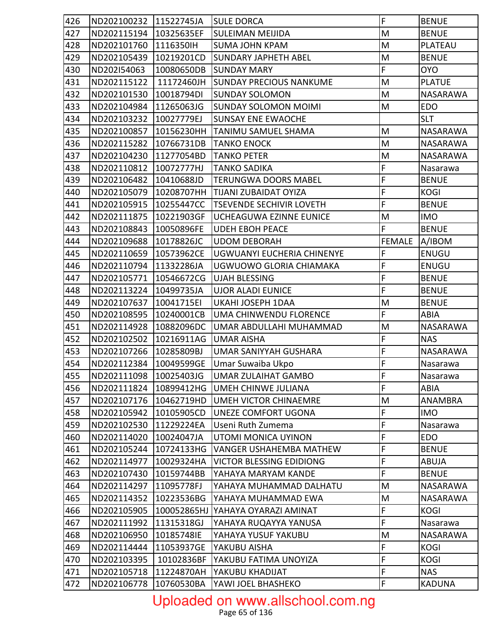| 426 | ND202100232 11522745JA |             | <b>SULE DORCA</b>                          | F              | <b>BENUE</b>   |
|-----|------------------------|-------------|--------------------------------------------|----------------|----------------|
| 427 | ND202115194            | 10325635EF  | <b>SULEIMAN MEIJIDA</b>                    | M              | <b>BENUE</b>   |
| 428 | ND202101760            | 1116350IH   | <b>SUMA JOHN KPAM</b>                      | M              | <b>PLATEAU</b> |
| 429 | ND202105439            | 10219201CD  | <b>SUNDARY JAPHETH ABEL</b>                | M              | <b>BENUE</b>   |
| 430 | ND202I54063            | 10080650DB  | <b>SUNDAY MARY</b>                         | F              | <b>OYO</b>     |
| 431 | ND202115122            | 11172460JH  | <b>SUNDAY PRECIOUS NANKUME</b>             | M              | <b>PLATUE</b>  |
| 432 | ND202101530            | 10018794DI  | <b>SUNDAY SOLOMON</b>                      | M              | NASARAWA       |
| 433 | ND202104984            | 11265063JG  | <b>SUNDAY SOLOMON MOIMI</b>                | M              | <b>EDO</b>     |
| 434 | ND202103232            | 10027779EJ  | <b>SUNSAY ENE EWAOCHE</b>                  |                | <b>SLT</b>     |
| 435 | ND202100857            | 10156230HH  | <b>TANIMU SAMUEL SHAMA</b>                 | M              | NASARAWA       |
| 436 | ND202115282            | 10766731DB  | <b>TANKO ENOCK</b>                         | M              | NASARAWA       |
| 437 | ND202104230            | 11277054BD  | <b>TANKO PETER</b>                         | M              | NASARAWA       |
| 438 | ND202110812            | 10072777HJ  | <b>TANKO SADIKA</b>                        | $\mathsf F$    | Nasarawa       |
| 439 | ND202106482            | 10410688JD  | <b>TERUNGWA DOORS MABEL</b>                | F              | <b>BENUE</b>   |
| 440 | ND202105079            | 10208707HH  | <b>TIJANI ZUBAIDAT OYIZA</b>               | F              | <b>KOGI</b>    |
| 441 | ND202105915            | 10255447CC  | <b>TSEVENDE SECHIVIR LOVETH</b>            | F              | <b>BENUE</b>   |
| 442 | ND202111875            | 10221903GF  | UCHEAGUWA EZINNE EUNICE                    | M              | <b>IMO</b>     |
| 443 | ND202108843            | 10050896FE  | <b>UDEH EBOH PEACE</b>                     | F              | <b>BENUE</b>   |
| 444 | ND202109688            | 10178826JC  | <b>UDOM DEBORAH</b>                        | <b>FEMALE</b>  | A/IBOM         |
| 445 | ND202110659            | 10573962CE  | UGWUANYI EUCHERIA CHINENYE                 | $\mathsf F$    | ENUGU          |
| 446 | ND202110794            | 11332286JA  | UGWUOWO GLORIA CHIAMAKA                    | $\overline{F}$ | ENUGU          |
| 447 | ND202105771            | 10546672CG  | <b>UJAH BLESSING</b>                       | $\mathsf F$    | <b>BENUE</b>   |
| 448 | ND202113224            | 10499735JA  | <b>UJOR ALADI EUNICE</b>                   | $\overline{F}$ | <b>BENUE</b>   |
| 449 | ND202107637            | 10041715EI  | UKAHI JOSEPH 1DAA                          | M              | <b>BENUE</b>   |
| 450 | ND202108595            | 10240001CB  | UMA CHINWENDU FLORENCE                     | $\mathsf{F}$   | ABIA           |
| 451 | ND202114928            | 10882096DC  | UMAR ABDULLAHI MUHAMMAD                    | M              | NASARAWA       |
| 452 | ND202102502            | 10216911AG  | <b>UMAR AISHA</b>                          | F              | <b>NAS</b>     |
| 453 | ND202107266            | 10285809BJ  | UMAR SANIYYAH GUSHARA                      | $\mathsf F$    | NASARAWA       |
| 454 | ND202112384            | 10049599GE  | Umar Suwaiba Ukpo                          | F              | Nasarawa       |
| 455 |                        |             | ND202111098 10025403JG UMAR ZULAIHAT GAMBO | F              | Nasarawa       |
| 456 | ND202111824            | 10899412HG  | UMEH CHINWE JULIANA                        | $\mathsf{F}$   | <b>ABIA</b>    |
| 457 | ND202107176            | 10462719HD  | <b>UMEH VICTOR CHINAEMRE</b>               | M              | <b>ANAMBRA</b> |
| 458 | ND202105942            | 10105905CD  | UNEZE COMFORT UGONA                        | $\mathsf F$    | <b>IMO</b>     |
| 459 | ND202102530            | 11229224EA  | Useni Ruth Zumema                          | $\mathsf F$    | Nasarawa       |
| 460 | ND202114020            | 10024047JA  | UTOMI MONICA UYINON                        | $\mathsf F$    | <b>EDO</b>     |
| 461 | ND202105244            | 10724133HG  | <b>VANGER USHAHEMBA MATHEW</b>             | $\mathsf F$    | <b>BENUE</b>   |
| 462 | ND202114977            | 10029324HA  | <b>VICTOR BLESSING EDIDIONG</b>            | $\mathsf F$    | <b>ABUJA</b>   |
| 463 | ND202107430            | 10159744BB  | YAHAYA MARYAM KANDE                        | $\mathsf F$    | <b>BENUE</b>   |
| 464 | ND202114297            | 11095778FJ  | YAHAYA MUHAMMAD DALHATU                    | M              | NASARAWA       |
| 465 | ND202114352            | 10223536BG  | YAHAYA MUHAMMAD EWA                        | M              | NASARAWA       |
| 466 | ND202105905            | 100052865HJ | YAHAYA OYARAZI AMINAT                      | F              | <b>KOGI</b>    |
| 467 | ND202111992            | 11315318GJ  | YAHAYA RUQAYYA YANUSA                      | $\mathsf{F}$   | Nasarawa       |
| 468 | ND202106950            | 10185748IE  | YAHAYA YUSUF YAKUBU                        | M              | NASARAWA       |
| 469 | ND202114444            | 11053937GE  | YAKUBU AISHA                               | $\mathsf F$    | <b>KOGI</b>    |
| 470 | ND202103395            | 10102836BF  | YAKUBU FATIMA UNOYIZA                      | $\mathsf{F}$   | <b>KOGI</b>    |
| 471 | ND202105718            | 11224870AH  | YAKUBU KHADIJAT                            | $\mathsf F$    | <b>NAS</b>     |
| 472 | ND202106778            | 10760530BA  | YAWI JOEL BHASHEKO                         | $\mathsf F$    | <b>KADUNA</b>  |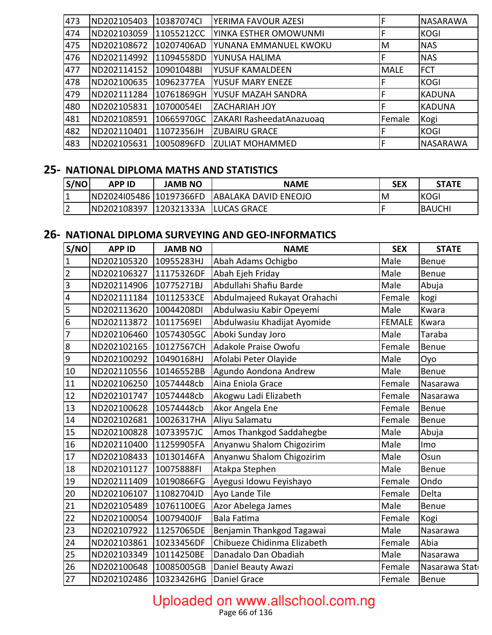| 473 | ND202105403 | 10387074Cl | YERIMA FAVOUR AZESI      | F           | <b>NASARAWA</b> |
|-----|-------------|------------|--------------------------|-------------|-----------------|
| 474 | ND202103059 | 11055212CC | YINKA ESTHER OMOWUNMI    | F           | <b>KOGI</b>     |
| 475 | ND202108672 | 10207406AD | YUNANA EMMANUEL KWOKU    | M           | <b>NAS</b>      |
| 476 | ND202114992 | 11094558DD | YUNUSA HALIMA            | F           | <b>NAS</b>      |
| 477 | ND202114152 | 10901048BI | YUSUF KAMALDEEN          | <b>MALE</b> | <b>FCT</b>      |
| 478 | ND202100635 | 10962377EA | YUSUF MARY ENEZE         | F           | <b>KOGI</b>     |
| 479 | ND202111284 | 10761869GH | YUSUF MAZAH SANDRA       |             | <b>KADUNA</b>   |
| 480 | ND202105831 | 10700054EI | <b>ZACHARIAH JOY</b>     | F           | <b>KADUNA</b>   |
| 481 | ND202108591 | 10665970GC | ZAKARI RasheedatAnazuoag | Female      | Kogi            |
| 482 | ND202110401 | 11072356JH | <b>ZUBAIRU GRACE</b>     | F           | <b>KOGI</b>     |
| 483 | ND202105631 | 10050896FD | <b>ZULIAT MOHAMMED</b>   | F           | <b>NASARAWA</b> |

#### **25- NATIONAL DIPLOMA MATHS AND STATISTICS**

| S/NO             | APP ID                  | <b>JAMB NO</b> | <b>NAME</b>                  | <b>SEX</b> | <b>STATE</b>  |
|------------------|-------------------------|----------------|------------------------------|------------|---------------|
| 1                | ND2024105486 10197366FD |                | <b>JABALAKA DAVID ENEOJO</b> | ΙM         | <b>KOGI</b>   |
| 「⌒<br>$\epsilon$ | IND202108397            | 120321333A     | <b>LUCAS GRACE</b>           |            | <b>BAUCHI</b> |

#### **26- NATIONAL DIPLOMA SURVEYING AND GEO-INFORMATICS**

| S/NO           | <b>APP ID</b> | <b>JAMB NO</b> | <b>NAME</b>                  | <b>SEX</b>    | <b>STATE</b>  |
|----------------|---------------|----------------|------------------------------|---------------|---------------|
| $\mathbf 1$    | ND202105320   | 10955283HJ     | Abah Adams Ochigbo           | Male          | Benue         |
| $\overline{2}$ | ND202106327   | 11175326DF     | Abah Ejeh Friday             | Male          | <b>Benue</b>  |
| 3              | ND202114906   | 10775271BJ     | Abdullahi Shafiu Barde       | Male          | Abuja         |
| 4              | ND202111184   | 10112533CE     | Abdulmajeed Rukayat Orahachi | Female        | kogi          |
| 5              | ND202113620   | 10044208DI     | Abdulwasiu Kabir Opeyemi     | Male          | Kwara         |
| 6              | ND202113872   | 10117569EI     | Abdulwasiu Khadijat Ayomide  | <b>FEMALE</b> | Kwara         |
| $\overline{7}$ | ND202106460   | 10574305GC     | Aboki Sunday Joro            | Male          | Taraba        |
| 8              | ND202102165   | 10127567CH     | Adakole Praise Owofu         | Female        | Benue         |
| 9              | ND202100292   | 10490168HJ     | Afolabi Peter Olayide        | Male          | Oyo           |
| 10             | ND202110556   | 10146552BB     | Agundo Aondona Andrew        | Male          | <b>Benue</b>  |
| 11             | ND202106250   | 10574448cb     | Aina Eniola Grace            | Female        | Nasarawa      |
| 12             | ND202101747   | 10574448cb     | Akogwu Ladi Elizabeth        | Female        | Nasarawa      |
| 13             | ND202100628   | 10574448cb     | Akor Angela Ene              | Female        | <b>Benue</b>  |
| 14             | ND202102681   | 10026317HA     | Aliyu Salamatu               | Female        | Benue         |
| 15             | ND202100828   | 10733957JC     | Amos Thankgod Saddahegbe     | Male          | Abuja         |
| 16             | ND202110400   | 11259905FA     | Anyanwu Shalom Chigozirim    | Male          | Imo           |
| 17             | ND202108433   | 10130146FA     | Anyanwu Shalom Chigozirim    | Male          | Osun          |
| 18             | ND202101127   | 10075888FI     | Atakpa Stephen               | Male          | Benue         |
| 19             | ND202111409   | 10190866FG     | Ayegusi Idowu Feyishayo      | Female        | Ondo          |
| 20             | ND202106107   | 11082704JD     | Ayo Lande Tile               | Female        | Delta         |
| 21             | ND202105489   | 10761100EG     | Azor Abelega James           | Male          | <b>Benue</b>  |
| 22             | ND202100054   | 10079400JF     | <b>Bala Fatima</b>           | Female        | Kogi          |
| 23             | ND202107922   | 11257065DE     | Benjamin Thankgod Tagawai    | Male          | Nasarawa      |
| 24             | ND202103861   | 10233456DF     | Chibueze Chidinma Elizabeth  | Female        | Abia          |
| 25             | ND202103349   | 10114250BE     | Danadalo Dan Obadiah         | Male          | Nasarawa      |
| 26             | ND202100648   | 10085005GB     | Daniel Beauty Awazi          | Female        | Nasarawa Stat |
| 27             | ND202102486   | 10323426HG     | Daniel Grace                 | Female        | Benue         |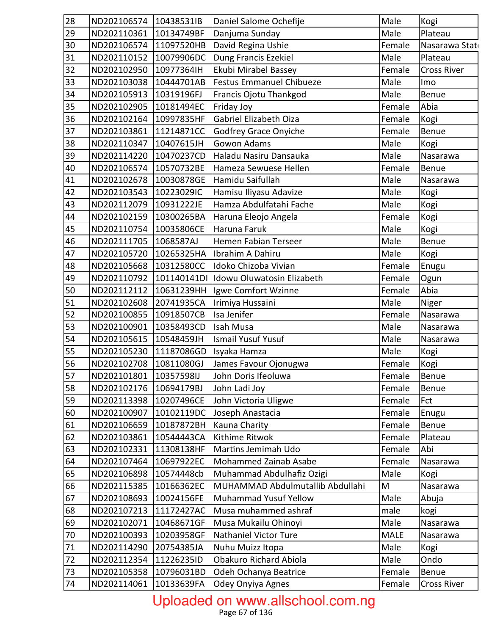| 28 | ND202106574 | 10438531IB  | Daniel Salome Ochefije           | Male        | Kogi               |
|----|-------------|-------------|----------------------------------|-------------|--------------------|
| 29 | ND202110361 | 10134749BF  | Danjuma Sunday                   | Male        | Plateau            |
| 30 | ND202106574 | 11097520HB  | David Regina Ushie               | Female      | Nasarawa Stat      |
| 31 | ND202110152 | 10079906DC  | Dung Francis Ezekiel             | Male        | Plateau            |
| 32 | ND202102950 | 10977364IH  | Ekubi Mirabel Bassey             | Female      | <b>Cross River</b> |
| 33 | ND202103038 | 10444701AB  | <b>Festus Emmanuel Chibueze</b>  | Male        | Imo                |
| 34 | ND202105913 | 10319196FJ  | Francis Ojotu Thankgod           | Male        | <b>Benue</b>       |
| 35 | ND202102905 | 10181494EC  | Friday Joy                       | Female      | Abia               |
| 36 | ND202102164 | 10997835HF  | Gabriel Elizabeth Oiza           | Female      | Kogi               |
| 37 | ND202103861 | 11214871CC  | Godfrey Grace Onyiche            | Female      | <b>Benue</b>       |
| 38 | ND202110347 | 10407615JH  | Gowon Adams                      | Male        | Kogi               |
| 39 | ND202114220 | 10470237CD  | Haladu Nasiru Dansauka           | Male        | Nasarawa           |
| 40 | ND202106574 | 10570732BE  | Hameza Sewuese Hellen            | Female      | Benue              |
| 41 | ND202102678 | 10030878GE  | Hamidu Saifullah                 | Male        | Nasarawa           |
| 42 | ND202103543 | 10223029IC  | Hamisu Iliyasu Adavize           | Male        | Kogi               |
| 43 | ND202112079 | 10931222JE  | Hamza Abdulfatahi Fache          | Male        | Kogi               |
| 44 | ND202102159 | 10300265BA  | Haruna Eleojo Angela             | Female      | Kogi               |
| 45 | ND202110754 | 10035806CE  | Haruna Faruk                     | Male        | Kogi               |
| 46 | ND202111705 | 1068587AJ   | Hemen Fabian Terseer             | Male        | <b>Benue</b>       |
| 47 | ND202105720 | 10265325HA  | Ibrahim A Dahiru                 | Male        | Kogi               |
| 48 | ND202105668 | 10312580CC  | Idoko Chizoba Vivian             | Female      | Enugu              |
| 49 | ND202110792 | 101140141DI | Idowu Oluwatosin Elizabeth       | Female      | Ogun               |
| 50 | ND202112112 | 10631239HH  | Igwe Comfort Wzinne              | Female      | Abia               |
| 51 | ND202102608 | 20741935CA  | Irimiya Hussaini                 | Male        | Niger              |
| 52 | ND202100855 | 10918507CB  | Isa Jenifer                      | Female      | Nasarawa           |
| 53 | ND202100901 | 10358493CD  | Isah Musa                        | Male        | Nasarawa           |
| 54 | ND202105615 | 10548459JH  | <b>Ismail Yusuf Yusuf</b>        | Male        | Nasarawa           |
| 55 | ND202105230 | 11187086GD  | Isyaka Hamza                     | Male        | Kogi               |
| 56 | ND202102708 | 10811080GJ  | James Favour Ojonugwa            | Female      | Kogi               |
| 57 | ND202101801 | 10357598IJ  | John Doris Ifeoluwa              | Female      | Benue              |
| 58 | ND202102176 | 10694179BJ  | John Ladi Joy                    | Female      | <b>Benue</b>       |
| 59 | ND202113398 | 10207496CE  | John Victoria Uligwe             | Female      | Fct                |
| 60 | ND202100907 | 10102119DC  | Joseph Anastacia                 | Female      | Enugu              |
| 61 | ND202106659 | 10187872BH  | Kauna Charity                    | Female      | Benue              |
| 62 | ND202103861 | 10544443CA  | Kithime Ritwok                   | Female      | Plateau            |
| 63 | ND202102331 | 11308138HF  | Martins Jemimah Udo              | Female      | Abi                |
| 64 | ND202107464 | 10697922EC  | Mohammed Zainab Asabe            | Female      | Nasarawa           |
| 65 | ND202106898 | 10574448cb  | Muhammad Abdulhafiz Ozigi        | Male        | Kogi               |
| 66 | ND202115385 | 10166362EC  | MUHAMMAD Abdulmutallib Abdullahi | M           | Nasarawa           |
| 67 | ND202108693 | 10024156FE  | Muhammad Yusuf Yellow            | Male        | Abuja              |
| 68 | ND202107213 | 11172427AC  | Musa muhammed ashraf             | male        | kogi               |
| 69 | ND202102071 | 10468671GF  | Musa Mukailu Ohinoyi             | Male        | Nasarawa           |
| 70 | ND202100393 | 10203958GF  | Nathaniel Victor Ture            | <b>MALE</b> | Nasarawa           |
| 71 | ND202114290 | 20754385JA  | Nuhu Muizz Itopa                 | Male        | Kogi               |
| 72 | ND202112354 | 11226235ID  | Obakuro Richard Abiola           | Male        | Ondo               |
| 73 | ND202105358 | 10796031BD  | Odeh Ochanya Beatrice            | Female      | Benue              |
| 74 | ND202114061 | 10133639FA  | Odey Onyiya Agnes                | Female      | <b>Cross River</b> |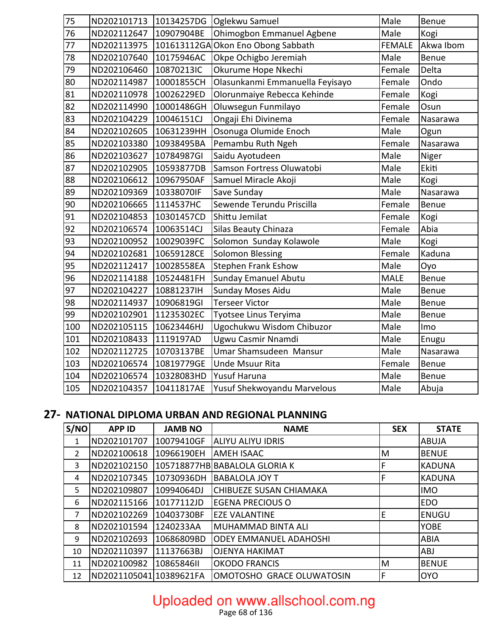| 75  | ND202101713 | 10134257DG | Oglekwu Samuel                     | Male          | Benue     |
|-----|-------------|------------|------------------------------------|---------------|-----------|
| 76  | ND202112647 | 10907904BE | Ohimogbon Emmanuel Agbene          | Male          | Kogi      |
| 77  | ND202113975 |            | 101613112GA Okon Eno Obong Sabbath | <b>FEMALE</b> | Akwa Ibom |
| 78  | ND202107640 | 10175946AC | Okpe Ochigbo Jeremiah              | Male          | Benue     |
| 79  | ND202106460 | 10870213IC | Okurume Hope Nkechi                | Female        | Delta     |
| 80  | ND202114987 | 10001855CH | Olasunkanmi Emmanuella Feyisayo    | Female        | Ondo      |
| 81  | ND202110978 | 10026229ED | Olorunmaiye Rebecca Kehinde        | Female        | Kogi      |
| 82  | ND202114990 | 10001486GH | Oluwsegun Funmilayo                | Female        | Osun      |
| 83  | ND202104229 | 10046151CJ | Ongaji Ehi Divinema                | Female        | Nasarawa  |
| 84  | ND202102605 | 10631239HH | Osonuga Olumide Enoch              | Male          | Ogun      |
| 85  | ND202103380 | 10938495BA | Pemambu Ruth Ngeh                  | Female        | Nasarawa  |
| 86  | ND202103627 | 10784987GI | Saidu Ayotudeen                    | Male          | Niger     |
| 87  | ND202102905 | 10593877DB | Samson Fortress Oluwatobi          | Male          | Ekiti     |
| 88  | ND202106612 | 10967950AF | Samuel Miracle Akoji               | Male          | Kogi      |
| 89  | ND202109369 | 10338070IF | Save Sunday                        | Male          | Nasarawa  |
| 90  | ND202106665 | 1114537HC  | Sewende Terundu Priscilla          | Female        | Benue     |
| 91  | ND202104853 | 10301457CD | Shittu Jemilat                     | Female        | Kogi      |
| 92  | ND202106574 | 10063514CJ | Silas Beauty Chinaza               | Female        | Abia      |
| 93  | ND202100952 | 10029039FC | Solomon Sunday Kolawole            | Male          | Kogi      |
| 94  | ND202102681 | 10659128CE | <b>Solomon Blessing</b>            | Female        | Kaduna    |
| 95  | ND202112417 | 10028558EA | <b>Stephen Frank Eshow</b>         | Male          | Oyo       |
| 96  | ND202114188 | 10524481FH | <b>Sunday Emanuel Abutu</b>        | <b>MALE</b>   | Benue     |
| 97  | ND202104227 | 10881237IH | <b>Sunday Moses Aidu</b>           | Male          | Benue     |
| 98  | ND202114937 | 10906819GI | <b>Terseer Victor</b>              | Male          | Benue     |
| 99  | ND202102901 | 11235302EC | Tyotsee Linus Teryima              | Male          | Benue     |
| 100 | ND202105115 | 10623446HJ | Ugochukwu Wisdom Chibuzor          | Male          | Imo       |
| 101 | ND202108433 | 1119197AD  | Ugwu Casmir Nnamdi                 | Male          | Enugu     |
| 102 | ND202112725 | 10703137BE | Umar Shamsudeen Mansur             | Male          | Nasarawa  |
| 103 | ND202106574 | 10819779GE | Unde Msuur Rita                    | Female        | Benue     |
| 104 | ND202106574 | 10328083HD | <b>Yusuf Haruna</b>                | Male          | Benue     |
| 105 | ND202104357 | 10411817AE | Yusuf Shekwoyandu Marvelous        | Male          | Abuja     |

### **27- NATIONAL DIPLOMA URBAN AND REGIONAL PLANNING**

| S/NO | <b>APP ID</b>           | <b>JAMB NO</b> | <b>NAME</b>                    | <b>SEX</b> | <b>STATE</b>  |
|------|-------------------------|----------------|--------------------------------|------------|---------------|
| 1    | ND202101707             | 10079410GF     | <b>ALIYU ALIYU IDRIS</b>       |            | <b>ABUJA</b>  |
| 2    | ND202100618             | 10966190EH     | <b>AMEH ISAAC</b>              | M          | <b>BENUE</b>  |
| 3    | ND202102150             |                | 105718877HB BABALOLA GLORIA K  | F          | <b>KADUNA</b> |
| 4    | ND202107345             | 10730936DH     | <b>BABALOLA JOY T</b>          | F          | <b>KADUNA</b> |
| 5    | ND202109807             | 10994064DJ     | <b>CHIBUEZE SUSAN CHIAMAKA</b> |            | <b>IMO</b>    |
| 6    | ND202115166             | 10177112JD     | <b>EGENA PRECIOUS O</b>        |            | <b>EDO</b>    |
| 7    | ND202102269             | 10403730BF     | <b>EZE VALANTINE</b>           | E          | <b>ENUGU</b>  |
| 8    | ND202101594             | 1240233AA      | MUHAMMAD BINTA ALI             |            | <b>YOBE</b>   |
| 9    | ND202102693             | 10686809BD     | <b>ODEY EMMANUEL ADAHOSHI</b>  |            | <b>ABIA</b>   |
| 10   | ND202110397             | 11137663BJ     | <b>OJENYA HAKIMAT</b>          |            | <b>ABJ</b>    |
| 11   | ND202100982             | 10865846II     | <b>OKODO FRANCIS</b>           | M          | <b>BENUE</b>  |
| 12   | ND2021105041 10389621FA |                | OMOTOSHO GRACE OLUWATOSIN      | F          | <b>OYO</b>    |

## Uploaded on www.allschool.com.ng

Page 68 of 136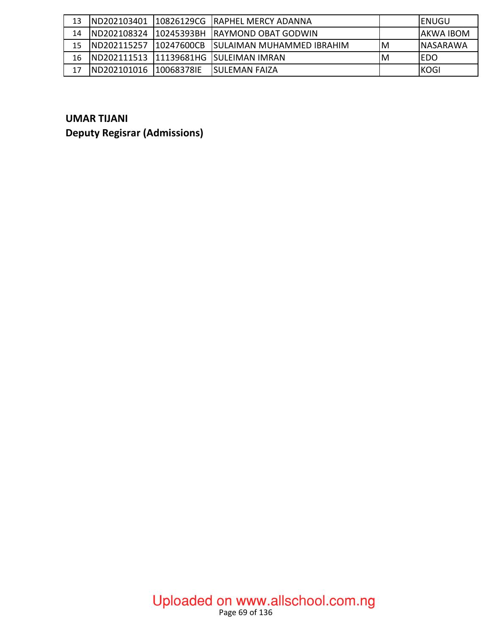| 13 |                          | IND202103401 110826129CG IRAPHEL MERCY ADANNA      |    | IENUGU            |
|----|--------------------------|----------------------------------------------------|----|-------------------|
| 14 |                          | IND202108324 110245393BH IRAYMOND OBAT GODWIN      |    | <b>JAKWA IBOM</b> |
| 15 |                          | IND202115257 110247600CB SULAIMAN MUHAMMED IBRAHIM | ΙM | <b>INASARAWA</b>  |
| 16 |                          | ND202111513 11139681HG SULEIMAN IMRAN              | ΙM | IEDO              |
| 17 | IND202101016 110068378IE | ISULEMAN FAIZA                                     |    | <b>IKOGI</b>      |

**UMAR TIJANI Deputy Regisrar (Admissions)**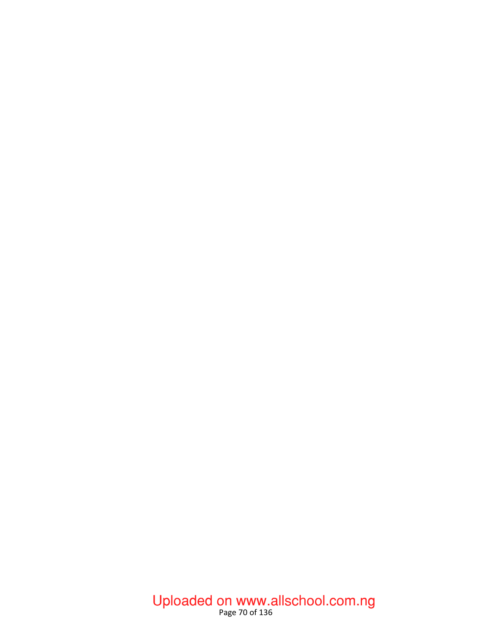#### Page 70 of 136 Uploaded on www.allschool.com.ng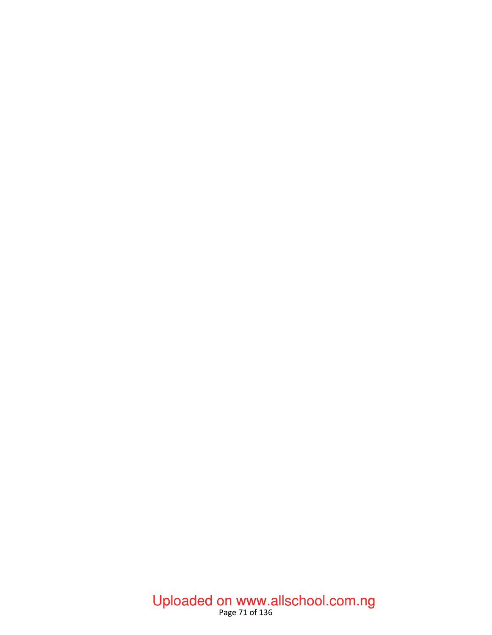#### Page 71 of 136 Uploaded on www.allschool.com.ng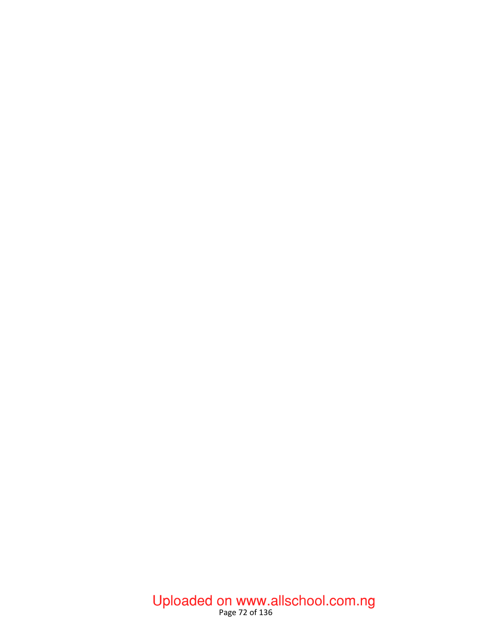#### Page 72 of 136 Uploaded on www.allschool.com.ng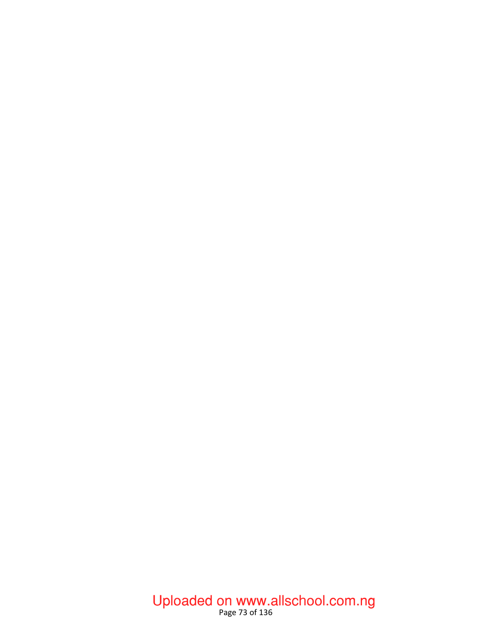## Page 73 of 136 Uploaded on www.allschool.com.ng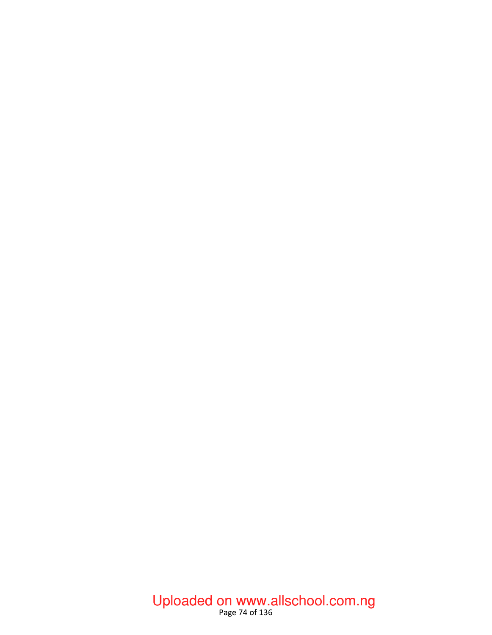## Page 74 of 136 Uploaded on www.allschool.com.ng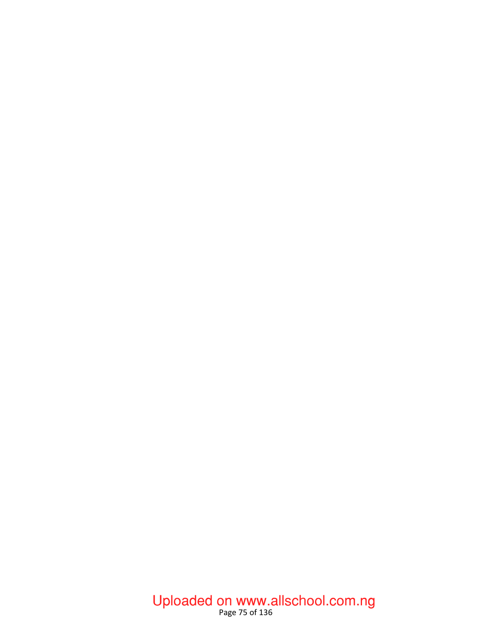## Page 75 of 136 Uploaded on www.allschool.com.ng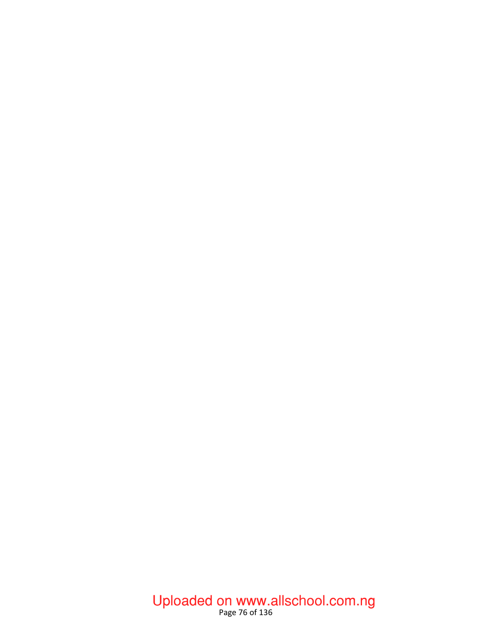## Page 76 of 136 Uploaded on www.allschool.com.ng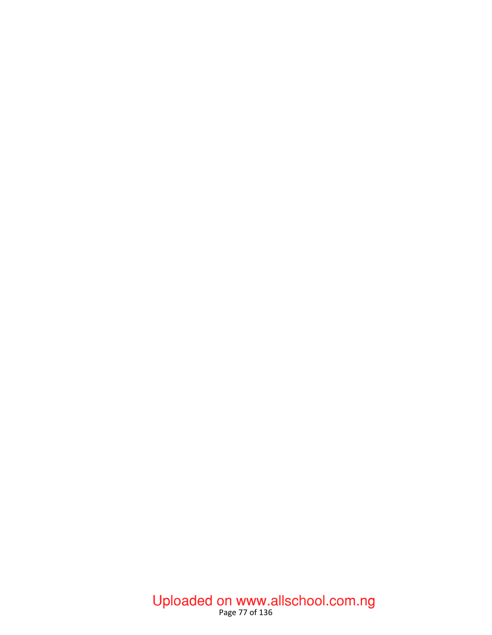## Page 77 of 136 Uploaded on www.allschool.com.ng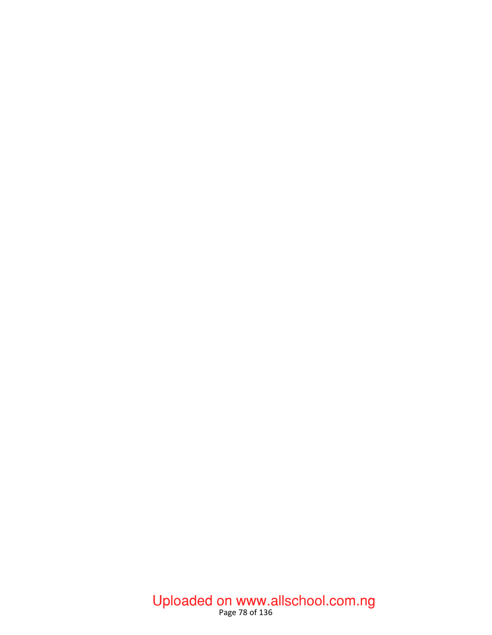## Page 78 of 136 Uploaded on www.allschool.com.ng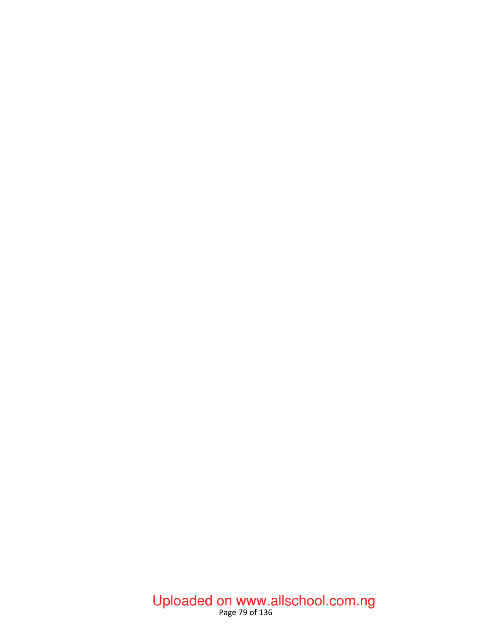## Page 79 of 136 Uploaded on www.allschool.com.ng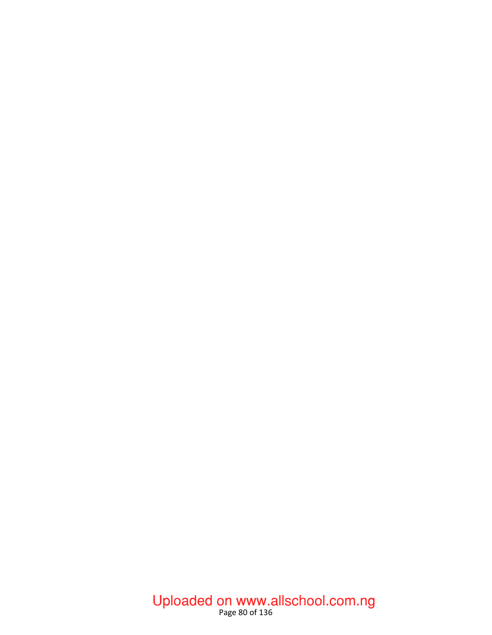## Page 80 of 136 Uploaded on www.allschool.com.ng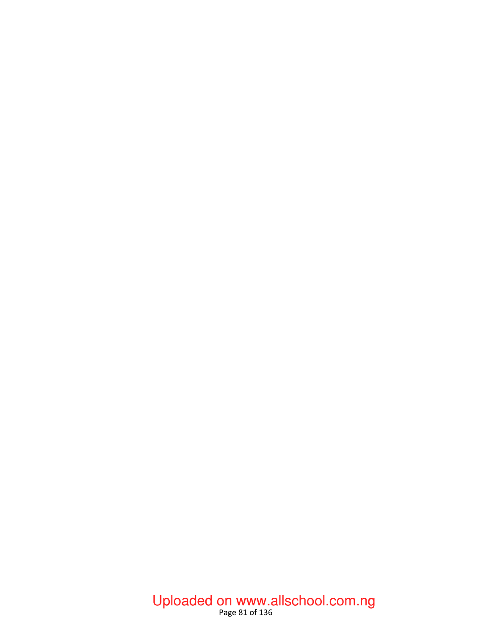## Page 81 of 136 Uploaded on www.allschool.com.ng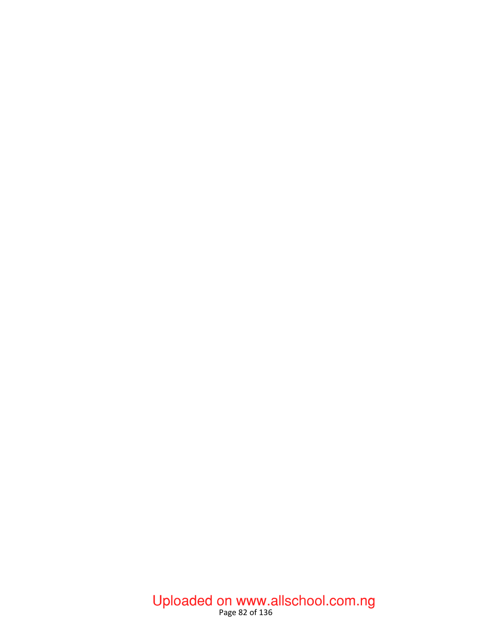## Page 82 of 136 Uploaded on www.allschool.com.ng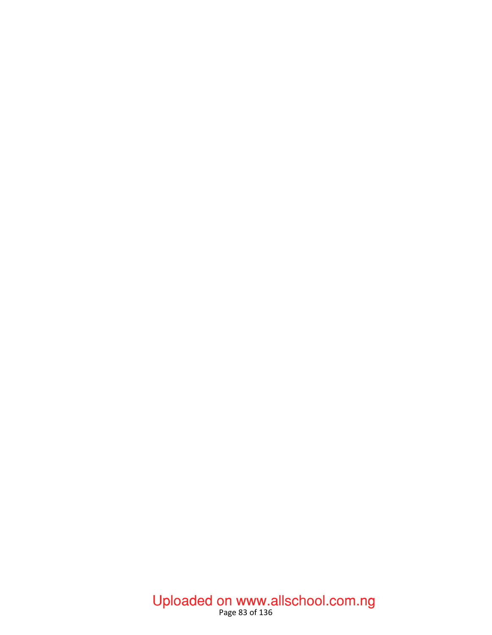## Page 83 of 136 Uploaded on www.allschool.com.ng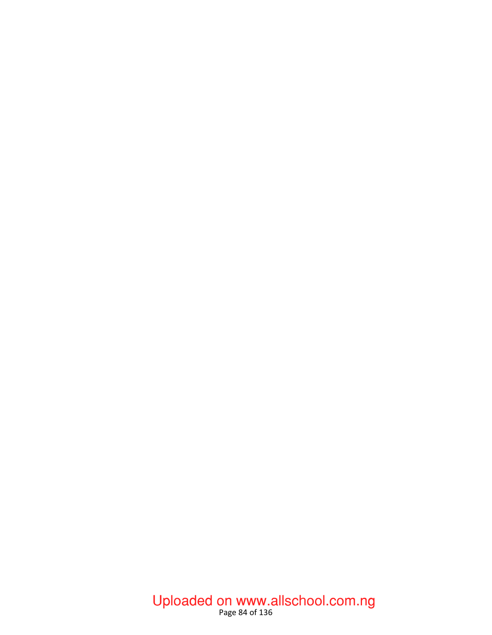## Page 84 of 136 Uploaded on www.allschool.com.ng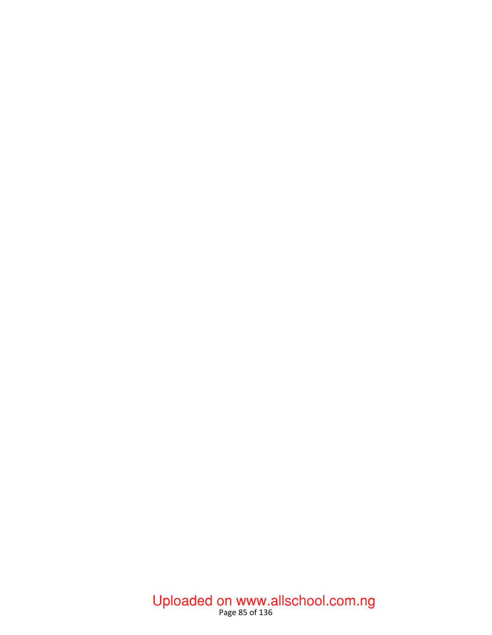## Page 85 of 136 Uploaded on www.allschool.com.ng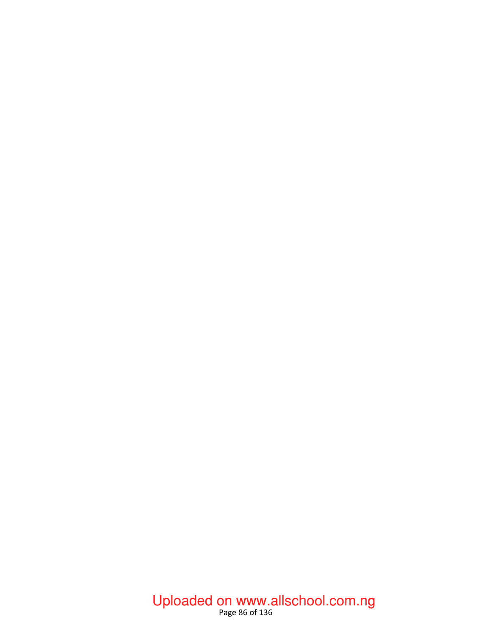## Page 86 of 136 Uploaded on www.allschool.com.ng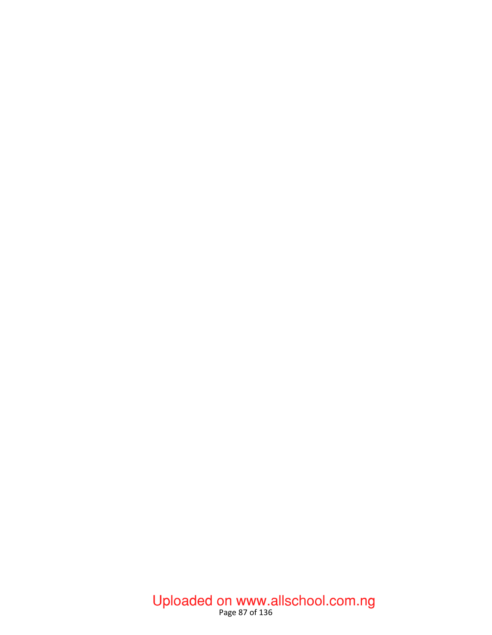## Page 87 of 136 Uploaded on www.allschool.com.ng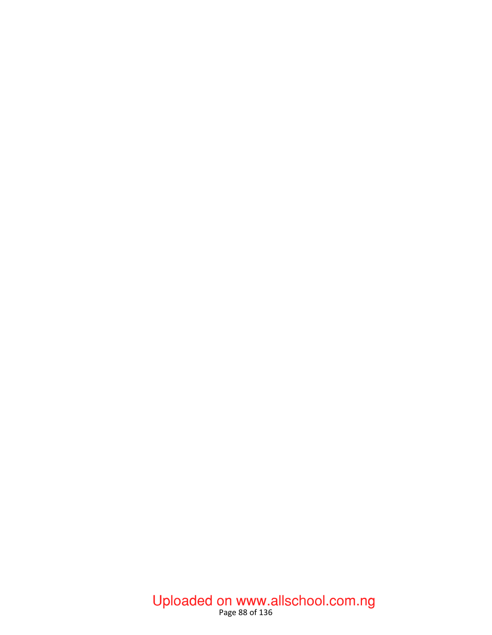## Page 88 of 136 Uploaded on www.allschool.com.ng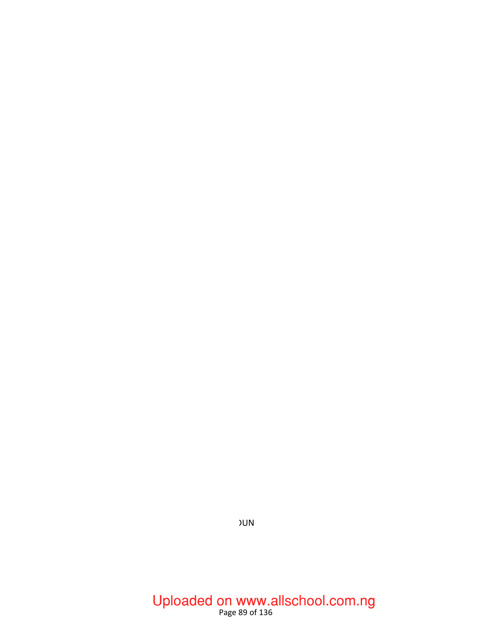**JUN** 

# Page 89 of 136 Uploaded on www.allschool.com.ng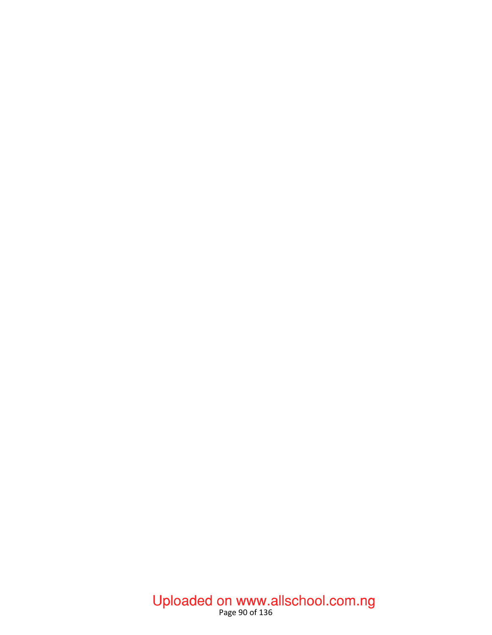## Page 90 of 136 Uploaded on www.allschool.com.ng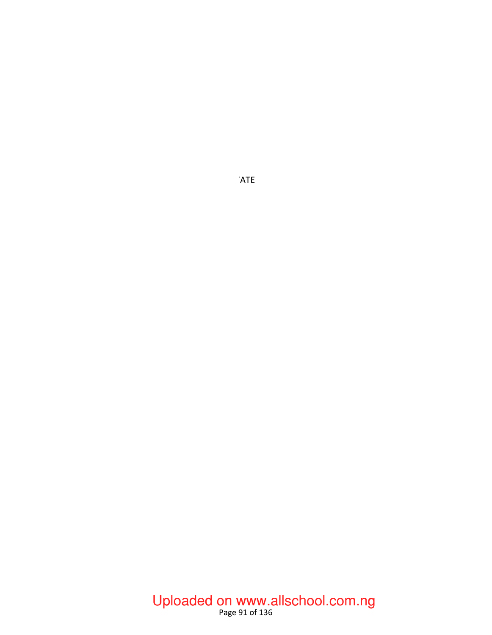## Page 91 of 136 Uploaded on www.allschool.com.ng

**ATE**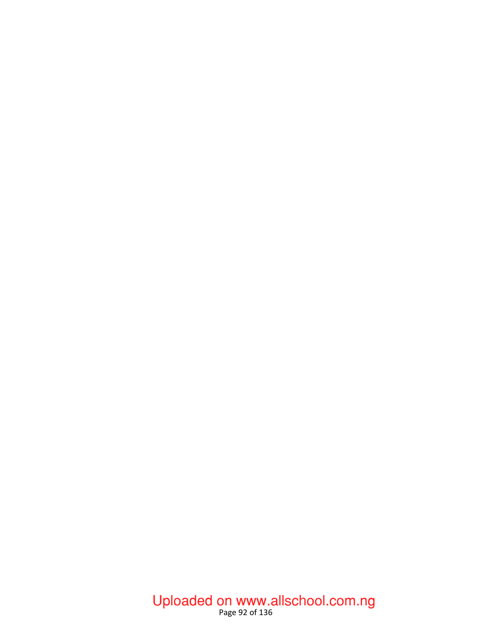## Page 92 of 136 Uploaded on www.allschool.com.ng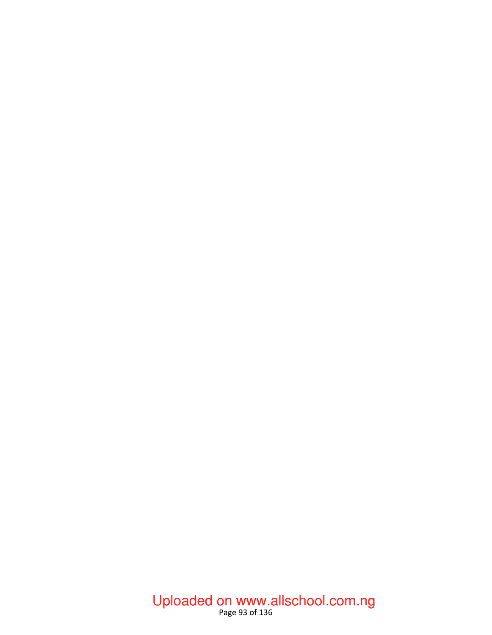## Page 93 of 136 Uploaded on www.allschool.com.ng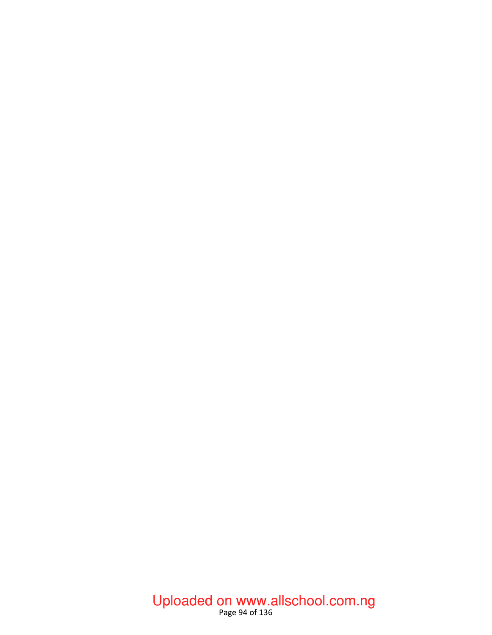## Page 94 of 136 Uploaded on www.allschool.com.ng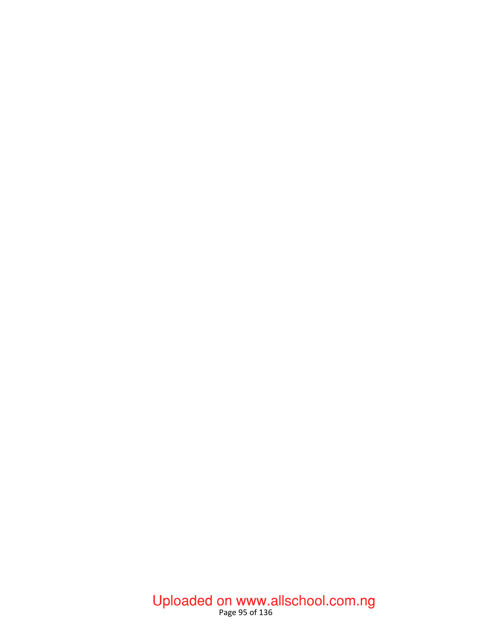## Page 95 of 136 Uploaded on www.allschool.com.ng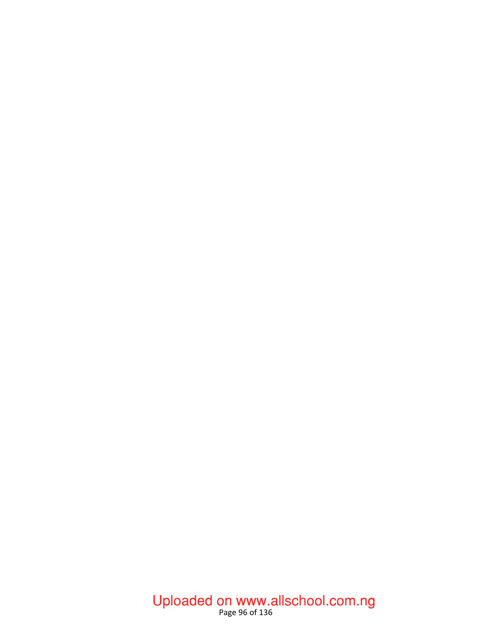## Page 96 of 136 Uploaded on www.allschool.com.ng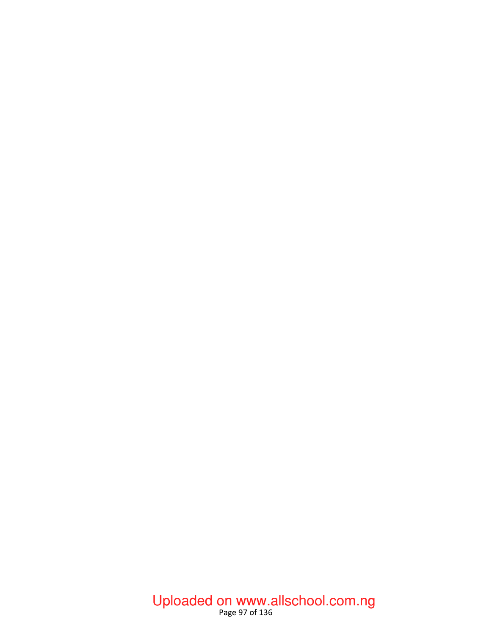## Page 97 of 136 Uploaded on www.allschool.com.ng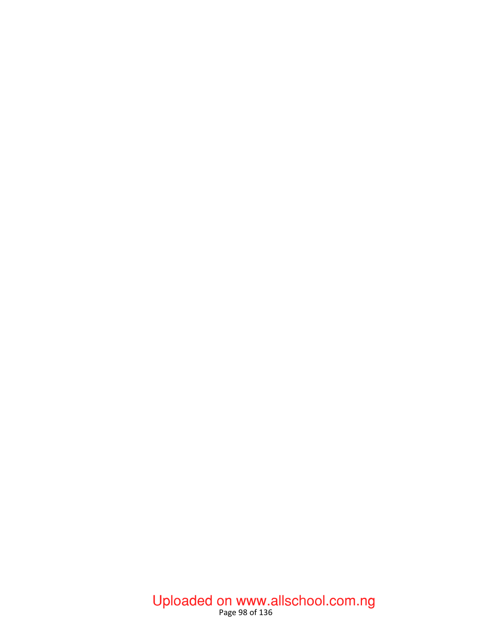## Page 98 of 136 Uploaded on www.allschool.com.ng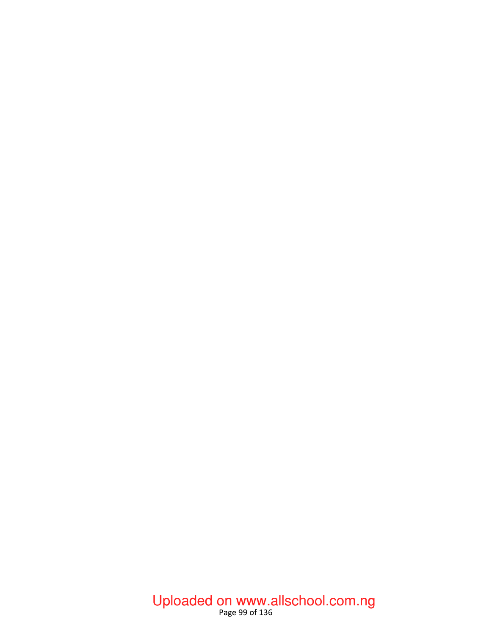## Page 99 of 136 Uploaded on www.allschool.com.ng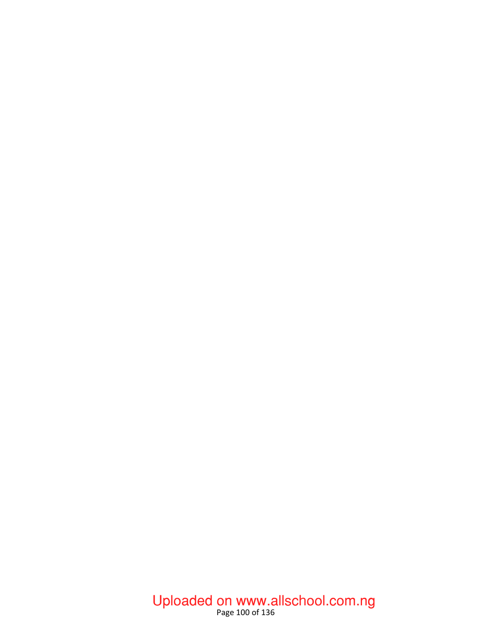## Page 100 of 136 Uploaded on www.allschool.com.ng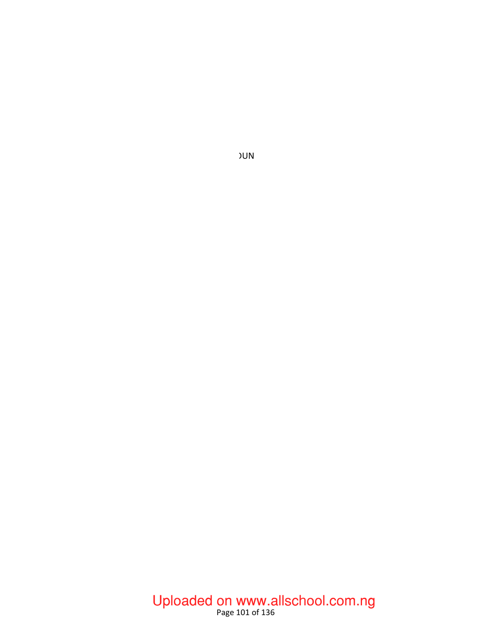**JUN** 

# Page 101 of 136 Uploaded on www.allschool.com.ng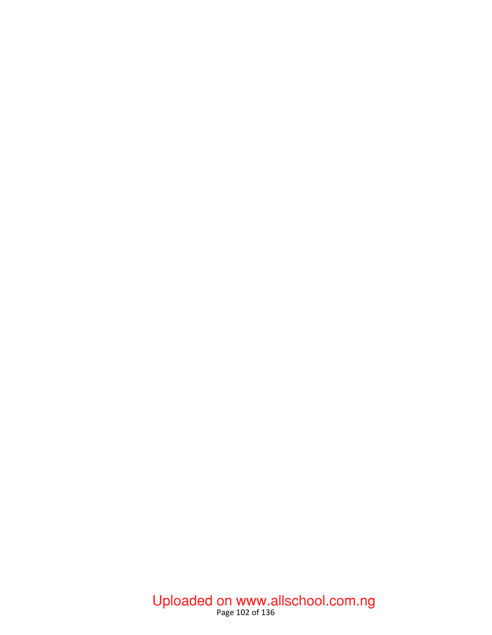## Page 102 of 136 Uploaded on www.allschool.com.ng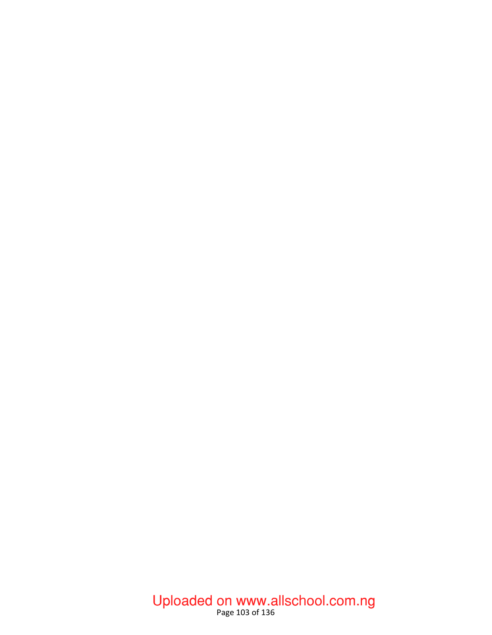## Page 103 of 136 Uploaded on www.allschool.com.ng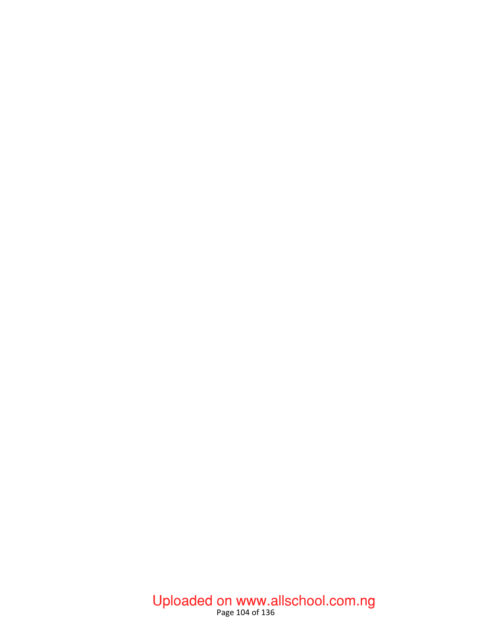## Page 104 of 136 Uploaded on www.allschool.com.ng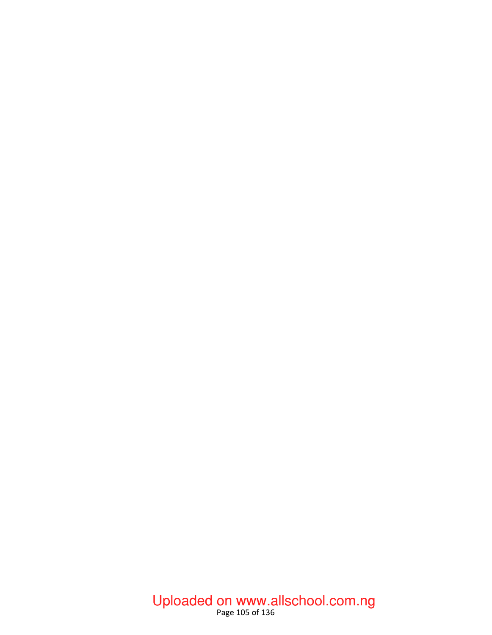## Page 105 of 136 Uploaded on www.allschool.com.ng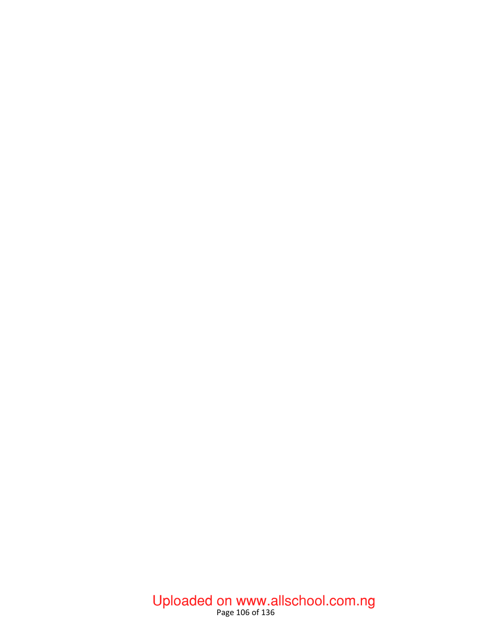## Page 106 of 136 Uploaded on www.allschool.com.ng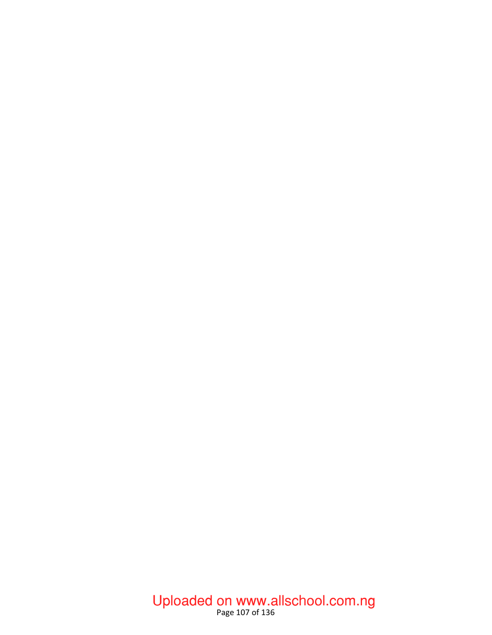## Page 107 of 136 Uploaded on www.allschool.com.ng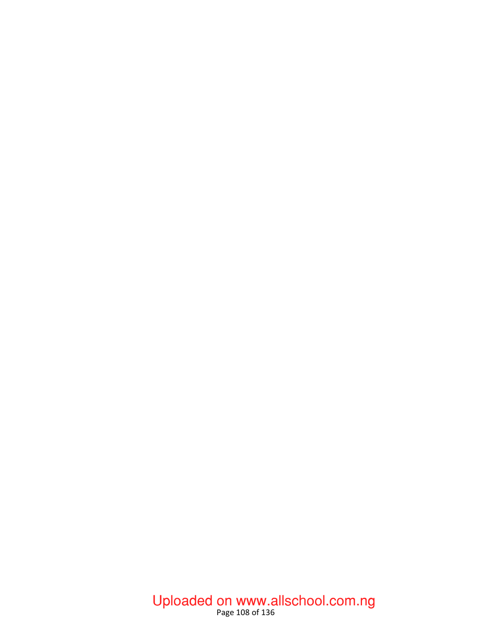## Page 108 of 136 Uploaded on www.allschool.com.ng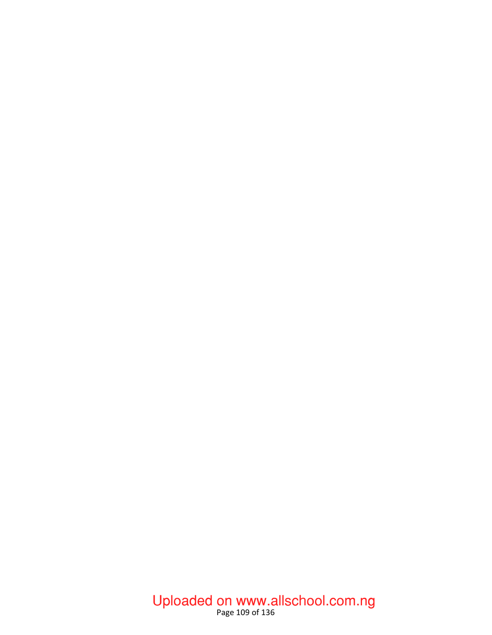### Page 109 of 136 Uploaded on www.allschool.com.ng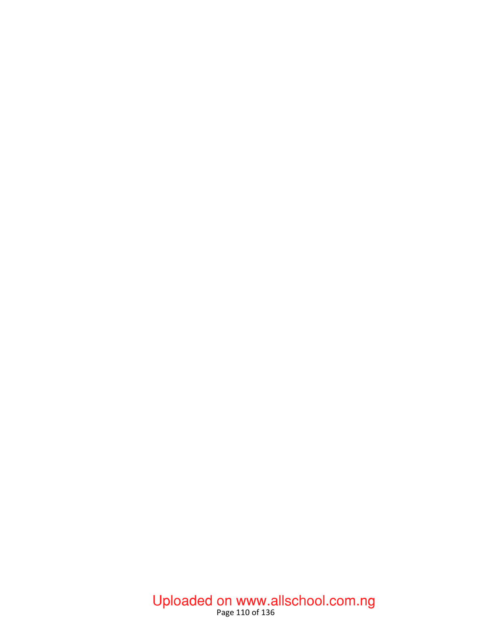# Page 110 of 136 Uploaded on www.allschool.com.ng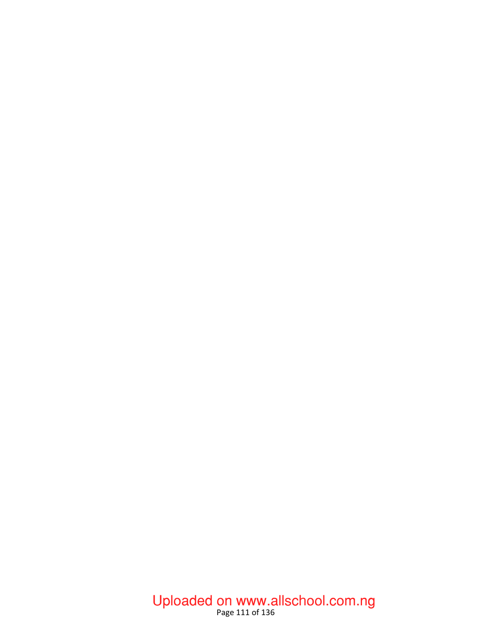# Page 111 of 136 Uploaded on www.allschool.com.ng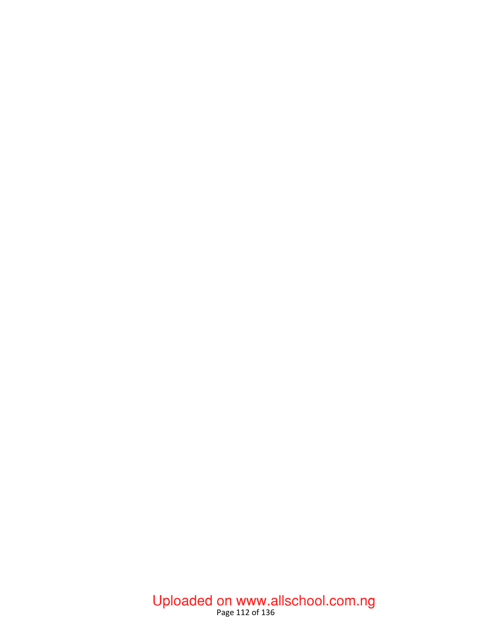# Page 112 of 136 Uploaded on www.allschool.com.ng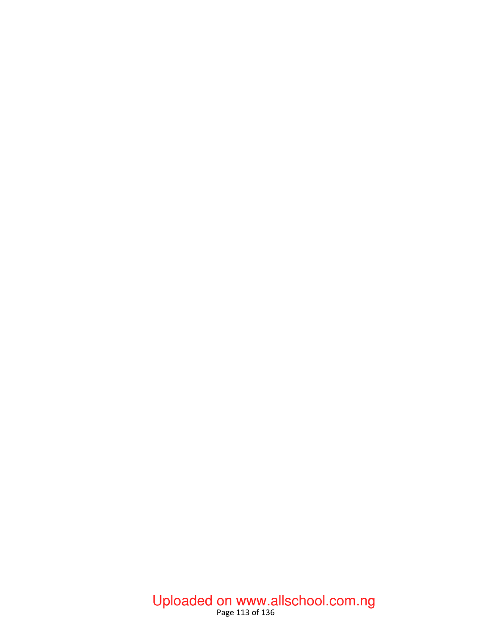# Page 113 of 136 Uploaded on www.allschool.com.ng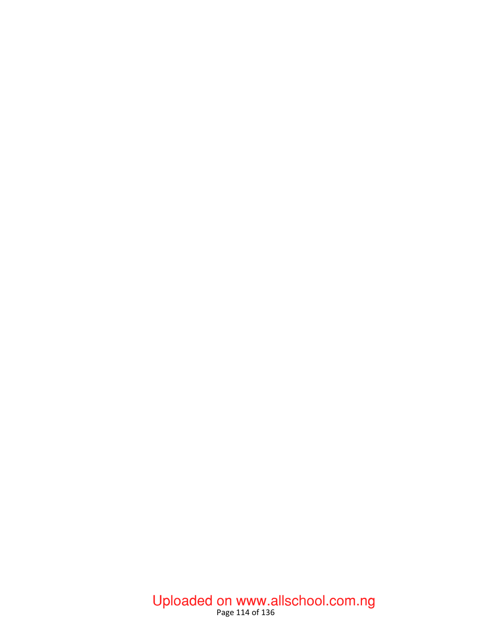### Page 114 of 136 Uploaded on www.allschool.com.ng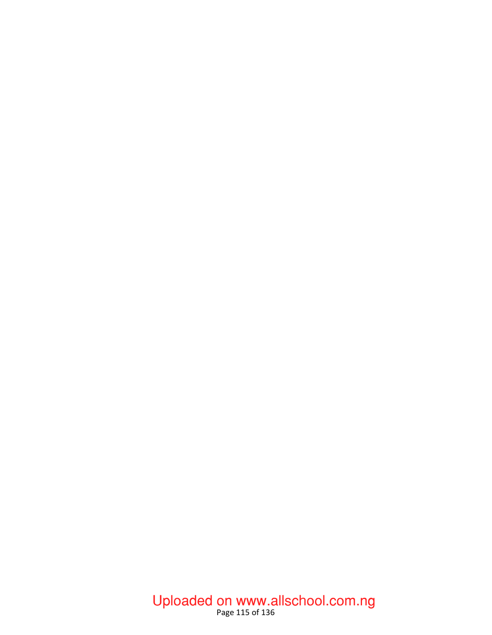# Page 115 of 136 Uploaded on www.allschool.com.ng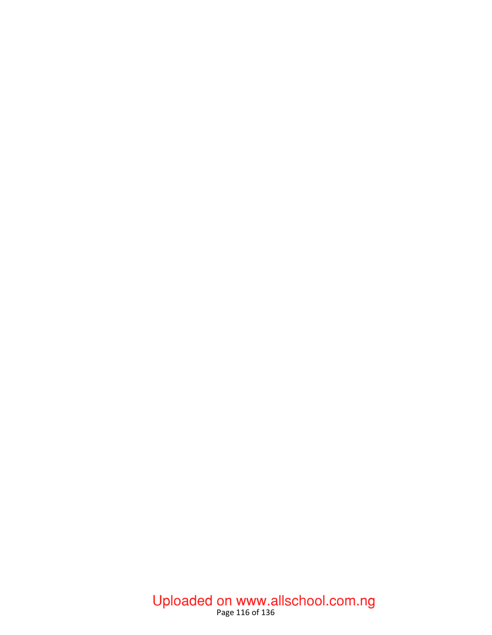## Page 116 of 136 Uploaded on www.allschool.com.ng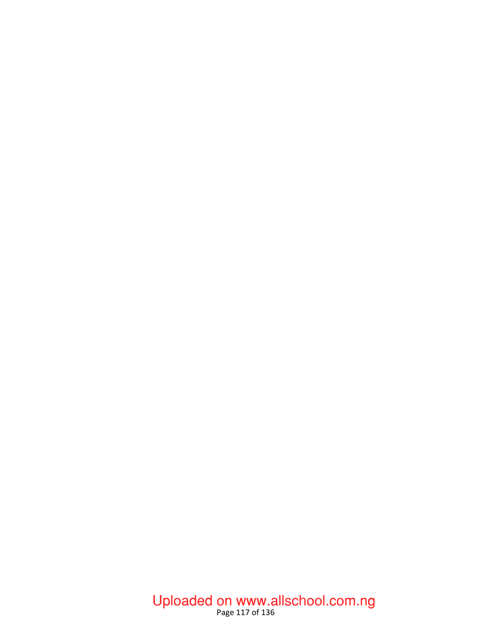## Page 117 of 136 Uploaded on www.allschool.com.ng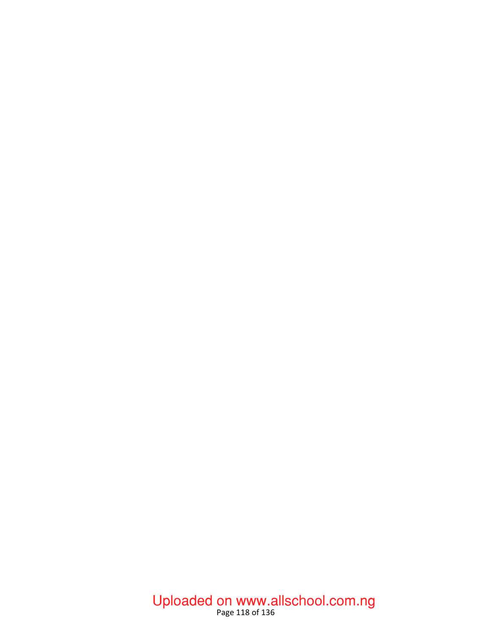## Page 118 of 136 Uploaded on www.allschool.com.ng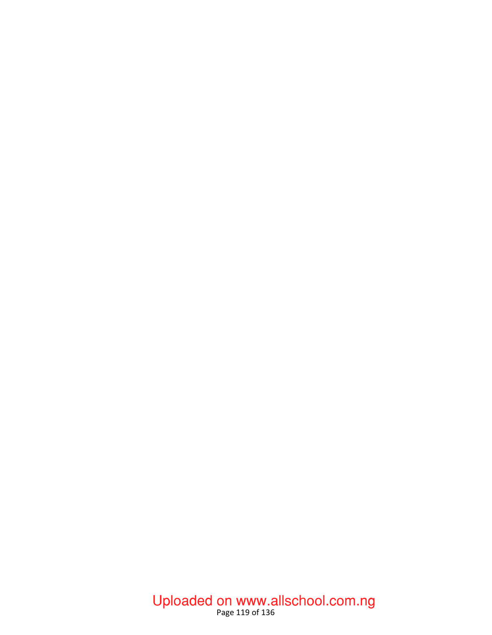## Page 119 of 136 Uploaded on www.allschool.com.ng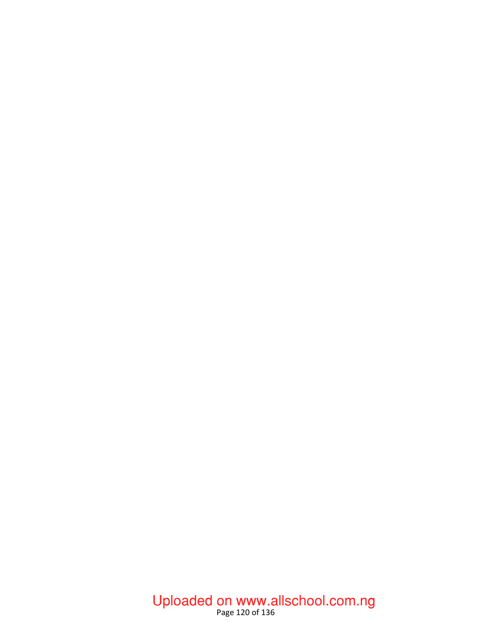### Page 120 of 136 Uploaded on www.allschool.com.ng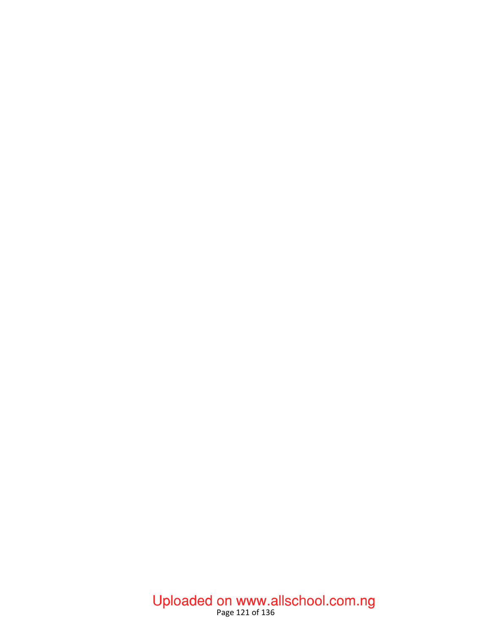## Page 121 of 136 Uploaded on www.allschool.com.ng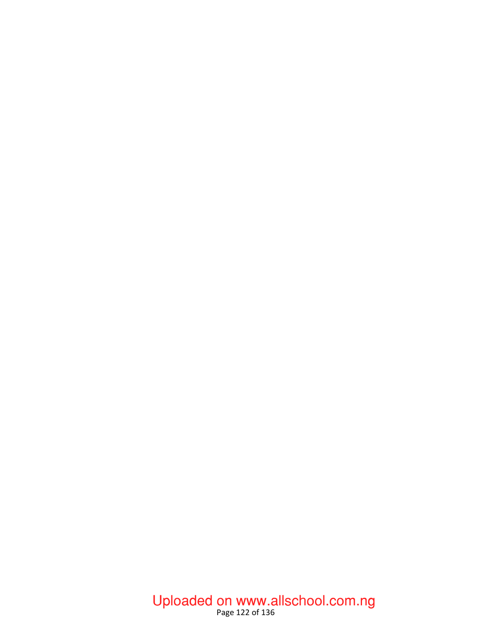## Page 122 of 136 Uploaded on www.allschool.com.ng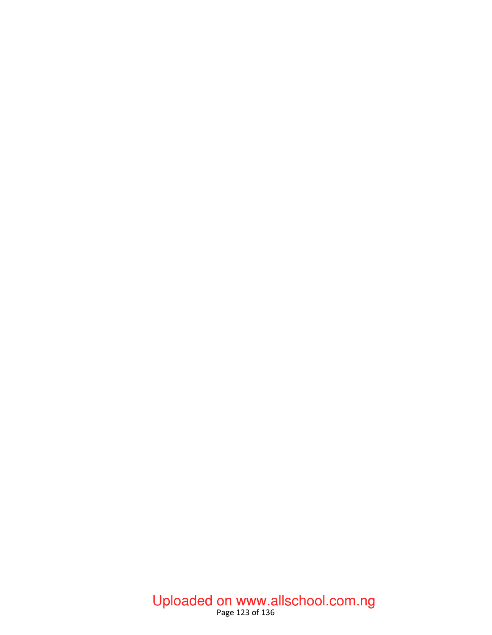## Page 123 of 136 Uploaded on www.allschool.com.ng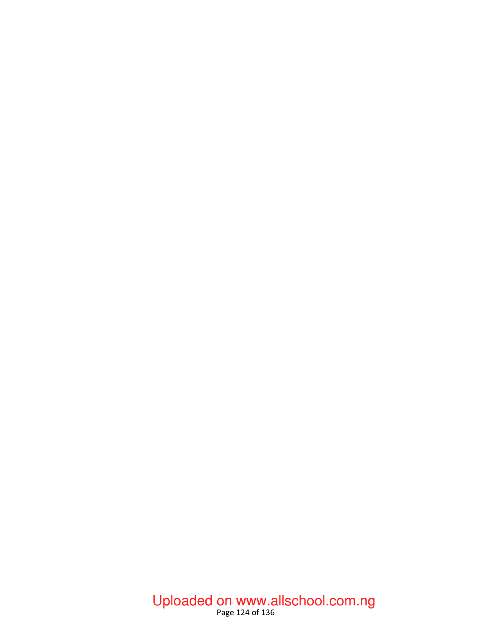### Page 124 of 136 Uploaded on www.allschool.com.ng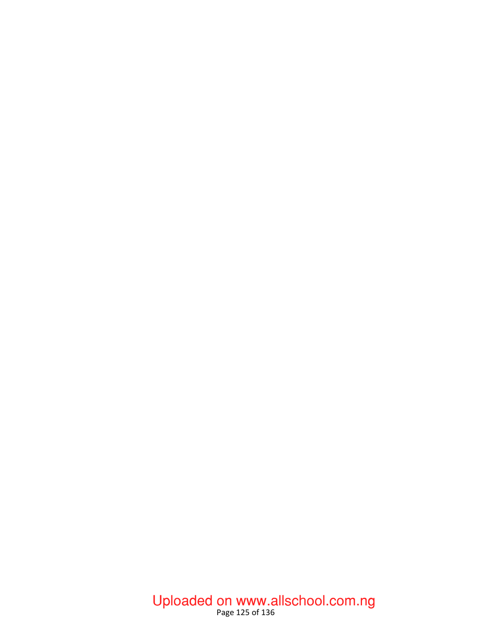## Page 125 of 136 Uploaded on www.allschool.com.ng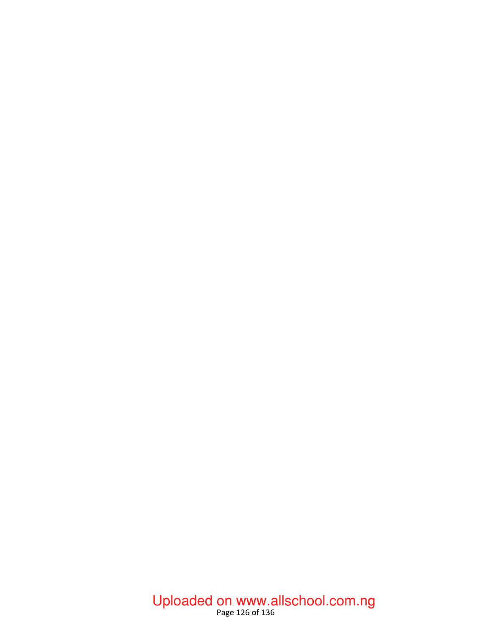### Page 126 of 136 Uploaded on www.allschool.com.ng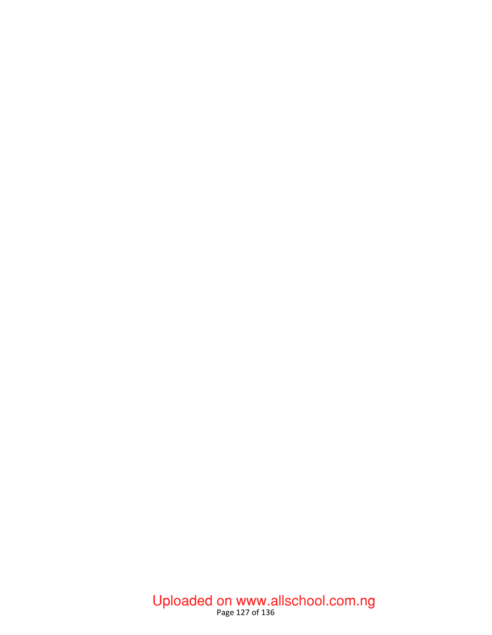### Page 127 of 136 Uploaded on www.allschool.com.ng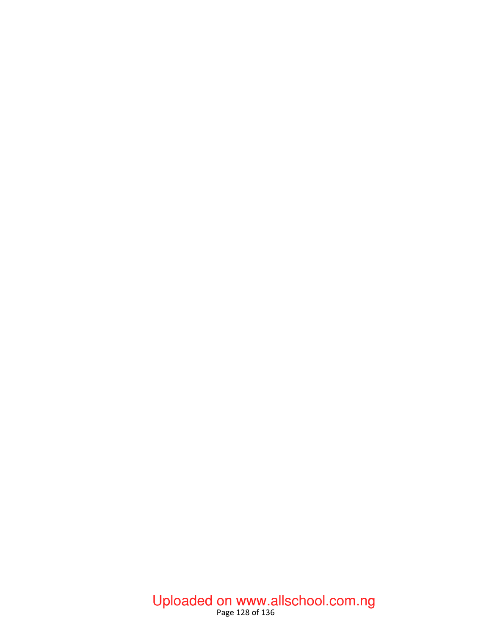### Page 128 of 136 Uploaded on www.allschool.com.ng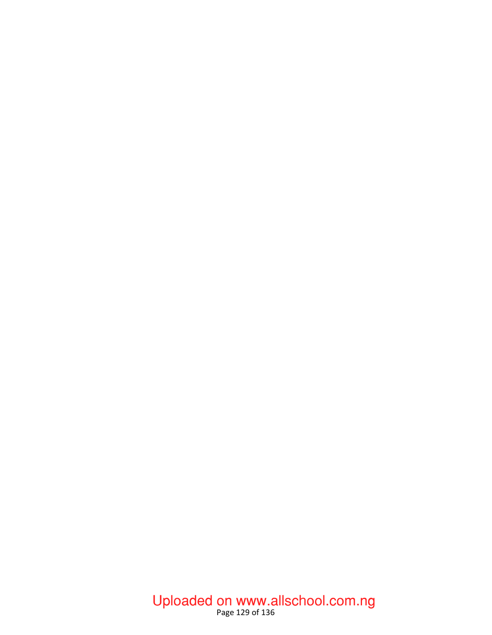### Page 129 of 136 Uploaded on www.allschool.com.ng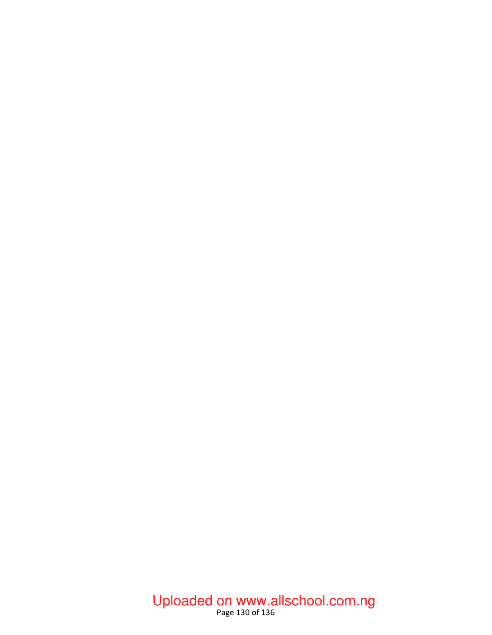### Page 130 of 136 Uploaded on www.allschool.com.ng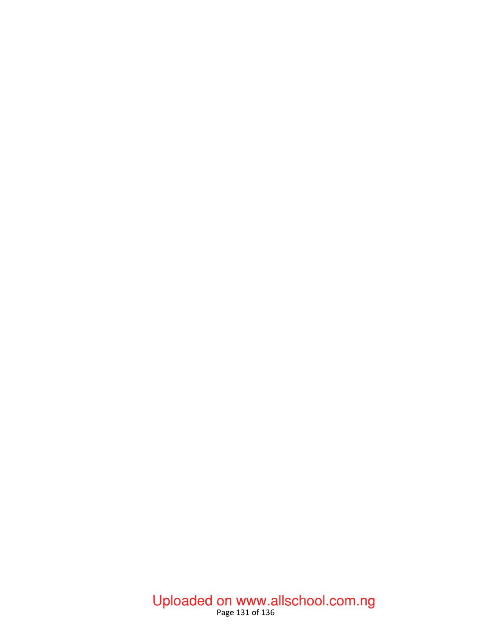## Page 131 of 136 Uploaded on www.allschool.com.ng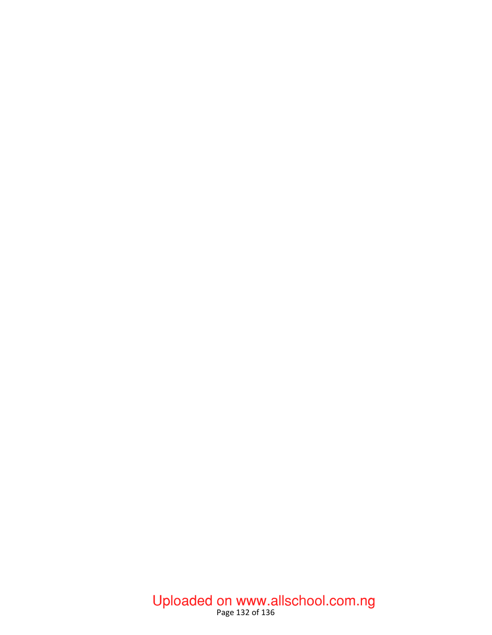## Page 132 of 136 Uploaded on www.allschool.com.ng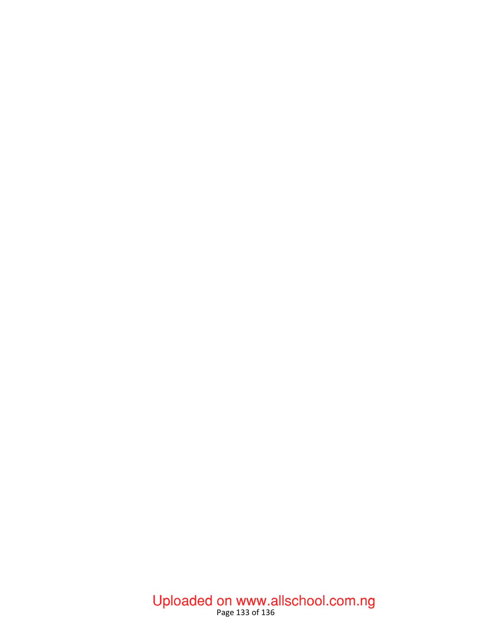## Page 133 of 136 Uploaded on www.allschool.com.ng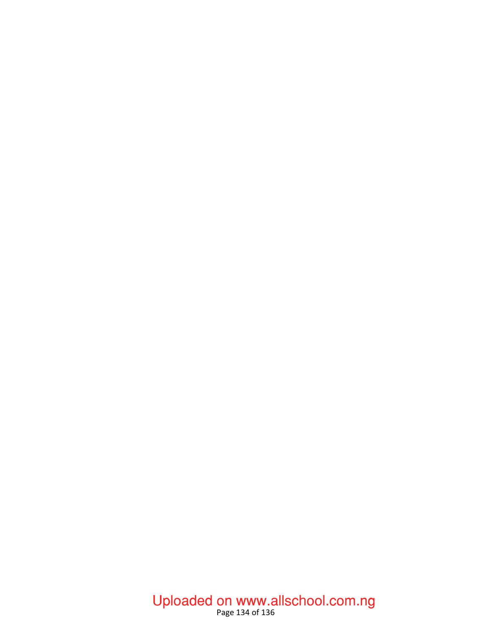### Page 134 of 136 Uploaded on www.allschool.com.ng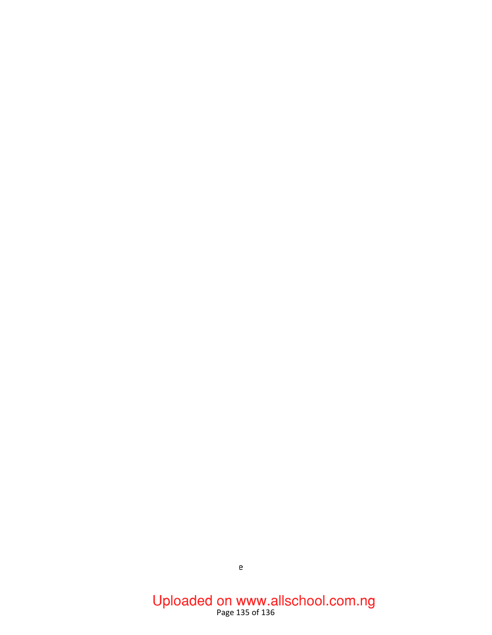## Page 135 of 136 Uploaded on www.allschool.com.ng